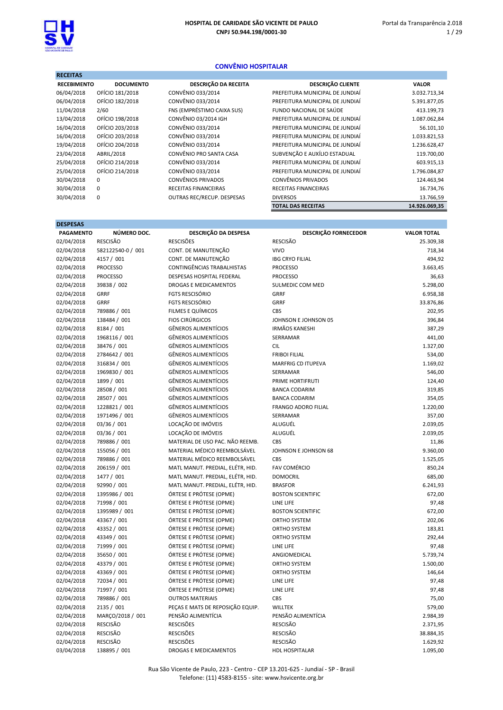

### CONVÊNIO HOSPITALAR

| <b>RECEITAS</b>    |                  |                             |                                 |               |
|--------------------|------------------|-----------------------------|---------------------------------|---------------|
| <b>RECEBIMENTO</b> | <b>DOCUMENTO</b> | <b>DESCRIÇÃO DA RECEITA</b> | <b>DESCRIÇÃO CLIENTE</b>        | <b>VALOR</b>  |
| 06/04/2018         | OFÍCIO 181/2018  | CONVÊNIO 033/2014           | PREFEITURA MUNICIPAL DE JUNDIAÍ | 3.032.713,34  |
| 06/04/2018         | OFÍCIO 182/2018  | CONVÊNIO 033/2014           | PREFEITURA MUNICIPAL DE JUNDIAÍ | 5.391.877,05  |
| 11/04/2018         | 2/60             | FNS (EMPRÉSTIMO CAIXA SUS)  | FUNDO NACIONAL DE SAÚDE         | 413.199,73    |
| 13/04/2018         | OFÍCIO 198/2018  | CONVÊNIO 03/2014 IGH        | PREFEITURA MUNICIPAL DE JUNDIAÍ | 1.087.062,84  |
| 16/04/2018         | OFÍCIO 203/2018  | CONVÊNIO 033/2014           | PREFEITURA MUNICIPAL DE JUNDIAÍ | 56.101,10     |
| 16/04/2018         | OFÍCIO 203/2018  | CONVÊNIO 033/2014           | PREFEITURA MUNICIPAL DE JUNDIAÍ | 1.033.821,53  |
| 19/04/2018         | OFÍCIO 204/2018  | CONVÊNIO 033/2014           | PREFEITURA MUNICIPAL DE JUNDIAÍ | 1.236.628,47  |
| 23/04/2018         | ABRIL/2018       | CONVÊNIO PRO SANTA CASA     | SUBVENÇÃO E AUXÍLIO ESTADUAL    | 119.700,00    |
| 25/04/2018         | OFÍCIO 214/2018  | CONVÊNIO 033/2014           | PREFEITURA MUNICIPAL DE JUNDIAÍ | 603.915,13    |
| 25/04/2018         | OFÍCIO 214/2018  | CONVÊNIO 033/2014           | PREFEITURA MUNICIPAL DE JUNDIAÍ | 1.796.084,87  |
| 30/04/2018         | 0                | <b>CONVÊNIOS PRIVADOS</b>   | <b>CONVÊNIOS PRIVADOS</b>       | 124.463,94    |
| 30/04/2018         | 0                | RECEITAS FINANCEIRAS        | <b>RECEITAS FINANCEIRAS</b>     | 16.734,76     |
| 30/04/2018         | 0                | OUTRAS REC/RECUP. DESPESAS  | <b>DIVERSOS</b>                 | 13.766,59     |
|                    |                  |                             | <b>TOTAL DAS RECEITAS</b>       | 14.926.069,35 |

| <b>DESPESAS</b>  |                   |                                   |                             |                    |
|------------------|-------------------|-----------------------------------|-----------------------------|--------------------|
| <b>PAGAMENTO</b> | NÚMERO DOC.       | DESCRIÇÃO DA DESPESA              | <b>DESCRIÇÃO FORNECEDOR</b> | <b>VALOR TOTAL</b> |
| 02/04/2018       | <b>RESCISÃO</b>   | <b>RESCISÕES</b>                  | <b>RESCISÃO</b>             | 25.309,38          |
| 02/04/2018       | 582122540-0 / 001 | CONT. DE MANUTENÇÃO               | <b>VIVO</b>                 | 718,34             |
| 02/04/2018       | 4157 / 001        | CONT. DE MANUTENÇÃO               | <b>IBG CRYO FILIAL</b>      | 494,92             |
| 02/04/2018       | <b>PROCESSO</b>   | <b>CONTINGÊNCIAS TRABALHISTAS</b> | <b>PROCESSO</b>             | 3.663,45           |
| 02/04/2018       | <b>PROCESSO</b>   | <b>DESPESAS HOSPITAL FEDERAL</b>  | <b>PROCESSO</b>             | 36,63              |
| 02/04/2018       | 39838 / 002       | <b>DROGAS E MEDICAMENTOS</b>      | SULMEDIC COM MED            | 5.298,00           |
| 02/04/2018       | GRRF              | <b>FGTS RESCISÓRIO</b>            | GRRF                        | 6.958,38           |
| 02/04/2018       | <b>GRRF</b>       | <b>FGTS RESCISÓRIO</b>            | <b>GRRF</b>                 | 33.876,86          |
| 02/04/2018       | 789886 / 001      | FILMES E QUÍMICOS                 | CBS                         | 202,95             |
| 02/04/2018       | 138484 / 001      | <b>FIOS CIRÚRGICOS</b>            | JOHNSON E JOHNSON 05        | 396,84             |
| 02/04/2018       | 8184 / 001        | <b>GÊNEROS ALIMENTÍCIOS</b>       | <b>IRMÃOS KANESHI</b>       | 387,29             |
| 02/04/2018       | 1968116 / 001     | <b>GÊNEROS ALIMENTÍCIOS</b>       | SERRAMAR                    | 441,00             |
| 02/04/2018       | 38476 / 001       | <b>GÊNEROS ALIMENTÍCIOS</b>       | <b>CIL</b>                  | 1.327,00           |
| 02/04/2018       | 2784642 / 001     | <b>GÊNEROS ALIMENTÍCIOS</b>       | <b>FRIBOI FILIAL</b>        | 534,00             |
| 02/04/2018       | 316834 / 001      | <b>GÊNEROS ALIMENTÍCIOS</b>       | <b>MARFRIG CD ITUPEVA</b>   | 1.169,02           |
| 02/04/2018       | 1969830 / 001     | <b>GÊNEROS ALIMENTÍCIOS</b>       | SERRAMAR                    | 546,00             |
| 02/04/2018       | 1899 / 001        | <b>GÊNEROS ALIMENTÍCIOS</b>       | PRIME HORTIFRUTI            | 124,40             |
| 02/04/2018       | 28508 / 001       | <b>GÊNEROS ALIMENTÍCIOS</b>       | <b>BANCA CODARIM</b>        | 319,85             |
| 02/04/2018       | 28507 / 001       | <b>GÊNEROS ALIMENTÍCIOS</b>       | <b>BANCA CODARIM</b>        | 354,05             |
| 02/04/2018       | 1228821 / 001     | <b>GÊNEROS ALIMENTÍCIOS</b>       | <b>FRANGO ADORO FILIAL</b>  | 1.220,00           |
| 02/04/2018       | 1971496 / 001     | <b>GÊNEROS ALIMENTÍCIOS</b>       | SERRAMAR                    | 357,00             |
| 02/04/2018       | 03/36 / 001       | LOCAÇÃO DE IMÓVEIS                | ALUGUÉL                     | 2.039,05           |
| 02/04/2018       | 03/36 / 001       | LOCAÇÃO DE IMÓVEIS                | ALUGUÉL                     | 2.039,05           |
| 02/04/2018       | 789886 / 001      | MATERIAL DE USO PAC. NÃO REEMB.   | <b>CBS</b>                  | 11,86              |
| 02/04/2018       | 155056 / 001      | MATERIAL MÉDICO REEMBOLSÁVEL      | JOHNSON E JOHNSON 68        | 9.360,00           |
| 02/04/2018       | 789886 / 001      | MATERIAL MÉDICO REEMBOLSÁVEL      | <b>CBS</b>                  | 1.525,05           |
| 02/04/2018       | 206159 / 001      | MATL MANUT. PREDIAL, ELÉTR, HID.  | <b>FAV COMÉRCIO</b>         | 850,24             |
| 02/04/2018       | 1477 / 001        | MATL MANUT. PREDIAL, ELÉTR, HID.  | <b>DOMOCRIL</b>             | 685,00             |
| 02/04/2018       | 92990 / 001       | MATL MANUT. PREDIAL, ELÉTR, HID.  | <b>BRASFOR</b>              | 6.241,93           |
| 02/04/2018       | 1395986 / 001     | ÓRTESE E PRÓTESE (OPME)           | <b>BOSTON SCIENTIFIC</b>    | 672,00             |
| 02/04/2018       | 71998 / 001       | ÓRTESE E PRÓTESE (OPME)           | LINE LIFE                   | 97,48              |
| 02/04/2018       | 1395989 / 001     | ÓRTESE E PRÓTESE (OPME)           | <b>BOSTON SCIENTIFIC</b>    | 672,00             |
| 02/04/2018       | 43367 / 001       | ÓRTESE E PRÓTESE (OPME)           | ORTHO SYSTEM                | 202,06             |
| 02/04/2018       | 43352 / 001       | ÓRTESE E PRÓTESE (OPME)           | ORTHO SYSTEM                | 183,81             |
| 02/04/2018       | 43349 / 001       | ÓRTESE E PRÓTESE (OPME)           | ORTHO SYSTEM                | 292,44             |
| 02/04/2018       | 71999 / 001       | ÓRTESE E PRÓTESE (OPME)           | LINE LIFE                   | 97,48              |
| 02/04/2018       | 35650 / 001       | ÓRTESE E PRÓTESE (OPME)           | ANGIOMEDICAL                | 5.739,74           |
| 02/04/2018       | 43379 / 001       | ÓRTESE E PRÓTESE (OPME)           | ORTHO SYSTEM                | 1.500,00           |
| 02/04/2018       | 43369 / 001       | ÓRTESE E PRÓTESE (OPME)           | ORTHO SYSTEM                | 146,64             |
| 02/04/2018       | 72034 / 001       | ÓRTESE E PRÓTESE (OPME)           | LINE LIFE                   | 97,48              |
| 02/04/2018       | 71997 / 001       | ÓRTESE E PRÓTESE (OPME)           | LINE LIFE                   | 97,48              |
| 02/04/2018       | 789886 / 001      | <b>OUTROS MATERIAIS</b>           | <b>CBS</b>                  | 75,00              |
| 02/04/2018       | 2135 / 001        | PEÇAS E MATS DE REPOSIÇÃO EQUIP.  | <b>WILLTEK</b>              | 579,00             |
| 02/04/2018       | MARÇO/2018 / 001  | PENSÃO ALIMENTÍCIA                | PENSÃO ALIMENTÍCIA          | 2.984,39           |
| 02/04/2018       | <b>RESCISÃO</b>   | <b>RESCISÕES</b>                  | <b>RESCISÃO</b>             | 2.371,95           |
| 02/04/2018       | <b>RESCISÃO</b>   | <b>RESCISÕES</b>                  | <b>RESCISÃO</b>             | 38.884,35          |
| 02/04/2018       | <b>RESCISÃO</b>   | <b>RESCISÕES</b>                  | <b>RESCISÃO</b>             | 1.629,92           |
| 03/04/2018       | 138895 / 001      | DROGAS E MEDICAMENTOS             | <b>HDL HOSPITALAR</b>       | 1.095,00           |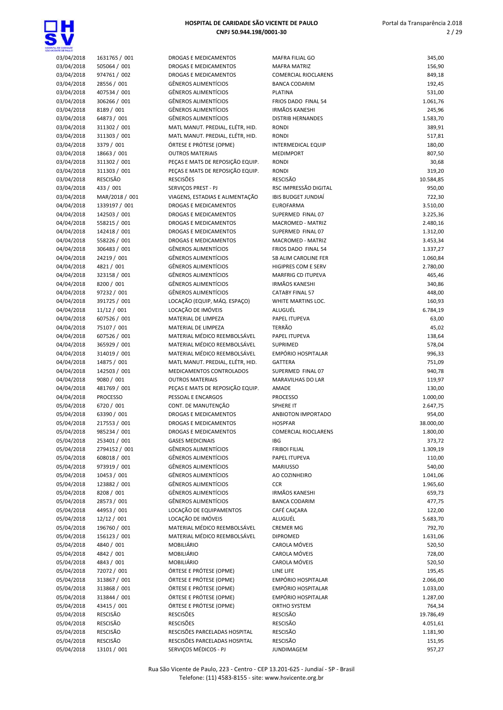

| CENTE CE PALLO           |                             |                                                     |                                                  |                      |
|--------------------------|-----------------------------|-----------------------------------------------------|--------------------------------------------------|----------------------|
| 03/04/2018               | 1631765 / 001               | DROGAS E MEDICAMENTOS                               | MAFRA FILIAL GO                                  | 345,00               |
| 03/04/2018               | 505064 / 001                | DROGAS E MEDICAMENTOS                               | <b>MAFRA MATRIZ</b>                              | 156,90               |
| 03/04/2018               | 974761 / 002                | DROGAS E MEDICAMENTOS                               | <b>COMERCIAL RIOCLARENS</b>                      | 849,18               |
| 03/04/2018               | 28556 / 001                 | <b>GÊNEROS ALIMENTÍCIOS</b>                         | <b>BANCA CODARIM</b>                             | 192,45               |
| 03/04/2018               | 407534 / 001                | <b>GÊNEROS ALIMENTÍCIOS</b>                         | <b>PLATINA</b>                                   | 531,00               |
| 03/04/2018               | 306266 / 001                | <b>GÊNEROS ALIMENTÍCIOS</b>                         | FRIOS DADO FINAL 54                              | 1.061,76             |
| 03/04/2018               | 8189 / 001                  | GÊNEROS ALIMENTÍCIOS                                | <b>IRMÃOS KANESHI</b>                            | 245,96               |
| 03/04/2018               | 64873 / 001                 | <b>GÊNEROS ALIMENTÍCIOS</b>                         | <b>DISTRIB HERNANDES</b>                         | 1.583,70             |
| 03/04/2018               | 311302 / 001                | MATL MANUT. PREDIAL, ELÉTR, HID.                    | <b>RONDI</b>                                     | 389,91               |
| 03/04/2018               | 311303 / 001                | MATL MANUT. PREDIAL, ELÉTR, HID.                    | <b>RONDI</b>                                     | 517,81               |
| 03/04/2018               | 3379 / 001                  | ÓRTESE E PRÓTESE (OPME)                             | <b>INTERMEDICAL EQUIP</b>                        | 180,00               |
| 03/04/2018               | 18663 / 001                 | <b>OUTROS MATERIAIS</b>                             | <b>MEDIMPORT</b>                                 | 807,50               |
| 03/04/2018               | 311302 / 001                | PEÇAS E MATS DE REPOSIÇÃO EQUIP.                    | <b>RONDI</b>                                     | 30,68                |
| 03/04/2018               | 311303 / 001                | PEÇAS E MATS DE REPOSIÇÃO EQUIP.                    | <b>RONDI</b>                                     | 319,20               |
| 03/04/2018               | RESCISÃO                    | <b>RESCISÕES</b>                                    | <b>RESCISÃO</b>                                  | 10.584,85            |
| 03/04/2018               | 433 / 001                   | SERVIÇOS PREST - PJ                                 | RSC IMPRESSÃO DIGITAL                            | 950,00               |
| 03/04/2018               | MAR/2018 / 001              | VIAGENS, ESTADIAS E ALIMENTAÇÃO                     | <b>IBIS BUDGET JUNDIAÍ</b>                       | 722,30               |
| 04/04/2018               | 1339197 / 001               | DROGAS E MEDICAMENTOS                               | <b>EUROFARMA</b>                                 | 3.510,00             |
| 04/04/2018               | 142503 / 001                | <b>DROGAS E MEDICAMENTOS</b>                        | SUPERMED FINAL 07                                | 3.225,36             |
| 04/04/2018               | 558215 / 001                | <b>DROGAS E MEDICAMENTOS</b>                        | MACROMED - MATRIZ                                | 2.480,16             |
| 04/04/2018               | 142418 / 001                | DROGAS E MEDICAMENTOS                               | SUPERMED FINAL 07<br><b>MACROMED - MATRIZ</b>    | 1.312,00             |
| 04/04/2018               | 558226 / 001                | DROGAS E MEDICAMENTOS                               |                                                  | 3.453,34             |
| 04/04/2018<br>04/04/2018 | 306483 / 001<br>24219 / 001 | <b>GÊNEROS ALIMENTÍCIOS</b><br>GÊNEROS ALIMENTÍCIOS | FRIOS DADO FINAL 54                              | 1.337,27<br>1.060,84 |
| 04/04/2018               | 4821 / 001                  | GÊNEROS ALIMENTÍCIOS                                | SB ALIM CAROLINE FER                             | 2.780,00             |
| 04/04/2018               | 323158 / 001                | <b>GÊNEROS ALIMENTÍCIOS</b>                         | HIGIPRES COM E SERV<br><b>MARFRIG CD ITUPEVA</b> | 465,46               |
| 04/04/2018               | 8200 / 001                  | <b>GÊNEROS ALIMENTÍCIOS</b>                         | <b>IRMÃOS KANESHI</b>                            | 340,86               |
| 04/04/2018               | 97232 / 001                 | <b>GÊNEROS ALIMENTÍCIOS</b>                         | <b>CATABY FINAL 57</b>                           | 448,00               |
| 04/04/2018               | 391725 / 001                | LOCAÇÃO (EQUIP, MÁQ. ESPAÇO)                        | WHITE MARTINS LOC.                               | 160,93               |
| 04/04/2018               | 11/12 / 001                 | LOCAÇÃO DE IMÓVEIS                                  | ALUGUÉL                                          | 6.784,19             |
| 04/04/2018               | 607526 / 001                | MATERIAL DE LIMPEZA                                 | PAPEL ITUPEVA                                    | 63,00                |
| 04/04/2018               | 75107 / 001                 | MATERIAL DE LIMPEZA                                 | <b>TERRÃO</b>                                    | 45,02                |
| 04/04/2018               | 607526 / 001                | MATERIAL MÉDICO REEMBOLSÁVEL                        | PAPEL ITUPEVA                                    | 138,64               |
| 04/04/2018               | 365929 / 001                | MATERIAL MÉDICO REEMBOLSÁVEL                        | <b>SUPRIMED</b>                                  | 578,04               |
| 04/04/2018               | 314019 / 001                | MATERIAL MÉDICO REEMBOLSÁVEL                        | <b>EMPÓRIO HOSPITALAR</b>                        | 996,33               |
| 04/04/2018               | 14875 / 001                 | MATL MANUT. PREDIAL, ELÉTR, HID.                    | <b>GATTERA</b>                                   | 751,09               |
| 04/04/2018               | 142503 / 001                | MEDICAMENTOS CONTROLADOS                            | SUPERMED FINAL 07                                | 940,78               |
| 04/04/2018               | 9080 / 001                  | <b>OUTROS MATERIAIS</b>                             | MARAVILHAS DO LAR                                | 119,97               |
| 04/04/2018               | 481769 / 001                | PEÇAS E MATS DE REPOSIÇÃO EQUIP.                    | <b>AMADE</b>                                     | 130,00               |
| 04/04/2018               | <b>PROCESSO</b>             | PESSOAL E ENCARGOS                                  | <b>PROCESSO</b>                                  | 1.000,00             |
| 05/04/2018               | 6720 / 001                  | CONT. DE MANUTENÇÃO                                 | <b>SPHERE IT</b>                                 | 2.647,75             |
| 05/04/2018               | 63390 / 001                 | <b>DROGAS E MEDICAMENTOS</b>                        | ANBIOTON IMPORTADO                               | 954,00               |
| 05/04/2018               | 217553 / 001                | DROGAS E MEDICAMENTOS                               | <b>HOSPFAR</b>                                   | 38.000,00            |
| 05/04/2018               | 985234 / 001                | DROGAS E MEDICAMENTOS                               | <b>COMERCIAL RIOCLARENS</b>                      | 1.800,00             |
| 05/04/2018               | 253401 / 001                | <b>GASES MEDICINAIS</b>                             | <b>IBG</b>                                       | 373,72               |
| 05/04/2018               | 2794152 / 001               | <b>GÊNEROS ALIMENTÍCIOS</b>                         | <b>FRIBOI FILIAL</b>                             | 1.309,19             |
| 05/04/2018               | 608018 / 001                | <b>GÊNEROS ALIMENTÍCIOS</b>                         | PAPEL ITUPEVA                                    | 110,00               |
| 05/04/2018               | 973919 / 001                | <b>GÊNEROS ALIMENTÍCIOS</b>                         | <b>MARIUSSO</b>                                  | 540,00               |
| 05/04/2018               | 10453 / 001                 | <b>GÊNEROS ALIMENTÍCIOS</b>                         | AO COZINHEIRO                                    | 1.041,06             |
| 05/04/2018               | 123882 / 001                | <b>GÊNEROS ALIMENTÍCIOS</b>                         | <b>CCR</b>                                       | 1.965,60             |
| 05/04/2018               | 8208 / 001                  | <b>GÊNEROS ALIMENTÍCIOS</b>                         | <b>IRMÃOS KANESHI</b>                            | 659,73               |
| 05/04/2018               | 28573 / 001                 | <b>GÊNEROS ALIMENTÍCIOS</b>                         | <b>BANCA CODARIM</b>                             | 477,75               |
| 05/04/2018               | 44953 / 001                 | LOCAÇÃO DE EQUIPAMENTOS                             | CAFÉ CAIÇARA                                     | 122,00               |
| 05/04/2018               | 12/12 / 001                 | LOCAÇÃO DE IMÓVEIS                                  | ALUGUÉL                                          | 5.683,70             |
| 05/04/2018               | 196760 / 001                | MATERIAL MÉDICO REEMBOLSÁVEL                        | <b>CREMER MG</b>                                 | 792,70               |
| 05/04/2018               | 156123 / 001                | MATERIAL MÉDICO REEMBOLSÁVEL                        | <b>DIPROMED</b>                                  | 1.631,06             |
| 05/04/2018               | 4840 / 001                  | MOBILIÁRIO                                          | CAROLA MÓVEIS                                    | 520,50               |
| 05/04/2018               | 4842 / 001                  | MOBILIÁRIO                                          | CAROLA MÓVEIS                                    | 728,00               |
| 05/04/2018               | 4843 / 001                  | MOBILIÁRIO                                          | CAROLA MÓVEIS                                    | 520,50               |
| 05/04/2018               | 72072 / 001                 | ÓRTESE E PRÓTESE (OPME)                             | LINE LIFE                                        | 195,45               |
| 05/04/2018               | 313867 / 001                | ÓRTESE E PRÓTESE (OPME)                             | EMPÓRIO HOSPITALAR                               | 2.066,00             |
| 05/04/2018               | 313868 / 001                | ÓRTESE E PRÓTESE (OPME)                             | EMPÓRIO HOSPITALAR                               | 1.033,00             |
| 05/04/2018               | 313844 / 001                | ÓRTESE E PRÓTESE (OPME)                             | EMPÓRIO HOSPITALAR                               | 1.287,00             |
| 05/04/2018               | 43415 / 001                 | ÓRTESE E PRÓTESE (OPME)                             | ORTHO SYSTEM                                     | 764,34               |
| 05/04/2018               | RESCISÃO                    | <b>RESCISÕES</b>                                    | <b>RESCISÃO</b>                                  | 19.786,49            |
| 05/04/2018               | <b>RESCISÃO</b>             | <b>RESCISÕES</b>                                    | RESCISÃO                                         | 4.051,61             |
| 05/04/2018               | RESCISÃO                    | RESCISÕES PARCELADAS HOSPITAL                       | RESCISÃO                                         | 1.181,90             |
| 05/04/2018               | RESCISÃO                    | RESCISÕES PARCELADAS HOSPITAL                       | RESCISÃO                                         | 151,95               |
| 05/04/2018               | 13101 / 001                 | SERVIÇOS MÉDICOS - PJ                               | <b>JUNDIMAGEM</b>                                | 957,27               |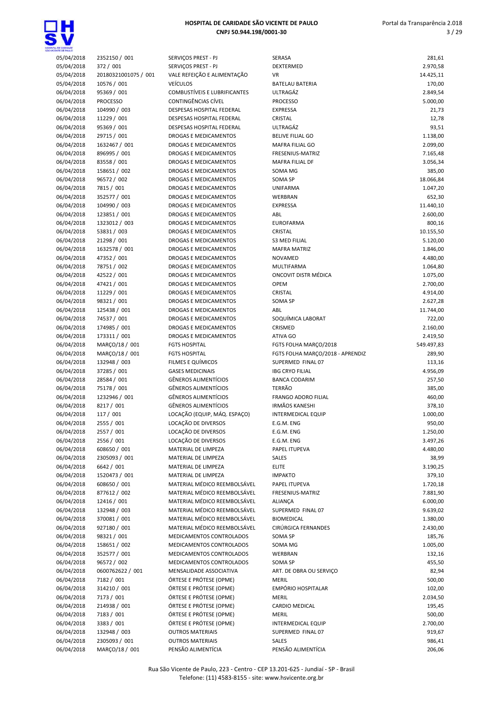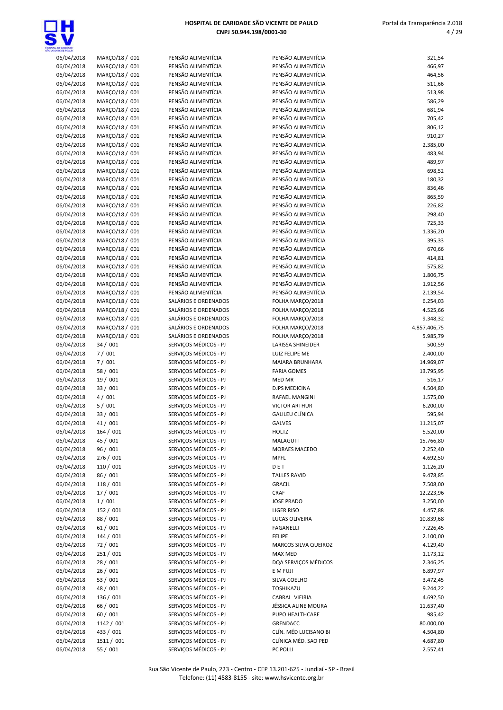

| <b>ITAL DE CAMBADE</b><br>NOENTE DE PAULO |                |
|-------------------------------------------|----------------|
| 06/04/2018                                | MARÇO/18 / 001 |
| 06/04/2018                                | MARÇO/18 / 001 |
| 06/04/2018                                | MARÇO/18 / 001 |
|                                           |                |
| 06/04/2018                                | MARÇO/18 / 001 |
| 06/04/2018                                | MARÇO/18 / 001 |
| 06/04/2018                                | MARCO/18 / 001 |
| 06/04/2018                                | MARÇO/18 / 001 |
| 06/04/2018                                | MARÇO/18 / 001 |
| 06/04/2018                                | MARÇO/18 / 001 |
| 06/04/2018                                | MARÇO/18 / 001 |
| 06/04/2018                                | MARÇO/18 / 001 |
| 06/04/2018                                | MARCO/18 / 001 |
| 06/04/2018                                | MARÇO/18 / 001 |
| 06/04/2018                                | MARÇO/18 / 001 |
| 06/04/2018                                | MARÇO/18 / 001 |
| 06/04/2018                                | MARÇO/18 / 001 |
| 06/04/2018                                | MARÇO/18 / 001 |
| 06/04/2018                                | MARÇO/18 / 001 |
| 06/04/2018                                | MARÇO/18 / 001 |
| 06/04/2018                                | MARÇO/18 / 001 |
| 06/04/2018                                | MARÇO/18 / 001 |
| 06/04/2018                                | MARÇO/18 / 001 |
| 06/04/2018                                | MARÇO/18 / 001 |
| 06/04/2018                                | MARÇO/18 / 001 |
| 06/04/2018                                | MARÇO/18 / 001 |
| 06/04/2018                                | MARÇO/18 / 001 |
| 06/04/2018                                | MARÇO/18 / 001 |
| 06/04/2018                                | MARÇO/18 / 001 |
|                                           |                |
| 06/04/2018                                | MARÇO/18 / 001 |
| 06/04/2018                                | MARÇO/18 / 001 |
| 06/04/2018                                | MARÇO/18 / 001 |
| 06/04/2018                                | MARÇO/18 / 001 |
| 06/04/2018                                | MARÇO/18 / 001 |
| 06/04/2018                                | 34 / 001       |
| 06/04/2018                                | 7/001          |
| 06/04/2018                                | 7/001          |
| 06/04/2018                                | 58 / 001       |
| 06/04/2018                                | 19 / 001       |
| 06/04/2018                                | 33 / 001       |
| 06/04/2018                                | 4/001          |
| 06/04/2018                                | 5/001          |
| 06/04/2018                                | 33 / 001       |
| 06/04/2018                                | 41/001         |
| 06/04/2018                                | 164 / 001      |
| 06/04/2018                                | 45 / 001       |
| 06/04/2018                                | 96 / 001       |
| 06/04/2018                                | 276 / 001      |
| 06/04/2018                                | 110 / 001      |
| 06/04/2018                                | 86 / 001       |
| 06/04/2018                                | 118 / 001      |
| 06/04/2018                                | 17 / 001       |
| 06/04/2018                                | 1/001          |
| 06/04/2018                                | 152 / 001      |
| 06/04/2018                                | 88 / 001       |
| 06/04/2018                                | 61 / 001       |
| 06/04/2018                                | 144 / 001      |
| 06/04/2018                                | 72 / 001       |
| 06/04/2018                                | 251 / 001      |
| 06/04/2018                                | 28 / 001       |
| 06/04/2018                                | 26 / 001       |
| 06/04/2018                                | 53 / 001       |
| 06/04/2018                                | 48 / 001       |
| 06/04/2018                                | 136 / 001      |
| 06/04/2018                                | 66 / 001       |
| 06/04/2018                                | 60 / 001       |
| 06/04/2018                                | 1142 / 001     |
| 06/04/2018                                | 433 / 001      |
| 06/04/2018                                | 1511 / 001     |

| PENSÃO ALIMENTÍCIA                             |
|------------------------------------------------|
| PENSÃO ALIMENTÍCIA                             |
| PENSÃO ALIMENTÍCIA                             |
| PENSÃO ALIMENTÍCIA                             |
|                                                |
| PENSÃO ALIMENTÍCIA                             |
| PENSÃO ALIMENTÍCIA                             |
| PENSÃO ALIMENTÍCIA                             |
| PENSÃO ALIMENTÍCIA                             |
| PENSÃO ALIMENTÍCIA                             |
| PENSÃO ALIMENTÍCIA                             |
| PENSÃO ALIMENTÍCIA                             |
| PENSÃO ALIMENTÍCIA                             |
| PENSÃO ALIMENTÍCIA                             |
| PENSÃO ALIMENTÍCIA                             |
| PENSÃO ALIMENTÍCIA                             |
| PENSÃO ALIMENTÍCIA                             |
| PENSÃO ALIMENTÍCIA                             |
|                                                |
| PENSÃO ALIMENTÍCIA                             |
| PENSÃO ALIMENTÍCIA                             |
| PENSÃO ALIMENTÍCIA                             |
| PENSÃO ALIMENTÍCIA                             |
| PENSÃO ALIMENTÍCIA                             |
| PENSÃO ALIMENTÍCIA                             |
| PENSÃO ALIMENTÍCIA                             |
| PENSÃO ALIMENTÍCIA                             |
| PENSÃO ALIMENTÍCIA                             |
| PENSÃO ALIMENTÍCIA                             |
| SALÁRIOS E ORDENADOS                           |
| SALÁRIOS E ORDENADOS                           |
|                                                |
| SALÁRIOS E ORDENADOS                           |
| SALÁRIOS E ORDENADOS                           |
| SALÁRIOS E ORDENADOS                           |
| SERVIÇOS MÉDICOS - PJ                          |
| SERVIÇOS MÉDICOS - PJ                          |
| SERVIÇOS MÉDICOS - PJ                          |
| SERVIÇOS MÉDICOS - PJ                          |
| SERVIÇOS MÉDICOS - PJ                          |
| SERVIÇOS MÉDICOS - PJ                          |
| SERVIÇOS MÉDICOS - PJ                          |
| SERVIÇOS MÉDICOS - PJ                          |
| SERVIÇOS MÉDICOS - PJ                          |
|                                                |
| SERVIÇOS MÉDICOS - PJ                          |
| SERVIÇOS MÉDICOS - PJ                          |
| SERVIÇOS MÉDICOS - PJ                          |
| SERVIÇOS MÉDICOS - PJ                          |
|                                                |
| SERVIÇOS MÉDICOS - PJ                          |
| SERVIÇOS MÉDICOS - PJ                          |
| SERVIÇOS MÉDICOS - PJ                          |
|                                                |
| SERVIÇOS MÉDICOS - PJ                          |
| SERVIÇOS MÉDICOS - PJ                          |
| SERVIÇOS MÉDICOS - PJ                          |
| SERVIÇOS MÉDICOS - PJ                          |
| SERVIÇOS MÉDICOS - PJ                          |
| SERVIÇOS MÉDICOS - PJ                          |
| SERVIÇOS MÉDICOS - PJ                          |
| SERVIÇOS MÉDICOS - PJ                          |
| SERVIÇOS MÉDICOS - PJ                          |
| SERVIÇOS MÉDICOS - PJ                          |
| SERVIÇOS MÉDICOS - PJ                          |
| SERVIÇOS MÉDICOS - PJ                          |
| SERVIÇOS MÉDICOS - PJ                          |
| SERVIÇOS MÉDICOS - PJ                          |
|                                                |
| SERVIÇOS MÉDICOS - PJ                          |
| SERVIÇOS MÉDICOS - PJ                          |
| SERVIÇOS MÉDICOS - PJ<br>SERVIÇOS MÉDICOS - PJ |

| A DE CARDADE |                |                       |                        |              |
|--------------|----------------|-----------------------|------------------------|--------------|
| 06/04/2018   | MARÇO/18 / 001 | PENSÃO ALIMENTÍCIA    | PENSÃO ALIMENTÍCIA     | 321,54       |
| 06/04/2018   | MARÇO/18 / 001 | PENSÃO ALIMENTÍCIA    | PENSÃO ALIMENTÍCIA     | 466,97       |
| 06/04/2018   | MARCO/18 / 001 | PENSÃO ALIMENTÍCIA    | PENSÃO ALIMENTÍCIA     | 464,56       |
| 06/04/2018   | MARÇO/18 / 001 | PENSÃO ALIMENTÍCIA    | PENSÃO ALIMENTÍCIA     | 511,66       |
| 06/04/2018   | MARÇO/18 / 001 | PENSÃO ALIMENTÍCIA    | PENSÃO ALIMENTÍCIA     | 513,98       |
| 06/04/2018   | MARÇO/18 / 001 | PENSÃO ALIMENTÍCIA    | PENSÃO ALIMENTÍCIA     | 586,29       |
| 06/04/2018   | MARÇO/18 / 001 | PENSÃO ALIMENTÍCIA    | PENSÃO ALIMENTÍCIA     | 681,94       |
| 06/04/2018   | MARÇO/18 / 001 | PENSÃO ALIMENTÍCIA    | PENSÃO ALIMENTÍCIA     | 705,42       |
| 06/04/2018   | MARÇO/18 / 001 | PENSÃO ALIMENTÍCIA    | PENSÃO ALIMENTÍCIA     | 806,12       |
| 06/04/2018   | MARÇO/18 / 001 | PENSÃO ALIMENTÍCIA    | PENSÃO ALIMENTÍCIA     | 910,27       |
| 06/04/2018   | MARÇO/18 / 001 | PENSÃO ALIMENTÍCIA    | PENSÃO ALIMENTÍCIA     | 2.385,00     |
| 06/04/2018   | MARÇO/18 / 001 | PENSÃO ALIMENTÍCIA    | PENSÃO ALIMENTÍCIA     | 483,94       |
| 06/04/2018   | MARÇO/18 / 001 | PENSÃO ALIMENTÍCIA    | PENSÃO ALIMENTÍCIA     | 489,97       |
| 06/04/2018   | MARÇO/18 / 001 | PENSÃO ALIMENTÍCIA    | PENSÃO ALIMENTÍCIA     | 698,52       |
| 06/04/2018   | MARÇO/18 / 001 | PENSÃO ALIMENTÍCIA    | PENSÃO ALIMENTÍCIA     | 180,32       |
| 06/04/2018   | MARÇO/18 / 001 | PENSÃO ALIMENTÍCIA    | PENSÃO ALIMENTÍCIA     | 836,46       |
| 06/04/2018   | MARÇO/18 / 001 | PENSÃO ALIMENTÍCIA    | PENSÃO ALIMENTÍCIA     | 865,59       |
| 06/04/2018   | MARÇO/18 / 001 | PENSÃO ALIMENTÍCIA    | PENSÃO ALIMENTÍCIA     | 226,82       |
| 06/04/2018   | MARÇO/18 / 001 | PENSÃO ALIMENTÍCIA    | PENSÃO ALIMENTÍCIA     | 298,40       |
| 06/04/2018   | MARÇO/18 / 001 | PENSÃO ALIMENTÍCIA    | PENSÃO ALIMENTÍCIA     | 725,33       |
| 06/04/2018   | MARÇO/18 / 001 | PENSÃO ALIMENTÍCIA    | PENSÃO ALIMENTÍCIA     | 1.336,20     |
| 06/04/2018   | MARÇO/18 / 001 | PENSÃO ALIMENTÍCIA    | PENSÃO ALIMENTÍCIA     | 395,33       |
| 06/04/2018   | MARÇO/18 / 001 | PENSÃO ALIMENTÍCIA    | PENSÃO ALIMENTÍCIA     | 670,66       |
| 06/04/2018   | MARÇO/18 / 001 | PENSÃO ALIMENTÍCIA    | PENSÃO ALIMENTÍCIA     | 414,81       |
| 06/04/2018   | MARÇO/18 / 001 | PENSÃO ALIMENTÍCIA    | PENSÃO ALIMENTÍCIA     | 575,82       |
| 06/04/2018   | MARÇO/18 / 001 | PENSÃO ALIMENTÍCIA    | PENSÃO ALIMENTÍCIA     | 1.806,75     |
| 06/04/2018   | MARCO/18 / 001 | PENSÃO ALIMENTÍCIA    | PENSÃO ALIMENTÍCIA     | 1.912,56     |
| 06/04/2018   | MARÇO/18 / 001 | PENSÃO ALIMENTÍCIA    | PENSÃO ALIMENTÍCIA     | 2.139,54     |
| 06/04/2018   | MARÇO/18 / 001 | SALÁRIOS E ORDENADOS  | FOLHA MARÇO/2018       | 6.254,03     |
| 06/04/2018   | MARÇO/18 / 001 | SALÁRIOS E ORDENADOS  | FOLHA MARÇO/2018       | 4.525,66     |
| 06/04/2018   | MARÇO/18 / 001 | SALÁRIOS E ORDENADOS  | FOLHA MARÇO/2018       | 9.348,32     |
| 06/04/2018   | MARÇO/18 / 001 | SALÁRIOS E ORDENADOS  | FOLHA MARÇO/2018       | 4.857.406,75 |
| 06/04/2018   | MARÇO/18 / 001 | SALÁRIOS E ORDENADOS  | FOLHA MARÇO/2018       | 5.985,79     |
| 06/04/2018   | 34 / 001       | SERVIÇOS MÉDICOS - PJ | LARISSA SHINEIDER      | 500,59       |
| 06/04/2018   | 7/001          | SERVIÇOS MÉDICOS - PJ | LUIZ FELIPE ME         | 2.400,00     |
| 06/04/2018   | 7/001          | SERVIÇOS MÉDICOS - PJ | <b>MAIARA BRUNHARA</b> | 14.969,07    |
| 06/04/2018   | 58 / 001       | SERVIÇOS MÉDICOS - PJ | <b>FARIA GOMES</b>     | 13.795,95    |
| 06/04/2018   | 19 / 001       | SERVIÇOS MÉDICOS - PJ | MED MR                 | 516,17       |
| 06/04/2018   | 33 / 001       | SERVICOS MÉDICOS - PJ | DJPS MEDICINA          | 4.504,80     |
| 06/04/2018   | 4/001          | SERVICOS MÉDICOS - PJ | <b>RAFAEL MANGINI</b>  | 1.575,00     |
| 06/04/2018   | 5/001          | SERVIÇOS MÉDICOS - PJ | <b>VICTOR ARTHUR</b>   | 6.200,00     |
| 06/04/2018   | 33 / 001       | SERVICOS MÉDICOS - PJ | <b>GALILEU CLÍNICA</b> | 595,94       |
| 06/04/2018   | 41 / 001       | SERVIÇOS MÉDICOS - PJ | GALVES                 | 11.215,07    |
| 06/04/2018   | 164 / 001      | SERVIÇOS MÉDICOS - PJ | <b>HOLTZ</b>           | 5.520,00     |
| 06/04/2018   | 45 / 001       | SERVIÇOS MÉDICOS - PJ | MALAGUTI               | 15.766,80    |
| 06/04/2018   | 96 / 001       | SERVICOS MÉDICOS - PJ | MORAES MACEDO          | 2.252,40     |
| 06/04/2018   | 276 / 001      | SERVIÇOS MÉDICOS - PJ | <b>MPFL</b>            | 4.692,50     |
| 06/04/2018   | 110 / 001      | SERVICOS MÉDICOS - PJ | DET                    | 1.126,20     |
| 06/04/2018   | 86 / 001       | SERVIÇOS MÉDICOS - PJ | <b>TALLES RAVID</b>    | 9.478,85     |
| 06/04/2018   | 118 / 001      | SERVICOS MÉDICOS - PJ | <b>GRACIL</b>          | 7.508,00     |
| 06/04/2018   | 17 / 001       | SERVIÇOS MÉDICOS - PJ | CRAF                   | 12.223,96    |
| 06/04/2018   | 1/001          | SERVIÇOS MÉDICOS - PJ | <b>JOSE PRADO</b>      | 3.250,00     |
| 06/04/2018   | 152 / 001      | SERVIÇOS MÉDICOS - PJ | LIGER RISO             | 4.457,88     |
| 06/04/2018   | 88 / 001       | SERVIÇOS MÉDICOS - PJ | LUCAS OLIVEIRA         | 10.839,68    |
| 06/04/2018   | 61/001         | SERVICOS MÉDICOS - PJ | <b>FAGANELLI</b>       | 7.226,45     |
| 06/04/2018   | 144 / 001      | SERVIÇOS MÉDICOS - PJ | <b>FELIPE</b>          | 2.100,00     |
| 06/04/2018   | 72 / 001       | SERVIÇOS MÉDICOS - PJ | MARCOS SILVA QUEIROZ   | 4.129,40     |
| 06/04/2018   | 251 / 001      | SERVIÇOS MÉDICOS - PJ | <b>MAX MED</b>         | 1.173,12     |
| 06/04/2018   | 28 / 001       | SERVIÇOS MÉDICOS - PJ | DQA SERVIÇOS MÉDICOS   | 2.346,25     |
| 06/04/2018   | 26/001         | SERVIÇOS MÉDICOS - PJ | E M FUJI               | 6.897,97     |
| 06/04/2018   | 53 / 001       | SERVIÇOS MÉDICOS - PJ | SILVA COELHO           | 3.472,45     |
| 06/04/2018   | 48 / 001       | SERVIÇOS MÉDICOS - PJ | TOSHIKAZU              | 9.244,22     |
| 06/04/2018   | 136 / 001      | SERVIÇOS MÉDICOS - PJ | CABRAL VIEIRIA         | 4.692,50     |
| 06/04/2018   | 66 / 001       | SERVIÇOS MÉDICOS - PJ | JÉSSICA ALINE MOURA    | 11.637,40    |
| 06/04/2018   | 60 / 001       | SERVIÇOS MÉDICOS - PJ | PUPO HEALTHCARE        | 985,42       |
| 06/04/2018   | 1142 / 001     | SERVIÇOS MÉDICOS - PJ | GRENDACC               | 80.000,00    |
| 06/04/2018   | 433 / 001      | SERVIÇOS MÉDICOS - PJ | CLÍN. MÉD LUCISANO BI  | 4.504,80     |
| 06/04/2018   | 1511 / 001     | SERVIÇOS MÉDICOS - PJ | CLÍNICA MÉD. SAO PED   | 4.687,80     |
| 06/04/2018   | 55 / 001       | SERVIÇOS MÉDICOS - PJ | PC POLLI               | 2.557,41     |

Rua São Vicente de Paulo, 223 - Centro - CEP 13.201-625 - Jundiaí - SP - Brasil Telefone: (11) 4583-8155 - site: www.hsvicente.org.br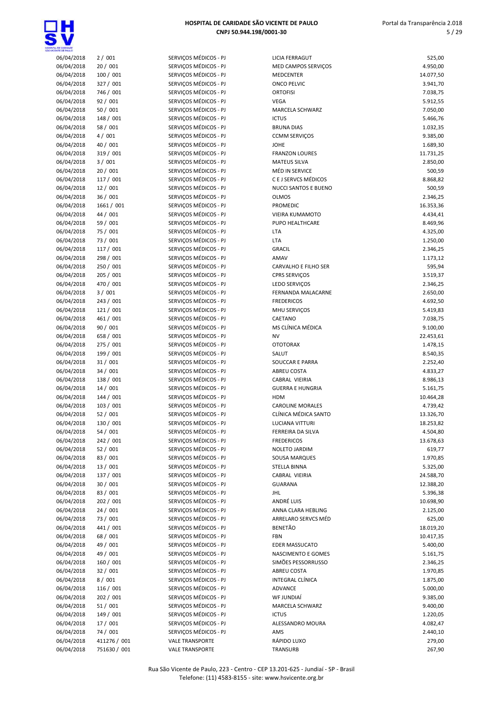

# HOSPITAL DE CARIDADE SÃO VICENTE DE PAULO

|    |                                                | CNPJ 50.944.198/0001-30   |
|----|------------------------------------------------|---------------------------|
|    |                                                |                           |
|    | SERVIÇOS MÉDICOS - PJ                          | <b>LICIA FE</b>           |
|    | SERVIÇOS MÉDICOS - PJ                          | <b>MED CA</b>             |
|    | SERVICOS MÉDICOS - PJ                          | <b>MEDCEN</b>             |
|    | SERVIÇOS MÉDICOS - PJ                          | ONCO <sub>P</sub>         |
|    | SERVIÇOS MÉDICOS - PJ                          | <b>ORTOFIS</b>            |
|    | SERVIÇOS MÉDICOS - PJ                          | <b>VEGA</b>               |
|    | SERVIÇOS MÉDICOS - PJ                          | MARCEL                    |
|    | SERVICOS MÉDICOS - PJ                          | <b>ICTUS</b>              |
|    | SERVIÇOS MÉDICOS - PJ                          | <b>BRUNA</b>              |
|    | SERVIÇOS MÉDICOS - PJ<br>SERVIÇOS MÉDICOS - PJ | CCMM <sub>S</sub><br>JOHE |
|    | SERVIÇOS MÉDICOS - PJ                          | <b>FRANZO</b>             |
|    | SERVIÇOS MÉDICOS - PJ                          | <b>MATEUS</b>             |
|    | SERVIÇOS MÉDICOS - PJ                          | MÉD IN                    |
|    | SERVIÇOS MÉDICOS - PJ                          | <b>CEJSEF</b>             |
|    | SERVIÇOS MÉDICOS - PJ                          | <b>NUCCIS</b>             |
|    | SERVIÇOS MÉDICOS - PJ                          | <b>OLMOS</b>              |
|    | SERVIÇOS MÉDICOS - PJ                          | PROMEI                    |
|    | SERVIÇOS MÉDICOS - PJ                          | <b>VIEIRAK</b>            |
|    | SERVIÇOS MÉDICOS - PJ                          | PUPO HI                   |
|    | SERVIÇOS MÉDICOS - PJ                          | <b>LTA</b>                |
|    | SERVIÇOS MÉDICOS - PJ                          | <b>LTA</b>                |
|    | SERVIÇOS MÉDICOS - PJ                          | <b>GRACIL</b>             |
|    | SERVIÇOS MÉDICOS - PJ                          | AMAV                      |
|    | SERVIÇOS MÉDICOS - PJ                          | CARVAL                    |
|    | SERVIÇOS MÉDICOS - PJ                          | <b>CPRS SE</b>            |
|    | SERVIÇOS MÉDICOS - PJ                          | LEDO SE                   |
|    | SERVIÇOS MÉDICOS - PJ                          | FERNAN                    |
|    | SERVIÇOS MÉDICOS - PJ                          | <b>FREDERI</b>            |
|    | SERVIÇOS MÉDICOS - PJ                          | MHU SE                    |
|    | SERVIÇOS MÉDICOS - PJ<br>SERVIÇOS MÉDICOS - PJ | CAETAN<br>MS CLÍN         |
|    | SERVIÇOS MÉDICOS - PJ                          | <b>NV</b>                 |
|    | SERVIÇOS MÉDICOS - PJ                          | <b>OTOTOF</b>             |
|    | SERVIÇOS MÉDICOS - PJ                          | SALUT                     |
|    | SERVIÇOS MÉDICOS - PJ                          | SOUCCA                    |
|    | SERVIÇOS MÉDICOS - PJ                          | ABREU 0                   |
|    | SERVICOS MÉDICOS - PJ                          | CABRAL                    |
|    | SERVIÇOS MÉDICOS - PJ                          | <b>GUERRA</b>             |
|    | SERVIÇOS MÉDICOS - PJ                          | <b>HDM</b>                |
|    | SERVIÇOS MÉDICOS - PJ                          | <b>CAROLIN</b>            |
|    | SERVIÇOS MÉDICOS - PJ                          | CLÍNICA                   |
|    | SERVIÇOS MÉDICOS - PJ                          | <b>LUCIANA</b>            |
|    | SERVIÇOS MÉDICOS - PJ                          | <b>FERREIR</b>            |
|    | SERVIÇOS MÉDICOS - PJ                          | <b>FREDERI</b>            |
|    | SERVIÇOS MÉDICOS - PJ                          | <b>NOLETO</b>             |
|    | SERVICOS MÉDICOS - PJ                          | SOUSA I                   |
|    | SERVIÇOS MÉDICOS - PJ                          | STELLA I                  |
|    | SERVIÇOS MÉDICOS - PJ<br>SERVIÇOS MÉDICOS - PJ | CABRAL                    |
|    | SERVIÇOS MÉDICOS - PJ                          | <b>GUARAM</b><br>JHL      |
|    | SERVIÇOS MÉDICOS - PJ                          | ANDRÉ I                   |
|    | SERVIÇOS MÉDICOS - PJ                          | ANNA C                    |
|    | SERVIÇOS MÉDICOS - PJ                          | ARRELAI                   |
|    | SERVIÇOS MÉDICOS - PJ                          | BENETÃ                    |
|    | SERVIÇOS MÉDICOS - PJ                          | FBN                       |
|    | SERVIÇOS MÉDICOS - PJ                          | EDER M.                   |
|    | SERVIÇOS MÉDICOS - PJ                          | <b>NASCIM</b>             |
|    | SERVIÇOS MÉDICOS - PJ                          | SIMÕES                    |
|    | SERVIÇOS MÉDICOS - PJ                          | ABREU 0                   |
|    | SERVIÇOS MÉDICOS - PJ                          | <b>INTEGRA</b>            |
|    | SERVIÇOS MÉDICOS - PJ                          | <b>ADVANO</b>             |
|    | SERVIÇOS MÉDICOS - PJ                          | <b>WF JUN</b>             |
|    | SERVIÇOS MÉDICOS - PJ                          | MARCEL                    |
|    | SERVIÇOS MÉDICOS - PJ                          | <b>ICTUS</b>              |
|    | SERVIÇOS MÉDICOS - PJ                          | <b>ALESSAN</b>            |
|    | SERVIÇOS MÉDICOS - PJ                          | AMS                       |
| 01 | <b>VALE TRANSPORTE</b>                         | RÁPIDO                    |
| 01 | <b>VALE TRANSPORTE</b>                         | TRANSU                    |

| OE EARDADE<br>VIE DE PAULO |                       |                                                |                                           |                       |
|----------------------------|-----------------------|------------------------------------------------|-------------------------------------------|-----------------------|
| 06/04/2018                 | 2/001                 | SERVIÇOS MÉDICOS - PJ                          | <b>LICIA FERRAGUT</b>                     | 525,00                |
| 06/04/2018                 | 20/001                | SERVIÇOS MÉDICOS - PJ                          | MED CAMPOS SERVIÇOS                       | 4.950,00              |
| 06/04/2018                 | 100 / 001             | SERVICOS MÉDICOS - PJ                          | MEDCENTER                                 | 14.077,50             |
| 06/04/2018                 | 327 / 001             | SERVIÇOS MÉDICOS - PJ                          | <b>ONCO PELVIC</b>                        | 3.941,70              |
| 06/04/2018                 | 746 / 001             | SERVIÇOS MÉDICOS - PJ                          | <b>ORTOFISI</b>                           | 7.038,75              |
| 06/04/2018                 | 92 / 001              | SERVICOS MÉDICOS - PJ                          | <b>VEGA</b>                               | 5.912,55              |
| 06/04/2018                 | 50 / 001              | SERVIÇOS MÉDICOS - PJ                          | <b>MARCELA SCHWARZ</b>                    | 7.050,00              |
| 06/04/2018                 | 148 / 001             | SERVIÇOS MÉDICOS - PJ                          | <b>ICTUS</b>                              | 5.466,76              |
| 06/04/2018                 | 58 / 001              | SERVIÇOS MÉDICOS - PJ                          | <b>BRUNA DIAS</b>                         | 1.032,35              |
| 06/04/2018<br>06/04/2018   | 4/001<br>40 / 001     | SERVIÇOS MÉDICOS - PJ<br>SERVIÇOS MÉDICOS - PJ | <b>CCMM SERVIÇOS</b><br>JOHE              | 9.385,00              |
| 06/04/2018                 | 319 / 001             | SERVIÇOS MÉDICOS - PJ                          | <b>FRANZON LOURES</b>                     | 1.689,30              |
| 06/04/2018                 | 3/001                 | SERVIÇOS MÉDICOS - PJ                          | <b>MATEUS SILVA</b>                       | 11.731,25<br>2.850,00 |
| 06/04/2018                 | 20/001                | SERVICOS MÉDICOS - PJ                          | MÉD IN SERVICE                            | 500,59                |
| 06/04/2018                 | 117 / 001             | SERVIÇOS MÉDICOS - PJ                          | C E J SERVCS MÉDICOS                      | 8.868,82              |
| 06/04/2018                 | 12 / 001              | SERVIÇOS MÉDICOS - PJ                          | <b>NUCCI SANTOS E BUENO</b>               | 500,59                |
| 06/04/2018                 | 36 / 001              | SERVIÇOS MÉDICOS - PJ                          | <b>OLMOS</b>                              | 2.346,25              |
| 06/04/2018                 | 1661 / 001            | SERVIÇOS MÉDICOS - PJ                          | PROMEDIC                                  | 16.353,36             |
| 06/04/2018                 | 44 / 001              | SERVIÇOS MÉDICOS - PJ                          | VIEIRA KUMAMOTO                           | 4.434,41              |
| 06/04/2018                 | 59 / 001              | SERVIÇOS MÉDICOS - PJ                          | PUPO HEALTHCARE                           | 8.469,96              |
| 06/04/2018                 | 75 / 001              | SERVIÇOS MÉDICOS - PJ                          | <b>LTA</b>                                | 4.325,00              |
| 06/04/2018                 | 73 / 001              | SERVIÇOS MÉDICOS - PJ                          | LTA                                       | 1.250,00              |
| 06/04/2018                 | 117 / 001             | SERVIÇOS MÉDICOS - PJ                          | <b>GRACIL</b>                             | 2.346,25              |
| 06/04/2018                 | 298 / 001             | SERVIÇOS MÉDICOS - PJ                          | AMAV                                      | 1.173,12              |
| 06/04/2018                 | 250 / 001             | SERVIÇOS MÉDICOS - PJ                          | CARVALHO E FILHO SER                      | 595,94                |
| 06/04/2018                 | 205 / 001             | SERVIÇOS MÉDICOS - PJ                          | <b>CPRS SERVIÇOS</b>                      | 3.519,37              |
| 06/04/2018                 | 470 / 001             | SERVIÇOS MÉDICOS - PJ                          | <b>LEDO SERVIÇOS</b>                      | 2.346,25              |
| 06/04/2018                 | 3/001                 | SERVIÇOS MÉDICOS - PJ                          | FERNANDA MALACARNE                        | 2.650,00              |
| 06/04/2018                 | 243 / 001             | SERVIÇOS MÉDICOS - PJ                          | <b>FREDERICOS</b>                         | 4.692,50              |
| 06/04/2018                 | 121 / 001             | SERVIÇOS MÉDICOS - PJ                          | MHU SERVIÇOS                              | 5.419,83              |
| 06/04/2018                 | 461 / 001             | SERVIÇOS MÉDICOS - PJ                          | CAETANO                                   | 7.038,75              |
| 06/04/2018                 | 90 / 001              | SERVIÇOS MÉDICOS - PJ                          | MS CLÍNICA MÉDICA                         | 9.100,00              |
| 06/04/2018                 | 658 / 001             | SERVIÇOS MÉDICOS - PJ                          | <b>NV</b>                                 | 22.453,61             |
| 06/04/2018                 | 275 / 001             | SERVIÇOS MÉDICOS - PJ                          | <b>OTOTORAX</b>                           | 1.478,15              |
| 06/04/2018                 | 199 / 001             | SERVIÇOS MÉDICOS - PJ                          | SALUT                                     | 8.540,35              |
| 06/04/2018                 | 31 / 001              | SERVIÇOS MÉDICOS - PJ                          | SOUCCAR E PARRA                           | 2.252,40              |
| 06/04/2018                 | 34/001                | SERVIÇOS MÉDICOS - PJ                          | ABREU COSTA                               | 4.833,27              |
| 06/04/2018<br>06/04/2018   | 138 / 001             | SERVIÇOS MÉDICOS - PJ<br>SERVIÇOS MÉDICOS - PJ | CABRAL VIEIRIA<br><b>GUERRA E HUNGRIA</b> | 8.986,13              |
| 06/04/2018                 | 14 / 001<br>144 / 001 | SERVIÇOS MÉDICOS - PJ                          | HDM                                       | 5.161,75              |
| 06/04/2018                 | 103 / 001             | SERVIÇOS MÉDICOS - PJ                          | <b>CAROLINE MORALES</b>                   | 10.464,28<br>4.739,42 |
| 06/04/2018                 | 52 / 001              | SERVIÇOS MÉDICOS - PJ                          | CLÍNICA MÉDICA SANTO                      | 13.326,70             |
| 06/04/2018                 | 130 / 001             | SERVIÇOS MÉDICOS - PJ                          | LUCIANA VITTURI                           | 18.253,82             |
| 06/04/2018                 | 54 / 001              | SERVICOS MÉDICOS - PJ                          | FERREIRA DA SILVA                         | 4.504,80              |
| 06/04/2018                 | 242 / 001             | SERVIÇOS MÉDICOS - PJ                          | <b>FREDERICOS</b>                         | 13.678,63             |
| 06/04/2018                 | 52 / 001              | SERVIÇOS MÉDICOS - PJ                          | NOLETO JARDIM                             | 619,77                |
| 06/04/2018                 | 83 / 001              | SERVIÇOS MÉDICOS - PJ                          | <b>SOUSA MARQUES</b>                      | 1.970,85              |
| 06/04/2018                 | 13 / 001              | SERVIÇOS MÉDICOS - PJ                          | STELLA BINNA                              | 5.325,00              |
| 06/04/2018                 | 137 / 001             | SERVIÇOS MÉDICOS - PJ                          | CABRAL VIEIRIA                            | 24.588,70             |
| 06/04/2018                 | 30 / 001              | SERVIÇOS MÉDICOS - PJ                          | <b>GUARANA</b>                            | 12.388,20             |
| 06/04/2018                 | 83 / 001              | SERVIÇOS MÉDICOS - PJ                          | <b>JHL</b>                                | 5.396,38              |
| 06/04/2018                 | 202 / 001             | SERVIÇOS MÉDICOS - PJ                          | ANDRÉ LUIS                                | 10.698,90             |
| 06/04/2018                 | 24 / 001              | SERVICOS MÉDICOS - PJ                          | ANNA CLARA HEBLING                        | 2.125,00              |
| 06/04/2018                 | 73 / 001              | SERVIÇOS MÉDICOS - PJ                          | ARRELARO SERVCS MÉD                       | 625,00                |
| 06/04/2018                 | 441 / 001             | SERVIÇOS MÉDICOS - PJ                          | <b>BENETÃO</b>                            | 18.019,20             |
| 06/04/2018                 | 68 / 001              | SERVIÇOS MÉDICOS - PJ                          | <b>FBN</b>                                | 10.417,35             |
| 06/04/2018                 | 49 / 001              | SERVIÇOS MÉDICOS - PJ                          | <b>EDER MASSUCATO</b>                     | 5.400,00              |
| 06/04/2018                 | 49 / 001              | SERVIÇOS MÉDICOS - PJ                          | NASCIMENTO E GOMES                        | 5.161,75              |
| 06/04/2018                 | 160 / 001             | SERVIÇOS MÉDICOS - PJ                          | SIMÕES PESSORRUSSO                        | 2.346,25              |
| 06/04/2018                 | 32 / 001              | SERVIÇOS MÉDICOS - PJ                          | ABREU COSTA                               | 1.970,85              |
| 06/04/2018                 | 8/001                 | SERVIÇOS MÉDICOS - PJ                          | INTEGRAL CLÍNICA                          | 1.875,00              |
| 06/04/2018                 | 116 / 001             | SERVIÇOS MÉDICOS - PJ                          | ADVANCE                                   | 5.000,00              |
| 06/04/2018                 | 202 / 001             | SERVIÇOS MÉDICOS - PJ                          | WF JUNDIAÍ                                | 9.385,00              |
| 06/04/2018                 | 51/001                | SERVIÇOS MÉDICOS - PJ                          | MARCELA SCHWARZ                           | 9.400,00              |
| 06/04/2018                 | 149 / 001             | SERVIÇOS MÉDICOS - PJ                          | <b>ICTUS</b>                              | 1.220,05              |
| 06/04/2018                 | 17 / 001              | SERVIÇOS MÉDICOS - PJ                          | ALESSANDRO MOURA                          | 4.082,47              |
| 06/04/2018                 | 74 / 001              | SERVIÇOS MÉDICOS - PJ                          | AMS                                       | 2.440,10              |
| 06/04/2018                 | 411276 / 001          | <b>VALE TRANSPORTE</b>                         | RÁPIDO LUXO                               | 279,00                |
| 06/04/2018                 | 751630 / 001          | <b>VALE TRANSPORTE</b>                         | TRANSURB                                  | 267,90                |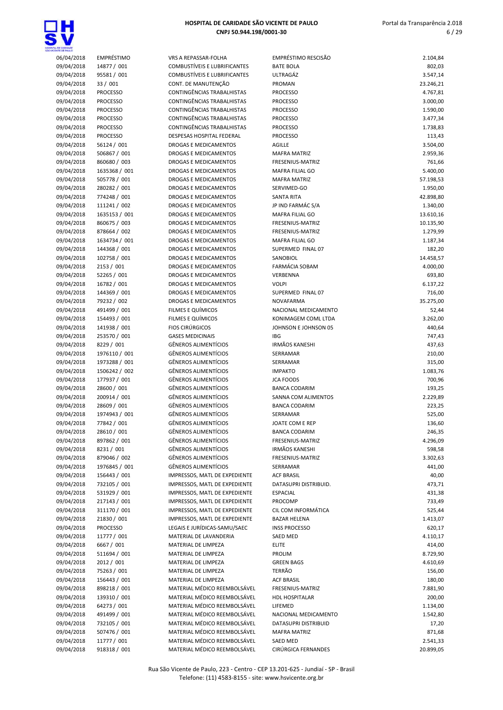

| AL DE EHROMOE<br>ENTE DE PAUL O |                 |                                     |                             |           |
|---------------------------------|-----------------|-------------------------------------|-----------------------------|-----------|
| 06/04/2018                      | EMPRÉSTIMO      | VRS A REPASSAR-FOLHA                | <b>EMPRÉSTIMO RESCISÃO</b>  | 2.104,84  |
| 09/04/2018                      | 14877 / 001     | <b>COMBUSTIVEIS E LUBRIFICANTES</b> | <b>BATE BOLA</b>            | 802,03    |
| 09/04/2018                      | 95581 / 001     | <b>COMBUSTÍVEIS E LUBRIFICANTES</b> | ULTRAGÁZ                    | 3.547,14  |
| 09/04/2018                      | 33 / 001        | CONT. DE MANUTENÇÃO                 | PROMAN                      | 23.246,21 |
| 09/04/2018                      | <b>PROCESSO</b> | CONTINGÊNCIAS TRABALHISTAS          | <b>PROCESSO</b>             | 4.767,81  |
| 09/04/2018                      | <b>PROCESSO</b> | CONTINGÊNCIAS TRABALHISTAS          | <b>PROCESSO</b>             | 3.000,00  |
| 09/04/2018                      | <b>PROCESSO</b> | CONTINGÊNCIAS TRABALHISTAS          | <b>PROCESSO</b>             | 1.590,00  |
| 09/04/2018                      | <b>PROCESSO</b> | CONTINGÊNCIAS TRABALHISTAS          | <b>PROCESSO</b>             | 3.477,34  |
| 09/04/2018                      | <b>PROCESSO</b> | CONTINGÊNCIAS TRABALHISTAS          | <b>PROCESSO</b>             | 1.738,83  |
| 09/04/2018                      | <b>PROCESSO</b> | <b>DESPESAS HOSPITAL FEDERAL</b>    | <b>PROCESSO</b>             | 113,43    |
| 09/04/2018                      | 56124 / 001     | DROGAS E MEDICAMENTOS               | <b>AGILLE</b>               | 3.504,00  |
| 09/04/2018                      | 506867 / 001    | <b>DROGAS E MEDICAMENTOS</b>        | <b>MAFRA MATRIZ</b>         | 2.959,36  |
| 09/04/2018                      | 860680 / 003    | <b>DROGAS E MEDICAMENTOS</b>        | FRESENIUS-MATRIZ            | 761,66    |
| 09/04/2018                      | 1635368 / 001   | <b>DROGAS E MEDICAMENTOS</b>        | <b>MAFRA FILIAL GO</b>      | 5.400,00  |
| 09/04/2018                      | 505778 / 001    | <b>DROGAS E MEDICAMENTOS</b>        | <b>MAFRA MATRIZ</b>         | 57.198,53 |
| 09/04/2018                      | 280282 / 001    | DROGAS E MEDICAMENTOS               | SERVIMED-GO                 | 1.950,00  |
| 09/04/2018                      | 774248 / 001    | DROGAS E MEDICAMENTOS               | <b>SANTA RITA</b>           | 42.898,80 |
| 09/04/2018                      | 111241 / 002    | DROGAS E MEDICAMENTOS               | JP IND FARMÁC S/A           | 1.340,00  |
| 09/04/2018                      | 1635153 / 001   | DROGAS E MEDICAMENTOS               | MAFRA FILIAL GO             | 13.610,16 |
| 09/04/2018                      | 860675 / 003    | DROGAS E MEDICAMENTOS               | FRESENIUS-MATRIZ            | 10.135,90 |
| 09/04/2018                      | 878664 / 002    | DROGAS E MEDICAMENTOS               | FRESENIUS-MATRIZ            | 1.279,99  |
| 09/04/2018                      | 1634734 / 001   | DROGAS E MEDICAMENTOS               | <b>MAFRA FILIAL GO</b>      | 1.187,34  |
| 09/04/2018                      | 144368 / 001    | <b>DROGAS E MEDICAMENTOS</b>        | SUPERMED FINAL 07           | 182,20    |
| 09/04/2018                      | 102758 / 001    | <b>DROGAS E MEDICAMENTOS</b>        | SANOBIOL                    | 14.458,57 |
| 09/04/2018                      | 2153 / 001      | <b>DROGAS E MEDICAMENTOS</b>        | <b>FARMÁCIA SOBAM</b>       | 4.000,00  |
| 09/04/2018                      | 52265 / 001     | <b>DROGAS E MEDICAMENTOS</b>        | VERBENNA                    | 693,80    |
| 09/04/2018                      | 16782 / 001     | <b>DROGAS E MEDICAMENTOS</b>        | <b>VOLPI</b>                | 6.137,22  |
| 09/04/2018                      | 144369 / 001    | DROGAS E MEDICAMENTOS               | SUPERMED FINAL 07           | 716,00    |
| 09/04/2018                      | 79232 / 002     | DROGAS E MEDICAMENTOS               | NOVAFARMA                   | 35.275,00 |
| 09/04/2018                      | 491499 / 001    | FILMES E QUÍMICOS                   | NACIONAL MEDICAMENTO        | 52,44     |
| 09/04/2018                      | 154493 / 001    | FILMES E QUÍMICOS                   | KONIMAGEM COML LTDA         | 3.262,00  |
| 09/04/2018                      | 141938 / 001    | <b>FIOS CIRÚRGICOS</b>              | JOHNSON E JOHNSON 05        | 440,64    |
| 09/04/2018                      | 253570 / 001    | <b>GASES MEDICINAIS</b>             | <b>IBG</b>                  | 747,43    |
| 09/04/2018                      | 8229 / 001      | <b>GÊNEROS ALIMENTÍCIOS</b>         | <b>IRMÃOS KANESHI</b>       | 437,63    |
| 09/04/2018                      | 1976110 / 001   | <b>GÊNEROS ALIMENTÍCIOS</b>         | SERRAMAR                    | 210,00    |
| 09/04/2018                      | 1973288 / 001   | <b>GÊNEROS ALIMENTÍCIOS</b>         | SERRAMAR                    | 315,00    |
| 09/04/2018                      | 1506242 / 002   | <b>GÊNEROS ALIMENTÍCIOS</b>         | <b>IMPAKTO</b>              | 1.083,76  |
| 09/04/2018                      | 177937 / 001    | <b>GÊNEROS ALIMENTÍCIOS</b>         | <b>JCA FOODS</b>            | 700,96    |
| 09/04/2018                      | 28600 / 001     | <b>GÊNEROS ALIMENTÍCIOS</b>         | <b>BANCA CODARIM</b>        | 193,25    |
| 09/04/2018                      | 200914 / 001    | <b>GÊNEROS ALIMENTÍCIOS</b>         | SANNA COM ALIMENTOS         | 2.229,89  |
| 09/04/2018                      | 28609 / 001     | <b>GÊNEROS ALIMENTÍCIOS</b>         | <b>BANCA CODARIM</b>        | 223,25    |
| 09/04/2018                      | 1974943 / 001   | <b>GÊNEROS ALIMENTÍCIOS</b>         | SERRAMAR                    | 525,00    |
| 09/04/2018                      | 77842 / 001     | GÊNEROS ALIMENTÍCIOS                | JOATE COM E REP             | 136,60    |
| 09/04/2018                      | 28610 / 001     | <b>GÊNEROS ALIMENTÍCIOS</b>         | <b>BANCA CODARIM</b>        | 246,35    |
| 09/04/2018                      | 897862 / 001    | GÊNEROS ALIMENTÍCIOS                | FRESENIUS-MATRIZ            | 4.296,09  |
| 09/04/2018                      | 8231 / 001      | <b>GÊNEROS ALIMENTÍCIOS</b>         | <b>IRMÃOS KANESHI</b>       | 598,58    |
| 09/04/2018                      | 879046 / 002    | <b>GÊNEROS ALIMENTÍCIOS</b>         | FRESENIUS-MATRIZ            | 3.302,63  |
| 09/04/2018                      | 1976845 / 001   | <b>GÊNEROS ALIMENTÍCIOS</b>         | SERRAMAR                    | 441,00    |
| 09/04/2018                      | 156443 / 001    | IMPRESSOS, MATL DE EXPEDIENTE       | <b>ACF BRASIL</b>           | 40,00     |
| 09/04/2018                      | 732105 / 001    | IMPRESSOS, MATL DE EXPEDIENTE       | DATASUPRI DISTRIBUID.       | 473,71    |
| 09/04/2018                      | 531929 / 001    | IMPRESSOS, MATL DE EXPEDIENTE       | <b>ESPACIAL</b>             | 431,38    |
| 09/04/2018                      | 217143 / 001    | IMPRESSOS, MATL DE EXPEDIENTE       | PROCOMP                     | 733,49    |
| 09/04/2018                      | 311170 / 001    | IMPRESSOS, MATL DE EXPEDIENTE       | CIL COM INFORMÁTICA         | 525,44    |
| 09/04/2018                      | 21830 / 001     | IMPRESSOS, MATL DE EXPEDIENTE       | <b>BAZAR HELENA</b>         | 1.413,07  |
| 09/04/2018                      | <b>PROCESSO</b> | LEGAIS E JURÍDICAS-SAMU/SAEC        | <b>INSS PROCESSO</b>        | 620,17    |
| 09/04/2018                      | 11777 / 001     | MATERIAL DE LAVANDERIA              | SAED MED                    | 4.110,17  |
| 09/04/2018                      | 6667 / 001      | MATERIAL DE LIMPEZA                 | <b>ELITE</b>                | 414,00    |
| 09/04/2018                      | 511694 / 001    | MATERIAL DE LIMPEZA                 | <b>PROLIM</b>               | 8.729,90  |
| 09/04/2018                      | 2012 / 001      | MATERIAL DE LIMPEZA                 | <b>GREEN BAGS</b>           | 4.610,69  |
| 09/04/2018                      | 75263 / 001     | MATERIAL DE LIMPEZA                 | TERRÃO                      | 156,00    |
| 09/04/2018                      | 156443 / 001    | MATERIAL DE LIMPEZA                 | <b>ACF BRASIL</b>           | 180,00    |
| 09/04/2018                      | 898218 / 001    | MATERIAL MÉDICO REEMBOLSÁVEL        | FRESENIUS-MATRIZ            | 7.881,90  |
| 09/04/2018                      | 139310 / 001    | MATERIAL MÉDICO REEMBOLSÁVEL        | <b>HDL HOSPITALAR</b>       | 200,00    |
| 09/04/2018                      | 64273 / 001     | MATERIAL MÉDICO REEMBOLSÁVEL        | LIFEMED                     | 1.134,00  |
| 09/04/2018                      | 491499 / 001    | MATERIAL MÉDICO REEMBOLSÁVEL        | NACIONAL MEDICAMENTO        | 1.542,80  |
| 09/04/2018                      | 732105 / 001    | MATERIAL MÉDICO REEMBOLSÁVEL        | <b>DATASUPRI DISTRIBUID</b> | 17,20     |
| 09/04/2018                      | 507476 / 001    | MATERIAL MÉDICO REEMBOLSÁVEL        | <b>MAFRA MATRIZ</b>         | 871,68    |
| 09/04/2018                      | 11777 / 001     | MATERIAL MÉDICO REEMBOLSÁVEL        | SAED MED                    | 2.541,33  |
| 09/04/2018                      | 918318 / 001    | MATERIAL MÉDICO REEMBOLSÁVEL        | CIRÚRGICA FERNANDES         | 20.899,05 |

| <b>BATE BOLA</b>        | 802,03    |
|-------------------------|-----------|
| ULTRAGÁZ                | 3.547,14  |
| <b>PROMAN</b>           | 23.246,21 |
| <b>PROCESSO</b>         | 4.767,81  |
| <b>PROCESSO</b>         | 3.000,00  |
| <b>PROCESSO</b>         | 1.590,00  |
| <b>PROCESSO</b>         | 3.477,34  |
| <b>PROCESSO</b>         | 1.738,83  |
| <b>PROCESSO</b>         | 113,43    |
| AGILLE                  | 3.504,00  |
| <b>MAFRA MATRIZ</b>     | 2.959,36  |
| <b>FRESENIUS-MATRIZ</b> | 761,66    |
| MAFRA FILIAL GO         | 5.400,00  |
| <b>MAFRA MATRIZ</b>     | 57.198,53 |
| SERVIMED-GO             | 1.950,00  |
| <b>SANTA RITA</b>       | 42.898,80 |
| JP IND FARMÁC S/A       | 1.340,00  |
| MAFRA FILIAL GO         | 13.610,16 |
| FRESENIUS-MATRIZ        | 10.135,90 |
| FRESENIUS-MATRIZ        | 1.279,99  |
| MAFRA FILIAL GO         | 1.187,34  |
| SUPERMED FINAL 07       | 182,20    |
| SANOBIOL                | 14.458,57 |
| FARMÁCIA SOBAM          | 4.000,00  |
| VERBENNA                | 693,80    |
| <b>VOLPI</b>            | 6.137,22  |
| SUPERMED FINAL 07       | 716,00    |
| NOVAFARMA               | 35.275,00 |
| NACIONAL MEDICAMENTO    | 52,44     |
| KONIMAGEM COML LTDA     | 3.262,00  |
| JOHNSON E JOHNSON 05    | 440,64    |
| IBG                     | 747,43    |
| <b>IRMÃOS KANESHI</b>   |           |
|                         | 437,63    |
| SERRAMAR                | 210,00    |
| SERRAMAR                | 315,00    |
| <b>IMPAKTO</b>          | 1.083,76  |
| <b>JCA FOODS</b>        | 700,96    |
| <b>BANCA CODARIM</b>    | 193,25    |
| SANNA COM ALIMENTOS     | 2.229,89  |
| <b>BANCA CODARIM</b>    | 223,25    |
| SERRAMAR                | 525,00    |
| JOATE COM E REP         | 136,60    |
| <b>BANCA CODARIM</b>    | 246,35    |
| FRESENIUS-MATRIZ        | 4.296,09  |
| <b>IRMÃOS KANESHI</b>   | 598,58    |
| <b>FRESENIUS-MATRIZ</b> | 3.302,63  |
| SERRAMAR                | 441,00    |
| <b>ACF BRASIL</b>       | 40,00     |
| DATASUPRI DISTRIBUID.   | 473,71    |
| <b>ESPACIAL</b>         | 431,38    |
| PROCOMP                 | 733,49    |
| CIL COM INFORMÁTICA     | 525,44    |
| <b>BAZAR HELENA</b>     | 1.413,07  |
| <b>INSS PROCESSO</b>    | 620,17    |
| SAED MED                | 4.110,17  |
| ELITE                   | 414,00    |
| <b>PROLIM</b>           | 8.729,90  |
| <b>GREEN BAGS</b>       | 4.610,69  |
| TERRÃO                  | 156,00    |
| <b>ACF BRASIL</b>       | 180,00    |
| FRESENIUS-MATRIZ        | 7.881,90  |
| <b>HDL HOSPITALAR</b>   | 200,00    |
| LIFEMED                 | 1.134,00  |
| NACIONAL MEDICAMENTO    | 1.542,80  |
| DATASUPRI DISTRIBUID    | 17,20     |
| <b>MAFRA MATRIZ</b>     | 871,68    |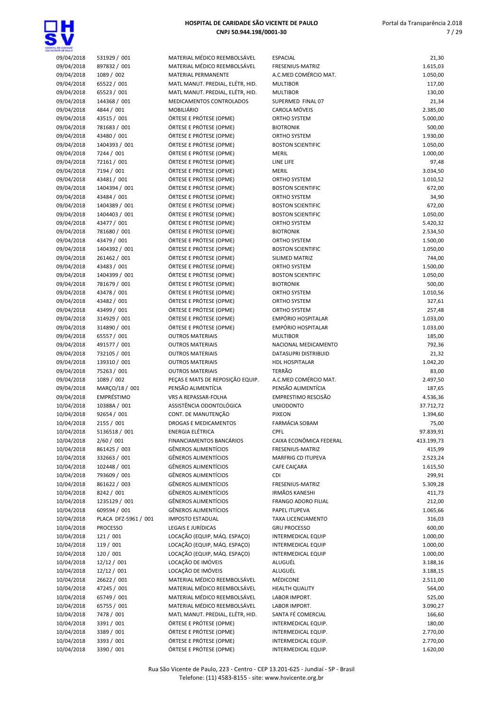

| NTE CE SALLO             |                              |                                                             |                                               |                      |
|--------------------------|------------------------------|-------------------------------------------------------------|-----------------------------------------------|----------------------|
| 09/04/2018               | 531929 / 001                 | MATERIAL MÉDICO REEMBOLSÁVEL                                | <b>ESPACIAL</b>                               | 21,30                |
| 09/04/2018               | 897832 / 001                 | MATERIAL MÉDICO REEMBOLSÁVEL                                | FRESENIUS-MATRIZ                              | 1.615,03             |
| 09/04/2018               | 1089 / 002                   | MATERIAL PERMANENTE                                         | A.C.MED COMÉRCIO MAT.                         | 1.050,00             |
| 09/04/2018               | 65522 / 001                  | MATL MANUT. PREDIAL, ELÉTR, HID.                            | <b>MULTIBOR</b>                               | 117,00               |
| 09/04/2018               | 65523 / 001                  | MATL MANUT. PREDIAL, ELÉTR, HID.                            | <b>MULTIBOR</b>                               | 130,00               |
| 09/04/2018               | 144368 / 001                 | MEDICAMENTOS CONTROLADOS                                    | SUPERMED FINAL 07                             | 21,34                |
| 09/04/2018               | 4844 / 001                   | <b>MOBILIÁRIO</b>                                           | CAROLA MÓVEIS                                 | 2.385,00             |
| 09/04/2018               | 43515 / 001                  | ÓRTESE E PRÓTESE (OPME)                                     | ORTHO SYSTEM                                  | 5.000,00             |
| 09/04/2018<br>09/04/2018 | 781683 / 001                 | ÓRTESE E PRÓTESE (OPME)                                     | <b>BIOTRONIK</b><br><b>ORTHO SYSTEM</b>       | 500,00               |
| 09/04/2018               | 43480 / 001<br>1404393 / 001 | ÓRTESE E PRÓTESE (OPME)<br>ÓRTESE E PRÓTESE (OPME)          | <b>BOSTON SCIENTIFIC</b>                      | 1.930,00<br>1.050,00 |
| 09/04/2018               | 7244 / 001                   | ÓRTESE E PRÓTESE (OPME)                                     | <b>MERIL</b>                                  | 1.000,00             |
| 09/04/2018               | 72161 / 001                  | ÓRTESE E PRÓTESE (OPME)                                     | LINE LIFE                                     | 97,48                |
| 09/04/2018               | 7194 / 001                   | ÓRTESE E PRÓTESE (OPME)                                     | <b>MERIL</b>                                  | 3.034,50             |
| 09/04/2018               | 43481 / 001                  | ÓRTESE E PRÓTESE (OPME)                                     | ORTHO SYSTEM                                  | 1.010,52             |
| 09/04/2018               | 1404394 / 001                | ÓRTESE E PRÓTESE (OPME)                                     | <b>BOSTON SCIENTIFIC</b>                      | 672,00               |
| 09/04/2018               | 43484 / 001                  | ÓRTESE E PRÓTESE (OPME)                                     | <b>ORTHO SYSTEM</b>                           | 34,90                |
| 09/04/2018               | 1404389 / 001                | ÓRTESE E PRÓTESE (OPME)                                     | <b>BOSTON SCIENTIFIC</b>                      | 672,00               |
| 09/04/2018               | 1404403 / 001                | ÓRTESE E PRÓTESE (OPME)                                     | <b>BOSTON SCIENTIFIC</b>                      | 1.050,00             |
| 09/04/2018               | 43477 / 001                  | ÓRTESE E PRÓTESE (OPME)                                     | <b>ORTHO SYSTEM</b>                           | 5.420,32             |
| 09/04/2018               | 781680 / 001                 | ÓRTESE E PRÓTESE (OPME)                                     | <b>BIOTRONIK</b>                              | 2.534,50             |
| 09/04/2018               | 43479 / 001                  | ÓRTESE E PRÓTESE (OPME)                                     | ORTHO SYSTEM                                  | 1.500,00             |
| 09/04/2018               | 1404392 / 001                | ÓRTESE E PRÓTESE (OPME)                                     | <b>BOSTON SCIENTIFIC</b>                      | 1.050,00             |
| 09/04/2018               | 261462 / 001                 | ÓRTESE E PRÓTESE (OPME)                                     | SILIMED MATRIZ                                | 744,00               |
| 09/04/2018               | 43483 / 001                  | ÓRTESE E PRÓTESE (OPME)                                     | ORTHO SYSTEM                                  | 1.500,00             |
| 09/04/2018               | 1404399 / 001                | ÓRTESE E PRÓTESE (OPME)                                     | <b>BOSTON SCIENTIFIC</b>                      | 1.050,00             |
| 09/04/2018               | 781679 / 001                 | ÓRTESE E PRÓTESE (OPME)                                     | <b>BIOTRONIK</b>                              | 500,00               |
| 09/04/2018               | 43478 / 001                  | ÓRTESE E PRÓTESE (OPME)                                     | <b>ORTHO SYSTEM</b>                           | 1.010,56             |
| 09/04/2018               | 43482 / 001                  | ÓRTESE E PRÓTESE (OPME)                                     | <b>ORTHO SYSTEM</b>                           | 327,61               |
| 09/04/2018               | 43499 / 001                  | ÓRTESE E PRÓTESE (OPME)                                     | ORTHO SYSTEM                                  | 257,48               |
| 09/04/2018               | 314929 / 001                 | ÓRTESE E PRÓTESE (OPME)                                     | EMPÓRIO HOSPITALAR                            | 1.033,00             |
| 09/04/2018               | 314890 / 001                 | ÓRTESE E PRÓTESE (OPME)                                     | EMPÓRIO HOSPITALAR                            | 1.033,00             |
| 09/04/2018               | 65557 / 001                  | <b>OUTROS MATERIAIS</b>                                     | <b>MULTIBOR</b>                               | 185,00               |
| 09/04/2018               | 491577 / 001                 | <b>OUTROS MATERIAIS</b>                                     | NACIONAL MEDICAMENTO                          | 792,36               |
| 09/04/2018               | 732105 / 001<br>139310 / 001 | <b>OUTROS MATERIAIS</b><br><b>OUTROS MATERIAIS</b>          | DATASUPRI DISTRIBUID<br><b>HDL HOSPITALAR</b> | 21,32                |
| 09/04/2018<br>09/04/2018 | 75263 / 001                  | <b>OUTROS MATERIAIS</b>                                     | <b>TERRÃO</b>                                 | 1.042,20             |
| 09/04/2018               | 1089 / 002                   | PEÇAS E MATS DE REPOSIÇÃO EQUIP.                            | A.C.MED COMÉRCIO MAT.                         | 83,00<br>2.497,50    |
| 09/04/2018               | MARÇO/18 / 001               | PENSÃO ALIMENTÍCIA                                          | PENSÃO ALIMENTÍCIA                            | 187,65               |
| 09/04/2018               | EMPRÉSTIMO                   | VRS A REPASSAR-FOLHA                                        | EMPRESTIMO RESCISÃO                           | 4.536,36             |
| 10/04/2018               | 10388A / 001                 | ASSISTÊNCIA ODONTOLÓGICA                                    | <b>UNIODONTO</b>                              | 37.712,72            |
| 10/04/2018               | 92654 / 001                  | CONT. DE MANUTENÇÃO                                         | <b>PIXEON</b>                                 | 1.394,60             |
| 10/04/2018               | 2155 / 001                   | <b>DROGAS E MEDICAMENTOS</b>                                | FARMÁCIA SOBAM                                | 75,00                |
| 10/04/2018               | 5136518 / 001                | <b>ENERGIA ELÉTRICA</b>                                     | <b>CPFL</b>                                   | 97.839,91            |
| 10/04/2018               | 2/60 / 001                   | <b>FINANCIAMENTOS BANCÁRIOS</b>                             | CAIXA ECONÔMICA FEDERAL                       | 413.199,73           |
| 10/04/2018               | 861425 / 003                 | <b>GÊNEROS ALIMENTÍCIOS</b>                                 | FRESENIUS-MATRIZ                              | 415,99               |
| 10/04/2018               | 332663 / 001                 | <b>GÊNEROS ALIMENTÍCIOS</b>                                 | <b>MARFRIG CD ITUPEVA</b>                     | 2.523,24             |
| 10/04/2018               | 102448 / 001                 | <b>GÊNEROS ALIMENTÍCIOS</b>                                 | CAFE CAIÇARA                                  | 1.615,50             |
| 10/04/2018               | 793609 / 001                 | <b>GÊNEROS ALIMENTÍCIOS</b>                                 | CDI                                           | 299,91               |
| 10/04/2018               | 861622 / 003                 | GÊNEROS ALIMENTÍCIOS                                        | FRESENIUS-MATRIZ                              | 5.309,28             |
| 10/04/2018               | 8242 / 001                   | <b>GÊNEROS ALIMENTÍCIOS</b>                                 | <b>IRMÃOS KANESHI</b>                         | 411,73               |
| 10/04/2018               | 1235129 / 001                | <b>GÊNEROS ALIMENTÍCIOS</b>                                 | <b>FRANGO ADORO FILIAL</b>                    | 212,00               |
| 10/04/2018               | 609594 / 001                 | GÊNEROS ALIMENTÍCIOS                                        | PAPEL ITUPEVA                                 | 1.065,66             |
| 10/04/2018               | PLACA DFZ-5961 / 001         | <b>IMPOSTO ESTADUAL</b>                                     | TAXA LICENCIAMENTO                            | 316,03               |
| 10/04/2018               | <b>PROCESSO</b>              | <b>LEGAIS E JURÍDICAS</b>                                   | <b>GRU PROCESSO</b>                           | 600,00               |
| 10/04/2018               | 121 / 001                    | LOCAÇÃO (EQUIP, MÁQ. ESPAÇO)                                | INTERMEDICAL EQUIP                            | 1.000,00             |
| 10/04/2018               | 119 / 001                    | LOCAÇÃO (EQUIP, MÁQ. ESPAÇO)                                | INTERMEDICAL EQUIP                            | 1.000,00             |
| 10/04/2018               | 120 / 001                    | LOCAÇÃO (EQUIP, MÁQ. ESPAÇO)                                | INTERMEDICAL EQUIP                            | 1.000,00             |
| 10/04/2018               | 12/12 / 001                  | LOCAÇÃO DE IMÓVEIS                                          | ALUGUÉL                                       | 3.188,16             |
| 10/04/2018               | 12/12 / 001                  | LOCAÇÃO DE IMÓVEIS                                          | ALUGUÉL                                       | 3.188,15             |
| 10/04/2018               | 26622 / 001                  | MATERIAL MÉDICO REEMBOLSÁVEL                                | MÉDICONE                                      | 2.511,00             |
| 10/04/2018               | 47245 / 001                  | MATERIAL MÉDICO REEMBOLSÁVEL                                | <b>HEALTH QUALITY</b>                         | 564,00               |
| 10/04/2018               | 65749 / 001                  | MATERIAL MÉDICO REEMBOLSÁVEL                                | LABOR IMPORT.                                 | 525,00               |
| 10/04/2018               | 65755 / 001                  | MATERIAL MÉDICO REEMBOLSÁVEL                                | LABOR IMPORT.                                 | 3.090,27             |
| 10/04/2018<br>10/04/2018 | 7478 / 001<br>3391 / 001     | MATL MANUT. PREDIAL, ELÉTR, HID.<br>ÓRTESE E PRÓTESE (OPME) | SANTA FÉ COMERCIAL<br>INTERMEDICAL EQUIP.     | 166,60<br>180,00     |
| 10/04/2018               | 3389 / 001                   | ÓRTESE E PRÓTESE (OPME)                                     | INTERMEDICAL EQUIP.                           | 2.770,00             |
| 10/04/2018               | 3393 / 001                   | ÓRTESE E PRÓTESE (OPME)                                     | INTERMEDICAL EQUIP.                           | 2.770,00             |
| 10/04/2018               | 3390 / 001                   | ÓRTESE E PRÓTESE (OPME)                                     | INTERMEDICAL EQUIP.                           | 1.620,00             |
|                          |                              |                                                             |                                               |                      |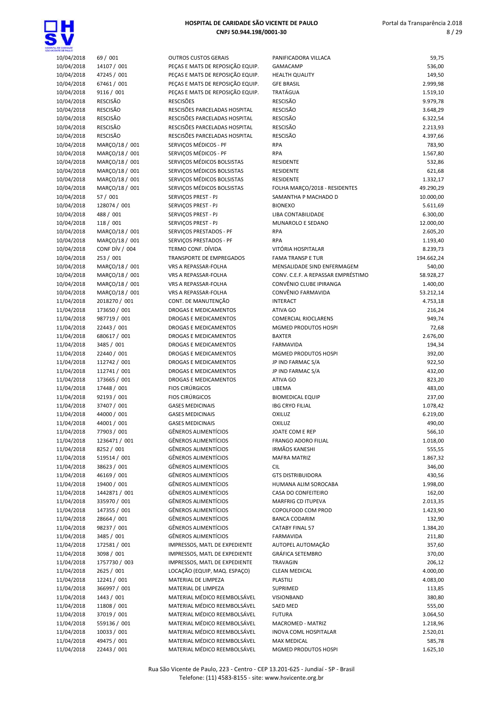

| ENTE CE PAULO |                 |                                 |
|---------------|-----------------|---------------------------------|
| 10/04/2018    | 69 / 001        | <b>OUTROS CUSTOS GERAIS</b>     |
| 10/04/2018    | 14107 / 001     | PEÇAS E MATS DE REPOSIÇÃO EQUIP |
| 10/04/2018    | 47245 / 001     | PEÇAS E MATS DE REPOSIÇÃO EQUIP |
| 10/04/2018    | 67461 / 001     | PEÇAS E MATS DE REPOSIÇÃO EQUIP |
| 10/04/2018    | 9116 / 001      | PEÇAS E MATS DE REPOSIÇÃO EQUIP |
| 10/04/2018    | <b>RESCISÃO</b> | <b>RESCISÕES</b>                |
| 10/04/2018    | <b>RESCISÃO</b> | RESCISÕES PARCELADAS HOSPITAL   |
| 10/04/2018    | RESCISÃO        | RESCISÕES PARCELADAS HOSPITAL   |
| 10/04/2018    | <b>RESCISÃO</b> | RESCISÕES PARCELADAS HOSPITAL   |
| 10/04/2018    | <b>RESCISÃO</b> | RESCISÕES PARCELADAS HOSPITAL   |
| 10/04/2018    | MARÇO/18 / 001  | SERVIÇOS MÉDICOS - PF           |
| 10/04/2018    | MARÇO/18 / 001  | SERVIÇOS MÉDICOS - PF           |
| 10/04/2018    | MARÇO/18 / 001  | SERVIÇOS MÉDICOS BOLSISTAS      |
| 10/04/2018    | MARÇO/18 / 001  | SERVIÇOS MÉDICOS BOLSISTAS      |
| 10/04/2018    | MARÇO/18 / 001  | SERVIÇOS MÉDICOS BOLSISTAS      |
| 10/04/2018    | MARÇO/18 / 001  | SERVIÇOS MÉDICOS BOLSISTAS      |
| 10/04/2018    | 57 / 001        | SERVIÇOS PREST - PJ             |
| 10/04/2018    | 128074 / 001    | SERVIÇOS PREST - PJ             |
| 10/04/2018    | 488 / 001       | SERVIÇOS PREST - PJ             |
| 10/04/2018    | 118 / 001       | SERVIÇOS PREST - PJ             |
| 10/04/2018    | MARÇO/18 / 001  | SERVIÇOS PRESTADOS - PF         |
| 10/04/2018    | MARÇO/18 / 001  | SERVICOS PRESTADOS - PF         |
| 10/04/2018    | CONF DÍV / 004  | TERMO CONF. DÍVIDA              |
| 10/04/2018    | 253 / 001       | <b>TRANSPORTE DE EMPREGADOS</b> |
| 10/04/2018    | MARÇO/18 / 001  | VRS A REPASSAR-FOLHA            |
| 10/04/2018    | MARÇO/18 / 001  | <b>VRS A REPASSAR-FOLHA</b>     |
| 10/04/2018    | MARÇO/18 / 001  | <b>VRS A REPASSAR-FOLHA</b>     |
| 10/04/2018    | MARÇO/18 / 001  | VRS A REPASSAR-FOLHA            |
| 11/04/2018    | 2018270 / 001   | CONT. DE MANUTENÇÃO             |
| 11/04/2018    | 173650 / 001    | DROGAS E MEDICAMENTOS           |
| 11/04/2018    | 987719 / 001    | DROGAS E MEDICAMENTOS           |
| 11/04/2018    | 22443 / 001     | <b>DROGAS E MEDICAMENTOS</b>    |
| 11/04/2018    | 680617 / 001    | DROGAS E MEDICAMENTOS           |
| 11/04/2018    | 3485 / 001      | DROGAS E MEDICAMENTOS           |
| 11/04/2018    | 22440 / 001     | <b>DROGAS E MEDICAMENTOS</b>    |
| 11/04/2018    | 112742 / 001    | DROGAS E MEDICAMENTOS           |
| 11/04/2018    | 112741 / 001    | DROGAS E MEDICAMENTOS           |
| 11/04/2018    | 173665 / 001    | DROGAS E MEDICAMENTOS           |
| 11/04/2018    | 17448 / 001     | <b>FIOS CIRÚRGICOS</b>          |
| 11/04/2018    | 92193 / 001     | <b>FIOS CIRÚRGICOS</b>          |
| 11/04/2018    | 37407 / 001     | <b>GASES MEDICINAIS</b>         |
| 11/04/2018    | 44000 / 001     | <b>GASES MEDICINAIS</b>         |
| 11/04/2018    | 44001 / 001     | <b>GASES MEDICINAIS</b>         |
| 11/04/2018    | 77903 / 001     | <b>GÊNEROS ALIMENTÍCIOS</b>     |
| 11/04/2018    | 1236471 / 001   | <b>GÊNEROS ALIMENTÍCIOS</b>     |
| 11/04/2018    | 8252 / 001      | <b>GÊNEROS ALIMENTÍCIOS</b>     |
| 11/04/2018    | 519514 / 001    | <b>GÊNEROS ALIMENTÍCIOS</b>     |
| 11/04/2018    | 38623 / 001     | <b>GÊNEROS ALIMENTÍCIOS</b>     |
| 11/04/2018    | 46169 / 001     | <b>GÊNEROS ALIMENTÍCIOS</b>     |
| 11/04/2018    | 19400 / 001     | <b>GÊNEROS ALIMENTÍCIOS</b>     |
| 11/04/2018    | 1442871 / 001   | <b>GÊNEROS ALIMENTÍCIOS</b>     |
| 11/04/2018    | 335970 / 001    | <b>GÊNEROS ALIMENTÍCIOS</b>     |
| 11/04/2018    | 147355 / 001    | <b>GÊNEROS ALIMENTÍCIOS</b>     |
| 11/04/2018    | 28664 / 001     | <b>GÊNEROS ALIMENTÍCIOS</b>     |
| 11/04/2018    | 98237 / 001     | <b>GÊNEROS ALIMENTÍCIOS</b>     |
| 11/04/2018    | 3485 / 001      | <b>GÊNEROS ALIMENTÍCIOS</b>     |
| 11/04/2018    | 172581 / 001    | IMPRESSOS, MATL DE EXPEDIENTE   |
| 11/04/2018    | 3098 / 001      | IMPRESSOS, MATL DE EXPEDIENTE   |
| 11/04/2018    | 1757730 / 003   | IMPRESSOS, MATL DE EXPEDIENTE   |
| 11/04/2018    | 2625 / 001      | LOCAÇÃO (EQUIP, MAQ. ESPAÇO)    |
| 11/04/2018    | 12241 / 001     | MATERIAL DE LIMPEZA             |
| 11/04/2018    | 366997 / 001    | MATERIAL DE LIMPEZA             |
| 11/04/2018    | 1443 / 001      | MATERIAL MÉDICO REEMBOLSÁVEL    |
| 11/04/2018    | 11808 / 001     | MATERIAL MÉDICO REEMBOLSÁVEL    |
| 11/04/2018    | 37019 / 001     | MATERIAL MÉDICO REEMBOLSÁVEL    |
| 11/04/2018    | 559136 / 001    | MATERIAL MÉDICO REEMBOLSÁVEL    |
| 11/04/2018    | 10033 / 001     | MATERIAL MÉDICO REEMBOLSÁVEL    |
| 11/04/2018    | 49475 / 001     | MATERIAL MÉDICO REEMBOLSÁVEL    |
| 11/04/2018    | 22443 / 001     | MATERIAL MÉDICO REEMBOLSÁVEL    |

| <b>OE CHITONOE</b>       |                           |                                            |                                                                   |                       |
|--------------------------|---------------------------|--------------------------------------------|-------------------------------------------------------------------|-----------------------|
| 10/04/2018               | 69 / 001                  | <b>OUTROS CUSTOS GERAIS</b>                | PANIFICADORA VILLACA                                              | 59,75                 |
| 10/04/2018               | 14107 / 001               | PEÇAS E MATS DE REPOSIÇÃO EQUIP.           | <b>GAMACAMP</b>                                                   | 536,00                |
| 10/04/2018               | 47245 / 001               | PEÇAS E MATS DE REPOSIÇÃO EQUIP.           | <b>HEALTH QUALITY</b>                                             | 149,50                |
| 10/04/2018               | 67461 / 001               | PEÇAS E MATS DE REPOSIÇÃO EQUIP.           | <b>GFE BRASIL</b>                                                 | 2.999,98              |
| 10/04/2018               | 9116 / 001                | PEÇAS E MATS DE REPOSIÇÃO EQUIP.           | <b>TRATÁGUA</b>                                                   | 1.519,10              |
| 10/04/2018               | <b>RESCISÃO</b>           | <b>RESCISÕES</b>                           | <b>RESCISÃO</b>                                                   | 9.979,78              |
| 10/04/2018               | <b>RESCISÃO</b>           | RESCISÕES PARCELADAS HOSPITAL              | <b>RESCISÃO</b>                                                   | 3.648,29              |
| 10/04/2018               | <b>RESCISÃO</b>           | RESCISÕES PARCELADAS HOSPITAL              | <b>RESCISÃO</b>                                                   | 6.322,54              |
| 10/04/2018               | <b>RESCISÃO</b>           | RESCISÕES PARCELADAS HOSPITAL              | <b>RESCISÃO</b>                                                   | 2.213,93              |
| 10/04/2018               | <b>RESCISÃO</b>           | RESCISÕES PARCELADAS HOSPITAL              | <b>RESCISÃO</b>                                                   | 4.397,66              |
| 10/04/2018               | MARÇO/18 / 001            | SERVIÇOS MÉDICOS - PF                      | <b>RPA</b>                                                        | 783,90                |
| 10/04/2018               | MARCO/18 / 001            | SERVICOS MÉDICOS - PF                      | <b>RPA</b>                                                        | 1.567,80              |
| 10/04/2018               | MARÇO/18 / 001            | SERVIÇOS MÉDICOS BOLSISTAS                 | <b>RESIDENTE</b>                                                  | 532,86                |
| 10/04/2018               | MARCO/18 / 001            | SERVICOS MÉDICOS BOLSISTAS                 | <b>RESIDENTE</b>                                                  | 621,68                |
| 10/04/2018               | MARÇO/18 / 001            | SERVIÇOS MÉDICOS BOLSISTAS                 | <b>RESIDENTE</b>                                                  | 1.332,17              |
| 10/04/2018               | MARÇO/18 / 001            | SERVIÇOS MÉDICOS BOLSISTAS                 | FOLHA MARÇO/2018 - RESIDENTES                                     | 49.290,29             |
| 10/04/2018               | 57 / 001                  | SERVIÇOS PREST - PJ                        | SAMANTHA P MACHADO D                                              | 10.000,00             |
| 10/04/2018               | 128074 / 001<br>488 / 001 | SERVIÇOS PREST - PJ<br>SERVICOS PREST - PJ | <b>BIONEXO</b>                                                    | 5.611,69              |
| 10/04/2018<br>10/04/2018 | 118 / 001                 | SERVICOS PREST - PJ                        | LIBA CONTABILIDADE<br>MUNAROLO E SEDANO                           | 6.300,00              |
| 10/04/2018               | MARCO/18 / 001            | SERVIÇOS PRESTADOS - PF                    | <b>RPA</b>                                                        | 12.000,00<br>2.605,20 |
| 10/04/2018               | MARCO/18 / 001            | SERVICOS PRESTADOS - PF                    | <b>RPA</b>                                                        | 1.193,40              |
| 10/04/2018               | CONF DÍV / 004            | TERMO CONF. DÍVIDA                         | VITÓRIA HOSPITALAR                                                | 8.239,73              |
| 10/04/2018               | 253 / 001                 | TRANSPORTE DE EMPREGADOS                   | <b>FAMA TRANSP E TUR</b>                                          | 194.662,24            |
| 10/04/2018               | MARÇO/18 / 001            | VRS A REPASSAR-FOLHA                       |                                                                   |                       |
| 10/04/2018               | MARÇO/18 / 001            | VRS A REPASSAR-FOLHA                       | MENSALIDADE SIND ENFERMAGEM<br>CONV. C.E.F. A REPASSAR EMPRÉSTIMO | 540,00<br>58.928,27   |
| 10/04/2018               | MARCO/18 / 001            | <b>VRS A REPASSAR-FOLHA</b>                | CONVÊNIO CLUBE IPIRANGA                                           | 1.400,00              |
| 10/04/2018               | MARÇO/18 / 001            | VRS A REPASSAR-FOLHA                       | CONVÊNIO FARMAVIDA                                                | 53.212,14             |
| 11/04/2018               | 2018270 / 001             | CONT. DE MANUTENÇÃO                        | <b>INTERACT</b>                                                   | 4.753,18              |
| 11/04/2018               | 173650 / 001              | DROGAS E MEDICAMENTOS                      | ATIVA GO                                                          | 216,24                |
| 11/04/2018               | 987719 / 001              | DROGAS E MEDICAMENTOS                      | <b>COMERCIAL RIOCLARENS</b>                                       | 949,74                |
| 11/04/2018               | 22443 / 001               | DROGAS E MEDICAMENTOS                      | MGMED PRODUTOS HOSPI                                              | 72,68                 |
| 11/04/2018               | 680617 / 001              | DROGAS E MEDICAMENTOS                      | <b>BAXTER</b>                                                     | 2.676,00              |
| 11/04/2018               | 3485 / 001                | DROGAS E MEDICAMENTOS                      | <b>FARMAVIDA</b>                                                  | 194,34                |
| 11/04/2018               | 22440 / 001               | DROGAS E MEDICAMENTOS                      | MGMED PRODUTOS HOSPI                                              | 392,00                |
| 11/04/2018               | 112742 / 001              | DROGAS E MEDICAMENTOS                      | JP IND FARMAC S/A                                                 | 922,50                |
| 11/04/2018               | 112741 / 001              | DROGAS E MEDICAMENTOS                      | JP IND FARMAC S/A                                                 | 432,00                |
| 11/04/2018               | 173665 / 001              | DROGAS E MEDICAMENTOS                      | ATIVA GO                                                          | 823,20                |
| 11/04/2018               | 17448 / 001               | <b>FIOS CIRÚRGICOS</b>                     | LIBEMA                                                            | 483,00                |
| 11/04/2018               | 92193 / 001               | <b>FIOS CIRÚRGICOS</b>                     | <b>BIOMEDICAL EQUIP</b>                                           | 237,00                |
| 11/04/2018               | 37407 / 001               | <b>GASES MEDICINAIS</b>                    | <b>IBG CRYO FILIAL</b>                                            | 1.078,42              |
| 11/04/2018               | 44000 / 001               | <b>GASES MEDICINAIS</b>                    | OXILUZ                                                            | 6.219,00              |
| 11/04/2018               | 44001 / 001               | <b>GASES MEDICINAIS</b>                    | <b>OXILUZ</b>                                                     | 490,00                |
| 11/04/2018               | 77903 / 001               | <b>GÊNEROS ALIMENTÍCIOS</b>                | JOATE COM E REP                                                   | 566,10                |
| 11/04/2018               | 1236471 / 001             | GÊNEROS ALIMENTÍCIOS                       | <b>FRANGO ADORO FILIAL</b>                                        | 1.018,00              |
| 11/04/2018               | 8252 / 001                | <b>GÊNEROS ALIMENTÍCIOS</b>                | <b>IRMÃOS KANESHI</b>                                             | 555,55                |
| 11/04/2018               | 519514 / 001              | <b>GÊNEROS ALIMENTÍCIOS</b>                | <b>MAFRA MATRIZ</b>                                               | 1.867,32              |
| 11/04/2018               | 38623 / 001               | GÊNEROS ALIMENTÍCIOS                       | <b>CIL</b>                                                        | 346,00                |
| 11/04/2018               | 46169 / 001               | <b>GÊNEROS ALIMENTÍCIOS</b>                | <b>GTS DISTRIBUIDORA</b>                                          | 430,56                |
| 11/04/2018               | 19400 / 001               | <b>GÊNEROS ALIMENTÍCIOS</b>                | HUMANA ALIM SOROCABA                                              | 1.998,00              |
| 11/04/2018               | 1442871 / 001             | GÊNEROS ALIMENTÍCIOS                       | CASA DO CONFEITEIRO                                               | 162,00                |
| 11/04/2018               | 335970 / 001              | <b>GÊNEROS ALIMENTÍCIOS</b>                | MARFRIG CD ITUPEVA                                                | 2.013,35              |
| 11/04/2018               | 147355 / 001              | <b>GÊNEROS ALIMENTÍCIOS</b>                | COPOLFOOD COM PROD                                                | 1.423,90              |
| 11/04/2018               | 28664 / 001               | GÊNEROS ALIMENTÍCIOS                       | <b>BANCA CODARIM</b>                                              | 132,90                |
| 11/04/2018               | 98237 / 001               | <b>GÊNEROS ALIMENTÍCIOS</b>                | <b>CATABY FINAL 57</b>                                            | 1.384,20              |
| 11/04/2018               | 3485 / 001                | <b>GÊNEROS ALIMENTÍCIOS</b>                | FARMAVIDA                                                         | 211,80                |
| 11/04/2018               | 172581 / 001              | IMPRESSOS, MATL DE EXPEDIENTE              | AUTOPEL AUTOMAÇÃO                                                 | 357,60                |
| 11/04/2018               | 3098 / 001                | IMPRESSOS, MATL DE EXPEDIENTE              | <b>GRÁFICA SETEMBRO</b>                                           | 370,00                |
| 11/04/2018               | 1757730 / 003             | IMPRESSOS, MATL DE EXPEDIENTE              | <b>TRAVAGIN</b>                                                   | 206,12                |
| 11/04/2018               | 2625 / 001                | LOCAÇÃO (EQUIP, MAQ. ESPAÇO)               | <b>CLEAN MEDICAL</b>                                              | 4.000,00              |
| 11/04/2018               | 12241 / 001               | MATERIAL DE LIMPEZA                        | <b>PLASTILI</b>                                                   | 4.083,00              |
| 11/04/2018               | 366997 / 001              | MATERIAL DE LIMPEZA                        | SUPRIMED                                                          | 113,85                |
| 11/04/2018               | 1443 / 001                | MATERIAL MÉDICO REEMBOLSÁVEL               | <b>VISIONBAND</b>                                                 | 380,80                |
| 11/04/2018               | 11808 / 001               | MATERIAL MÉDICO REEMBOLSÁVEL               | SAED MED                                                          | 555,00                |
| 11/04/2018               | 37019 / 001               | MATERIAL MÉDICO REEMBOLSÁVEL               | <b>FUTURA</b>                                                     | 3.064,50              |
| 11/04/2018               | 559136 / 001              | MATERIAL MÉDICO REEMBOLSÁVEL               | MACROMED - MATRIZ                                                 | 1.218,96              |
| 11/04/2018               | 10033 / 001               | MATERIAL MÉDICO REEMBOLSÁVEL               | INOVA COML HOSPITALAR                                             | 2.520,01              |
| 11/04/2018               | 49475 / 001               | MATERIAL MÉDICO REEMBOLSÁVEL               | <b>MAX MEDICAL</b>                                                | 585,78                |
| 11/04/2018               | 22443 / 001               | MATERIAL MÉDICO REEMBOLSÁVEL               | <b>MGMED PRODUTOS HOSPI</b>                                       | 1.625.10              |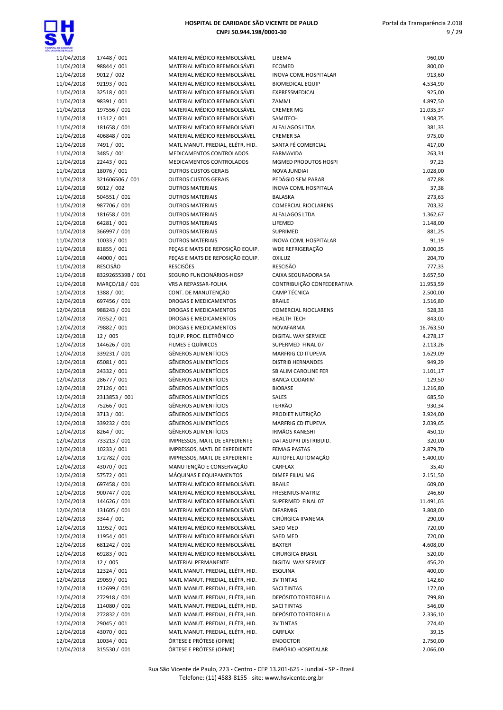

| 11/04/2018 | 17448 / 001       | MATERIAL MÉDICO REEMBOLSÁVEL     | LIBEMA                       | 960,00    |
|------------|-------------------|----------------------------------|------------------------------|-----------|
| 11/04/2018 | 98844 / 001       | MATERIAL MÉDICO REEMBOLSÁVEL     | <b>ECOMED</b>                | 800,00    |
| 11/04/2018 | 9012 / 002        | MATERIAL MÉDICO REEMBOLSÁVEL     | <b>INOVA COML HOSPITALAR</b> | 913,60    |
| 11/04/2018 | 92193 / 001       | MATERIAL MÉDICO REEMBOLSÁVEL     | <b>BIOMEDICAL EQUIP</b>      | 4.534,90  |
| 11/04/2018 | 32518 / 001       | MATERIAL MÉDICO REEMBOLSÁVEL     | EXPRESSMEDICAL               | 925,00    |
| 11/04/2018 | 98391 / 001       | MATERIAL MÉDICO REEMBOLSÁVEL     | ZAMMI                        | 4.897,50  |
| 11/04/2018 | 197556 / 001      | MATERIAL MÉDICO REEMBOLSÁVEL     | <b>CREMER MG</b>             | 11.035,37 |
| 11/04/2018 | 11312 / 001       | MATERIAL MÉDICO REEMBOLSÁVEL     | SAMITECH                     | 1.908,75  |
| 11/04/2018 | 181658 / 001      | MATERIAL MÉDICO REEMBOLSÁVEL     | ALFALAGOS LTDA               | 381,33    |
| 11/04/2018 | 406848 / 001      | MATERIAL MÉDICO REEMBOLSÁVEL     | <b>CREMER SA</b>             | 975,00    |
| 11/04/2018 | 7491 / 001        | MATL MANUT. PREDIAL, ELÉTR, HID. | SANTA FÉ COMERCIAL           | 417,00    |
| 11/04/2018 | 3485 / 001        | MEDICAMENTOS CONTROLADOS         | <b>FARMAVIDA</b>             | 263,31    |
| 11/04/2018 | 22443 / 001       | MEDICAMENTOS CONTROLADOS         | MGMED PRODUTOS HOSPI         | 97,23     |
| 11/04/2018 | 18076 / 001       | <b>OUTROS CUSTOS GERAIS</b>      | <b>NOVA JUNDIAI</b>          | 1.028,00  |
| 11/04/2018 | 321606506 / 001   | <b>OUTROS CUSTOS GERAIS</b>      | PEDÁGIO SEM PARAR            | 477,88    |
| 11/04/2018 | 9012 / 002        | <b>OUTROS MATERIAIS</b>          | <b>INOVA COML HOSPITALA</b>  | 37,38     |
| 11/04/2018 | 504551 / 001      | <b>OUTROS MATERIAIS</b>          | <b>BALASKA</b>               | 273,63    |
| 11/04/2018 | 987706 / 001      | <b>OUTROS MATERIAIS</b>          | <b>COMERCIAL RIOCLARENS</b>  | 703,32    |
| 11/04/2018 | 181658 / 001      | <b>OUTROS MATERIAIS</b>          | <b>ALFALAGOS LTDA</b>        | 1.362,67  |
| 11/04/2018 | 64281 / 001       | <b>OUTROS MATERIAIS</b>          | LIFEMED                      | 1.148,00  |
| 11/04/2018 | 366997 / 001      | <b>OUTROS MATERIAIS</b>          | SUPRIMED                     | 881,25    |
| 11/04/2018 | 10033 / 001       | <b>OUTROS MATERIAIS</b>          | <b>INOVA COML HOSPITALAR</b> | 91,19     |
| 11/04/2018 | 81855 / 001       | PEÇAS E MATS DE REPOSIÇÃO EQUIP. | WDE REFRIGERAÇÃO             | 3.000,35  |
| 11/04/2018 | 44000 / 001       | PEÇAS E MATS DE REPOSIÇÃO EQUIP. | OXILUZ                       | 204,70    |
| 11/04/2018 | <b>RESCISÃO</b>   | <b>RESCISÕES</b>                 | <b>RESCISÃO</b>              | 777,33    |
| 11/04/2018 | 8329265539B / 001 | SEGURO FUNCIONÁRIOS-HOSP         | CAIXA SEGURADORA SA          | 3.657,50  |
| 11/04/2018 | MARÇO/18 / 001    | VRS A REPASSAR-FOLHA             | CONTRIBUIÇÃO CONFEDERATIVA   | 11.953,59 |
| 12/04/2018 | 1388 / 001        | CONT. DE MANUTENÇÃO              | <b>CAMP TÉCNICA</b>          | 2.500,00  |
| 12/04/2018 | 697456 / 001      | DROGAS E MEDICAMENTOS            | <b>BRAILE</b>                | 1.516,80  |
| 12/04/2018 | 988243 / 001      | <b>DROGAS E MEDICAMENTOS</b>     | <b>COMERCIAL RIOCLARENS</b>  | 528,33    |
| 12/04/2018 | 70352 / 001       | DROGAS E MEDICAMENTOS            | <b>HEALTH TECH</b>           | 843,00    |
| 12/04/2018 | 79882 / 001       | DROGAS E MEDICAMENTOS            | <b>NOVAFARMA</b>             | 16.763,50 |
| 12/04/2018 | 12 / 005          | EQUIP. PROC. ELETRÔNICO          | DIGITAL WAY SERVICE          | 4.278,17  |
| 12/04/2018 | 144626 / 001      | FILMES E QUÍMICOS                | SUPERMED FINAL 07            | 2.113,26  |
| 12/04/2018 | 339231 / 001      | <b>GÊNEROS ALIMENTÍCIOS</b>      | MARFRIG CD ITUPEVA           | 1.629,09  |
| 12/04/2018 | 65081 / 001       | <b>GÊNEROS ALIMENTÍCIOS</b>      | <b>DISTRIB HERNANDES</b>     | 949,29    |
| 12/04/2018 | 24332 / 001       | <b>GÊNEROS ALIMENTÍCIOS</b>      | SB ALIM CAROLINE FER         | 1.101,17  |
| 12/04/2018 | 28677 / 001       | <b>GÊNEROS ALIMENTÍCIOS</b>      | <b>BANCA CODARIM</b>         | 129,50    |
| 12/04/2018 | 27126 / 001       | <b>GÊNEROS ALIMENTÍCIOS</b>      | <b>BIOBASE</b>               | 1.216,80  |
| 12/04/2018 | 2313853 / 001     | <b>GÊNEROS ALIMENTÍCIOS</b>      | SALES                        | 685,50    |
| 12/04/2018 | 75266 / 001       | <b>GÊNEROS ALIMENTÍCIOS</b>      | <b>TERRÃO</b>                | 930,34    |
| 12/04/2018 | 3713 / 001        | <b>GÊNEROS ALIMENTÍCIOS</b>      | PRODIET NUTRIÇÃO             | 3.924,00  |
| 12/04/2018 | 339232 / 001      | <b>GÊNEROS ALIMENTÍCIOS</b>      | <b>MARFRIG CD ITUPEVA</b>    | 2.039,65  |
| 12/04/2018 | 8264 / 001        | GÊNEROS ALIMENTÍCIOS             | <b>IRMÃOS KANESHI</b>        | 450,10    |
| 12/04/2018 | 733213 / 001      | IMPRESSOS, MATL DE EXPEDIENTE    | DATASUPRI DISTRIBUID.        | 320,00    |
| 12/04/2018 | 10233 / 001       | IMPRESSOS, MATL DE EXPEDIENTE    | <b>FEMAG PASTAS</b>          | 2.879,70  |
| 12/04/2018 | 172782 / 001      | IMPRESSOS, MATL DE EXPEDIENTE    | AUTOPEL AUTOMAÇÃO            | 5.400,00  |
| 12/04/2018 | 43070 / 001       | MANUTENÇÃO E CONSERVAÇÃO         | CARFLAX                      | 35,40     |
| 12/04/2018 | 57572 / 001       | MÁQUINAS E EQUIPAMENTOS          | DIMEP FILIAL MG              | 2.151,50  |
| 12/04/2018 | 697458 / 001      | MATERIAL MÉDICO REEMBOLSÁVEL     | <b>BRAILE</b>                | 609,00    |
| 12/04/2018 | 900747 / 001      | MATERIAL MÉDICO REEMBOLSÁVEL     | FRESENIUS-MATRIZ             | 246,60    |
| 12/04/2018 | 144626 / 001      | MATERIAL MÉDICO REEMBOLSÁVEL     | SUPERMED FINAL 07            | 11.491,03 |
| 12/04/2018 | 131605 / 001      | MATERIAL MÉDICO REEMBOLSÁVEL     | <b>DIFARMIG</b>              | 3.808,00  |
| 12/04/2018 | 3344 / 001        | MATERIAL MÉDICO REEMBOLSÁVEL     | CIRÚRGICA IPANEMA            | 290,00    |
| 12/04/2018 | 11952 / 001       | MATERIAL MÉDICO REEMBOLSÁVEL     | <b>SAED MED</b>              | 720,00    |
| 12/04/2018 | 11954 / 001       | MATERIAL MÉDICO REEMBOLSÁVEL     | SAED MED                     | 720,00    |
| 12/04/2018 | 681242 / 001      | MATERIAL MÉDICO REEMBOLSÁVEL     | <b>BAXTER</b>                | 4.608,00  |
| 12/04/2018 | 69283 / 001       | MATERIAL MÉDICO REEMBOLSÁVEL     | <b>CIRURGICA BRASIL</b>      | 520,00    |
| 12/04/2018 | 12 / 005          | MATERIAL PERMANENTE              | DIGITAL WAY SERVICE          | 456,20    |
| 12/04/2018 | 12324 / 001       | MATL MANUT. PREDIAL, ELÉTR, HID. | <b>ESQUINA</b>               | 400,00    |
| 12/04/2018 | 29059 / 001       | MATL MANUT. PREDIAL, ELÉTR, HID. | <b>3V TINTAS</b>             | 142,60    |
| 12/04/2018 | 112699 / 001      | MATL MANUT. PREDIAL, ELÉTR, HID. | <b>SACI TINTAS</b>           | 172,00    |
| 12/04/2018 | 272918 / 001      | MATL MANUT. PREDIAL, ELÉTR, HID. | DEPÓSITO TORTORELLA          | 799,80    |
| 12/04/2018 | 114080 / 001      | MATL MANUT. PREDIAL, ELÉTR, HID. | <b>SACI TINTAS</b>           | 546,00    |
| 12/04/2018 | 272832 / 001      | MATL MANUT. PREDIAL, ELÉTR, HID. | DEPÓSITO TORTORELLA          | 2.336,10  |
| 12/04/2018 | 29045 / 001       | MATL MANUT. PREDIAL, ELÉTR, HID. | <b>3V TINTAS</b>             | 274,40    |
| 12/04/2018 | 43070 / 001       | MATL MANUT. PREDIAL, ELÉTR, HID. | CARFLAX                      | 39,15     |
| 12/04/2018 | 10034 / 001       | ÓRTESE E PRÓTESE (OPME)          | <b>ENDOCTOR</b>              | 2.750,00  |
| 12/04/2018 | 315530 / 001      | ÓRTESE E PRÓTESE (OPME)          | EMPÓRIO HOSPITALAR           | 2.066,00  |
|            |                   |                                  |                              |           |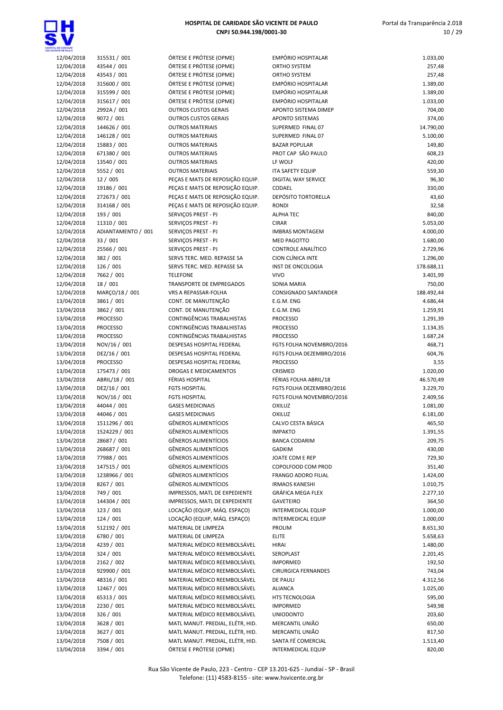

| TE CE SAILO             |                                 |                                      |
|-------------------------|---------------------------------|--------------------------------------|
| 2/04/2018               | 315531 / 001                    | ÓRTESE E PF                          |
| 2/04/2018               | 43544 / 001                     | ÓRTESE E PF                          |
| 2/04/2018               | 43543 / 001                     | ÓRTESE E PF                          |
| 2/04/2018               | 315600 / 001                    | ÓRTESE E PF                          |
| 2/04/2018               | 315599 / 001                    | ÓRTESE E PF<br>ÓRTESE E PF           |
| 2/04/2018               | 315617 / 001<br>2992A / 001     | <b>OUTROS CU</b>                     |
| 2/04/2018<br>2/04/2018  | 9072 / 001                      | <b>OUTROS CU</b>                     |
| 2/04/2018               | 144626 / 001                    | <b>OUTROS MA</b>                     |
| 2/04/2018               | 146128 / 001                    | <b>OUTROS MA</b>                     |
| 2/04/2018               | 15883 / 001                     | <b>OUTROS MA</b>                     |
| 2/04/2018               | 671380 / 001                    | <b>OUTROS MA</b>                     |
| 2/04/2018               | 13540 / 001                     | <b>OUTROS MA</b>                     |
| 2/04/2018               | 5552 / 001                      | <b>OUTROS MA</b>                     |
| 2/04/2018               | 12/005                          | PEÇAS E MA                           |
| 2/04/2018               | 19186 / 001                     | PEÇAS E MA                           |
| 2/04/2018               | 272673 / 001                    | PEÇAS E MA                           |
| 2/04/2018               | 314168 / 001                    | PEÇAS E MA                           |
| 2/04/2018               | 193 / 001                       | SERVIÇOS PF                          |
| 2/04/2018               | 11310 / 001                     | <b>SERVIÇOS PF</b>                   |
| 2/04/2018               | ADIANTAMENTO / 001              | SERVIÇOS PI                          |
| 2/04/2018               | 33 / 001                        | SERVIÇOS PF                          |
| 2/04/2018               | 25566 / 001                     | <b>SERVICOS PF</b>                   |
| 2/04/2018               | 382 / 001                       | <b>SERVS TERC.</b>                   |
| 2/04/2018               | 126 / 001                       | SERVS TERC.                          |
| 2/04/2018               | 7662 / 001                      | <b>TELEFONE</b>                      |
| 2/04/2018               | 18 / 001                        | <b>TRANSPORT</b>                     |
| 2/04/2018               | MARÇO/18 / 001                  | <b>VRS A REPAS</b>                   |
| 3/04/2018               | 3861 / 001                      | CONT. DE M                           |
| 3/04/2018               | 3862 / 001                      | CONT. DE M                           |
| 3/04/2018               | <b>PROCESSO</b>                 | CONTINGÊN                            |
| 3/04/2018               | <b>PROCESSO</b>                 | CONTINGÊN                            |
| 3/04/2018               | <b>PROCESSO</b>                 | CONTINGÊN                            |
| 3/04/2018               | NOV/16 / 001                    | <b>DESPESAS H</b>                    |
| 3/04/2018               | DEZ/16 / 001                    | <b>DESPESASH</b><br><b>DESPESASH</b> |
| 3/04/2018<br>3/04/2018  | <b>PROCESSO</b><br>175473 / 001 | DROGAS E N                           |
| 3/04/2018               | ABRIL/18 / 001                  | <b>FÉRIAS HOSI</b>                   |
| 3/04/2018               | DEZ/16 / 001                    | <b>FGTS HOSPI</b>                    |
| 3/04/2018               | NOV/16 / 001                    | <b>FGTS HOSPI</b>                    |
| 3/04/2018               | 44044 / 001                     | <b>GASES MEDI</b>                    |
| 3/04/2018               | 44046 / 001                     | <b>GASES MEDI</b>                    |
| 3/04/2018               | 1511296 / 001                   | <b>GÊNEROS AI</b>                    |
| .3/04/2018              | 1524229 / 001                   | <b>GÊNEROS AI</b>                    |
| 3/04/2018               | 28687 / 001                     | <b>GÊNEROS AI</b>                    |
| 3/04/2018               | 268687 / 001                    | <b>GÊNEROS AI</b>                    |
| 3/04/2018               | 77988 / 001                     | <b>GÊNEROS AI</b>                    |
| 3/04/2018               | 147515 / 001                    | <b>GÊNEROS AI</b>                    |
| 3/04/2018               | 1238966 / 001                   | <b>GÊNEROS AI</b>                    |
| 3/04/2018               | 8267 / 001                      | <b>GÊNEROS AI</b>                    |
| 3/04/2018               | 749 / 001                       | IMPRESSOS,                           |
| 3/04/2018               | 144304 / 001                    | IMPRESSOS,                           |
| 3/04/2018               | 123 / 001                       | LOCAÇÃO (E                           |
| 3/04/2018               | 124 / 001                       | LOCAÇÃO (E                           |
| 3/04/2018               | 512192 / 001                    | MATERIAL D                           |
| 3/04/2018               | 6780 / 001                      | <b>MATERIAL D</b>                    |
| 3/04/2018               | 4239 / 001                      | MATERIAL N                           |
| 3/04/2018               | 324 / 001                       | MATERIAL N                           |
| 3/04/2018               | 2162 / 002                      | MATERIAL N                           |
| 3/04/2018               | 929900 / 001                    | MATERIAL N                           |
| 3/04/2018               | 48316 / 001                     | MATERIAL N                           |
| 3/04/2018               | 12467 / 001                     | MATERIAL N                           |
| 3/04/2018               | 65313 / 001                     | MATERIAL N                           |
| .3/04/2018<br>3/04/2018 | 2230 / 001<br>326 / 001         | MATERIAL N<br>MATERIAL N             |
| 3/04/2018               | 3628 / 001                      | <b>MATL MANL</b>                     |
| 3/04/2018               | 3627 / 001                      | <b>MATL MANL</b>                     |
|                         |                                 |                                      |

| E E PRÓTESE (OPME)                                         | <b>EMPÓF</b>      |
|------------------------------------------------------------|-------------------|
| E E PRÓTESE (OPME)                                         | ORTHO             |
| E E PRÓTESE (OPME)                                         | ORTHC             |
| E E PRÓTESE (OPME)                                         | <b>EMPÓF</b>      |
| E E PRÓTESE (OPME)                                         | <b>EMPÓF</b>      |
| E E PRÓTESE (OPME)                                         | <b>EMPÓF</b>      |
| <b>DS CUSTOS GERAIS</b>                                    | <b>APONT</b>      |
| <b>DS CUSTOS GERAIS</b>                                    | <b>APONT</b>      |
| <b>OS MATERIAIS</b>                                        | <b>SUPER</b>      |
| <b>OS MATERIAIS</b>                                        | <b>SUPER</b>      |
| <b>OS MATERIAIS</b>                                        | <b>BAZAR</b>      |
| <b>OS MATERIAIS</b>                                        | PROT O            |
| <b>OS MATERIAIS</b>                                        | LF WO             |
| <b>OS MATERIAIS</b>                                        | <b>ITA SAI</b>    |
| E MATS DE REPOSIÇÃO EQUIP.                                 | <b>DIGITA</b>     |
| E MATS DE REPOSIÇÃO EQUIP.                                 | CODAE             |
| E MATS DE REPOSIÇÃO EQUIP.                                 | <b>DEPÓS</b>      |
| E MATS DE REPOSIÇÃO EQUIP.                                 | <b>RONDI</b>      |
| OS PREST - PJ                                              | <b>ALPHA</b>      |
| <b>COS PREST - PJ</b>                                      | <b>CIRAR</b>      |
| OS PREST - PJ                                              | <b>IMBRA</b>      |
| OS PREST - PJ                                              | MED <sub>P</sub>  |
| <b>COS PREST - PJ</b>                                      | CONTR             |
| TERC. MED. REPASSE SA                                      | CION <sub>C</sub> |
| TERC. MED. REPASSE SA                                      | <b>INST D</b>     |
| ONE                                                        | VIVO              |
| PORTE DE EMPREGADOS                                        | SONIA             |
| REPASSAR-FOLHA                                             | <b>CONSI</b>      |
| DE MANUTENÇÃO                                              | E.G.M.            |
| DE MANUTENÇÃO                                              | E.G.M.            |
| NGÊNCIAS TRABALHISTAS                                      | <b>PROCE</b>      |
| NGÊNCIAS TRABALHISTAS                                      | <b>PROCE</b>      |
| NGÊNCIAS TRABALHISTAS                                      | <b>PROCE</b>      |
| SAS HOSPITAL FEDERAL                                       | <b>FGTSF</b>      |
| SAS HOSPITAL FEDERAL                                       | <b>FGTSF</b>      |
| SAS HOSPITAL FEDERAL                                       | <b>PROCE</b>      |
| AS E MEDICAMENTOS                                          | <b>CRISMI</b>     |
| HOSPITAL                                                   | FÉRIAS            |
| <b>IOSPITAL</b>                                            | <b>FGTSF</b>      |
| <b>IOSPITAL</b>                                            | <b>FGTSF</b>      |
| <b>MEDICINAIS</b>                                          | <b>OXILUZ</b>     |
| <b>MEDICINAIS</b>                                          | <b>OXILUZ</b>     |
| ≀OS ALIMENTÍCIOS                                           | CALVO             |
| ≀OS ALIMENTÍCIOS                                           | <b>IMPAK</b>      |
| ≀OS ALIMENTÍCIOS                                           | <b>BANCA</b>      |
| OS ALIMENTÍCIOS                                            | <b>GADKII</b>     |
| ≀OS ALIMENTÍCIOS                                           | <b>JOATE</b>      |
| ≀OS ALIMENTÍCIOS                                           | COPOL             |
| OS ALIMENTÍCIOS                                            | <b>FRANG</b>      |
| ≀OS ALIMENTÍCIOS                                           | <b>IRMAO</b>      |
| SSOS, MATL DE EXPEDIENTE                                   | GRÁFIO            |
| SSOS, MATL DE EXPEDIENTE                                   | GAVET             |
| ÃO (EQUIP, MÁQ. ESPAÇO)                                    | <b>INTERN</b>     |
| ÃO (EQUIP, MÁQ. ESPAÇO)                                    | <b>INTERN</b>     |
| RIAL DE LIMPEZA                                            | <b>PROLIN</b>     |
| RIAL DE LIMPEZA                                            | <b>ELITE</b>      |
| RIAL MÉDICO REEMBOLSÁVEL                                   | HIRAI             |
| RIAL MÉDICO REEMBOLSÁVEL                                   | <b>SEROP</b>      |
| RIAL MÉDICO REEMBOLSÁVEL                                   | <b>IMPOR</b>      |
| RIAL MÉDICO REEMBOLSÁVEL                                   | <b>CIRURO</b>     |
| RIAL MÉDICO REEMBOLSÁVEL                                   | DE PAL            |
| RIAL MÉDICO REEMBOLSÁVEL                                   | <b>ALIAN</b>      |
| RIAL MÉDICO REEMBOLSÁVEL                                   | HTS TE            |
| RIAL MÉDICO REEMBOLSÁVEL                                   | <b>IMPOR</b>      |
| RIAL MÉDICO REEMBOLSÁVEL                                   | <b>UNIOD</b>      |
| MANUT. PREDIAL, ELÉTR, HID.                                |                   |
|                                                            | <b>MERCA</b>      |
| MANUT. PREDIAL, ELÉTR, HID.<br>MANUT. PREDIAL. ELÉTR. HID. | <b>MERCA</b>      |

| A, DE GANDADE<br>Ente de Pauló |                           |                                                                      |                                      |                    |
|--------------------------------|---------------------------|----------------------------------------------------------------------|--------------------------------------|--------------------|
| 12/04/2018                     | 315531 / 001              | ÓRTESE E PRÓTESE (OPME)                                              | EMPÓRIO HOSPITALAR                   | 1.033,00           |
| 12/04/2018                     | 43544 / 001               | ÓRTESE E PRÓTESE (OPME)                                              | ORTHO SYSTEM                         | 257,48             |
| 12/04/2018                     | 43543 / 001               | ÓRTESE E PRÓTESE (OPME)                                              | <b>ORTHO SYSTEM</b>                  | 257,48             |
| 12/04/2018                     | 315600 / 001              | ÓRTESE E PRÓTESE (OPME)                                              | EMPÓRIO HOSPITALAR                   | 1.389,00           |
| 12/04/2018                     | 315599 / 001              | ÓRTESE E PRÓTESE (OPME)                                              | EMPÓRIO HOSPITALAR                   | 1.389,00           |
| 12/04/2018                     | 315617 / 001              | ÓRTESE E PRÓTESE (OPME)                                              | <b>EMPÓRIO HOSPITALAR</b>            | 1.033,00           |
| 12/04/2018                     | 2992A / 001               | <b>OUTROS CUSTOS GERAIS</b>                                          | APONTO SISTEMA DIMEP                 | 704,00             |
| 12/04/2018                     | 9072 / 001                | <b>OUTROS CUSTOS GERAIS</b>                                          | APONTO SISTEMAS                      | 374,00             |
| 12/04/2018                     | 144626 / 001              | <b>OUTROS MATERIAIS</b>                                              | SUPERMED FINAL 07                    | 14.790,00          |
| 12/04/2018                     | 146128 / 001              | <b>OUTROS MATERIAIS</b>                                              | SUPERMED FINAL 07                    | 5.100,00           |
| 12/04/2018                     | 15883 / 001               | <b>OUTROS MATERIAIS</b>                                              | <b>BAZAR POPULAR</b>                 | 149,80             |
| 12/04/2018                     | 671380 / 001              | <b>OUTROS MATERIAIS</b>                                              | PROT CAP SÃO PAULO                   | 608,23             |
| 12/04/2018                     | 13540 / 001               | <b>OUTROS MATERIAIS</b>                                              | LF WOLF                              | 420,00             |
| 12/04/2018                     | 5552 / 001                | <b>OUTROS MATERIAIS</b>                                              | <b>ITA SAFETY EQUIP</b>              | 559,30             |
| 12/04/2018                     | 12 / 005                  | PEÇAS E MATS DE REPOSIÇÃO EQUIP.                                     | DIGITAL WAY SERVICE                  | 96,30              |
| 12/04/2018                     | 19186 / 001               | PEÇAS E MATS DE REPOSIÇÃO EQUIP.<br>PEÇAS E MATS DE REPOSIÇÃO EQUIP. | CODAEL<br><b>DEPÓSITO TORTORELLA</b> | 330,00             |
| 12/04/2018                     | 272673 / 001              |                                                                      |                                      | 43,60              |
| 12/04/2018<br>12/04/2018       | 314168 / 001<br>193 / 001 | PEÇAS E MATS DE REPOSIÇÃO EQUIP.<br>SERVIÇOS PREST - PJ              | <b>RONDI</b><br><b>ALPHA TEC</b>     | 32,58              |
| 12/04/2018                     | 11310 / 001               |                                                                      | <b>CIRAR</b>                         | 840,00<br>5.053,00 |
| 12/04/2018                     | ADIANTAMENTO / 001        | SERVIÇOS PREST - PJ<br>SERVIÇOS PREST - PJ                           | <b>IMBRAS MONTAGEM</b>               | 4.000,00           |
|                                | 33 / 001                  |                                                                      | <b>MED PAGOTTO</b>                   | 1.680,00           |
| 12/04/2018<br>12/04/2018       | 25566 / 001               | SERVIÇOS PREST - PJ<br>SERVIÇOS PREST - PJ                           | CONTROLE ANALÍTICO                   | 2.729,96           |
| 12/04/2018                     | 382 / 001                 | SERVS TERC. MED. REPASSE SA                                          | CION CLÍNICA INTE                    | 1.296,00           |
|                                | 126 / 001                 | SERVS TERC. MED. REPASSE SA                                          | <b>INST DE ONCOLOGIA</b>             | 178.688,11         |
| 12/04/2018<br>12/04/2018       | 7662 / 001                | <b>TELEFONE</b>                                                      | <b>VIVO</b>                          | 3.401,99           |
| 12/04/2018                     | 18 / 001                  | <b>TRANSPORTE DE EMPREGADOS</b>                                      | <b>SONIA MARIA</b>                   | 750,00             |
| 12/04/2018                     | MARÇO/18 / 001            | VRS A REPASSAR-FOLHA                                                 | CONSIGNADO SANTANDER                 | 188.492,44         |
| 13/04/2018                     | 3861 / 001                | CONT. DE MANUTENÇÃO                                                  | E.G.M. ENG                           | 4.686,44           |
| 13/04/2018                     | 3862 / 001                | CONT. DE MANUTENÇÃO                                                  | E.G.M. ENG                           | 1.259,91           |
| 13/04/2018                     | <b>PROCESSO</b>           | CONTINGÊNCIAS TRABALHISTAS                                           | <b>PROCESSO</b>                      | 1.291,39           |
| 13/04/2018                     | <b>PROCESSO</b>           | CONTINGÊNCIAS TRABALHISTAS                                           | <b>PROCESSO</b>                      | 1.134,35           |
| 13/04/2018                     | <b>PROCESSO</b>           | CONTINGÊNCIAS TRABALHISTAS                                           | <b>PROCESSO</b>                      | 1.687,24           |
| 13/04/2018                     | NOV/16 / 001              | DESPESAS HOSPITAL FEDERAL                                            | FGTS FOLHA NOVEMBRO/2016             | 468,71             |
| 13/04/2018                     | DEZ/16 / 001              | DESPESAS HOSPITAL FEDERAL                                            | FGTS FOLHA DEZEMBRO/2016             | 604,76             |
| 13/04/2018                     | <b>PROCESSO</b>           | DESPESAS HOSPITAL FEDERAL                                            | <b>PROCESSO</b>                      | 3,55               |
| 13/04/2018                     | 175473 / 001              | <b>DROGAS E MEDICAMENTOS</b>                                         | CRISMED                              | 1.020,00           |
| 13/04/2018                     | ABRIL/18 / 001            | FÉRIAS HOSPITAL                                                      | FÉRIAS FOLHA ABRIL/18                | 46.570,49          |
| 13/04/2018                     | DEZ/16 / 001              | <b>FGTS HOSPITAL</b>                                                 | FGTS FOLHA DEZEMBRO/2016             | 3.229,70           |
| 13/04/2018                     | NOV/16 / 001              | <b>FGTS HOSPITAL</b>                                                 | FGTS FOLHA NOVEMBRO/2016             | 2.409,56           |
| 13/04/2018                     | 44044 / 001               | <b>GASES MEDICINAIS</b>                                              | OXILUZ                               | 1.081,00           |
| 13/04/2018                     | 44046 / 001               | <b>GASES MEDICINAIS</b>                                              | <b>OXILUZ</b>                        | 6.181,00           |
| 13/04/2018                     | 1511296 / 001             | GÊNEROS ALIMENTÍCIOS                                                 | CALVO CESTA BÁSICA                   | 465,50             |
| 13/04/2018                     | 1524229 / 001             | GÊNEROS ALIMENTÍCIOS                                                 | <b>IMPAKTO</b>                       | 1.391,55           |
| 13/04/2018                     | 28687 / 001               | GÊNEROS ALIMENTÍCIOS                                                 | <b>BANCA CODARIM</b>                 | 209,75             |
| 13/04/2018                     | 268687 / 001              | GÊNEROS ALIMENTÍCIOS                                                 | <b>GADKIM</b>                        | 430,00             |
| 13/04/2018                     | 77988 / 001               | GÊNEROS ALIMENTÍCIOS                                                 | JOATE COM E REP                      | 729,30             |
| 13/04/2018                     | 147515 / 001              | GÊNEROS ALIMENTÍCIOS                                                 | COPOLFOOD COM PROD                   | 351,40             |
| 13/04/2018                     | 1238966 / 001             | GÊNEROS ALIMENTÍCIOS                                                 | FRANGO ADORO FILIAL                  | 1.424,00           |
| 13/04/2018                     | 8267 / 001                | GÊNEROS ALIMENTÍCIOS                                                 | <b>IRMAOS KANESHI</b>                | 1.010,75           |
| 13/04/2018                     | 749 / 001                 | IMPRESSOS, MATL DE EXPEDIENTE                                        | <b>GRÁFICA MEGA FLEX</b>             | 2.277,10           |
| 13/04/2018                     | 144304 / 001              | IMPRESSOS, MATL DE EXPEDIENTE                                        | <b>GAVETEIRO</b>                     | 364,50             |
| 13/04/2018                     | 123 / 001                 | LOCAÇÃO (EQUIP, MÁQ. ESPAÇO)                                         | INTERMEDICAL EQUIP                   | 1.000,00           |
| 13/04/2018                     | 124/001                   | LOCAÇÃO (EQUIP, MÁQ. ESPAÇO)                                         | INTERMEDICAL EQUIP                   | 1.000,00           |
| 13/04/2018                     | 512192 / 001              | MATERIAL DE LIMPEZA                                                  | PROLIM                               | 8.651,30           |
| 13/04/2018                     | 6780 / 001                | MATERIAL DE LIMPEZA                                                  | <b>ELITE</b>                         | 5.658,63           |
| 13/04/2018                     | 4239 / 001                | MATERIAL MÉDICO REEMBOLSÁVEL                                         | <b>HIRAI</b>                         | 1.480,00           |
| 13/04/2018                     | 324 / 001                 | MATERIAL MÉDICO REEMBOLSÁVEL                                         | SEROPLAST                            | 2.201,45           |
| 13/04/2018                     | 2162 / 002                | MATERIAL MÉDICO REEMBOLSÁVEL                                         | <b>IMPORMED</b>                      | 192,50             |
| 13/04/2018                     | 929900 / 001              | MATERIAL MÉDICO REEMBOLSÁVEL                                         | <b>CIRURGICA FERNANDES</b>           | 743,04             |
| 13/04/2018                     | 48316 / 001               | MATERIAL MÉDICO REEMBOLSÁVEL                                         | DE PAULI                             | 4.312,56           |
| 13/04/2018                     | 12467 / 001               | MATERIAL MÉDICO REEMBOLSÁVEL                                         | <b>ALIANCA</b>                       | 1.025,00           |
| 13/04/2018                     | 65313 / 001               | MATERIAL MÉDICO REEMBOLSÁVEL                                         | HTS TECNOLOGIA                       | 595,00             |
| 13/04/2018                     | 2230 / 001                | MATERIAL MÉDICO REEMBOLSÁVEL                                         | <b>IMPORMED</b>                      | 549,98             |
| 13/04/2018                     | 326 / 001                 | MATERIAL MÉDICO REEMBOLSÁVEL                                         | <b>UNIODONTO</b>                     | 203,60             |
| 13/04/2018                     | 3628 / 001                | MATL MANUT. PREDIAL, ELÉTR, HID.                                     | MERCANTIL UNIÃO                      | 650,00             |
| 13/04/2018                     | 3627 / 001                | MATL MANUT. PREDIAL, ELÉTR, HID.                                     | MERCANTIL UNIÃO                      | 817,50             |
| 13/04/2018                     | 7508 / 001                | MATL MANUT. PREDIAL, ELÉTR, HID.                                     | SANTA FÉ COMERCIAL                   | 1.513,40           |
| 13/04/2018                     | 3394 / 001                | ÓRTESE E PRÓTESE (OPME)                                              | INTERMEDICAL EQUIP                   | 820,00             |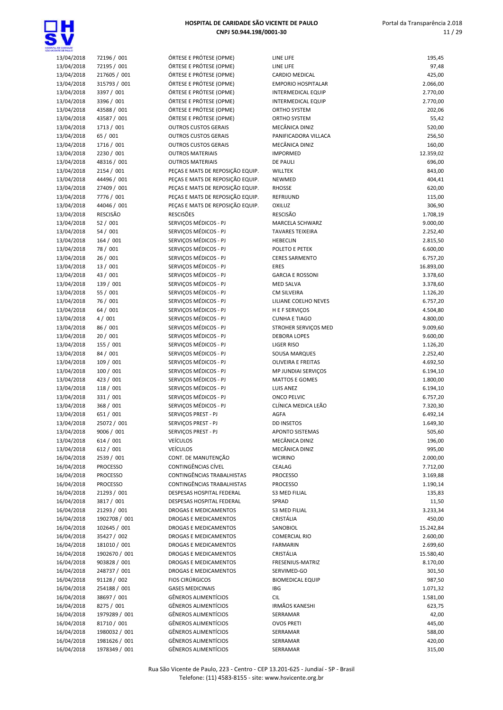

| <b><i>SMTE CE SHILLO</i></b> |                 |                                  |                           |           |
|------------------------------|-----------------|----------------------------------|---------------------------|-----------|
| 13/04/2018                   | 72196 / 001     | ÓRTESE E PRÓTESE (OPME)          | LINE LIFE                 | 195,45    |
| 13/04/2018                   | 72195 / 001     | ÓRTESE E PRÓTESE (OPME)          | LINE LIFE                 | 97,48     |
| 13/04/2018                   | 217605 / 001    | ÓRTESE E PRÓTESE (OPME)          | CARDIO MEDICAL            | 425,00    |
| 13/04/2018                   | 315793 / 001    | ÓRTESE E PRÓTESE (OPME)          | <b>EMPORIO HOSPITALAR</b> | 2.066,00  |
| 13/04/2018                   | 3397 / 001      | ÓRTESE E PRÓTESE (OPME)          | INTERMEDICAL EQUIP        | 2.770,00  |
| 13/04/2018                   | 3396 / 001      | ÓRTESE E PRÓTESE (OPME)          | <b>INTERMEDICAL EQUIP</b> | 2.770,00  |
| 13/04/2018                   | 43588 / 001     | ÓRTESE E PRÓTESE (OPME)          | <b>ORTHO SYSTEM</b>       | 202,06    |
| 13/04/2018                   | 43587 / 001     | ÓRTESE E PRÓTESE (OPME)          | ORTHO SYSTEM              | 55,42     |
| 13/04/2018                   | 1713 / 001      | <b>OUTROS CUSTOS GERAIS</b>      | MECÂNICA DINIZ            | 520,00    |
| 13/04/2018                   | 65 / 001        | <b>OUTROS CUSTOS GERAIS</b>      | PANIFICADORA VILLACA      | 256,50    |
| 13/04/2018                   | 1716 / 001      | <b>OUTROS CUSTOS GERAIS</b>      | MECÂNICA DINIZ            | 160,00    |
| 13/04/2018                   | 2230 / 001      | <b>OUTROS MATERIAIS</b>          | <b>IMPORMED</b>           | 12.359,02 |
|                              |                 |                                  |                           |           |
| 13/04/2018                   | 48316 / 001     | <b>OUTROS MATERIAIS</b>          | DE PAULI                  | 696,00    |
| 13/04/2018                   | 2154 / 001      | PEÇAS E MATS DE REPOSIÇÃO EQUIP. | <b>WILLTEK</b>            | 843,00    |
| 13/04/2018                   | 44496 / 001     | PEÇAS E MATS DE REPOSIÇÃO EQUIP. | NEWMED                    | 404,41    |
| 13/04/2018                   | 27409 / 001     | PEÇAS E MATS DE REPOSIÇÃO EQUIP. | <b>RHOSSE</b>             | 620,00    |
| 13/04/2018                   | 7776 / 001      | PEÇAS E MATS DE REPOSIÇÃO EQUIP. | REFRIJUND                 | 115,00    |
| 13/04/2018                   | 44046 / 001     | PEÇAS E MATS DE REPOSIÇÃO EQUIP. | OXILUZ                    | 306,90    |
| 13/04/2018                   | RESCISÃO        | <b>RESCISÕES</b>                 | <b>RESCISÃO</b>           | 1.708,19  |
| 13/04/2018                   | 52 / 001        | SERVIÇOS MÉDICOS - PJ            | MARCELA SCHWARZ           | 9.000,00  |
| 13/04/2018                   | 54 / 001        | SERVIÇOS MÉDICOS - PJ            | <b>TAVARES TEIXEIRA</b>   | 2.252,40  |
| 13/04/2018                   | 164 / 001       | SERVICOS MÉDICOS - PJ            | <b>HEBECLIN</b>           | 2.815,50  |
| 13/04/2018                   | 78 / 001        | SERVIÇOS MÉDICOS - PJ            | POLETO E PETEK            | 6.600,00  |
| 13/04/2018                   | 26 / 001        | SERVIÇOS MÉDICOS - PJ            | <b>CERES SARMENTO</b>     | 6.757,20  |
| 13/04/2018                   | 13 / 001        | SERVIÇOS MÉDICOS - PJ            | <b>ERES</b>               | 16.893,00 |
| 13/04/2018                   | 43 / 001        | SERVIÇOS MÉDICOS - PJ            | <b>GARCIA E ROSSONI</b>   | 3.378,60  |
| 13/04/2018                   | 139 / 001       | SERVIÇOS MÉDICOS - PJ            | <b>MED SALVA</b>          | 3.378,60  |
| 13/04/2018                   | 55 / 001        | SERVIÇOS MÉDICOS - PJ            | <b>CM SILVEIRA</b>        | 1.126,20  |
| 13/04/2018                   | 76 / 001        | SERVIÇOS MÉDICOS - PJ            | LILIANE COELHO NEVES      | 6.757,20  |
| 13/04/2018                   | 64 / 001        | SERVIÇOS MÉDICOS - PJ            | H E F SERVIÇOS            | 4.504,80  |
| 13/04/2018                   | 4/001           | SERVIÇOS MÉDICOS - PJ            | <b>CUNHA E TIAGO</b>      | 4.800,00  |
| 13/04/2018                   | 86 / 001        | SERVIÇOS MÉDICOS - PJ            | STROHER SERVIÇOS MED      | 9.009,60  |
| 13/04/2018                   | 20 / 001        | SERVIÇOS MÉDICOS - PJ            | <b>DEBORA LOPES</b>       | 9.600,00  |
| 13/04/2018                   | 155 / 001       | SERVIÇOS MÉDICOS - PJ            | <b>LIGER RISO</b>         | 1.126,20  |
| 13/04/2018                   | 84 / 001        | SERVIÇOS MÉDICOS - PJ            | SOUSA MARQUES             | 2.252,40  |
|                              | 109 / 001       | SERVIÇOS MÉDICOS - PJ            | OLIVEIRA E FREITAS        |           |
| 13/04/2018                   |                 |                                  |                           | 4.692,50  |
| 13/04/2018                   | 100 / 001       | SERVIÇOS MÉDICOS - PJ            | MP JUNDIAI SERVIÇOS       | 6.194,10  |
| 13/04/2018                   | 423 / 001       | SERVICOS MÉDICOS - PJ            | <b>MATTOS E GOMES</b>     | 1.800,00  |
| 13/04/2018                   | 118 / 001       | SERVICOS MÉDICOS - PJ            | LUIS ANEZ                 | 6.194,10  |
| 13/04/2018                   | 331 / 001       | SERVIÇOS MÉDICOS - PJ            | <b>ONCO PELVIC</b>        | 6.757,20  |
| 13/04/2018                   | 368 / 001       | SERVIÇOS MÉDICOS - PJ            | CLÍNICA MEDICA LEÃO       | 7.320,30  |
| 13/04/2018                   | 651 / 001       | SERVIÇOS PREST - PJ              | AGFA                      | 6.492,14  |
| 13/04/2018                   | 25072 / 001     | SERVIÇOS PREST - PJ              | <b>DD INSETOS</b>         | 1.649,30  |
| 13/04/2018                   | 9006 / 001      | SERVIÇOS PREST - PJ              | <b>APONTO SISTEMAS</b>    | 505,60    |
| 13/04/2018                   | 614 / 001       | <b>VEÍCULOS</b>                  | MECÂNICA DINIZ            | 196,00    |
| 13/04/2018                   | 612 / 001       | <b>VEÍCULOS</b>                  | MECÂNICA DINIZ            | 995,00    |
| 16/04/2018                   | 2539 / 001      | CONT. DE MANUTENÇÃO              | <b>WCIRINO</b>            | 2.000,00  |
| 16/04/2018                   | <b>PROCESSO</b> | CONTINGÊNCIAS CÍVEL              | CEALAG                    | 7.712,00  |
| 16/04/2018                   | <b>PROCESSO</b> | CONTINGÊNCIAS TRABALHISTAS       | <b>PROCESSO</b>           | 3.169,88  |
| 16/04/2018                   | <b>PROCESSO</b> | CONTINGÊNCIAS TRABALHISTAS       | <b>PROCESSO</b>           | 1.190,14  |
| 16/04/2018                   | 21293 / 001     | DESPESAS HOSPITAL FEDERAL        | <b>S3 MED FILIAL</b>      | 135,83    |
| 16/04/2018                   | 3817 / 001      | DESPESAS HOSPITAL FEDERAL        | SPRAD                     | 11,50     |
| 16/04/2018                   | 21293 / 001     | DROGAS E MEDICAMENTOS            | S3 MED FILIAL             | 3.233,34  |
| 16/04/2018                   | 1902708 / 001   | DROGAS E MEDICAMENTOS            | CRISTÁLIA                 | 450,00    |
| 16/04/2018                   | 102645 / 001    | DROGAS E MEDICAMENTOS            | SANOBIOL                  | 15.242,84 |
| 16/04/2018                   | 35427 / 002     | DROGAS E MEDICAMENTOS            | <b>COMERCIAL RIO</b>      | 2.600,00  |
| 16/04/2018                   | 181010 / 001    | DROGAS E MEDICAMENTOS            | <b>FARMARIN</b>           | 2.699,60  |
| 16/04/2018                   | 1902670 / 001   | DROGAS E MEDICAMENTOS            | CRISTÁLIA                 | 15.580,40 |
|                              |                 |                                  |                           |           |
| 16/04/2018                   | 903828 / 001    | DROGAS E MEDICAMENTOS            | FRESENIUS-MATRIZ          | 8.170,00  |
| 16/04/2018                   | 248737 / 001    | DROGAS E MEDICAMENTOS            | SERVIMED-GO               | 301,50    |
| 16/04/2018                   | 91128 / 002     | <b>FIOS CIRÚRGICOS</b>           | <b>BIOMEDICAL EQUIP</b>   | 987,50    |
| 16/04/2018                   | 254188 / 001    | <b>GASES MEDICINAIS</b>          | IBG                       | 1.071,32  |
| 16/04/2018                   | 38697 / 001     | GÊNEROS ALIMENTÍCIOS             | <b>CIL</b>                | 1.581,00  |
| 16/04/2018                   | 8275 / 001      | GÊNEROS ALIMENTÍCIOS             | <b>IRMÃOS KANESHI</b>     | 623,75    |
| 16/04/2018                   | 1979289 / 001   | GÊNEROS ALIMENTÍCIOS             | SERRAMAR                  | 42,00     |
| 16/04/2018                   | 81710 / 001     | GÊNEROS ALIMENTÍCIOS             | <b>OVOS PRETI</b>         | 445,00    |
| 16/04/2018                   | 1980032 / 001   | GÊNEROS ALIMENTÍCIOS             | SERRAMAR                  | 588,00    |
| 16/04/2018                   | 1981626 / 001   | GÊNEROS ALIMENTÍCIOS             | SERRAMAR                  | 420,00    |
| 16/04/2018                   | 1978349 / 001   | GÊNEROS ALIMENTÍCIOS             | SERRAMAR                  | 315,00    |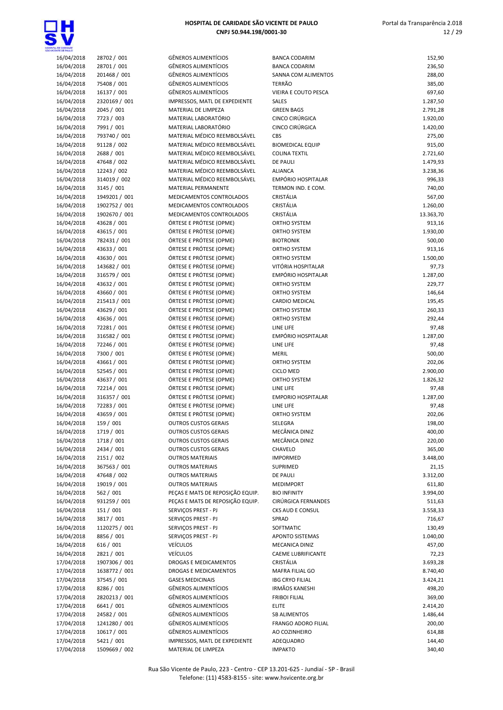

| 16/04/2018 | 28702 / 001   | <b>GÊNEROS ALIMENTÍCIOS</b>      | <b>BANCA CODARIM</b>      | 152,90    |
|------------|---------------|----------------------------------|---------------------------|-----------|
| 16/04/2018 | 28701 / 001   | <b>GÊNEROS ALIMENTÍCIOS</b>      | <b>BANCA CODARIM</b>      | 236,50    |
| 16/04/2018 | 201468 / 001  | <b>GÊNEROS ALIMENTÍCIOS</b>      | SANNA COM ALIMENTOS       | 288,00    |
| 16/04/2018 | 75408 / 001   | <b>GÊNEROS ALIMENTÍCIOS</b>      | <b>TERRÃO</b>             | 385,00    |
| 16/04/2018 | 16137 / 001   | <b>GÊNEROS ALIMENTÍCIOS</b>      | VIEIRA E COUTO PESCA      | 697,60    |
| 16/04/2018 | 2320169 / 001 | IMPRESSOS, MATL DE EXPEDIENTE    | <b>SALES</b>              | 1.287,50  |
| 16/04/2018 | 2045 / 001    | MATERIAL DE LIMPEZA              | <b>GREEN BAGS</b>         | 2.791,28  |
| 16/04/2018 | 7723 / 003    | MATERIAL LABORATÓRIO             | CINCO CIRÚRGICA           | 1.920,00  |
| 16/04/2018 | 7991 / 001    | MATERIAL LABORATÓRIO             | CINCO CIRÚRGICA           | 1.420,00  |
|            | 793740 / 001  | MATERIAL MÉDICO REEMBOLSÁVEL     | CBS                       |           |
| 16/04/2018 |               |                                  |                           | 275,00    |
| 16/04/2018 | 91128 / 002   | MATERIAL MÉDICO REEMBOLSÁVEL     | <b>BIOMEDICAL EQUIP</b>   | 915,00    |
| 16/04/2018 | 2688 / 001    | MATERIAL MÉDICO REEMBOLSÁVEL     | <b>COLINA TEXTIL</b>      | 2.721,60  |
| 16/04/2018 | 47648 / 002   | MATERIAL MÉDICO REEMBOLSÁVEL     | DE PAULI                  | 1.479,93  |
| 16/04/2018 | 12243 / 002   | MATERIAL MÉDICO REEMBOLSÁVEL     | <b>ALIANCA</b>            | 3.238,36  |
| 16/04/2018 | 314019 / 002  | MATERIAL MÉDICO REEMBOLSÁVEL     | <b>EMPÓRIO HOSPITALAR</b> | 996,33    |
| 16/04/2018 | 3145 / 001    | MATERIAL PERMANENTE              | TERMON IND. E COM.        | 740,00    |
| 16/04/2018 | 1949201 / 001 | MEDICAMENTOS CONTROLADOS         | CRISTÁLIA                 | 567,00    |
| 16/04/2018 | 1902752 / 001 | MEDICAMENTOS CONTROLADOS         | CRISTÁLIA                 | 1.260,00  |
| 16/04/2018 | 1902670 / 001 | MEDICAMENTOS CONTROLADOS         | CRISTÁLIA                 | 13.363,70 |
| 16/04/2018 | 43628 / 001   | ÓRTESE E PRÓTESE (OPME)          | ORTHO SYSTEM              | 913,16    |
| 16/04/2018 | 43615 / 001   | ÓRTESE E PRÓTESE (OPME)          | ORTHO SYSTEM              | 1.930,00  |
| 16/04/2018 | 782431 / 001  | ÓRTESE E PRÓTESE (OPME)          | <b>BIOTRONIK</b>          | 500,00    |
| 16/04/2018 | 43633 / 001   | ÓRTESE E PRÓTESE (OPME)          | ORTHO SYSTEM              | 913,16    |
| 16/04/2018 | 43630 / 001   | ÓRTESE E PRÓTESE (OPME)          | <b>ORTHO SYSTEM</b>       | 1.500,00  |
| 16/04/2018 | 143682 / 001  | ÓRTESE E PRÓTESE (OPME)          | VITÓRIA HOSPITALAR        | 97,73     |
| 16/04/2018 | 316579 / 001  | ÓRTESE E PRÓTESE (OPME)          | <b>EMPÓRIO HOSPITALAR</b> | 1.287,00  |
|            |               |                                  | <b>ORTHO SYSTEM</b>       |           |
| 16/04/2018 | 43632 / 001   | ÓRTESE E PRÓTESE (OPME)          |                           | 229,77    |
| 16/04/2018 | 43660 / 001   | ÓRTESE E PRÓTESE (OPME)          | ORTHO SYSTEM              | 146,64    |
| 16/04/2018 | 215413 / 001  | ÓRTESE E PRÓTESE (OPME)          | CARDIO MEDICAL            | 195,45    |
| 16/04/2018 | 43629 / 001   | ÓRTESE E PRÓTESE (OPME)          | ORTHO SYSTEM              | 260,33    |
| 16/04/2018 | 43636 / 001   | ÓRTESE E PRÓTESE (OPME)          | ORTHO SYSTEM              | 292,44    |
| 16/04/2018 | 72281 / 001   | ÓRTESE E PRÓTESE (OPME)          | LINE LIFE                 | 97,48     |
| 16/04/2018 | 316582 / 001  | ÓRTESE E PRÓTESE (OPME)          | <b>EMPÓRIO HOSPITALAR</b> | 1.287,00  |
| 16/04/2018 | 72246 / 001   | ÓRTESE E PRÓTESE (OPME)          | LINE LIFE                 | 97,48     |
| 16/04/2018 | 7300 / 001    | ÓRTESE E PRÓTESE (OPME)          | <b>MERIL</b>              | 500,00    |
| 16/04/2018 | 43661 / 001   | ÓRTESE E PRÓTESE (OPME)          | ORTHO SYSTEM              | 202,06    |
| 16/04/2018 | 52545 / 001   | ÓRTESE E PRÓTESE (OPME)          | <b>CICLO MED</b>          | 2.900,00  |
| 16/04/2018 | 43637 / 001   | ÓRTESE E PRÓTESE (OPME)          | ORTHO SYSTEM              | 1.826,32  |
| 16/04/2018 | 72214 / 001   | ÓRTESE E PRÓTESE (OPME)          | LINE LIFE                 | 97,48     |
| 16/04/2018 | 316357 / 001  | ÓRTESE E PRÓTESE (OPME)          | <b>EMPORIO HOSPITALAR</b> | 1.287,00  |
| 16/04/2018 | 72283 / 001   | ÓRTESE E PRÓTESE (OPME)          | LINE LIFE                 | 97,48     |
| 16/04/2018 | 43659 / 001   | ÓRTESE E PRÓTESE (OPME)          | ORTHO SYSTEM              | 202,06    |
| 16/04/2018 | 159 / 001     | <b>OUTROS CUSTOS GERAIS</b>      | SELEGRA                   | 198,00    |
|            |               |                                  | MECÂNICA DINIZ            |           |
| 16/04/2018 | 1719 / 001    | <b>OUTROS CUSTOS GERAIS</b>      |                           | 400,00    |
| 16/04/2018 | 1718 / 001    | <b>OUTROS CUSTOS GERAIS</b>      | MECÂNICA DINIZ            | 220,00    |
| 16/04/2018 | 2434 / 001    | <b>OUTROS CUSTOS GERAIS</b>      | CHAVELO                   | 365,00    |
| 16/04/2018 | 2151 / 002    | <b>OUTROS MATERIAIS</b>          | <b>IMPORMED</b>           | 3.448,00  |
| 16/04/2018 | 367563 / 001  | <b>OUTROS MATERIAIS</b>          | SUPRIMED                  | 21,15     |
| 16/04/2018 | 47648 / 002   | <b>OUTROS MATERIAIS</b>          | DE PAULI                  | 3.312,00  |
| 16/04/2018 | 19019 / 001   | <b>OUTROS MATERIAIS</b>          | <b>MEDIMPORT</b>          | 611,80    |
| 16/04/2018 | 562 / 001     | PEÇAS E MATS DE REPOSIÇÃO EQUIP. | <b>BIO INFINITY</b>       | 3.994,00  |
| 16/04/2018 | 931259 / 001  | PEÇAS E MATS DE REPOSIÇÃO EQUIP. | CIRÚRGICA FERNANDES       | 511,63    |
| 16/04/2018 | 151 / 001     | SERVIÇOS PREST - PJ              | CKS AUD E CONSUL          | 3.558,33  |
| 16/04/2018 | 3817 / 001    | SERVIÇOS PREST - PJ              | SPRAD                     | 716,67    |
| 16/04/2018 | 1120275 / 001 | SERVIÇOS PREST - PJ              | SOFTMATIC                 | 130,49    |
| 16/04/2018 | 8856 / 001    | SERVICOS PREST - PJ              | APONTO SISTEMAS           | 1.040,00  |
| 16/04/2018 | 616 / 001     | <b>VEÍCULOS</b>                  | MECANICA DINIZ            | 457,00    |
| 16/04/2018 | 2821 / 001    | <b>VEÍCULOS</b>                  | CAEME LUBRIFICANTE        | 72,23     |
|            |               |                                  | CRISTÁLIA                 |           |
| 17/04/2018 | 1907306 / 001 | DROGAS E MEDICAMENTOS            |                           | 3.693,28  |
| 17/04/2018 | 1638772 / 001 | DROGAS E MEDICAMENTOS            | MAFRA FILIAL GO           | 8.740,40  |
| 17/04/2018 | 37545 / 001   | <b>GASES MEDICINAIS</b>          | <b>IBG CRYO FILIAL</b>    | 3.424,21  |
| 17/04/2018 | 8286 / 001    | <b>GÊNEROS ALIMENTÍCIOS</b>      | <b>IRMÃOS KANESHI</b>     | 498,20    |
| 17/04/2018 | 2820213 / 001 | GÊNEROS ALIMENTÍCIOS             | <b>FRIBOI FILIAL</b>      | 369,00    |
| 17/04/2018 | 6641 / 001    | GÊNEROS ALIMENTÍCIOS             | <b>ELITE</b>              | 2.414,20  |
| 17/04/2018 | 24582 / 001   | <b>GÊNEROS ALIMENTÍCIOS</b>      | <b>SB ALIMENTOS</b>       | 1.486,44  |
| 17/04/2018 | 1241280 / 001 | <b>GÊNEROS ALIMENTÍCIOS</b>      | FRANGO ADORO FILIAL       | 200,00    |
| 17/04/2018 | 10617 / 001   | <b>GÊNEROS ALIMENTÍCIOS</b>      | AO COZINHEIRO             | 614,88    |
| 17/04/2018 | 5421 / 001    | IMPRESSOS, MATL DE EXPEDIENTE    | ADEQUADRO                 | 144,40    |
| 17/04/2018 | 1509669 / 002 | MATERIAL DE LIMPEZA              | <b>IMPAKTO</b>            | 340,40    |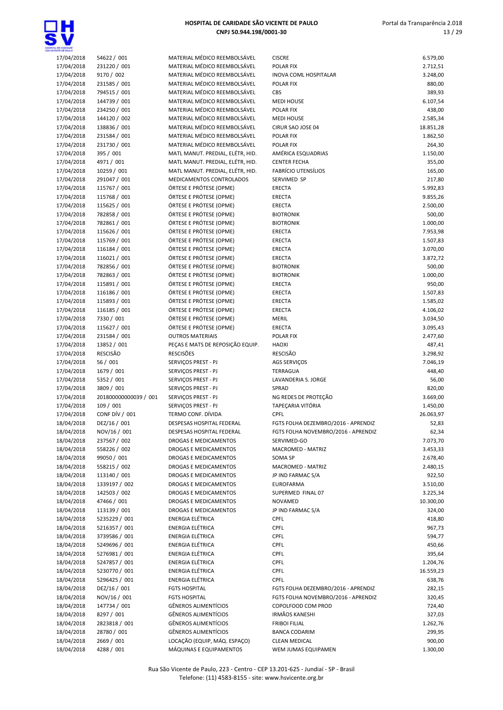

| <b>NEXIVER CE SHALL O</b> |                       |                                  |                                     |           |
|---------------------------|-----------------------|----------------------------------|-------------------------------------|-----------|
| 17/04/2018                | 54622 / 001           | MATERIAL MÉDICO REEMBOLSÁVEL     | <b>CISCRE</b>                       | 6.579,00  |
| 17/04/2018                | 231220 / 001          | MATERIAL MÉDICO REEMBOLSÁVEL     | <b>POLAR FIX</b>                    | 2.712,51  |
| 17/04/2018                | 9170 / 002            | MATERIAL MÉDICO REEMBOLSÁVEL     | <b>INOVA COML HOSPITALAR</b>        | 3.248,00  |
| 17/04/2018                | 231585 / 001          | MATERIAL MÉDICO REEMBOLSÁVEL     | POLAR FIX                           | 880,00    |
|                           |                       |                                  |                                     |           |
| 17/04/2018                | 794515 / 001          | MATERIAL MÉDICO REEMBOLSÁVEL     | CBS                                 | 389,93    |
| 17/04/2018                | 144739 / 001          | MATERIAL MÉDICO REEMBOLSÁVEL     | <b>MEDI HOUSE</b>                   | 6.107,54  |
| 17/04/2018                | 234250 / 001          | MATERIAL MÉDICO REEMBOLSÁVEL     | <b>POLAR FIX</b>                    | 438,00    |
| 17/04/2018                | 144120 / 002          | MATERIAL MÉDICO REEMBOLSÁVEL     | <b>MEDI HOUSE</b>                   | 2.585,34  |
| 17/04/2018                | 138836 / 001          | MATERIAL MÉDICO REEMBOLSÁVEL     | CIRUR SAO JOSE 04                   | 18.851,28 |
|                           |                       | MATERIAL MÉDICO REEMBOLSÁVEL     |                                     |           |
| 17/04/2018                | 231584 / 001          |                                  | POLAR FIX                           | 1.862,50  |
| 17/04/2018                | 231730 / 001          | MATERIAL MÉDICO REEMBOLSÁVEL     | POLAR FIX                           | 264,30    |
| 17/04/2018                | 395 / 001             | MATL MANUT. PREDIAL, ELÉTR, HID. | AMÉRICA ESQUADRIAS                  | 1.150,00  |
| 17/04/2018                | 4971 / 001            | MATL MANUT. PREDIAL, ELÉTR, HID. | <b>CENTER FECHA</b>                 | 355,00    |
| 17/04/2018                | 10259 / 001           | MATL MANUT. PREDIAL, ELÉTR, HID. | FABRÍCIO UTENSÍLIOS                 | 165,00    |
|                           |                       |                                  |                                     |           |
| 17/04/2018                | 291047 / 001          | MEDICAMENTOS CONTROLADOS         | SERVIMED SP                         | 217,80    |
| 17/04/2018                | 115767 / 001          | ÓRTESE E PRÓTESE (OPME)          | <b>ERECTA</b>                       | 5.992,83  |
| 17/04/2018                | 115768 / 001          | ÓRTESE E PRÓTESE (OPME)          | ERECTA                              | 9.855,26  |
| 17/04/2018                | 115625 / 001          | ÓRTESE E PRÓTESE (OPME)          | <b>ERECTA</b>                       | 2.500,00  |
| 17/04/2018                | 782858 / 001          | ÓRTESE E PRÓTESE (OPME)          | <b>BIOTRONIK</b>                    | 500,00    |
|                           |                       |                                  |                                     |           |
| 17/04/2018                | 782861 / 001          | ÓRTESE E PRÓTESE (OPME)          | <b>BIOTRONIK</b>                    | 1.000,00  |
| 17/04/2018                | 115626 / 001          | ÓRTESE E PRÓTESE (OPME)          | ERECTA                              | 7.953,98  |
| 17/04/2018                | 115769 / 001          | ÓRTESE E PRÓTESE (OPME)          | ERECTA                              | 1.507,83  |
| 17/04/2018                | 116184 / 001          | ÓRTESE E PRÓTESE (OPME)          | ERECTA                              | 3.070,00  |
| 17/04/2018                | 116021 / 001          | ÓRTESE E PRÓTESE (OPME)          | <b>ERECTA</b>                       | 3.872,72  |
|                           |                       |                                  |                                     |           |
| 17/04/2018                | 782856 / 001          | ÓRTESE E PRÓTESE (OPME)          | <b>BIOTRONIK</b>                    | 500,00    |
| 17/04/2018                | 782863 / 001          | ÓRTESE E PRÓTESE (OPME)          | <b>BIOTRONIK</b>                    | 1.000,00  |
| 17/04/2018                | 115891 / 001          | ÓRTESE E PRÓTESE (OPME)          | ERECTA                              | 950,00    |
| 17/04/2018                | 116186 / 001          | ÓRTESE E PRÓTESE (OPME)          | ERECTA                              | 1.507,83  |
|                           |                       |                                  |                                     |           |
| 17/04/2018                | 115893 / 001          | ÓRTESE E PRÓTESE (OPME)          | ERECTA                              | 1.585,02  |
| 17/04/2018                | 116185 / 001          | ÓRTESE E PRÓTESE (OPME)          | ERECTA                              | 4.106,02  |
| 17/04/2018                | 7330 / 001            | ÓRTESE E PRÓTESE (OPME)          | <b>MERIL</b>                        | 3.034,50  |
| 17/04/2018                | 115627 / 001          | ÓRTESE E PRÓTESE (OPME)          | ERECTA                              | 3.095,43  |
| 17/04/2018                | 231584 / 001          | <b>OUTROS MATERIAIS</b>          | POLAR FIX                           | 2.477,60  |
|                           | 13852 / 001           | PEÇAS E MATS DE REPOSIÇÃO EQUIP. | <b>HAOXI</b>                        |           |
| 17/04/2018                |                       |                                  |                                     | 487,41    |
| 17/04/2018                | RESCISÃO              | <b>RESCISÕES</b>                 | <b>RESCISÃO</b>                     | 3.298,92  |
| 17/04/2018                | 56 / 001              | SERVIÇOS PREST - PJ              | AGS SERVIÇOS                        | 7.046,19  |
| 17/04/2018                | 1679 / 001            | SERVIÇOS PREST - PJ              | TERRAGUA                            | 448,40    |
| 17/04/2018                | 5352 / 001            | SERVIÇOS PREST - PJ              | LAVANDERIA S. JORGE                 | 56,00     |
|                           |                       |                                  | SPRAD                               |           |
| 17/04/2018                | 3809 / 001            | SERVIÇOS PREST - PJ              |                                     | 820,00    |
| 17/04/2018                | 201800000000039 / 001 | SERVIÇOS PREST - PJ              | NG REDES DE PROTEÇÃO                | 3.669,00  |
| 17/04/2018                | 109 / 001             | SERVIÇOS PREST - PJ              | TAPEÇARIA VITÓRIA                   | 1.450,00  |
| 17/04/2018                | CONF DÍV / 001        | TERMO CONF. DÍVIDA               | <b>CPFL</b>                         | 26.063,97 |
| 18/04/2018                | DEZ/16 / 001          | DESPESAS HOSPITAL FEDERAL        | FGTS FOLHA DEZEMBRO/2016 - APRENDIZ | 52,83     |
|                           |                       |                                  |                                     |           |
| 18/04/2018                | NOV/16 / 001          | DESPESAS HOSPITAL FEDERAL        | FGTS FOLHA NOVEMBRO/2016 - APRENDIZ | 62,34     |
| 18/04/2018                | 237567 / 002          | DROGAS E MEDICAMENTOS            | SERVIMED-GO                         | 7.073,70  |
| 18/04/2018                | 558226 / 002          | <b>DROGAS E MEDICAMENTOS</b>     | MACROMED - MATRIZ                   | 3.453,33  |
| 18/04/2018                | 99050 / 001           | DROGAS E MEDICAMENTOS            | SOMA SP                             | 2.678,40  |
| 18/04/2018                | 558215 / 002          | DROGAS E MEDICAMENTOS            | MACROMED - MATRIZ                   | 2.480,15  |
|                           |                       | <b>DROGAS E MEDICAMENTOS</b>     |                                     |           |
| 18/04/2018                | 113140 / 001          |                                  | JP IND FARMAC S/A                   | 922,50    |
| 18/04/2018                | 1339197 / 002         | DROGAS E MEDICAMENTOS            | <b>EUROFARMA</b>                    | 3.510,00  |
| 18/04/2018                | 142503 / 002          | DROGAS E MEDICAMENTOS            | SUPERMED FINAL 07                   | 3.225,34  |
| 18/04/2018                | 47466 / 001           | DROGAS E MEDICAMENTOS            | NOVAMED                             | 10.300,00 |
| 18/04/2018                | 113139 / 001          | DROGAS E MEDICAMENTOS            | JP IND FARMAC S/A                   | 324,00    |
|                           |                       | <b>ENERGIA ELÉTRICA</b>          |                                     |           |
| 18/04/2018                | 5235229 / 001         |                                  | <b>CPFL</b>                         | 418,80    |
| 18/04/2018                | 5216357 / 001         | ENERGIA ELÉTRICA                 | <b>CPFL</b>                         | 967,73    |
| 18/04/2018                | 3739586 / 001         | ENERGIA ELÉTRICA                 | <b>CPFL</b>                         | 594,77    |
| 18/04/2018                | 5249696 / 001         | <b>ENERGIA ELÉTRICA</b>          | <b>CPFL</b>                         | 450,66    |
| 18/04/2018                | 5276981 / 001         | <b>ENERGIA ELÉTRICA</b>          | <b>CPFL</b>                         | 395,64    |
|                           |                       |                                  |                                     |           |
| 18/04/2018                | 5247857 / 001         | ENERGIA ELÉTRICA                 | <b>CPFL</b>                         | 1.204,76  |
| 18/04/2018                | 5230770 / 001         | ENERGIA ELÉTRICA                 | <b>CPFL</b>                         | 16.559,23 |
| 18/04/2018                | 5296425 / 001         | ENERGIA ELÉTRICA                 | CPFL                                | 638,76    |
| 18/04/2018                | DEZ/16 / 001          | <b>FGTS HOSPITAL</b>             | FGTS FOLHA DEZEMBRO/2016 - APRENDIZ | 282,15    |
| 18/04/2018                | NOV/16 / 001          | <b>FGTS HOSPITAL</b>             | FGTS FOLHA NOVEMBRO/2016 - APRENDIZ | 320,45    |
|                           |                       |                                  |                                     |           |
| 18/04/2018                | 147734 / 001          | <b>GÊNEROS ALIMENTÍCIOS</b>      | COPOLFOOD COM PROD                  | 724,40    |
| 18/04/2018                | 8297 / 001            | GÊNEROS ALIMENTÍCIOS             | <b>IRMÃOS KANESHI</b>               | 327,03    |
| 18/04/2018                | 2823818 / 001         | GÊNEROS ALIMENTÍCIOS             | <b>FRIBOI FILIAL</b>                | 1.262,76  |
| 18/04/2018                | 28780 / 001           | <b>GÊNEROS ALIMENTÍCIOS</b>      | <b>BANCA CODARIM</b>                | 299,95    |
| 18/04/2018                | 2669 / 001            | LOCAÇÃO (EQUIP, MÁQ. ESPAÇO)     | <b>CLEAN MEDICAL</b>                | 900,00    |
|                           |                       |                                  |                                     |           |
| 18/04/2018                | 4288 / 001            | MÁQUINAS E EQUIPAMENTOS          | WEM JUMAS EQUIPAMEN                 | 1.300,00  |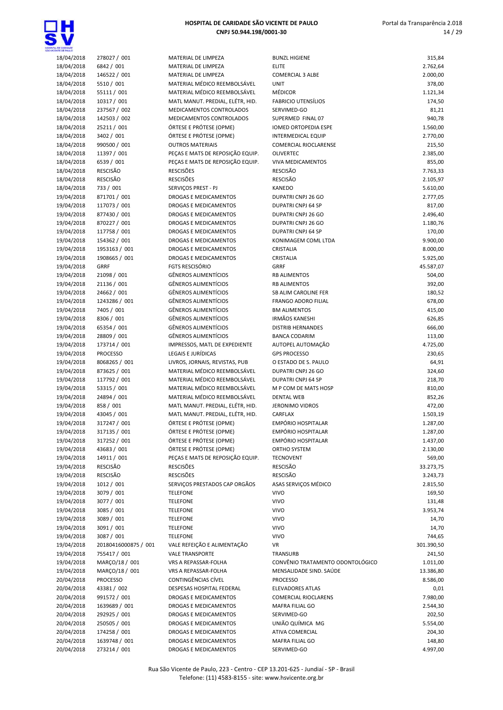

| <b>CENTE CE SALLO</b> |                      |                                  |                                  |            |
|-----------------------|----------------------|----------------------------------|----------------------------------|------------|
| 18/04/2018            | 278027 / 001         | MATERIAL DE LIMPEZA              | <b>BUNZL HIGIENE</b>             | 315,84     |
| 18/04/2018            | 6842 / 001           | MATERIAL DE LIMPEZA              | <b>ELITE</b>                     | 2.762,64   |
| 18/04/2018            | 146522 / 001         | MATERIAL DE LIMPEZA              | <b>COMERCIAL 3 ALBE</b>          | 2.000,00   |
| 18/04/2018            | 5510 / 001           | MATERIAL MÉDICO REEMBOLSÁVEL     | <b>UNIT</b>                      | 378,00     |
|                       | 55111 / 001          | MATERIAL MÉDICO REEMBOLSÁVEL     | <b>MÉDICOR</b>                   | 1.121,34   |
| 18/04/2018            |                      |                                  |                                  |            |
| 18/04/2018            | 10317 / 001          | MATL MANUT. PREDIAL, ELÉTR, HID. | <b>FABRICIO UTENSÍLIOS</b>       | 174,50     |
| 18/04/2018            | 237567 / 002         | MEDICAMENTOS CONTROLADOS         | SERVIMED-GO                      | 81,21      |
| 18/04/2018            | 142503 / 002         | MEDICAMENTOS CONTROLADOS         | SUPERMED FINAL 07                | 940,78     |
| 18/04/2018            | 25211 / 001          | ÓRTESE E PRÓTESE (OPME)          | IOMED ORTOPEDIA ESPE             | 1.560,00   |
|                       |                      |                                  |                                  |            |
| 18/04/2018            | 3402 / 001           | ÓRTESE E PRÓTESE (OPME)          | <b>INTERMEDICAL EQUIP</b>        | 2.770,00   |
| 18/04/2018            | 990500 / 001         | <b>OUTROS MATERIAIS</b>          | COMERCIAL RIOCLARENSE            | 215,50     |
| 18/04/2018            | 11397 / 001          | PECAS E MATS DE REPOSIÇÃO EQUIP. | <b>OLIVERTEC</b>                 | 2.385,00   |
| 18/04/2018            | 6539 / 001           | PEÇAS E MATS DE REPOSIÇÃO EQUIP. | <b>VIVA MEDICAMENTOS</b>         | 855,00     |
|                       | <b>RESCISÃO</b>      | <b>RESCISÕES</b>                 | <b>RESCISÃO</b>                  |            |
| 18/04/2018            |                      |                                  |                                  | 7.763,33   |
| 18/04/2018            | <b>RESCISÃO</b>      | <b>RESCISÕES</b>                 | <b>RESCISÃO</b>                  | 2.105,97   |
| 18/04/2018            | 733 / 001            | SERVIÇOS PREST - PJ              | <b>KANEDO</b>                    | 5.610,00   |
| 19/04/2018            | 871701 / 001         | DROGAS E MEDICAMENTOS            | DUPATRI CNPJ 26 GO               | 2.777,05   |
| 19/04/2018            | 117073 / 001         | DROGAS E MEDICAMENTOS            | DUPATRI CNPJ 64 SP               | 817,00     |
|                       |                      |                                  |                                  |            |
| 19/04/2018            | 877430 / 001         | DROGAS E MEDICAMENTOS            | DUPATRI CNPJ 26 GO               | 2.496,40   |
| 19/04/2018            | 870227 / 001         | DROGAS E MEDICAMENTOS            | DUPATRI CNPJ 26 GO               | 1.180,76   |
| 19/04/2018            | 117758 / 001         | DROGAS E MEDICAMENTOS            | DUPATRI CNPJ 64 SP               | 170,00     |
| 19/04/2018            | 154362 / 001         | DROGAS E MEDICAMENTOS            | KONIMAGEM COML LTDA              | 9.900,00   |
|                       |                      |                                  |                                  |            |
| 19/04/2018            | 1953163 / 001        | DROGAS E MEDICAMENTOS            | CRISTALIA                        | 8.000,00   |
| 19/04/2018            | 1908665 / 001        | DROGAS E MEDICAMENTOS            | CRISTALIA                        | 5.925,00   |
| 19/04/2018            | <b>GRRF</b>          | <b>FGTS RESCISÓRIO</b>           | <b>GRRF</b>                      | 45.587,07  |
| 19/04/2018            | 21098 / 001          | <b>GÊNEROS ALIMENTÍCIOS</b>      | <b>RB ALIMENTOS</b>              | 504,00     |
| 19/04/2018            | 21136 / 001          | <b>GÊNEROS ALIMENTÍCIOS</b>      | <b>RB ALIMENTOS</b>              | 392,00     |
|                       |                      |                                  |                                  |            |
| 19/04/2018            | 24662 / 001          | GÊNEROS ALIMENTÍCIOS             | SB ALIM CAROLINE FER             | 180,52     |
| 19/04/2018            | 1243286 / 001        | GÊNEROS ALIMENTÍCIOS             | FRANGO ADORO FILIAL              | 678,00     |
| 19/04/2018            | 7405 / 001           | <b>GÊNEROS ALIMENTÍCIOS</b>      | <b>BM ALIMENTOS</b>              | 415,00     |
| 19/04/2018            | 8306 / 001           | <b>GÊNEROS ALIMENTÍCIOS</b>      | <b>IRMÃOS KANESHI</b>            | 626,85     |
|                       |                      |                                  |                                  |            |
| 19/04/2018            | 65354 / 001          | <b>GÊNEROS ALIMENTÍCIOS</b>      | <b>DISTRIB HERNANDES</b>         | 666,00     |
| 19/04/2018            | 28809 / 001          | <b>GÊNEROS ALIMENTÍCIOS</b>      | <b>BANCA CODARIM</b>             | 113,00     |
| 19/04/2018            | 173714 / 001         | IMPRESSOS, MATL DE EXPEDIENTE    | AUTOPEL AUTOMAÇÃO                | 4.725,00   |
| 19/04/2018            | <b>PROCESSO</b>      | LEGAIS E JURÍDICAS               | <b>GPS PROCESSO</b>              | 230,65     |
|                       |                      |                                  |                                  |            |
| 19/04/2018            | 8068265 / 001        | LIVROS, JORNAIS, REVISTAS, PUB   | O ESTADO DE S. PAULO             | 64,91      |
| 19/04/2018            | 873625 / 001         | MATERIAL MÉDICO REEMBOLSÁVEL     | DUPATRI CNPJ 26 GO               | 324,60     |
| 19/04/2018            | 117792 / 001         | MATERIAL MÉDICO REEMBOLSÁVEL     | DUPATRI CNPJ 64 SP               | 218,70     |
| 19/04/2018            | 53315 / 001          | MATERIAL MÉDICO REEMBOLSÁVEL     | M P COM DE MATS HOSP             | 810,00     |
| 19/04/2018            | 24894 / 001          | MATERIAL MÉDICO REEMBOLSÁVEL     | <b>DENTAL WEB</b>                | 852,26     |
|                       |                      |                                  |                                  |            |
| 19/04/2018            | 858 / 001            | MATL MANUT. PREDIAL, ELÉTR, HID. | <b>JERONIMO VIDROS</b>           | 472,00     |
| 19/04/2018            | 43045 / 001          | MATL MANUT. PREDIAL, ELÉTR, HID. | CARFLAX                          | 1.503,19   |
| 19/04/2018            | 317247 / 001         | ÓRTESE E PRÓTESE (OPME)          | <b>EMPÓRIO HOSPITALAR</b>        | 1.287,00   |
| 19/04/2018            | 317135 / 001         | ÓRTESE E PRÓTESE (OPME)          | EMPÓRIO HOSPITALAR               | 1.287,00   |
|                       |                      |                                  |                                  |            |
| 19/04/2018            | 317252 / 001         | ÓRTESE E PRÓTESE (OPME)          | EMPÓRIO HOSPITALAR               | 1.437,00   |
| 19/04/2018            | 43683 / 001          | ÓRTESE E PRÓTESE (OPME)          | ORTHO SYSTEM                     | 2.130,00   |
| 19/04/2018            | 14911 / 001          | PEÇAS E MATS DE REPOSIÇÃO EQUIP. | <b>TECNOVENT</b>                 | 569,00     |
| 19/04/2018            | <b>RESCISÃO</b>      | <b>RESCISÕES</b>                 | <b>RESCISÃO</b>                  | 33.273,75  |
| 19/04/2018            | RESCISÃO             | <b>RESCISÕES</b>                 | RESCISÃO                         | 3.243,73   |
|                       |                      |                                  |                                  |            |
| 19/04/2018            | 1012 / 001           | SERVIÇOS PRESTADOS CAP ORGÃOS    | ASAS SERVIÇOS MÉDICO             | 2.815,50   |
| 19/04/2018            | 3079 / 001           | <b>TELEFONE</b>                  | <b>VIVO</b>                      | 169,50     |
| 19/04/2018            | 3077 / 001           | <b>TELEFONE</b>                  | <b>VIVO</b>                      | 131,48     |
| 19/04/2018            | 3085 / 001           | <b>TELEFONE</b>                  | <b>VIVO</b>                      | 3.953,74   |
|                       |                      |                                  |                                  |            |
| 19/04/2018            | 3089 / 001           | <b>TELEFONE</b>                  | <b>VIVO</b>                      | 14,70      |
| 19/04/2018            | 3091 / 001           | <b>TELEFONE</b>                  | <b>VIVO</b>                      | 14,70      |
| 19/04/2018            | 3087 / 001           | <b>TELEFONE</b>                  | <b>VIVO</b>                      | 744,65     |
| 19/04/2018            | 20180416000875 / 001 | VALE REFEIÇÃO E ALIMENTAÇÃO      | <b>VR</b>                        | 301.390,50 |
|                       |                      |                                  |                                  |            |
| 19/04/2018            | 755417 / 001         | <b>VALE TRANSPORTE</b>           | <b>TRANSURB</b>                  | 241,50     |
| 19/04/2018            | MARÇO/18 / 001       | VRS A REPASSAR-FOLHA             | CONVÊNIO TRATAMENTO ODONTOLÓGICO | 1.011,00   |
| 19/04/2018            | MARÇO/18 / 001       | VRS A REPASSAR-FOLHA             | MENSALIDADE SIND. SAÚDE          | 13.386,80  |
| 20/04/2018            | <b>PROCESSO</b>      | CONTINGÊNCIAS CÍVEL              | <b>PROCESSO</b>                  | 8.586,00   |
| 20/04/2018            | 43381 / 002          | DESPESAS HOSPITAL FEDERAL        | <b>ELEVADORES ATLAS</b>          | 0,01       |
|                       |                      |                                  |                                  |            |
| 20/04/2018            | 991572 / 001         | DROGAS E MEDICAMENTOS            | <b>COMERCIAL RIOCLARENS</b>      | 7.980,00   |
| 20/04/2018            | 1639689 / 001        | DROGAS E MEDICAMENTOS            | <b>MAFRA FILIAL GO</b>           | 2.544,30   |
| 20/04/2018            | 292925 / 001         | DROGAS E MEDICAMENTOS            | SERVIMED-GO                      | 202,50     |
| 20/04/2018            | 250505 / 001         | DROGAS E MEDICAMENTOS            | UNIÃO QUÍMICA MG                 | 5.554,00   |
|                       |                      |                                  |                                  |            |
| 20/04/2018            | 174258 / 001         | DROGAS E MEDICAMENTOS            | ATIVA COMERCIAL                  | 204,30     |
| 20/04/2018            | 1639748 / 001        | DROGAS E MEDICAMENTOS            | MAFRA FILIAL GO                  | 148,80     |
| 20/04/2018            | 273214 / 001         | DROGAS E MEDICAMENTOS            | SERVIMED-GO                      | 4.997,00   |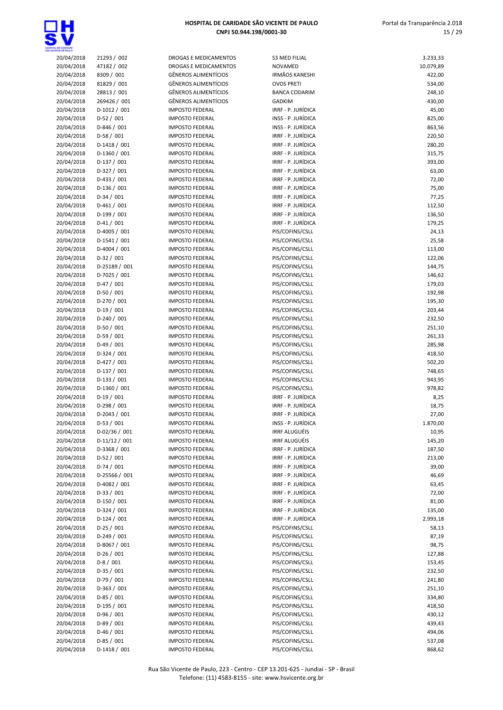

| 20/04/2018 | 21293 / 002    | <b>DROGAS E MEDICAMENTOS</b> | <b>S3 MED FILIAL</b>  | 3.233,33  |
|------------|----------------|------------------------------|-----------------------|-----------|
| 20/04/2018 | 47182 / 002    | DROGAS E MEDICAMENTOS        | <b>NOVAMED</b>        | 10.079,89 |
| 20/04/2018 | 8309 / 001     | <b>GÊNEROS ALIMENTÍCIOS</b>  | <b>IRMÃOS KANESHI</b> | 422,00    |
| 20/04/2018 | 81829 / 001    | <b>GÊNEROS ALIMENTÍCIOS</b>  | <b>OVOS PRETI</b>     | 534,00    |
| 20/04/2018 | 28813 / 001    | <b>GÊNEROS ALIMENTÍCIOS</b>  | <b>BANCA CODARIM</b>  | 248,10    |
| 20/04/2018 | 269426 / 001   | <b>GÊNEROS ALIMENTÍCIOS</b>  | <b>GADKIM</b>         | 430,00    |
|            |                |                              | IRRF - P. JURÍDICA    |           |
| 20/04/2018 | D-1012 / 001   | <b>IMPOSTO FEDERAL</b>       |                       | 45,00     |
| 20/04/2018 | $D-52 / 001$   | <b>IMPOSTO FEDERAL</b>       | INSS - P. JURÍDICA    | 825,00    |
| 20/04/2018 | D-846 / 001    | <b>IMPOSTO FEDERAL</b>       | INSS - P. JURÍDICA    | 863,56    |
| 20/04/2018 | $D-58/001$     | <b>IMPOSTO FEDERAL</b>       | IRRF - P. JURÍDICA    | 220,50    |
| 20/04/2018 | $D-1418/001$   | <b>IMPOSTO FEDERAL</b>       | IRRF - P. JURÍDICA    | 280,20    |
| 20/04/2018 | D-1360 / 001   | <b>IMPOSTO FEDERAL</b>       | IRRF - P. JURÍDICA    | 315,75    |
| 20/04/2018 | $D-137/001$    | <b>IMPOSTO FEDERAL</b>       | IRRF - P. JURÍDICA    | 393,00    |
|            |                |                              |                       |           |
| 20/04/2018 | $D-327/001$    | <b>IMPOSTO FEDERAL</b>       | IRRF - P. JURÍDICA    | 63,00     |
| 20/04/2018 | $D-433 / 001$  | <b>IMPOSTO FEDERAL</b>       | IRRF - P. JURÍDICA    | 72,00     |
| 20/04/2018 | $D-136 / 001$  | <b>IMPOSTO FEDERAL</b>       | IRRF - P. JURÍDICA    | 75,00     |
| 20/04/2018 | $D-34/001$     | <b>IMPOSTO FEDERAL</b>       | IRRF - P. JURÍDICA    | 77,25     |
| 20/04/2018 | $D-461/001$    | <b>IMPOSTO FEDERAL</b>       | IRRF - P. JURÍDICA    | 112,50    |
| 20/04/2018 | $D-199/001$    | <b>IMPOSTO FEDERAL</b>       | IRRF - P. JURÍDICA    | 136,50    |
| 20/04/2018 | $D-41/001$     | <b>IMPOSTO FEDERAL</b>       | IRRF - P. JURÍDICA    | 179,25    |
| 20/04/2018 | D-4005 / 001   | <b>IMPOSTO FEDERAL</b>       | PIS/COFINS/CSLL       | 24,13     |
|            | $D-1541 / 001$ | <b>IMPOSTO FEDERAL</b>       |                       |           |
| 20/04/2018 |                |                              | PIS/COFINS/CSLL       | 25,58     |
| 20/04/2018 | D-4004 / 001   | <b>IMPOSTO FEDERAL</b>       | PIS/COFINS/CSLL       | 113,00    |
| 20/04/2018 | $D-32/001$     | <b>IMPOSTO FEDERAL</b>       | PIS/COFINS/CSLL       | 122,06    |
| 20/04/2018 | D-25189 / 001  | <b>IMPOSTO FEDERAL</b>       | PIS/COFINS/CSLL       | 144,75    |
| 20/04/2018 | D-7025 / 001   | <b>IMPOSTO FEDERAL</b>       | PIS/COFINS/CSLL       | 146,62    |
| 20/04/2018 | $D-47/001$     | <b>IMPOSTO FEDERAL</b>       | PIS/COFINS/CSLL       | 179,03    |
| 20/04/2018 | $D-50/001$     | <b>IMPOSTO FEDERAL</b>       | PIS/COFINS/CSLL       | 192,98    |
| 20/04/2018 | $D-270/001$    | <b>IMPOSTO FEDERAL</b>       | PIS/COFINS/CSLL       | 195,30    |
|            |                |                              |                       |           |
| 20/04/2018 | $D-19/001$     | <b>IMPOSTO FEDERAL</b>       | PIS/COFINS/CSLL       | 203,44    |
| 20/04/2018 | $D-240/001$    | <b>IMPOSTO FEDERAL</b>       | PIS/COFINS/CSLL       | 232,50    |
| 20/04/2018 | $D-50/001$     | <b>IMPOSTO FEDERAL</b>       | PIS/COFINS/CSLL       | 251,10    |
| 20/04/2018 | $D-59/001$     | <b>IMPOSTO FEDERAL</b>       | PIS/COFINS/CSLL       | 261,33    |
| 20/04/2018 | $D-49/001$     | <b>IMPOSTO FEDERAL</b>       | PIS/COFINS/CSLL       | 285,98    |
| 20/04/2018 | $D-324/001$    | <b>IMPOSTO FEDERAL</b>       | PIS/COFINS/CSLL       | 418,50    |
| 20/04/2018 | D-427 / 001    | <b>IMPOSTO FEDERAL</b>       | PIS/COFINS/CSLL       | 502,20    |
| 20/04/2018 | $D-137/001$    | <b>IMPOSTO FEDERAL</b>       | PIS/COFINS/CSLL       | 748,65    |
|            |                |                              |                       |           |
| 20/04/2018 | $D-133 / 001$  | <b>IMPOSTO FEDERAL</b>       | PIS/COFINS/CSLL       | 943,95    |
| 20/04/2018 | D-1360 / 001   | <b>IMPOSTO FEDERAL</b>       | PIS/COFINS/CSLL       | 978,82    |
| 20/04/2018 | $D-19/001$     | <b>IMPOSTO FEDERAL</b>       | IRRF - P. JURÍDICA    | 8,25      |
| 20/04/2018 | $D-298/001$    | <b>IMPOSTO FEDERAL</b>       | IRRF - P. JURÍDICA    | 18,75     |
| 20/04/2018 | D-2043 / 001   | <b>IMPOSTO FEDERAL</b>       | IRRF - P. JURÍDICA    | 27,00     |
| 20/04/2018 | $D-53 / 001$   | <b>IMPOSTO FEDERAL</b>       | INSS - P. JURÍDICA    | 1.870,00  |
| 20/04/2018 | D-02/36 / 001  | <b>IMPOSTO FEDERAL</b>       | <b>IRRF ALUGUÉIS</b>  | 10,95     |
| 20/04/2018 | $D-11/12/001$  | <b>IMPOSTO FEDERAL</b>       | <b>IRRF ALUGUÉIS</b>  | 145,20    |
|            |                |                              |                       |           |
| 20/04/2018 | D-3368 / 001   | <b>IMPOSTO FEDERAL</b>       | IRRF - P. JURÍDICA    | 187,50    |
| 20/04/2018 | $D-52/001$     | <b>IMPOSTO FEDERAL</b>       | IRRF - P. JURÍDICA    | 213,00    |
| 20/04/2018 | $D-74/001$     | <b>IMPOSTO FEDERAL</b>       | IRRF - P. JURÍDICA    | 39,00     |
| 20/04/2018 | D-25566 / 001  | <b>IMPOSTO FEDERAL</b>       | IRRF - P. JURÍDICA    | 46,69     |
| 20/04/2018 | D-4082 / 001   | <b>IMPOSTO FEDERAL</b>       | IRRF - P. JURÍDICA    | 63,45     |
| 20/04/2018 | $D-33 / 001$   | <b>IMPOSTO FEDERAL</b>       | IRRF - P. JURÍDICA    | 72,00     |
| 20/04/2018 | $D-150/001$    | <b>IMPOSTO FEDERAL</b>       | IRRF - P. JURÍDICA    | 81,00     |
| 20/04/2018 | $D-324/001$    | <b>IMPOSTO FEDERAL</b>       | IRRF - P. JURÍDICA    | 135,00    |
|            |                |                              |                       |           |
| 20/04/2018 | $D-124/001$    | <b>IMPOSTO FEDERAL</b>       | IRRF - P. JURÍDICA    | 2.993,18  |
| 20/04/2018 | $D-25/001$     | <b>IMPOSTO FEDERAL</b>       | PIS/COFINS/CSLL       | 58,13     |
| 20/04/2018 | $D-249/001$    | <b>IMPOSTO FEDERAL</b>       | PIS/COFINS/CSLL       | 87,19     |
| 20/04/2018 | D-8067 / 001   | <b>IMPOSTO FEDERAL</b>       | PIS/COFINS/CSLL       | 98,75     |
| 20/04/2018 | $D-26/001$     | <b>IMPOSTO FEDERAL</b>       | PIS/COFINS/CSLL       | 127,88    |
| 20/04/2018 | $D-8/001$      | <b>IMPOSTO FEDERAL</b>       | PIS/COFINS/CSLL       | 153,45    |
| 20/04/2018 | $D-35/001$     | <b>IMPOSTO FEDERAL</b>       | PIS/COFINS/CSLL       | 232,50    |
|            |                | <b>IMPOSTO FEDERAL</b>       | PIS/COFINS/CSLL       |           |
| 20/04/2018 | $D-79/001$     |                              |                       | 241,80    |
| 20/04/2018 | $D-363 / 001$  | <b>IMPOSTO FEDERAL</b>       | PIS/COFINS/CSLL       | 251,10    |
| 20/04/2018 | $D-85/001$     | <b>IMPOSTO FEDERAL</b>       | PIS/COFINS/CSLL       | 334,80    |
| 20/04/2018 | $D-195/001$    | <b>IMPOSTO FEDERAL</b>       | PIS/COFINS/CSLL       | 418,50    |
| 20/04/2018 | D-96 / 001     | <b>IMPOSTO FEDERAL</b>       | PIS/COFINS/CSLL       | 430,12    |
| 20/04/2018 | $D-89/001$     | <b>IMPOSTO FEDERAL</b>       | PIS/COFINS/CSLL       | 439,43    |
| 20/04/2018 | $D-46/001$     | <b>IMPOSTO FEDERAL</b>       | PIS/COFINS/CSLL       | 494,06    |
| 20/04/2018 | $D-85/001$     | <b>IMPOSTO FEDERAL</b>       | PIS/COFINS/CSLL       | 537,08    |
|            |                |                              |                       |           |
| 20/04/2018 | $D-1418/001$   | <b>IMPOSTO FEDERAL</b>       | PIS/COFINS/CSLL       | 868,62    |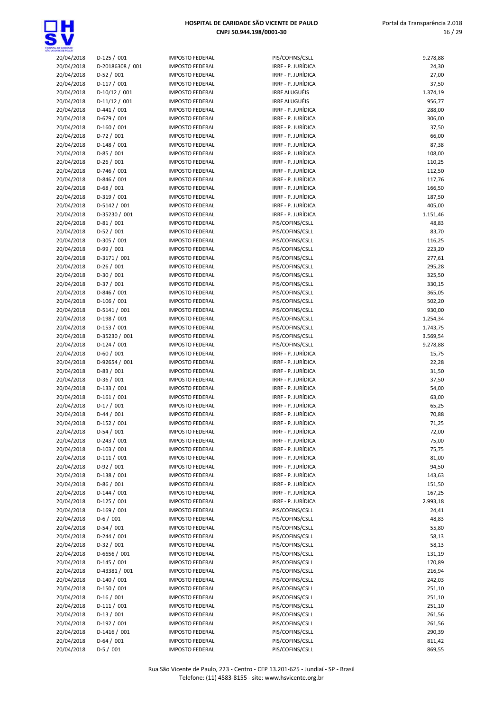

| ta, de candade<br>Cente de failló |                  |
|-----------------------------------|------------------|
| 20/04/2018                        | $D-125/001$      |
| 20/04/2018                        | D-20186308 / 001 |
| 20/04/2018                        | $D-52/001$       |
| 20/04/2018                        | $D-117/001$      |
| 20/04/2018                        | D-10/12 / 001    |
| 20/04/2018                        | D-11/12 / 001    |
| 20/04/2018                        | $D-441/001$      |
| 20/04/2018                        | D-679 / 001      |
| 20/04/2018                        | $D-160/001$      |
| 20/04/2018                        | $D-72/001$       |
|                                   |                  |
| 20/04/2018                        | D-148 / 001      |
| 20/04/2018                        | $D-85/001$       |
| 20/04/2018                        | $D-26/001$       |
| 20/04/2018                        | D-746 / 001      |
| 20/04/2018                        | D-846 / 001      |
| 20/04/2018                        | $D-68/001$       |
| 20/04/2018                        | D-319 / 001      |
| 20/04/2018                        | D-5142 / 001     |
| 20/04/2018                        | D-35230 / 001    |
| 20/04/2018                        | $D-81/001$       |
| 20/04/2018                        | $D-52/001$       |
| 20/04/2018                        | D-305 / 001      |
| 20/04/2018                        | D-99 / 001       |
| 20/04/2018                        | D-3171 / 001     |
| 20/04/2018                        | D-26 / 001       |
| 20/04/2018                        | D-30 / 001       |
| 20/04/2018                        | $D-37/001$       |
| 20/04/2018                        | D-846 / 001      |
| 20/04/2018                        | $D-106/001$      |
| 20/04/2018                        | D-5141 / 001     |
| 20/04/2018                        | D-198 / 001      |
| 20/04/2018                        | $D-153/001$      |
| 20/04/2018                        | D-35230 / 001    |
| 20/04/2018                        | $D-124/001$      |
| 20/04/2018                        | $D-60/001$       |
| 20/04/2018                        | D-92654 / 001    |
| 20/04/2018                        | $D-83/001$       |
| 20/04/2018                        | $D-36/001$       |
| 20/04/2018                        | $D-133 / 001$    |
| 20/04/2018                        | $D-161/001$      |
| 20/04/2018                        | $D-17/001$       |
| 20/04/2018                        | $D-44 / 001$     |
| 20/04/2018                        | D-152 / 001      |
| 20/04/2018                        | $D-54/001$       |
| 20/04/2018                        | D-243 / 001      |
| 20/04/2018                        | $D-103 / 001$    |
| 20/04/2018                        | $D-111/001$      |
| 20/04/2018                        | D-92 / 001       |
| 20/04/2018                        | $D-138/001$      |
| 20/04/2018                        | D-86 / 001       |
| 20/04/2018                        | $D-144 / 001$    |
| 20/04/2018                        | $D-125/001$      |
| 20/04/2018                        | D-169 / 001      |
| 20/04/2018                        | $D-6/001$        |
| 20/04/2018                        | $D-54/001$       |
| 20/04/2018                        | $D-244 / 001$    |
| 20/04/2018                        | $D-32 / 001$     |
| 20/04/2018                        | D-6656 / 001     |
| 20/04/2018                        | $D-145/001$      |
| 20/04/2018                        | D-43381 / 001    |
| 20/04/2018                        | $D-140/001$      |
| 20/04/2018                        | D-150 / 001      |
| 20/04/2018                        | $D-16/001$       |
| 20/04/2018                        | $D-111/001$      |
| 20/04/2018                        | $D-13 / 001$     |
| 20/04/2018                        | D-192 / 001      |
|                                   |                  |
| 20/04/2018                        | D-1416 / 001     |
| 20/04/2018                        | $D-64/001$       |
| 20/04/2018                        | D-5 / 001        |

| <b>IMPOSTO FEDERAL</b>             |
|------------------------------------|
|                                    |
| <b>IMPOSTO FEDERAL</b>             |
| IMPOSTO FEDERAL                    |
|                                    |
| <b>IMPOSTO FEDERAL</b>             |
| <b>IMPOSTO FEDERAL</b>             |
| <b>IMPOSTO FEDERAL</b>             |
| <b>IMPOSTO FEDERAL</b>             |
|                                    |
| IMPOSTO FEDERAL                    |
| IMPOSTO FEDERAL                    |
| IMPOSTO FEDERAL                    |
| <b>IMPOSTO FEDERAL</b>             |
| <b>IMPOSTO FEDERAL</b>             |
|                                    |
| <b>IMPOSTO FEDERAL</b>             |
| <b>IMPOSTO FEDERAL</b>             |
| IMPOSTO FEDERAL                    |
| <b>IMPOSTO FEDERAL</b>             |
|                                    |
| IMPOSTO FEDERAL                    |
| <b>IMPOSTO FEDERAL</b>             |
| IMPOSTO FEDERAL                    |
| <b>IMPOSTO FEDERAL</b>             |
| <b>IMPOSTO FEDERAL</b>             |
|                                    |
| <b>IMPOSTO FEDERAL</b>             |
| <b>IMPOSTO FEDERAL</b>             |
| IMPOSTO FEDERAL                    |
| IMPOSTO FEDERAL                    |
|                                    |
| IMPOSTO FEDERAL                    |
| <b>IMPOSTO FEDERAL</b>             |
| <b>IMPOSTO FEDERAL</b>             |
| IMPOSTO FEDERAL                    |
| <b>IMPOSTO FEDERAL</b>             |
|                                    |
| <b>IMPOSTO FEDERAL</b>             |
| <b>IMPOSTO FEDERAL</b>             |
| <b>IMPOSTO FEDERAL</b>             |
| <b>IMPOSTO FEDERAL</b>             |
| IMPOSTO FEDERAL                    |
|                                    |
| <b>IMPOSTO FEDERAL</b>             |
| IMPOSTO FEDERAL                    |
| <b>IMPOSTO FEDERAL</b>             |
|                                    |
|                                    |
| <b>IMPOSTO FEDERAL</b>             |
| IMPOSTO FEDERAL                    |
| IMPOSTO FEDERAL                    |
| <b>IMPOSTO FEDERAL</b>             |
| <b>IMPOSTO FEDERAL</b>             |
|                                    |
| <b>IMPOSTO FEDERAL</b>             |
| <b>IMPOSTO FEDERAL</b>             |
| <b>IMPOSTO FEDERAL</b>             |
| <b>IMPOSTO FEDERAL</b>             |
| <b>IMPOSTO FEDERAL</b>             |
|                                    |
| IMPOSTO FEDERAL                    |
| IMPOSTO FEDERAL                    |
| <b>IMPOSTO FEDERAL</b>             |
| <b>IMPOSTO FEDERAL</b>             |
| IMPOSTO FEDERAL                    |
|                                    |
| <b>IMPOSTO FEDERAL</b>             |
| <b>IMPOSTO FEDERAL</b>             |
| <b>IMPOSTO FEDERAL</b>             |
| <b>IMPOSTO FEDERAL</b>             |
| <b>IMPOSTO FEDERAL</b>             |
|                                    |
| IMPOSTO FEDERAL                    |
| <b>IMPOSTO FEDERAL</b>             |
| <b>IMPOSTO FEDERAL</b>             |
| IMPOSTO FEDERAL                    |
| <b>IMPOSTO FEDERAL</b>             |
|                                    |
| IMPOSTO FEDERAL<br>IMPOSTO FEDERAL |

| <b>VITE CE PAULO</b>     |                               |                                                  |                                          |                 |
|--------------------------|-------------------------------|--------------------------------------------------|------------------------------------------|-----------------|
| 20/04/2018               | $D-125/001$                   | <b>IMPOSTO FEDERAL</b>                           | PIS/COFINS/CSLL                          | 9.278,88        |
| 20/04/2018               | D-20186308 / 001              | <b>IMPOSTO FEDERAL</b>                           | IRRF - P. JURÍDICA                       | 24,30           |
| 20/04/2018               | $D-52/001$                    | <b>IMPOSTO FEDERAL</b>                           | IRRF - P. JURÍDICA                       | 27,00           |
| 20/04/2018               | $D-117/001$                   | <b>IMPOSTO FEDERAL</b>                           | IRRF - P. JURÍDICA                       | 37,50           |
| 20/04/2018               | $D-10/12/001$                 | <b>IMPOSTO FEDERAL</b>                           | <b>IRRF ALUGUÉIS</b>                     | 1.374,19        |
| 20/04/2018               | $D-11/12/001$                 | <b>IMPOSTO FEDERAL</b>                           | <b>IRRF ALUGUÉIS</b>                     | 956,77          |
| 20/04/2018               | $D-441/001$                   | <b>IMPOSTO FEDERAL</b>                           | IRRF - P. JURÍDICA                       | 288,00          |
| 20/04/2018               | $D-679/001$                   | <b>IMPOSTO FEDERAL</b>                           | IRRF - P. JURÍDICA                       | 306,00          |
| 20/04/2018               | $D-160/001$                   | <b>IMPOSTO FEDERAL</b>                           | IRRF - P. JURÍDICA                       | 37,50           |
| 20/04/2018<br>20/04/2018 | $D-72/001$<br>$D-148/001$     | <b>IMPOSTO FEDERAL</b>                           | IRRF - P. JURÍDICA<br>IRRF - P. JURÍDICA | 66,00           |
| 20/04/2018               | $D-85/001$                    | <b>IMPOSTO FEDERAL</b><br><b>IMPOSTO FEDERAL</b> | IRRF - P. JURÍDICA                       | 87,38<br>108,00 |
| 20/04/2018               | $D-26/001$                    | <b>IMPOSTO FEDERAL</b>                           | IRRF - P. JURÍDICA                       | 110,25          |
| 20/04/2018               | $D-746/001$                   | <b>IMPOSTO FEDERAL</b>                           | IRRF - P. JURÍDICA                       | 112,50          |
| 20/04/2018               | $D-846/001$                   | <b>IMPOSTO FEDERAL</b>                           | IRRF - P. JURÍDICA                       | 117,76          |
| 20/04/2018               | $D-68/001$                    | <b>IMPOSTO FEDERAL</b>                           | IRRF - P. JURÍDICA                       | 166,50          |
| 20/04/2018               | $D-319/001$                   | <b>IMPOSTO FEDERAL</b>                           | IRRF - P. JURÍDICA                       | 187,50          |
| 20/04/2018               | D-5142 / 001                  | <b>IMPOSTO FEDERAL</b>                           | IRRF - P. JURÍDICA                       | 405,00          |
| 20/04/2018               | D-35230 / 001                 | <b>IMPOSTO FEDERAL</b>                           | IRRF - P. JURÍDICA                       | 1.151,46        |
| 20/04/2018               | $D-81/001$                    | <b>IMPOSTO FEDERAL</b>                           | PIS/COFINS/CSLL                          | 48,83           |
| 20/04/2018               | $D-52/001$                    | <b>IMPOSTO FEDERAL</b>                           | PIS/COFINS/CSLL                          | 83,70           |
| 20/04/2018               | $D-305/001$                   | <b>IMPOSTO FEDERAL</b>                           | PIS/COFINS/CSLL                          | 116,25          |
| 20/04/2018               | $D-99/001$                    | <b>IMPOSTO FEDERAL</b>                           | PIS/COFINS/CSLL                          | 223,20          |
| 20/04/2018               | D-3171 / 001                  | <b>IMPOSTO FEDERAL</b>                           | PIS/COFINS/CSLL                          | 277,61          |
| 20/04/2018               | $D-26/001$                    | <b>IMPOSTO FEDERAL</b>                           | PIS/COFINS/CSLL                          | 295,28          |
| 20/04/2018               | $D-30/001$                    | <b>IMPOSTO FEDERAL</b>                           | PIS/COFINS/CSLL                          | 325,50          |
| 20/04/2018               | $D-37/001$                    | <b>IMPOSTO FEDERAL</b>                           | PIS/COFINS/CSLL                          | 330,15          |
| 20/04/2018               | $D-846/001$                   | <b>IMPOSTO FEDERAL</b>                           | PIS/COFINS/CSLL                          | 365,05          |
| 20/04/2018               | $D-106/001$                   | <b>IMPOSTO FEDERAL</b>                           | PIS/COFINS/CSLL                          | 502,20          |
| 20/04/2018               | $D-5141 / 001$                | <b>IMPOSTO FEDERAL</b>                           | PIS/COFINS/CSLL                          | 930,00          |
| 20/04/2018               | $D-198/001$                   | <b>IMPOSTO FEDERAL</b>                           | PIS/COFINS/CSLL                          | 1.254,34        |
| 20/04/2018               | $D-153 / 001$                 | <b>IMPOSTO FEDERAL</b>                           | PIS/COFINS/CSLL                          | 1.743,75        |
| 20/04/2018               | D-35230 / 001                 | <b>IMPOSTO FEDERAL</b>                           | PIS/COFINS/CSLL                          | 3.569,54        |
| 20/04/2018<br>20/04/2018 | $D-124/001$<br>$D-60/001$     | <b>IMPOSTO FEDERAL</b>                           | PIS/COFINS/CSLL<br>IRRF - P. JURÍDICA    | 9.278,88        |
| 20/04/2018               | D-92654 / 001                 | <b>IMPOSTO FEDERAL</b><br><b>IMPOSTO FEDERAL</b> | IRRF - P. JURÍDICA                       | 15,75<br>22,28  |
| 20/04/2018               | $D-83 / 001$                  | <b>IMPOSTO FEDERAL</b>                           | IRRF - P. JURÍDICA                       | 31,50           |
| 20/04/2018               | $D-36/001$                    | <b>IMPOSTO FEDERAL</b>                           | IRRF - P. JURÍDICA                       | 37,50           |
| 20/04/2018               | $D-133 / 001$                 | <b>IMPOSTO FEDERAL</b>                           | IRRF - P. JURÍDICA                       | 54,00           |
| 20/04/2018               | $D-161/001$                   | <b>IMPOSTO FEDERAL</b>                           | IRRF - P. JURÍDICA                       | 63,00           |
| 20/04/2018               | $D-17/001$                    | <b>IMPOSTO FEDERAL</b>                           | IRRF - P. JURÍDICA                       | 65,25           |
| 20/04/2018               | $D-44 / 001$                  | <b>IMPOSTO FEDERAL</b>                           | IRRF - P. JURÍDICA                       | 70,88           |
| 20/04/2018               | $D-152/001$                   | <b>IMPOSTO FEDERAL</b>                           | IRRF - P. JURÍDICA                       | 71,25           |
| 20/04/2018               | $D-54/001$                    | <b>IMPOSTO FEDERAL</b>                           | IRRF - P. JURÍDICA                       | 72,00           |
| 20/04/2018               | $D-243/001$                   | <b>IMPOSTO FEDERAL</b>                           | IRRF - P. JURÍDICA                       | 75,00           |
| 20/04/2018               | $D-103/001$                   | <b>IMPOSTO FEDERAL</b>                           | IRRF - P. JURÍDICA                       | 75,75           |
| 20/04/2018               | $D-111/001$                   | <b>IMPOSTO FEDERAL</b>                           | IRRF - P. JURÍDICA                       | 81,00           |
| 20/04/2018               | $D-92/001$                    | <b>IMPOSTO FEDERAL</b>                           | IRRF - P. JURÍDICA                       | 94,50           |
| 20/04/2018               | $D-138/001$                   | <b>IMPOSTO FEDERAL</b>                           | IRRF - P. JURÍDICA                       | 143,63          |
| 20/04/2018               | $D-86/001$                    | <b>IMPOSTO FEDERAL</b>                           | IRRF - P. JURÍDICA                       | 151,50          |
| 20/04/2018               | $D-144 / 001$                 | <b>IMPOSTO FEDERAL</b>                           | IRRF - P. JURÍDICA                       | 167,25          |
| 20/04/2018               | $D-125/001$                   | <b>IMPOSTO FEDERAL</b>                           | IRRF - P. JURÍDICA                       | 2.993,18        |
| 20/04/2018               | $D-169/001$                   | <b>IMPOSTO FEDERAL</b>                           | PIS/COFINS/CSLL                          | 24,41           |
| 20/04/2018               | $D-6/001$                     | <b>IMPOSTO FEDERAL</b>                           | PIS/COFINS/CSLL                          | 48,83           |
| 20/04/2018               | $D-54/001$                    | <b>IMPOSTO FEDERAL</b>                           | PIS/COFINS/CSLL                          | 55,80           |
| 20/04/2018<br>20/04/2018 | $D-244 / 001$<br>$D-32 / 001$ | <b>IMPOSTO FEDERAL</b>                           | PIS/COFINS/CSLL<br>PIS/COFINS/CSLL       | 58,13           |
| 20/04/2018               | D-6656 / 001                  | <b>IMPOSTO FEDERAL</b><br><b>IMPOSTO FEDERAL</b> | PIS/COFINS/CSLL                          | 58,13<br>131,19 |
| 20/04/2018               | $D-145/001$                   | <b>IMPOSTO FEDERAL</b>                           | PIS/COFINS/CSLL                          | 170,89          |
| 20/04/2018               | D-43381 / 001                 | <b>IMPOSTO FEDERAL</b>                           | PIS/COFINS/CSLL                          | 216,94          |
| 20/04/2018               | $D-140/001$                   | <b>IMPOSTO FEDERAL</b>                           | PIS/COFINS/CSLL                          | 242,03          |
| 20/04/2018               | $D-150/001$                   | <b>IMPOSTO FEDERAL</b>                           | PIS/COFINS/CSLL                          | 251,10          |
| 20/04/2018               | $D-16/001$                    | <b>IMPOSTO FEDERAL</b>                           | PIS/COFINS/CSLL                          | 251,10          |
| 20/04/2018               | $D-111/001$                   | <b>IMPOSTO FEDERAL</b>                           | PIS/COFINS/CSLL                          | 251,10          |
| 20/04/2018               | $D-13/001$                    | <b>IMPOSTO FEDERAL</b>                           | PIS/COFINS/CSLL                          | 261,56          |
| 20/04/2018               | $D-192/001$                   | <b>IMPOSTO FEDERAL</b>                           | PIS/COFINS/CSLL                          | 261,56          |
| 20/04/2018               | $D-1416 / 001$                | <b>IMPOSTO FEDERAL</b>                           | PIS/COFINS/CSLL                          | 290,39          |
| 20/04/2018               | $D-64/001$                    | <b>IMPOSTO FEDERAL</b>                           | PIS/COFINS/CSLL                          | 811,42          |
| 20/04/2018               | $D-5/001$                     | <b>IMPOSTO FEDERAL</b>                           | PIS/COFINS/CSLL                          | 869,55          |
|                          |                               |                                                  |                                          |                 |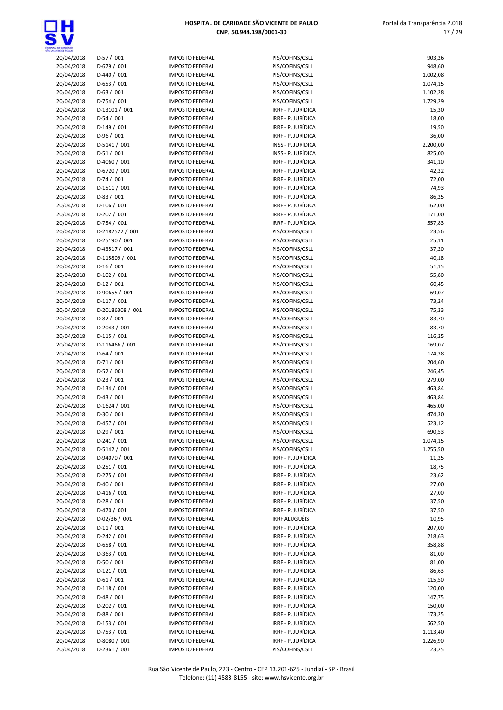

| <b>VTE CE SAULO</b>      |                            |          |
|--------------------------|----------------------------|----------|
| 20/04/2018               | $D-57/001$                 | ١N       |
| 20/04/2018               | D-679 / 001                | IN       |
| 20/04/2018               | D-440 / 001                | IN       |
| 20/04/2018               | $D-653 / 001$              | IN       |
| 20/04/2018               | $D-63 / 001$               | IN       |
| 20/04/2018               | D-754 / 001                | IN       |
| 20/04/2018               | D-13101 / 001              | IN       |
| 20/04/2018               | $D-54/001$                 | ١N       |
| 20/04/2018<br>20/04/2018 | D-149 / 001<br>D-96 / 001  | IN<br>IN |
| 20/04/2018               | D-5141 / 001               | ١N       |
| 20/04/2018               | $D-51/001$                 | IN       |
| 20/04/2018               | D-4060 / 001               | IN       |
| 20/04/2018               | D-6720 / 001               | ١N       |
| 20/04/2018               | $D-74/001$                 | IN       |
| 20/04/2018               | D-1511 / 001               | IN       |
| 20/04/2018               | $D-83 / 001$               | IN       |
| 20/04/2018               | D-106 / 001                | IN       |
| 20/04/2018               | D-202 / 001                | IN       |
| 20/04/2018               | D-754 / 001                | IN       |
| 20/04/2018               | D-2182522 / 001            | IN       |
| 20/04/2018               | D-25190 / 001              | IN       |
| 20/04/2018               | D-43517 / 001              | IN       |
| 20/04/2018               | D-115809 / 001             | IN       |
| 20/04/2018               | $D-16/001$                 | IN       |
| 20/04/2018               | $D-102 / 001$              | IN       |
| 20/04/2018               | $D-12 / 001$               | IN       |
| 20/04/2018               | D-90655 / 001              | IN       |
| 20/04/2018               | $D-117/001$                | IN       |
| 20/04/2018               | D-20186308 / 001           | IN       |
| 20/04/2018               | $D-82 / 001$               | IN       |
| 20/04/2018               | D-2043 / 001               | IN       |
| 20/04/2018               | $D-115/001$                | IN       |
| 20/04/2018               | D-116466 / 001             | IN       |
| 20/04/2018<br>20/04/2018 | $D-64/001$<br>$D-71/001$   | IN<br>١N |
| 20/04/2018               | $D-52/001$                 | ١N       |
| 20/04/2018               | $D-23/001$                 | IN       |
| 20/04/2018               | $D-134/001$                | IN       |
| 20/04/2018               | $D-43/001$                 | ١N       |
| 20/04/2018               | D-1624 / 001               | IN       |
| 20/04/2018               | $D-30/001$                 | IN       |
| 20/04/2018               | D-457 / 001                | IN       |
| 20/04/2018               | $D-29/001$                 | ١N       |
| 20/04/2018               | D-241 / 001                | IN       |
| 20/04/2018               | D-5142 / 001               | ١N       |
| 20/04/2018               | D-94070 / 001              | IN       |
| 20/04/2018               | $D-251/001$                | IN       |
| 20/04/2018               | D-275 / 001                | IN       |
| 20/04/2018               | $D-40/001$                 | ١N       |
| 20/04/2018               | $D-416/001$                | IN       |
| 20/04/2018               | D-28 / 001                 | IN       |
| 20/04/2018               | D-470 / 001                | IN       |
| 20/04/2018               | D-02/36 / 001              | IN       |
| 20/04/2018               | $D-11/001$                 | ١N       |
| 20/04/2018<br>20/04/2018 | D-242 / 001<br>$D-658/001$ | IN<br>IN |
| 20/04/2018               | D-363 / 001                | IN       |
| 20/04/2018               | $D-50/001$                 | ١N       |
| 20/04/2018               | $D-121/001$                | IN       |
| 20/04/2018               | $D-61/001$                 | ١N       |
| 20/04/2018               | $D-118/001$                | IN       |
| 20/04/2018               | $D-48/001$                 | ١N       |
| 20/04/2018               | D-202 / 001                | IN       |
| 20/04/2018               | $D-88/001$                 | ١N       |
| 20/04/2018               | $D-153 / 001$              | ١N       |
| 20/04/2018               | D-753 / 001                | IN       |

| <b>MPOSTO FEDERAL</b>                          |  |
|------------------------------------------------|--|
| <b>MPOSTO FEDERAL</b><br><b>MPOSTO FEDERAL</b> |  |
| <b>MPOSTO FEDERAL</b>                          |  |
| <b>MPOSTO FEDERAL</b>                          |  |
| <b>MPOSTO FEDERAL</b>                          |  |
| <b>MPOSTO FEDERAL</b>                          |  |
| <b>MPOSTO FEDERAL</b><br><b>MPOSTO FEDERAL</b> |  |
| <b>MPOSTO FEDERAL</b>                          |  |
| <b>MPOSTO FEDERAL</b>                          |  |
| <b>MPOSTO FEDERAL</b>                          |  |
| <b>MPOSTO FEDERAL</b><br><b>MPOSTO FEDERAL</b> |  |
| <b>MPOSTO FEDERAL</b>                          |  |
| <b>MPOSTO FEDERAL</b>                          |  |
| <b>MPOSTO FEDERAL</b>                          |  |
| <b>MPOSTO FEDERAL</b>                          |  |
| <b>MPOSTO FEDERAL</b><br><b>MPOSTO FEDERAL</b> |  |
| <b>MPOSTO FEDERAL</b>                          |  |
| <b>MPOSTO FEDERAL</b>                          |  |
| <b>MPOSTO FEDERAL</b>                          |  |
| <b>MPOSTO FEDERAL</b>                          |  |
| <b>MPOSTO FEDERAL</b><br><b>MPOSTO FEDERAL</b> |  |
| <b>MPOSTO FEDERAL</b>                          |  |
| <b>MPOSTO FEDERAL</b>                          |  |
| <b>MPOSTO FEDERAL</b>                          |  |
| <b>MPOSTO FEDERAL</b>                          |  |
| <b>MPOSTO FEDERAL</b><br><b>MPOSTO FEDERAL</b> |  |
| <b>MPOSTO FEDERAL</b>                          |  |
| <b>MPOSTO FEDERAL</b>                          |  |
| <b>MPOSTO FEDERAL</b>                          |  |
| <b>MPOSTO FEDERAL</b>                          |  |
| <b>MPOSTO FEDERAL</b><br><b>MPOSTO FEDERAL</b> |  |
| <b>MPOSTO FEDERAL</b>                          |  |
| <b>MPOSTO FEDERAL</b>                          |  |
| <b>MPOSTO FEDERAL</b>                          |  |
| <b>MPOSTO FEDERAL</b><br><b>MPOSTO FEDERAL</b> |  |
| <b>MPOSTO FEDERAL</b>                          |  |
| <b>MPOSTO FEDERAL</b>                          |  |
| <b>MPOSTO FEDERAL</b>                          |  |
| <b>MPOSTO FEDERAL</b>                          |  |
| <b>MPOSTO FEDERAL</b><br><b>MPOSTO FEDERAL</b> |  |
| MPOSTO FEDERAL                                 |  |
| <b>MPOSTO FEDERAL</b>                          |  |
| <b>MPOSTO FEDERAL</b>                          |  |
| <b>MPOSTO FEDERAL</b>                          |  |
| <b>MPOSTO FEDERAL</b><br><b>MPOSTO FEDERAL</b> |  |
| <b>MPOSTO FEDERAL</b>                          |  |
| <b>MPOSTO FEDERAL</b>                          |  |
| <b>MPOSTO FEDERAL</b>                          |  |
| <b>MPOSTO FEDERAL</b>                          |  |
| <b>MPOSTO FEDERAL</b><br><b>MPOSTO FEDERAL</b> |  |
| <b>MPOSTO FEDERAL</b>                          |  |
| <b>MPOSTO FEDERAL</b>                          |  |
| <b>MPOSTO FEDERAL</b>                          |  |
| <b>MPOSTO FEDERAL</b>                          |  |
| <b>MPOSTO FEDERAL</b>                          |  |

| A, DE GAMBADE<br>ENTE DE PAULO |                             |                                                  |                                          |                      |
|--------------------------------|-----------------------------|--------------------------------------------------|------------------------------------------|----------------------|
| 20/04/2018                     | $D-57/001$                  | <b>IMPOSTO FEDERAL</b>                           | PIS/COFINS/CSLL                          | 903,26               |
| 20/04/2018                     | $D-679/001$                 | <b>IMPOSTO FEDERAL</b>                           | PIS/COFINS/CSLL                          | 948,60               |
| 20/04/2018                     | $D-440/001$                 | <b>IMPOSTO FEDERAL</b>                           | PIS/COFINS/CSLL                          | 1.002,08             |
| 20/04/2018                     | $D-653 / 001$               | <b>IMPOSTO FEDERAL</b><br><b>IMPOSTO FEDERAL</b> | PIS/COFINS/CSLL                          | 1.074,15             |
| 20/04/2018<br>20/04/2018       | $D-63 / 001$<br>$D-754/001$ | <b>IMPOSTO FEDERAL</b>                           | PIS/COFINS/CSLL<br>PIS/COFINS/CSLL       | 1.102,28<br>1.729,29 |
| 20/04/2018                     | D-13101 / 001               | <b>IMPOSTO FEDERAL</b>                           | IRRF - P. JURÍDICA                       | 15,30                |
| 20/04/2018                     | $D-54/001$                  | <b>IMPOSTO FEDERAL</b>                           | IRRF - P. JURÍDICA                       | 18,00                |
| 20/04/2018                     | $D-149/001$                 | <b>IMPOSTO FEDERAL</b>                           | IRRF - P. JURÍDICA                       | 19,50                |
| 20/04/2018                     | $D-96/001$                  | <b>IMPOSTO FEDERAL</b>                           | IRRF - P. JURÍDICA                       | 36,00                |
| 20/04/2018                     | $D-5141/001$                | <b>IMPOSTO FEDERAL</b>                           | INSS - P. JURÍDICA                       | 2.200,00             |
| 20/04/2018                     | $D-51/001$                  | <b>IMPOSTO FEDERAL</b>                           | INSS - P. JURÍDICA                       | 825,00               |
| 20/04/2018                     | D-4060 / 001                | <b>IMPOSTO FEDERAL</b>                           | IRRF - P. JURÍDICA                       | 341,10               |
| 20/04/2018                     | D-6720 / 001                | <b>IMPOSTO FEDERAL</b>                           | IRRF - P. JURÍDICA                       | 42,32                |
| 20/04/2018                     | $D-74/001$                  | <b>IMPOSTO FEDERAL</b>                           | IRRF - P. JURÍDICA                       | 72,00                |
| 20/04/2018                     | $D-1511/001$                | <b>IMPOSTO FEDERAL</b>                           | IRRF - P. JURÍDICA                       | 74,93                |
| 20/04/2018                     | $D-83/001$<br>$D-106/001$   | <b>IMPOSTO FEDERAL</b>                           | IRRF - P. JURÍDICA<br>IRRF - P. JURÍDICA | 86,25                |
| 20/04/2018<br>20/04/2018       | $D-202 / 001$               | <b>IMPOSTO FEDERAL</b><br><b>IMPOSTO FEDERAL</b> | IRRF - P. JURÍDICA                       | 162,00<br>171,00     |
| 20/04/2018                     | $D-754/001$                 | <b>IMPOSTO FEDERAL</b>                           | IRRF - P. JURÍDICA                       | 557,83               |
| 20/04/2018                     | D-2182522 / 001             | <b>IMPOSTO FEDERAL</b>                           | PIS/COFINS/CSLL                          | 23,56                |
| 20/04/2018                     | D-25190 / 001               | <b>IMPOSTO FEDERAL</b>                           | PIS/COFINS/CSLL                          | 25,11                |
| 20/04/2018                     | D-43517 / 001               | <b>IMPOSTO FEDERAL</b>                           | PIS/COFINS/CSLL                          | 37,20                |
| 20/04/2018                     | D-115809 / 001              | <b>IMPOSTO FEDERAL</b>                           | PIS/COFINS/CSLL                          | 40,18                |
| 20/04/2018                     | $D-16/001$                  | <b>IMPOSTO FEDERAL</b>                           | PIS/COFINS/CSLL                          | 51,15                |
| 20/04/2018                     | $D-102 / 001$               | <b>IMPOSTO FEDERAL</b>                           | PIS/COFINS/CSLL                          | 55,80                |
| 20/04/2018                     | $D-12/001$                  | <b>IMPOSTO FEDERAL</b>                           | PIS/COFINS/CSLL                          | 60,45                |
| 20/04/2018                     | D-90655 / 001               | <b>IMPOSTO FEDERAL</b>                           | PIS/COFINS/CSLL                          | 69,07                |
| 20/04/2018                     | $D-117/001$                 | <b>IMPOSTO FEDERAL</b>                           | PIS/COFINS/CSLL                          | 73,24                |
| 20/04/2018                     | D-20186308 / 001            | <b>IMPOSTO FEDERAL</b>                           | PIS/COFINS/CSLL                          | 75,33                |
| 20/04/2018                     | $D-82/001$<br>D-2043 / 001  | <b>IMPOSTO FEDERAL</b><br><b>IMPOSTO FEDERAL</b> | PIS/COFINS/CSLL                          | 83,70<br>83,70       |
| 20/04/2018<br>20/04/2018       | $D-115/001$                 | <b>IMPOSTO FEDERAL</b>                           | PIS/COFINS/CSLL<br>PIS/COFINS/CSLL       | 116,25               |
| 20/04/2018                     | D-116466 / 001              | <b>IMPOSTO FEDERAL</b>                           | PIS/COFINS/CSLL                          | 169,07               |
| 20/04/2018                     | $D-64/001$                  | <b>IMPOSTO FEDERAL</b>                           | PIS/COFINS/CSLL                          | 174,38               |
| 20/04/2018                     | $D-71/001$                  | <b>IMPOSTO FEDERAL</b>                           | PIS/COFINS/CSLL                          | 204,60               |
| 20/04/2018                     | $D-52/001$                  | <b>IMPOSTO FEDERAL</b>                           | PIS/COFINS/CSLL                          | 246,45               |
| 20/04/2018                     | $D-23/001$                  | <b>IMPOSTO FEDERAL</b>                           | PIS/COFINS/CSLL                          | 279,00               |
| 20/04/2018                     | $D-134/001$                 | <b>IMPOSTO FEDERAL</b>                           | PIS/COFINS/CSLL                          | 463,84               |
| 20/04/2018                     | $D-43/001$                  | <b>IMPOSTO FEDERAL</b>                           | PIS/COFINS/CSLL                          | 463,84               |
| 20/04/2018                     | $D-1624 / 001$              | <b>IMPOSTO FEDERAL</b>                           | PIS/COFINS/CSLL                          | 465,00               |
| 20/04/2018                     | $D-30/001$                  | <b>IMPOSTO FEDERAL</b>                           | PIS/COFINS/CSLL                          | 474,30               |
| 20/04/2018                     | $D-457/001$                 | <b>IMPOSTO FEDERAL</b>                           | PIS/COFINS/CSLL                          | 523,12               |
| 20/04/2018                     | $D-29/001$<br>$D-241/001$   | <b>IMPOSTO FEDERAL</b>                           | PIS/COFINS/CSLL<br>PIS/COFINS/CSLL       | 690,53               |
| 20/04/2018<br>20/04/2018       | D-5142 / 001                | <b>IMPOSTO FEDERAL</b><br><b>IMPOSTO FEDERAL</b> | PIS/COFINS/CSLL                          | 1.074,15<br>1.255,50 |
| 20/04/2018                     | D-94070 / 001               | <b>IMPOSTO FEDERAL</b>                           | IRRF - P. JURÍDICA                       | 11,25                |
| 20/04/2018                     | $D-251/001$                 | <b>IMPOSTO FEDERAL</b>                           | IRRF - P. JURÍDICA                       | 18,75                |
| 20/04/2018                     | $D-275/001$                 | <b>IMPOSTO FEDERAL</b>                           | IRRF - P. JURÍDICA                       | 23,62                |
| 20/04/2018                     | $D-40/001$                  | <b>IMPOSTO FEDERAL</b>                           | IRRF - P. JURÍDICA                       | 27,00                |
| 20/04/2018                     | $D-416/001$                 | <b>IMPOSTO FEDERAL</b>                           | IRRF - P. JURÍDICA                       | 27,00                |
| 20/04/2018                     | $D-28/001$                  | <b>IMPOSTO FEDERAL</b>                           | IRRF - P. JURÍDICA                       | 37,50                |
| 20/04/2018                     | D-470 / 001                 | <b>IMPOSTO FEDERAL</b>                           | IRRF - P. JURÍDICA                       | 37,50                |
| 20/04/2018                     | D-02/36 / 001               | <b>IMPOSTO FEDERAL</b>                           | <b>IRRF ALUGUÉIS</b>                     | 10,95                |
| 20/04/2018                     | $D-11/001$                  | <b>IMPOSTO FEDERAL</b>                           | IRRF - P. JURÍDICA                       | 207,00               |
| 20/04/2018                     | $D-242 / 001$               | <b>IMPOSTO FEDERAL</b>                           | IRRF - P. JURÍDICA                       | 218,63               |
| 20/04/2018                     | D-658 / 001                 | <b>IMPOSTO FEDERAL</b>                           | IRRF - P. JURÍDICA                       | 358,88               |
| 20/04/2018                     | $D-363 / 001$<br>$D-50/001$ | <b>IMPOSTO FEDERAL</b><br><b>IMPOSTO FEDERAL</b> | IRRF - P. JURÍDICA<br>IRRF - P. JURÍDICA | 81,00                |
| 20/04/2018<br>20/04/2018       | $D-121/001$                 | <b>IMPOSTO FEDERAL</b>                           | IRRF - P. JURÍDICA                       | 81,00<br>86,63       |
| 20/04/2018                     | $D-61/001$                  | <b>IMPOSTO FEDERAL</b>                           | IRRF - P. JURÍDICA                       | 115,50               |
| 20/04/2018                     | $D-118/001$                 | <b>IMPOSTO FEDERAL</b>                           | IRRF - P. JURÍDICA                       | 120,00               |
| 20/04/2018                     | $D-48/001$                  | <b>IMPOSTO FEDERAL</b>                           | IRRF - P. JURÍDICA                       | 147,75               |
| 20/04/2018                     | $D-202 / 001$               | <b>IMPOSTO FEDERAL</b>                           | IRRF - P. JURÍDICA                       | 150,00               |
| 20/04/2018                     | $D-88/001$                  | <b>IMPOSTO FEDERAL</b>                           | IRRF - P. JURÍDICA                       | 173,25               |
| 20/04/2018                     | D-153 / 001                 | <b>IMPOSTO FEDERAL</b>                           | IRRF - P. JURÍDICA                       | 562,50               |
| 20/04/2018                     | $D-753 / 001$               | <b>IMPOSTO FEDERAL</b>                           | IRRF - P. JURÍDICA                       | 1.113,40             |
| 20/04/2018                     | D-8080 / 001                | <b>IMPOSTO FEDERAL</b>                           | IRRF - P. JURÍDICA                       | 1.226,90             |
| 20/04/2018                     | $D-2361/001$                | <b>IMPOSTO FEDERAL</b>                           | PIS/COFINS/CSLL                          | 23,25                |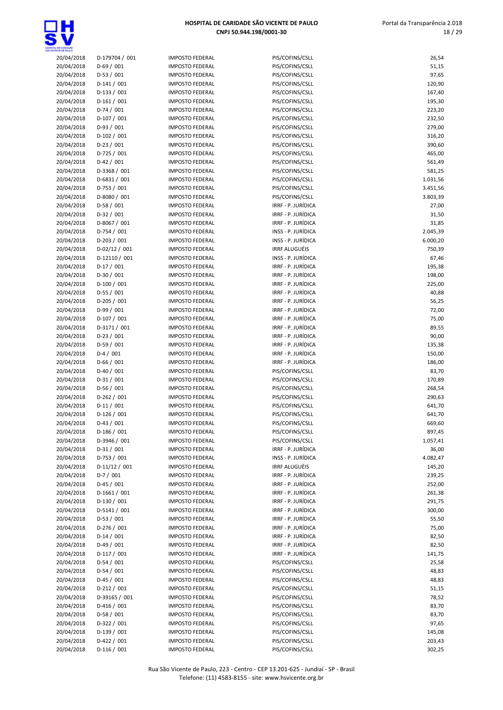

| TA, DE GANDADE<br>CENTE DE FAIX D |                |
|-----------------------------------|----------------|
| 20/04/2018                        | D-179704 / 001 |
| 20/04/2018                        | D-69 / 001     |
|                                   |                |
| 20/04/2018                        | $D-53/001$     |
| 20/04/2018                        | D-141 / 001    |
| 20/04/2018                        | $D-133 / 001$  |
| 20/04/2018                        | $D-161/001$    |
| 20/04/2018                        | D-74 / 001     |
|                                   |                |
| 20/04/2018                        | D-107 / 001    |
| 20/04/2018                        | $D-93/001$     |
| 20/04/2018                        | $D-102/001$    |
| 20/04/2018                        | $D-23 / 001$   |
| 20/04/2018                        | D-725 / 001    |
| 20/04/2018                        | $D-42 / 001$   |
|                                   |                |
| 20/04/2018                        | D-3368 / 001   |
| 20/04/2018                        | D-6831 / 001   |
| 20/04/2018                        | $D-753 / 001$  |
| 20/04/2018                        | D-8080 / 001   |
| 20/04/2018                        | D-58 / 001     |
|                                   | $D-32/001$     |
| 20/04/2018                        |                |
| 20/04/2018                        | D-8067 / 001   |
| 20/04/2018                        | $D-754/001$    |
| 20/04/2018                        | $D-203 / 001$  |
| 20/04/2018                        | D-02/12 / 001  |
| 20/04/2018                        | D-12110 / 001  |
|                                   |                |
| 20/04/2018                        | $D-17/001$     |
| 20/04/2018                        | D-30 / 001     |
| 20/04/2018                        | $D-100/001$    |
| 20/04/2018                        | $D-55/001$     |
| 20/04/2018                        | D-205 / 001    |
| 20/04/2018                        | D-99 / 001     |
|                                   |                |
| 20/04/2018                        | D-107 / 001    |
| 20/04/2018                        | D-3171 / 001   |
| 20/04/2018                        | $D-23/001$     |
| 20/04/2018                        | D-59 / 001     |
| 20/04/2018                        | $D-4/001$      |
| 20/04/2018                        | $D-66/001$     |
|                                   |                |
| 20/04/2018                        | D-40 / 001     |
| 20/04/2018                        | $D-31/001$     |
| 20/04/2018                        | $D-56/001$     |
| 20/04/2018                        | D-262 / 001    |
| 20/04/2018                        | D-11 / 001     |
| 20/04/2018                        | $D-126/001$    |
|                                   |                |
| 20/04/2018                        | D-43 / 001     |
| 20/04/2018                        | D-186 / 001    |
| 20/04/2018                        | D-3946 / 001   |
| 20/04/2018                        | $D-31/001$     |
| 20/04/2018                        | D-753 / 001    |
| 20/04/2018                        | $D-11/12/001$  |
| 20/04/2018                        | $D-7/001$      |
|                                   |                |
| 20/04/2018                        | $D-45/001$     |
| 20/04/2018                        | D-1661 / 001   |
| 20/04/2018                        | D-130 / 001    |
| 20/04/2018                        | D-5141 / 001   |
| 20/04/2018                        | $D-53 / 001$   |
|                                   |                |
| 20/04/2018                        | D-276 / 001    |
| 20/04/2018                        | $D-14 / 001$   |
| 20/04/2018                        | $D-49/001$     |
| 20/04/2018                        | D-117 / 001    |
| 20/04/2018                        | $D-54/001$     |
|                                   | $D-54/001$     |
| 20/04/2018                        |                |
| 20/04/2018                        | $D-45/001$     |
| 20/04/2018                        | D-212 / 001    |
| 20/04/2018                        | D-39165 / 001  |
| 20/04/2018                        | $D-416/001$    |
| 20/04/2018                        | D-58 / 001     |
|                                   | D-322 / 001    |
| 20/04/2018                        |                |
| 20/04/2018                        | D-139 / 001    |
| 20/04/2018                        | D-422 / 001    |
| 20/04/2018                        | $D-116/001$    |
|                                   |                |

| <b>IMPOSTO FEDERAL</b> |
|------------------------|
|                        |
| <b>IMPOSTO FEDERAL</b> |
| <b>IMPOSTO FEDERAL</b> |
|                        |
| <b>IMPOSTO FEDERAL</b> |
| <b>IMPOSTO FEDERAL</b> |
| <b>IMPOSTO FEDERAL</b> |
| <b>IMPOSTO FEDERAL</b> |
|                        |
| <b>IMPOSTO FEDERAL</b> |
| <b>IMPOSTO FEDERAL</b> |
| <b>IMPOSTO FEDERAL</b> |
| <b>IMPOSTO FEDERAL</b> |
| <b>IMPOSTO FEDERAL</b> |
|                        |
| <b>IMPOSTO FEDERAL</b> |
| <b>IMPOSTO FEDERAL</b> |
| <b>IMPOSTO FEDERAL</b> |
| IMPOSTO FEDERAL        |
|                        |
| <b>IMPOSTO FEDERAL</b> |
| <b>IMPOSTO FEDERAL</b> |
| <b>IMPOSTO FEDERAL</b> |
| <b>IMPOSTO FEDERAL</b> |
| <b>IMPOSTO FEDERAL</b> |
|                        |
| <b>IMPOSTO FEDERAL</b> |
| <b>IMPOSTO FEDERAL</b> |
| <b>IMPOSTO FEDERAL</b> |
| <b>IMPOSTO FEDERAL</b> |
| <b>IMPOSTO FEDERAL</b> |
|                        |
| IMPOSTO FEDERAL        |
| <b>IMPOSTO FEDERAL</b> |
| <b>IMPOSTO FEDERAL</b> |
| <b>IMPOSTO FEDERAL</b> |
|                        |
| IMPOSTO FEDERAL        |
| IMPOSTO FEDERAL        |
| <b>IMPOSTO FEDERAL</b> |
| <b>IMPOSTO FEDERAL</b> |
|                        |
|                        |
| <b>IMPOSTO FEDERAL</b> |
| <b>IMPOSTO FEDERAL</b> |
| <b>IMPOSTO FEDERAL</b> |
| <b>IMPOSTO FEDERAL</b> |
|                        |
| <b>IMPOSTO FEDERAL</b> |
| IMPOSTO FEDERAL        |
| <b>IMPOSTO FEDERAL</b> |
| IMPOSTO FEDERAL        |
| <b>IMPOSTO FEDERAL</b> |
|                        |
| <b>IMPOSTO FEDERAL</b> |
| <b>IMPOSTO FEDERAL</b> |
| <b>IMPOSTO FEDERAL</b> |
| <b>IMPOSTO FEDERAL</b> |
| <b>IMPOSTO FEDERAL</b> |
|                        |
| IMPOSTO FEDERAL        |
| IMPOSTO FEDERAL        |
| <b>IMPOSTO FEDERAL</b> |
| IMPOSTO FEDERAL        |
| <b>IMPOSTO FEDERAL</b> |
|                        |
| <b>IMPOSTO FEDERAL</b> |
| IMPOSTO FEDERAL        |
| IMPOSTO FEDERAL        |
| <b>IMPOSTO FEDERAL</b> |
| <b>IMPOSTO FEDERAL</b> |
|                        |
| IMPOSTO FEDERAL        |
| <b>IMPOSTO FEDERAL</b> |
| <b>IMPOSTO FEDERAL</b> |
| <b>IMPOSTO FEDERAL</b> |
| <b>IMPOSTO FEDERAL</b> |
|                        |
| <b>IMPOSTO FEDERAL</b> |
| <b>IMPOSTO FEDERAL</b> |
| <b>IMPOSTO FEDERAL</b> |

| OE CANDADE               |                             |                                                  |                                          |                   |
|--------------------------|-----------------------------|--------------------------------------------------|------------------------------------------|-------------------|
| 20/04/2018               | D-179704 / 001              | <b>IMPOSTO FEDERAL</b>                           | PIS/COFINS/CSLL                          | 26,54             |
| 20/04/2018               | $D-69/001$                  | <b>IMPOSTO FEDERAL</b>                           | PIS/COFINS/CSLL                          | 51,15             |
| 20/04/2018               | $D-53/001$                  | <b>IMPOSTO FEDERAL</b>                           | PIS/COFINS/CSLL                          | 97,65             |
| 20/04/2018               | $D-141/001$                 | <b>IMPOSTO FEDERAL</b>                           | PIS/COFINS/CSLL                          | 120,90            |
| 20/04/2018               | $D-133 / 001$               | <b>IMPOSTO FEDERAL</b>                           | PIS/COFINS/CSLL                          | 167,40            |
| 20/04/2018               | $D-161/001$                 | <b>IMPOSTO FEDERAL</b>                           | PIS/COFINS/CSLL                          | 195,30            |
| 20/04/2018<br>20/04/2018 | $D-74/001$<br>$D-107/001$   | <b>IMPOSTO FEDERAL</b>                           | PIS/COFINS/CSLL<br>PIS/COFINS/CSLL       | 223,20            |
| 20/04/2018               | $D-93/001$                  | <b>IMPOSTO FEDERAL</b><br><b>IMPOSTO FEDERAL</b> | PIS/COFINS/CSLL                          | 232,50<br>279,00  |
| 20/04/2018               | $D-102 / 001$               | <b>IMPOSTO FEDERAL</b>                           | PIS/COFINS/CSLL                          | 316,20            |
| 20/04/2018               | $D-23/001$                  | <b>IMPOSTO FEDERAL</b>                           | PIS/COFINS/CSLL                          | 390,60            |
| 20/04/2018               | $D-725/001$                 | <b>IMPOSTO FEDERAL</b>                           | PIS/COFINS/CSLL                          | 465,00            |
| 20/04/2018               | $D-42/001$                  | <b>IMPOSTO FEDERAL</b>                           | PIS/COFINS/CSLL                          | 561,49            |
| 20/04/2018               | D-3368 / 001                | <b>IMPOSTO FEDERAL</b>                           | PIS/COFINS/CSLL                          | 581,25            |
| 20/04/2018               | $D-6831 / 001$              | <b>IMPOSTO FEDERAL</b>                           | PIS/COFINS/CSLL                          | 1.031,56          |
| 20/04/2018               | $D-753 / 001$               | <b>IMPOSTO FEDERAL</b>                           | PIS/COFINS/CSLL                          | 3.451,56          |
| 20/04/2018               | D-8080 / 001                | <b>IMPOSTO FEDERAL</b>                           | PIS/COFINS/CSLL                          | 3.803,39          |
| 20/04/2018               | $D-58/001$                  | <b>IMPOSTO FEDERAL</b>                           | IRRF - P. JURÍDICA                       | 27,00             |
| 20/04/2018               | $D-32/001$                  | <b>IMPOSTO FEDERAL</b>                           | IRRF - P. JURÍDICA                       | 31,50             |
| 20/04/2018               | D-8067 / 001                | <b>IMPOSTO FEDERAL</b>                           | IRRF - P. JURÍDICA                       | 31,85             |
| 20/04/2018               | $D-754/001$                 | <b>IMPOSTO FEDERAL</b>                           | INSS - P. JURÍDICA                       | 2.045,39          |
| 20/04/2018               | $D-203 / 001$               | <b>IMPOSTO FEDERAL</b>                           | INSS - P. JURÍDICA                       | 6.000,20          |
| 20/04/2018               | $D-02/12/001$               | <b>IMPOSTO FEDERAL</b>                           | <b>IRRF ALUGUÉIS</b>                     | 750,39            |
| 20/04/2018               | D-12110 / 001               | <b>IMPOSTO FEDERAL</b>                           | INSS - P. JURÍDICA                       | 67,46             |
| 20/04/2018               | $D-17/001$                  | <b>IMPOSTO FEDERAL</b>                           | IRRF - P. JURÍDICA                       | 195,38            |
| 20/04/2018               | $D-30/001$                  | <b>IMPOSTO FEDERAL</b>                           | IRRF - P. JURÍDICA                       | 198,00            |
| 20/04/2018               | $D-100/001$                 | <b>IMPOSTO FEDERAL</b>                           | IRRF - P. JURÍDICA                       | 225,00            |
| 20/04/2018<br>20/04/2018 | $D-55/001$<br>$D-205/001$   | <b>IMPOSTO FEDERAL</b><br><b>IMPOSTO FEDERAL</b> | IRRF - P. JURÍDICA<br>IRRF - P. JURÍDICA | 40,88             |
| 20/04/2018               | $D-99/001$                  | <b>IMPOSTO FEDERAL</b>                           | IRRF - P. JURÍDICA                       | 56,25<br>72,00    |
| 20/04/2018               | $D-107/001$                 | <b>IMPOSTO FEDERAL</b>                           | IRRF - P. JURÍDICA                       | 75,00             |
| 20/04/2018               | D-3171 / 001                | <b>IMPOSTO FEDERAL</b>                           | IRRF - P. JURÍDICA                       | 89,55             |
| 20/04/2018               | $D-23/001$                  | <b>IMPOSTO FEDERAL</b>                           | IRRF - P. JURÍDICA                       | 90,00             |
| 20/04/2018               | $D-59/001$                  | <b>IMPOSTO FEDERAL</b>                           | IRRF - P. JURÍDICA                       | 135,38            |
| 20/04/2018               | $D-4/001$                   | <b>IMPOSTO FEDERAL</b>                           | IRRF - P. JURÍDICA                       | 150,00            |
| 20/04/2018               | $D-66/001$                  | <b>IMPOSTO FEDERAL</b>                           | IRRF - P. JURÍDICA                       | 186,00            |
| 20/04/2018               | $D-40/001$                  | <b>IMPOSTO FEDERAL</b>                           | PIS/COFINS/CSLL                          | 83,70             |
| 20/04/2018               | $D-31/001$                  | <b>IMPOSTO FEDERAL</b>                           | PIS/COFINS/CSLL                          | 170,89            |
| 20/04/2018               | $D-56/001$                  | <b>IMPOSTO FEDERAL</b>                           | PIS/COFINS/CSLL                          | 268,54            |
| 20/04/2018               | $D-262 / 001$               | <b>IMPOSTO FEDERAL</b>                           | PIS/COFINS/CSLL                          | 290,63            |
| 20/04/2018               | $D-11/001$                  | <b>IMPOSTO FEDERAL</b>                           | PIS/COFINS/CSLL                          | 641,70            |
| 20/04/2018               | $D-126/001$                 | <b>IMPOSTO FEDERAL</b>                           | PIS/COFINS/CSLL                          | 641,70            |
| 20/04/2018               | $D-43 / 001$                | <b>IMPOSTO FEDERAL</b>                           | PIS/COFINS/CSLL                          | 669,60            |
| 20/04/2018               | $D-186/001$                 | <b>IMPOSTO FEDERAL</b>                           | PIS/COFINS/CSLL                          | 897,45            |
| 20/04/2018               | D-3946 / 001<br>$D-31/001$  | <b>IMPOSTO FEDERAL</b>                           | PIS/COFINS/CSLL                          | 1.057,41          |
| 20/04/2018<br>20/04/2018 | $D-753 / 001$               | <b>IMPOSTO FEDERAL</b><br><b>IMPOSTO FEDERAL</b> | IRRF - P. JURÍDICA<br>INSS - P. JURÍDICA | 36,00<br>4.082,47 |
| 20/04/2018               | $D-11/12/001$               | <b>IMPOSTO FEDERAL</b>                           | <b>IRRF ALUGUÉIS</b>                     | 145,20            |
| 20/04/2018               | $D-7/001$                   | <b>IMPOSTO FEDERAL</b>                           | IRRF - P. JURÍDICA                       | 239,25            |
| 20/04/2018               | $D-45/001$                  | <b>IMPOSTO FEDERAL</b>                           | IRRF - P. JURÍDICA                       | 252,00            |
| 20/04/2018               | $D-1661/001$                | <b>IMPOSTO FEDERAL</b>                           | IRRF - P. JURÍDICA                       | 261,38            |
| 20/04/2018               | $D-130/001$                 | <b>IMPOSTO FEDERAL</b>                           | IRRF - P. JURÍDICA                       | 291,75            |
| 20/04/2018               | $D-5141/001$                | <b>IMPOSTO FEDERAL</b>                           | IRRF - P. JURÍDICA                       | 300,00            |
| 20/04/2018               | $D-53/001$                  | <b>IMPOSTO FEDERAL</b>                           | IRRF - P. JURÍDICA                       | 55,50             |
| 20/04/2018               | $D-276/001$                 | <b>IMPOSTO FEDERAL</b>                           | IRRF - P. JURÍDICA                       | 75,00             |
| 20/04/2018               | $D-14/001$                  | <b>IMPOSTO FEDERAL</b>                           | IRRF - P. JURÍDICA                       | 82,50             |
| 20/04/2018               | $D-49/001$                  | <b>IMPOSTO FEDERAL</b>                           | IRRF - P. JURÍDICA                       | 82,50             |
| 20/04/2018               | $D-117/001$                 | <b>IMPOSTO FEDERAL</b>                           | IRRF - P. JURÍDICA                       | 141,75            |
| 20/04/2018               | $D-54/001$                  | <b>IMPOSTO FEDERAL</b>                           | PIS/COFINS/CSLL                          | 25,58             |
| 20/04/2018               | $D-54/001$                  | <b>IMPOSTO FEDERAL</b>                           | PIS/COFINS/CSLL                          | 48,83             |
| 20/04/2018               | $D-45/001$                  | <b>IMPOSTO FEDERAL</b>                           | PIS/COFINS/CSLL                          | 48,83             |
| 20/04/2018               | $D-212 / 001$               | <b>IMPOSTO FEDERAL</b>                           | PIS/COFINS/CSLL                          | 51,15             |
| 20/04/2018               | D-39165 / 001               | <b>IMPOSTO FEDERAL</b>                           | PIS/COFINS/CSLL                          | 78,52             |
| 20/04/2018               | $D-416/001$                 | <b>IMPOSTO FEDERAL</b>                           | PIS/COFINS/CSLL                          | 83,70             |
| 20/04/2018<br>20/04/2018 | $D-58/001$<br>$D-322 / 001$ | <b>IMPOSTO FEDERAL</b><br><b>IMPOSTO FEDERAL</b> | PIS/COFINS/CSLL<br>PIS/COFINS/CSLL       | 83,70<br>97,65    |
| 20/04/2018               | $D-139/001$                 | <b>IMPOSTO FEDERAL</b>                           | PIS/COFINS/CSLL                          | 145,08            |
| 20/04/2018               | $D-422 / 001$               | <b>IMPOSTO FEDERAL</b>                           | PIS/COFINS/CSLL                          | 203,43            |
| 20/04/2018               | $D-116/001$                 | <b>IMPOSTO FEDERAL</b>                           | PIS/COFINS/CSLL                          | 302,25            |
|                          |                             |                                                  |                                          |                   |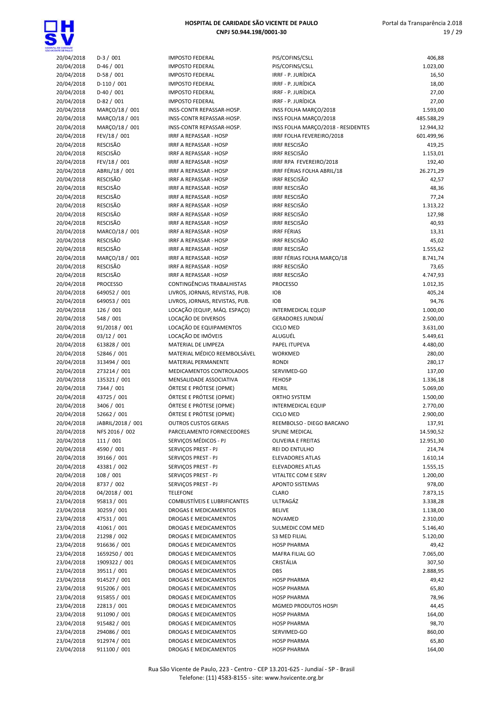

### 20/04/2018 D-3 / 001 IMPOSTO FEDERAL PIS/COFINS/CSLL 406,88 20/04/2018 D-46 / 001 IMPOSTO FEDERAL PIS/COFINS/CSLL 1.023,00 20/04/2018 D-58 / 001 IMPOSTO FEDERAL IRRF - P. JURÍDICA 16,50 20/04/2018 D-110 / 001 IMPOSTO FEDERAL IRRF - P. JURÍDICA 18,00 20/04/2018 D-40 / 001 IMPOSTO FEDERAL IRRF - P. JURÍDICA 27,00 20/04/2018 D-82 / 001 IMPOSTO FEDERAL IRRF - P. JURÍDICA 27,00 20/04/2018 MARÇO/18 / 001 INSS-CONTR REPASSAR-HOSP. INSS FOLHA MARÇO/2018 1.593,00 20/04/2018 MARÇO/18 / 001 INSS-CONTR REPASSAR-HOSP. INSS FOLHA MARÇO/2018 485.588,29 20/04/2018 MARÇO/18 / 001 INSS-CONTR REPASSAR-HOSP. INSS FOLHA MARÇO/2018 - RESIDENTES 12.944,32 20/04/2018 FEV/18 / 001 IRRF A REPASSAR - HOSP IRRF FOLHA FEVEREIRO/2018 601.499,96 20/04/2018 RESCISÃO IRRF A REPASSAR - HOSP IRRF RESCISÃO 419,25 20/04/2018 RESCISÃO IRRF A REPASSAR - HOSP IRRF RESCISÃO 1.153,01 20/04/2018 FEV/18 / 001 IRRF A REPASSAR - HOSP IRRF RPA FEVEREIRO/2018 192,40 20/04/2018 ABRIL/18 / 001 IRRF A REPASSAR - HOSP IRRF FÉRIAS FOLHA ABRIL/18 26.271,29 20/04/2018 RESCISÃO IRRF A REPASSAR - HOSP IRRF RESCISÃO 42,57 20/04/2018 RESCISÃO IRRF A REPASSAR - HOSP IRRF RESCISÃO 48,36 20/04/2018 RESCISÃO IRRF A REPASSAR - HOSP IRRF RESCISÃO 77,24 20/04/2018 RESCISÃO IRRF A REPASSAR - HOSP IRRF RESCISÃO 1.313,22 20/04/2018 RESCISÃO IRRF A REPASSAR - HOSP IRRF RESCISÃO 127,98 20/04/2018 RESCISÃO IRRF A REPASSAR - HOSP IRRF RESCISÃO 40,93 20/04/2018 MARCO/18 / 001 IRRF A REPASSAR - HOSP IRRF FÉRIAS 13,31 20/04/2018 RESCISÃO IRRF A REPASSAR - HOSP IRRF RESCISÃO 45,02 20/04/2018 RESCISÃO IRRE A REPASSAR - HOSP IRRE RESCISÃO ISO E ESSE O 1.555,62 20/04/2018 MARÇO/18 / 001 IRRF A REPASSAR - HOSP IRRF FÉRIAS FOLHA MARÇO/18 8.741,74 20/04/2018 RESCISÃO IRRF A REPASSAR - HOSP IRRF RESCISÃO 73,65 20/04/2018 RESCISÃO IRRF A REPASSAR - HOSP IRRF RESCISÃO 4.747,93 20/04/2018 PROCESSO CONTINGÊNCIAS TRABALHISTAS PROCESSO 1.012,35 20/04/2018 649052 / 001 LIVROS, JORNAIS, REVISTAS, PUB. IOB 405,24 20/04/2018 649053 / 001 LIVROS, JORNAIS, REVISTAS, PUB. IOB 94,76 20/04/2018 126 / 001 LOCAÇÃO (EQUIP, MÁQ. ESPAÇO) INTERMEDICAL EQUIP 1.000,00 20/04/2018 548 / 001 LOCAÇÃO DE DIVERSOS GERADORES JUNDIAÍ 2.500,00 20/04/2018 91/2018 / 001 LOCAÇÃO DE EQUIPAMENTOS CICLO MED 3.631,00 20/04/2018 03/12 / 001 LOCAÇÃO DE IMÓVEIS ALUGUÉL 5.449,61 20/04/2018 613828 / 001 MATERIAL DE LIMPEZA PAPEL ITUPEVA 4.480,00 20/04/2018 52846 / 001 MATERIAL MÉDICO REEMBOLSÁVEL WORKMED 280,00 20/04/2018 313494 / 001 MATERIAL PERMANENTE RONDI 280,17 20/04/2018 273214 / 001 MEDICAMENTOS CONTROLADOS SERVIMED-GO 137,00 20/04/2018 135321 / 001 MENSALIDADE ASSOCIATIVA FEHOSP 1.336,18 20/04/2018 7344 / 001 ÓRTESE E PRÓTESE (OPME) MERIL 5.069,00 20/04/2018 43725 / 001 ÓRTESE E PRÓTESE (OPME) ORTHO SYSTEM 1.500,00 20/04/2018 3406 / 001 ÓRTESE E PRÓTESE (OPME) INTERMEDICAL EQUIP 2.770,00 20/04/2018 52662 / 001 ÓRTESE E PRÓTESE (OPME) CICLO MED 2.900,00 20/04/2018 JABRIL/2018 / 001 OUTROS CUSTOS GERAIS REEMBOLSO - DIEGO BARCANO 137,91 20/04/2018 NFS 2016 / 002 PARCELAMENTO FORNECEDORES SPLINE MEDICAL 2001 14.590,52 20/04/2018 111 / 001 SERVIÇOS MÉDICOS - PJ OLIVEIRA E FREITAS 12.951,30 20/04/2018 4590 / 001 SERVIÇOS PREST - PJ REI DO ENTULHO 214,74 20/04/2018 39166 / 001 SERVIÇOS PREST - PJ ELEVADORES ATLAS 1.610,14 20/04/2018 43381 / 002 SERVIÇOS PREST - PJ ELEVADORES ATLAS 1.555,15 20/04/2018 108 / 001 SERVIÇOS PREST - PJ VITALTEC COM E SERV 1.200,00 20/04/2018 8737 / 002 SERVIÇOS PREST - PJ APONTO SISTEMAS 978,00 20/04/2018 04/2018 / 001 TELEFONE CLARO 7.873,15 23/04/2018 95813 / 001 COMBUSTÍVEIS E LUBRIFICANTES ULTRAGÁZ 3.338,28 23/04/2018 30259 / 001 DROGAS E MEDICAMENTOS BELIVE 1.138,00 23/04/2018 47531 / 001 DROGAS E MEDICAMENTOS NOVAMED 2.310,00 23/04/2018 41061 / 001 DROGAS E MEDICAMENTOS SULMEDIC COM MED 5.146,40 23/04/2018 21298 / 002 DROGAS E MEDICAMENTOS S3 MED FILIAL 5.120,00 23/04/2018 916636 / 001 DROGAS E MEDICAMENTOS HOSP PHARMA 49,42 23/04/2018 1659250 / 001 DROGAS E MEDICAMENTOS MAFRA FILIAL GO 7.065,00 23/04/2018 1909322 / 001 DROGAS E MEDICAMENTOS CRISTÁLIA 307,50 23/04/2018 39511 / 001 DROGAS E MEDICAMENTOS DBS 2.888,95 23/04/2018 914527 / 001 DROGAS E MEDICAMENTOS HOSP PHARMA 23/04/2018 915206 / 001 DROGAS E MEDICAMENTOS HOSP PHARMA 65,80 23/04/2018 915855 / 001 DROGAS E MEDICAMENTOS HOSP PHARMA 78,96 23/04/2018 22813 / 001 DROGAS E MEDICAMENTOS MGMED PRODUTOS HOSPI 44,45 23/04/2018 911090 / 001 DROGAS E MEDICAMENTOS HOSP PHARMA 164,00 23/04/2018 915482 / 001 DROGAS E MEDICAMENTOS HOSP PHARMA 98,70 23/04/2018 294086 / 001 DROGAS E MEDICAMENTOS SERVIMED-GO 860,00 23/04/2018 912974 / 001 DROGAS E MEDICAMENTOS HOSP PHARMA 65,80 23/04/2018 911100 / 001 DROGAS E MEDICAMENTOS HOSP PHARMA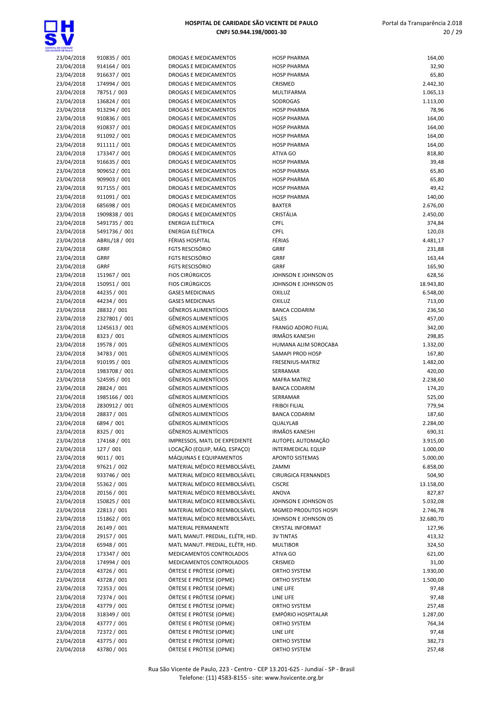

| E GAMDADE<br>E CE PAULO  |                                          |                                             |
|--------------------------|------------------------------------------|---------------------------------------------|
| 3/04/2018                | 910835 / 001                             | DROGAS E MEI                                |
| 3/04/2018                | 914164 / 001                             | <b>DROGAS E MEI</b>                         |
| 3/04/2018                | 916637 / 001                             | <b>DROGAS E MEI</b>                         |
| 3/04/2018                | 174994 / 001                             | <b>DROGAS E MEI</b>                         |
| 3/04/2018                | 78751 / 003                              | <b>DROGAS E MEI</b>                         |
| 3/04/2018                | 136824 / 001                             | <b>DROGAS E MEI</b>                         |
| 3/04/2018                | 913294 / 001                             | <b>DROGAS E MEI</b>                         |
| 3/04/2018                | 910836 / 001                             | <b>DROGAS E MEI</b>                         |
| 3/04/2018                | 910837 / 001                             | <b>DROGAS E MEI</b>                         |
| 3/04/2018                | 911092 / 001                             | <b>DROGAS E MEI</b>                         |
| 3/04/2018                | 911111 / 001                             | <b>DROGAS E MEI</b>                         |
| 3/04/2018                | 173347 / 001                             | <b>DROGAS E MEI</b>                         |
| 3/04/2018                | 916635 / 001                             | <b>DROGAS E MEI</b>                         |
| 3/04/2018                | 909652 / 001                             | <b>DROGAS E MEI</b>                         |
| 3/04/2018                | 909903 / 001                             | <b>DROGAS E MEI</b>                         |
| 3/04/2018                | 917155 / 001                             | <b>DROGAS E MEI</b>                         |
| 3/04/2018                | 911091 / 001                             | <b>DROGAS E MEI</b>                         |
| 3/04/2018                | 685698 / 001                             | <b>DROGAS E MEI</b>                         |
| 3/04/2018                | 1909838 / 001                            | <b>DROGAS E MEI</b>                         |
| 3/04/2018                | 5491735 / 001                            | <b>ENERGIA ELÉTI</b>                        |
| 3/04/2018                | 5491736 / 001                            | <b>ENERGIA ELÉTI</b>                        |
| 3/04/2018                | ABRIL/18 / 001                           | <b>FÉRIAS HOSPIT</b>                        |
| 3/04/2018                | <b>GRRF</b>                              | <b>FGTS RESCISÓR</b>                        |
| 3/04/2018                | GRRF                                     | <b>FGTS RESCISÓR</b>                        |
| 3/04/2018                | GRRF                                     | <b>FGTS RESCISÓR</b>                        |
| 3/04/2018                | 151967 / 001                             | <b>FIOS CIRÚRGIO</b>                        |
| 3/04/2018                | 150951 / 001                             | <b>FIOS CIRÚRGIC</b>                        |
| 3/04/2018                | 44235 / 001                              | <b>GASES MEDICI</b>                         |
| 3/04/2018                | 44234 / 001                              | <b>GASES MEDICI</b>                         |
| 3/04/2018                | 28832 / 001                              | <b>GÊNEROS ALIN</b>                         |
| 3/04/2018                | 2327801 / 001                            | <b>GÊNEROS ALIN</b>                         |
| 3/04/2018                | 1245613 / 001                            | <b>GÊNEROS ALIN</b>                         |
| 3/04/2018                | 8323 / 001                               | <b>GÊNEROS ALIN</b>                         |
| 3/04/2018                | 19578 / 001                              | <b>GÊNEROS ALIN</b>                         |
| 3/04/2018                | 34783 / 001                              | <b>GÊNEROS ALIN</b>                         |
| 3/04/2018                | 910195 / 001                             | <b>GÊNEROS ALIN</b>                         |
| 3/04/2018                | 1983708 / 001                            | <b>GÊNEROS ALIN</b>                         |
| 3/04/2018                | 524595 / 001                             | <b>GÊNEROS ALIN</b>                         |
| 3/04/2018                | 28824 / 001                              | <b>GÊNEROS ALIN</b>                         |
| 3/04/2018                | 1985166 / 001                            | <b>GÊNEROS ALIN</b>                         |
| 3/04/2018                | 2830912 / 001                            | <b>GÊNEROS ALIN</b>                         |
| 3/04/2018                | 28837 / 001                              | <b>GÊNEROS ALIN</b>                         |
| 3/04/2018                | 6894 / 001                               | <b>GÊNEROS ALIN</b>                         |
| 3/04/2018                | 8325 / 001                               | GÊNEROS ALIN                                |
| 3/04/2018                | 174168 / 001                             | IMPRESSOS, M                                |
| 3/04/2018                | 127 / 001                                | LOCAÇÃO (EQI                                |
| 3/04/2018                | 9011 / 001                               | MÁQUINAS E E                                |
| 3/04/2018                | 97621 / 002                              | <b>MATERIAL MÉI</b><br><b>MATERIAL MÉI</b>  |
| 3/04/2018                | 933746 / 001                             |                                             |
| 3/04/2018                | 55362 / 001                              | MATERIAL MÉI<br>MATERIAL MÉI                |
| 3/04/2018                | 20156 / 001                              |                                             |
| 3/04/2018                | 150825 / 001                             | <b>MATERIAL MÉ</b> I<br><b>MATERIAL MÉI</b> |
| 3/04/2018                | 22813 / 001                              |                                             |
| 3/04/2018                | 151862 / 001                             | <b>MATERIAL MÉ</b> I                        |
| 3/04/2018                | 26149 / 001                              | <b>MATERIAL PER</b><br>MATL MANUT.          |
| 3/04/2018                | 29157 / 001                              |                                             |
| 3/04/2018                | 65948 / 001                              | MATL MANUT.                                 |
| 3/04/2018                | 173347 / 001                             | <b>MEDICAMENT</b>                           |
| 3/04/2018                | 174994 / 001                             | <b>MEDICAMENT</b>                           |
| 3/04/2018                | 43726 / 001                              | ÓRTESE E PRÓ                                |
| 3/04/2018                | 43728 / 001                              | ÓRTESE E PRÓ                                |
| 3/04/2018                | 72353 / 001                              | ÓRTESE E PRÓ                                |
| 3/04/2018                | 72374 / 001                              | ÓRTESE E PRÓ                                |
| 3/04/2018                | 43779 / 001                              | ÓRTESE E PRÓ                                |
| 3/04/2018                | 318349 / 001                             | ÓRTESE E PRÓ                                |
| 3/04/2018                | 43777 / 001                              | ÓRTESE E PRÓ                                |
| 3/04/2018<br>$2(01/2010$ | 72372 / 001<br><b>A コ フ フ ロ</b><br>1.001 | ÓRTESE E PRÓ<br>ÓDTESE E DDÁ <sup>.</sup>   |
|                          |                                          |                                             |

| <b>DGAS E MEDICAMENTOS</b>                                   |
|--------------------------------------------------------------|
| <b>DGAS E MEDICAMENTOS</b>                                   |
| <b>DGAS E MEDICAMENTOS</b>                                   |
| <b>DGAS E MEDICAMENTOS</b>                                   |
| <b>DGAS E MEDICAMENTOS</b>                                   |
| OGAS E MEDICAMENTOS                                          |
| <b>DGAS E MEDICAMENTOS</b>                                   |
| <b>DGAS E MEDICAMENTOS</b>                                   |
| OGAS E MEDICAMENTOS                                          |
| <b>DGAS E MEDICAMENTOS</b>                                   |
| <b>DGAS E MEDICAMENTOS</b>                                   |
| <b>DGAS E MEDICAMENTOS</b><br>OGAS E MEDICAMENTOS            |
| <b>DGAS E MEDICAMENTOS</b>                                   |
| <b>DGAS E MEDICAMENTOS</b>                                   |
| <b>DGAS E MEDICAMENTOS</b>                                   |
| <b>DGAS E MEDICAMENTOS</b>                                   |
| OGAS E MEDICAMENTOS                                          |
| <b>DGAS E MEDICAMENTOS</b>                                   |
| :RGIA ELÉTRICA                                               |
| RGIA ELÉTRICA:                                               |
| <b>IAS HOSPITAL</b>                                          |
| 'S RESCISÓRIO                                                |
| 'S RESCISÓRIO                                                |
| 'S RESCISÓRIO                                                |
| S CIRÚRGICOS                                                 |
| S CIRÚRGICOS                                                 |
| <b>SES MEDICINAIS</b>                                        |
| <b>SES MEDICINAIS</b>                                        |
| VEROS ALIMENTÍCIOS                                           |
| VEROS ALIMENTÍCIOS                                           |
| VEROS ALIMENTÍCIOS                                           |
| VEROS ALIMENTÍCIOS                                           |
| VEROS ALIMENTÍCIOS<br><b>IEROS ALIMENTÍCIOS</b>              |
| VEROS ALIMENTÍCIOS                                           |
| VEROS ALIMENTÍCIOS                                           |
| VEROS ALIMENTÍCIOS                                           |
| VEROS ALIMENTÍCIOS                                           |
| <b>IEROS ALIMENTÍCIOS</b>                                    |
| VEROS ALIMENTÍCIOS                                           |
| VEROS ALIMENTÍCIOS                                           |
| VEROS ALIMENTÍCIOS                                           |
| VEROS ALIMENTÍCIOS                                           |
| RESSOS, MATL DE EXPEDIENTE                                   |
| AÇÃO (EQUIP, MÁQ. ESPAÇO)                                    |
| QUINAS E EQUIPAMENTOS                                        |
| TERIAL MÉDICO REEMBOLSÁVEL                                   |
| TERIAL MÉDICO REEMBOLSÁVEL                                   |
| TERIAL MÉDICO REEMBOLSÁVEL                                   |
| TERIAL MÉDICO REEMBOLSÁVEL<br>TERIAL MÉDICO REEMBOLSÁVEL     |
| TERIAL MÉDICO REEMBOLSÁVEL                                   |
| TERIAL MÉDICO REEMBOLSÁVEL                                   |
| <b>TERIAL PERMANENTE</b>                                     |
| TL MANUT. PREDIAL, ELÉTR, HID.                               |
| TL MANUT. PREDIAL, ELÉTR, HID.                               |
| DICAMENTOS CONTROLADOS                                       |
| DICAMENTOS CONTROLADOS                                       |
| FESE E PRÓTESE (OPME)                                        |
| FESE E PRÓTESE (OPME)                                        |
| <b>FESE E PRÓTESE (OPME)</b>                                 |
| FESE E PRÓTESE (OPME)                                        |
| FESE E PRÓTESE (OPME)                                        |
| FESE E PRÓTESE (OPME)                                        |
| <b>FESE E PRÓTESE (OPME)</b>                                 |
| <b>FESE E PRÓTESE (OPME)</b><br><b>FESE E PRÓTESE (OPME)</b> |
|                                                              |

| OE CANDADE               |                                |                                                               |                                                |                      |
|--------------------------|--------------------------------|---------------------------------------------------------------|------------------------------------------------|----------------------|
| 23/04/2018               | 910835 / 001                   | DROGAS E MEDICAMENTOS                                         | <b>HOSP PHARMA</b>                             | 164,00               |
| 23/04/2018               | 914164 / 001                   | DROGAS E MEDICAMENTOS                                         | <b>HOSP PHARMA</b>                             | 32,90                |
| 23/04/2018               | 916637 / 001                   | DROGAS E MEDICAMENTOS                                         | <b>HOSP PHARMA</b>                             | 65,80                |
| 23/04/2018               | 174994 / 001                   | DROGAS E MEDICAMENTOS                                         | CRISMED                                        | 2.442,30             |
| 23/04/2018<br>23/04/2018 | 78751 / 003<br>136824 / 001    | DROGAS E MEDICAMENTOS<br>DROGAS E MEDICAMENTOS                | MULTIFARMA<br>SODROGAS                         | 1.065,13<br>1.113,00 |
| 23/04/2018               | 913294 / 001                   | DROGAS E MEDICAMENTOS                                         | <b>HOSP PHARMA</b>                             | 78,96                |
| 23/04/2018               | 910836 / 001                   | DROGAS E MEDICAMENTOS                                         | <b>HOSP PHARMA</b>                             | 164,00               |
| 23/04/2018               | 910837 / 001                   | DROGAS E MEDICAMENTOS                                         | <b>HOSP PHARMA</b>                             | 164,00               |
| 23/04/2018               | 911092 / 001                   | DROGAS E MEDICAMENTOS                                         | <b>HOSP PHARMA</b>                             | 164,00               |
| 23/04/2018               | 911111 / 001                   | DROGAS E MEDICAMENTOS                                         | <b>HOSP PHARMA</b>                             | 164,00               |
| 23/04/2018               | 173347 / 001                   | <b>DROGAS E MEDICAMENTOS</b>                                  | ATIVA GO                                       | 818,80               |
| 23/04/2018               | 916635 / 001                   | DROGAS E MEDICAMENTOS                                         | <b>HOSP PHARMA</b>                             | 39,48                |
| 23/04/2018               | 909652 / 001                   | DROGAS E MEDICAMENTOS                                         | <b>HOSP PHARMA</b>                             | 65,80                |
| 23/04/2018               | 909903 / 001                   | DROGAS E MEDICAMENTOS                                         | <b>HOSP PHARMA</b>                             | 65,80                |
| 23/04/2018               | 917155 / 001                   | DROGAS E MEDICAMENTOS                                         | <b>HOSP PHARMA</b>                             | 49,42                |
| 23/04/2018               | 911091 / 001                   | DROGAS E MEDICAMENTOS                                         | <b>HOSP PHARMA</b>                             | 140,00               |
| 23/04/2018<br>23/04/2018 | 685698 / 001<br>1909838 / 001  | DROGAS E MEDICAMENTOS<br><b>DROGAS E MEDICAMENTOS</b>         | <b>BAXTER</b><br>CRISTÁLIA                     | 2.676,00<br>2.450,00 |
| 23/04/2018               | 5491735 / 001                  | ENERGIA ELÉTRICA                                              | CPFL                                           | 374,84               |
| 23/04/2018               | 5491736 / 001                  | <b>ENERGIA ELÉTRICA</b>                                       | <b>CPFL</b>                                    | 120,03               |
| 23/04/2018               | ABRIL/18 / 001                 | FÉRIAS HOSPITAL                                               | FÉRIAS                                         | 4.481,17             |
| 23/04/2018               | <b>GRRF</b>                    | <b>FGTS RESCISÓRIO</b>                                        | GRRF                                           | 231,88               |
| 23/04/2018               | <b>GRRF</b>                    | <b>FGTS RESCISÓRIO</b>                                        | <b>GRRF</b>                                    | 163,44               |
| 23/04/2018               | <b>GRRF</b>                    | FGTS RESCISÓRIO                                               | <b>GRRF</b>                                    | 165,90               |
| 23/04/2018               | 151967 / 001                   | <b>FIOS CIRÚRGICOS</b>                                        | JOHNSON E JOHNSON 05                           | 628,56               |
| 23/04/2018               | 150951 / 001                   | <b>FIOS CIRÚRGICOS</b>                                        | JOHNSON E JOHNSON 05                           | 18.943,80            |
| 23/04/2018               | 44235 / 001                    | <b>GASES MEDICINAIS</b>                                       | <b>OXILUZ</b>                                  | 6.548,00             |
| 23/04/2018               | 44234 / 001                    | <b>GASES MEDICINAIS</b>                                       | OXILUZ                                         | 713,00               |
| 23/04/2018               | 28832 / 001                    | <b>GÊNEROS ALIMENTÍCIOS</b>                                   | <b>BANCA CODARIM</b>                           | 236,50               |
| 23/04/2018<br>23/04/2018 | 2327801 / 001<br>1245613 / 001 | <b>GÊNEROS ALIMENTÍCIOS</b><br><b>GÊNEROS ALIMENTÍCIOS</b>    | <b>SALES</b><br><b>FRANGO ADORO FILIAL</b>     | 457,00<br>342,00     |
| 23/04/2018               | 8323 / 001                     | <b>GÊNEROS ALIMENTÍCIOS</b>                                   | <b>IRMÃOS KANESHI</b>                          | 298,85               |
| 23/04/2018               | 19578 / 001                    | GÊNEROS ALIMENTÍCIOS                                          | HUMANA ALIM SOROCABA                           | 1.332,00             |
| 23/04/2018               | 34783 / 001                    | GÊNEROS ALIMENTÍCIOS                                          | SAMAPI PROD HOSP                               | 167,80               |
| 23/04/2018               | 910195 / 001                   | <b>GÊNEROS ALIMENTÍCIOS</b>                                   | FRESENIUS-MATRIZ                               | 1.482,00             |
| 23/04/2018               | 1983708 / 001                  | <b>GÊNEROS ALIMENTÍCIOS</b>                                   | SERRAMAR                                       | 420,00               |
| 23/04/2018               | 524595 / 001                   | <b>GÊNEROS ALIMENTÍCIOS</b>                                   | <b>MAFRA MATRIZ</b>                            | 2.238,60             |
| 23/04/2018               | 28824 / 001                    | <b>GÊNEROS ALIMENTÍCIOS</b>                                   | <b>BANCA CODARIM</b>                           | 174,20               |
| 23/04/2018               | 1985166 / 001                  | <b>GÊNEROS ALIMENTÍCIOS</b>                                   | SERRAMAR                                       | 525,00               |
| 23/04/2018               | 2830912 / 001                  | <b>GÊNEROS ALIMENTÍCIOS</b>                                   | <b>FRIBOI FILIAL</b>                           | 779,94               |
| 23/04/2018               | 28837 / 001                    | <b>GÊNEROS ALIMENTÍCIOS</b>                                   | <b>BANCA CODARIM</b>                           | 187,60               |
| 23/04/2018               | 6894 / 001                     | <b>GÊNEROS ALIMENTÍCIOS</b>                                   | QUALYLAB                                       | 2.284,00             |
| 23/04/2018               | 8325 / 001                     | GÊNEROS ALIMENTÍCIOS                                          | <b>IRMÃOS KANESHI</b>                          | 690,31               |
| 23/04/2018<br>23/04/2018 | 174168 / 001<br>127/001        | IMPRESSOS, MATL DE EXPEDIENTE<br>LOCAÇÃO (EQUIP, MÁQ. ESPAÇO) | AUTOPEL AUTOMAÇÃO<br><b>INTERMEDICAL EQUIP</b> | 3.915,00             |
| 23/04/2018               | 9011 / 001                     | MÁQUINAS E EQUIPAMENTOS                                       | APONTO SISTEMAS                                | 1.000,00<br>5.000,00 |
| 23/04/2018               | 97621 / 002                    | MATERIAL MÉDICO REEMBOLSÁVEL                                  | ZAMMI                                          | 6.858,00             |
| 23/04/2018               | 933746 / 001                   | MATERIAL MÉDICO REEMBOLSÁVEL                                  | <b>CIRURGICA FERNANDES</b>                     | 504,90               |
| 23/04/2018               | 55362 / 001                    | MATERIAL MÉDICO REEMBOLSÁVEL                                  | <b>CISCRE</b>                                  | 13.158,00            |
| 23/04/2018               | 20156 / 001                    | MATERIAL MÉDICO REEMBOLSÁVEL                                  | <b>ANOVA</b>                                   | 827,87               |
| 23/04/2018               | 150825 / 001                   | MATERIAL MÉDICO REEMBOLSÁVEL                                  | JOHNSON E JOHNSON 05                           | 5.032,08             |
| 23/04/2018               | 22813 / 001                    | MATERIAL MÉDICO REEMBOLSÁVEL                                  | MGMED PRODUTOS HOSPI                           | 2.746,78             |
| 23/04/2018               | 151862 / 001                   | MATERIAL MÉDICO REEMBOLSÁVEL                                  | JOHNSON E JOHNSON 05                           | 32.680,70            |
| 23/04/2018               | 26149 / 001                    | MATERIAL PERMANENTE                                           | <b>CRYSTAL INFORMAT</b>                        | 127,96               |
| 23/04/2018               | 29157 / 001                    | MATL MANUT. PREDIAL, ELÉTR, HID.                              | <b>3V TINTAS</b>                               | 413,32               |
| 23/04/2018               | 65948 / 001                    | MATL MANUT. PREDIAL, ELÉTR, HID.                              | <b>MULTIBOR</b>                                | 324,50               |
| 23/04/2018               | 173347 / 001                   | MEDICAMENTOS CONTROLADOS                                      | ATIVA GO                                       | 621,00               |
| 23/04/2018<br>23/04/2018 | 174994 / 001<br>43726 / 001    | MEDICAMENTOS CONTROLADOS<br>ÓRTESE E PRÓTESE (OPME)           | CRISMED<br>ORTHO SYSTEM                        | 31,00                |
| 23/04/2018               | 43728 / 001                    | ÓRTESE E PRÓTESE (OPME)                                       | ORTHO SYSTEM                                   | 1.930,00<br>1.500,00 |
| 23/04/2018               | 72353 / 001                    | ÓRTESE E PRÓTESE (OPME)                                       | LINE LIFE                                      | 97,48                |
| 23/04/2018               | 72374 / 001                    | ÓRTESE E PRÓTESE (OPME)                                       | LINE LIFE                                      | 97,48                |
| 23/04/2018               | 43779 / 001                    | ÓRTESE E PRÓTESE (OPME)                                       | ORTHO SYSTEM                                   | 257,48               |
| 23/04/2018               | 318349 / 001                   | ÓRTESE E PRÓTESE (OPME)                                       | EMPÓRIO HOSPITALAR                             | 1.287,00             |
| 23/04/2018               | 43777 / 001                    | ÓRTESE E PRÓTESE (OPME)                                       | ORTHO SYSTEM                                   | 764,34               |
| 23/04/2018               | 72372 / 001                    | ÓRTESE E PRÓTESE (OPME)                                       | LINE LIFE                                      | 97,48                |
| 23/04/2018               | 43775 / 001                    | ÓRTESE E PRÓTESE (OPME)                                       | ORTHO SYSTEM                                   | 382,73               |

23/04/2018 43780 / 001 ÓRTESE E PRÓTESE (OPME) ORTHO SYSTEM 257,48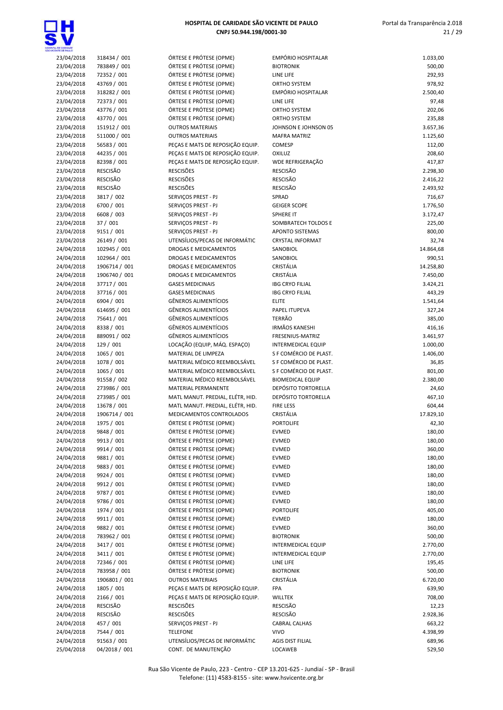

| CENTE CE BALLO |                 |                                  |                            |           |
|----------------|-----------------|----------------------------------|----------------------------|-----------|
| 23/04/2018     | 318434 / 001    | ÓRTESE E PRÓTESE (OPME)          | EMPÓRIO HOSPITALAR         | 1.033,00  |
| 23/04/2018     | 783849 / 001    | ÓRTESE E PRÓTESE (OPME)          | <b>BIOTRONIK</b>           | 500,00    |
| 23/04/2018     | 72352 / 001     | ÓRTESE E PRÓTESE (OPME)          | LINE LIFE                  | 292,93    |
| 23/04/2018     | 43769 / 001     | ÓRTESE E PRÓTESE (OPME)          | ORTHO SYSTEM               | 978,92    |
| 23/04/2018     | 318282 / 001    | ÓRTESE E PRÓTESE (OPME)          | EMPÓRIO HOSPITALAR         | 2.500,40  |
|                |                 |                                  |                            |           |
| 23/04/2018     | 72373 / 001     | ÓRTESE E PRÓTESE (OPME)          | LINE LIFE                  | 97,48     |
| 23/04/2018     | 43776 / 001     | ÓRTESE E PRÓTESE (OPME)          | <b>ORTHO SYSTEM</b>        | 202,06    |
| 23/04/2018     | 43770 / 001     | ÓRTESE E PRÓTESE (OPME)          | <b>ORTHO SYSTEM</b>        | 235,88    |
| 23/04/2018     | 151912 / 001    | <b>OUTROS MATERIAIS</b>          | JOHNSON E JOHNSON 05       | 3.657,36  |
| 23/04/2018     | 511000 / 001    | <b>OUTROS MATERIAIS</b>          | <b>MAFRA MATRIZ</b>        | 1.125,60  |
|                |                 |                                  |                            |           |
| 23/04/2018     | 56583 / 001     | PEÇAS E MATS DE REPOSIÇÃO EQUIP. | COMESP                     | 112,00    |
| 23/04/2018     | 44235 / 001     | PEÇAS E MATS DE REPOSIÇÃO EQUIP. | OXILUZ                     | 208,60    |
| 23/04/2018     | 82398 / 001     | PECAS E MATS DE REPOSIÇÃO EQUIP. | WDE REFRIGERAÇÃO           | 417,87    |
| 23/04/2018     | <b>RESCISÃO</b> | <b>RESCISÕES</b>                 | <b>RESCISÃO</b>            | 2.298,30  |
| 23/04/2018     | <b>RESCISÃO</b> | <b>RESCISÕES</b>                 | <b>RESCISÃO</b>            | 2.416,22  |
|                | RESCISÃO        | <b>RESCISÕES</b>                 |                            |           |
| 23/04/2018     |                 |                                  | <b>RESCISÃO</b>            | 2.493,92  |
| 23/04/2018     | 3817 / 002      | SERVIÇOS PREST - PJ              | SPRAD                      | 716,67    |
| 23/04/2018     | 6700 / 001      | SERVIÇOS PREST - PJ              | <b>GEIGER SCOPE</b>        | 1.776,50  |
| 23/04/2018     | 6608 / 003      | SERVIÇOS PREST - PJ              | SPHERE IT                  | 3.172,47  |
| 23/04/2018     | 37 / 001        | SERVIÇOS PREST - PJ              | SOMBRATECH TOLDOS E        | 225,00    |
|                |                 |                                  |                            |           |
| 23/04/2018     | 9151 / 001      | SERVIÇOS PREST - PJ              | APONTO SISTEMAS            | 800,00    |
| 23/04/2018     | 26149 / 001     | UTENSÍLIOS/PECAS DE INFORMÁTIC   | <b>CRYSTAL INFORMAT</b>    | 32,74     |
| 24/04/2018     | 102945 / 001    | DROGAS E MEDICAMENTOS            | SANOBIOL                   | 14.864,68 |
| 24/04/2018     | 102964 / 001    | DROGAS E MEDICAMENTOS            | SANOBIOL                   | 990,51    |
|                |                 |                                  | CRISTÁLIA                  |           |
| 24/04/2018     | 1906714 / 001   | DROGAS E MEDICAMENTOS            |                            | 14.258,80 |
| 24/04/2018     | 1906740 / 001   | DROGAS E MEDICAMENTOS            | CRISTÁLIA                  | 7.450,00  |
| 24/04/2018     | 37717 / 001     | <b>GASES MEDICINAIS</b>          | <b>IBG CRYO FILIAL</b>     | 3.424,21  |
| 24/04/2018     | 37716 / 001     | <b>GASES MEDICINAIS</b>          | <b>IBG CRYO FILIAL</b>     | 443,29    |
| 24/04/2018     | 6904 / 001      | <b>GÊNEROS ALIMENTÍCIOS</b>      | <b>ELITE</b>               | 1.541,64  |
|                | 614695 / 001    | GÊNEROS ALIMENTÍCIOS             | PAPEL ITUPEVA              |           |
| 24/04/2018     |                 |                                  |                            | 327,24    |
| 24/04/2018     | 75641 / 001     | GÊNEROS ALIMENTÍCIOS             | <b>TERRÃO</b>              | 385,00    |
| 24/04/2018     | 8338 / 001      | <b>GÊNEROS ALIMENTÍCIOS</b>      | <b>IRMÃOS KANESHI</b>      | 416,16    |
| 24/04/2018     | 889091 / 002    | <b>GÊNEROS ALIMENTÍCIOS</b>      | FRESENIUS-MATRIZ           | 3.461,97  |
| 24/04/2018     | 129 / 001       | LOCAÇÃO (EQUIP, MÁQ. ESPAÇO)     | <b>INTERMEDICAL EQUIP</b>  | 1.000,00  |
|                |                 |                                  |                            |           |
| 24/04/2018     | 1065 / 001      | MATERIAL DE LIMPEZA              | S F COMÉRCIO DE PLAST.     | 1.406,00  |
| 24/04/2018     | 1078 / 001      | MATERIAL MÉDICO REEMBOLSÁVEL     | S F COMÉRCIO DE PLAST.     | 36,85     |
| 24/04/2018     | 1065 / 001      | MATERIAL MÉDICO REEMBOLSÁVEL     | S F COMÉRCIO DE PLAST.     | 801,00    |
| 24/04/2018     | 91558 / 002     | MATERIAL MÉDICO REEMBOLSÁVEL     | <b>BIOMEDICAL EQUIP</b>    | 2.380,00  |
| 24/04/2018     | 273986 / 001    | MATERIAL PERMANENTE              | <b>DEPÓSITO TORTORELLA</b> | 24,60     |
|                |                 |                                  |                            |           |
| 24/04/2018     | 273985 / 001    | MATL MANUT. PREDIAL, ELÉTR, HID. | <b>DEPÓSITO TORTORELLA</b> | 467,10    |
| 24/04/2018     | 13678 / 001     | MATL MANUT. PREDIAL, ELÉTR, HID. | <b>FIRE LESS</b>           | 604,44    |
| 24/04/2018     | 1906714 / 001   | MEDICAMENTOS CONTROLADOS         | CRISTÁLIA                  | 17.829,10 |
| 24/04/2018     | 1975 / 001      | ÓRTESE E PRÓTESE (OPME)          | <b>PORTOLIFE</b>           | 42,30     |
|                |                 |                                  |                            |           |
| 24/04/2018     | 9848 / 001      | ÓRTESE E PRÓTESE (OPME)          | EVMED                      | 180,00    |
| 24/04/2018     | 9913 / 001      | ÓRTESE E PRÓTESE (OPME)          | EVMED                      | 180,00    |
| 24/04/2018     | 9914 / 001      | ÓRTESE E PRÓTESE (OPME)          | EVMED                      | 360,00    |
| 24/04/2018     | 9881 / 001      | ÓRTESE E PRÓTESE (OPME)          | <b>EVMED</b>               | 180,00    |
| 24/04/2018     | 9883 / 001      | ÓRTESE E PRÓTESE (OPME)          | <b>EVMED</b>               | 180,00    |
|                |                 |                                  |                            |           |
| 24/04/2018     | 9924 / 001      | ÓRTESE E PRÓTESE (OPME)          | EVMED                      | 180,00    |
| 24/04/2018     | 9912 / 001      | ÓRTESE E PRÓTESE (OPME)          | <b>EVMED</b>               | 180,00    |
| 24/04/2018     | 9787 / 001      | ÓRTESE E PRÓTESE (OPME)          | <b>EVMED</b>               | 180,00    |
| 24/04/2018     | 9786 / 001      | ÓRTESE E PRÓTESE (OPME)          | <b>EVMED</b>               | 180,00    |
| 24/04/2018     | 1974 / 001      | ÓRTESE E PRÓTESE (OPME)          | <b>PORTOLIFE</b>           | 405,00    |
|                |                 |                                  |                            |           |
| 24/04/2018     | 9911 / 001      | ÓRTESE E PRÓTESE (OPME)          | <b>EVMED</b>               | 180,00    |
| 24/04/2018     | 9882 / 001      | ÓRTESE E PRÓTESE (OPME)          | <b>EVMED</b>               | 360,00    |
| 24/04/2018     | 783962 / 001    | ÓRTESE E PRÓTESE (OPME)          | <b>BIOTRONIK</b>           | 500,00    |
| 24/04/2018     | 3417 / 001      | ÓRTESE E PRÓTESE (OPME)          | <b>INTERMEDICAL EQUIP</b>  | 2.770,00  |
|                |                 |                                  |                            |           |
| 24/04/2018     | 3411 / 001      | ÓRTESE E PRÓTESE (OPME)          | INTERMEDICAL EQUIP         | 2.770,00  |
| 24/04/2018     | 72346 / 001     | ÓRTESE E PRÓTESE (OPME)          | LINE LIFE                  | 195,45    |
| 24/04/2018     | 783958 / 001    | ÓRTESE E PRÓTESE (OPME)          | <b>BIOTRONIK</b>           | 500,00    |
| 24/04/2018     | 1906801 / 001   | <b>OUTROS MATERIAIS</b>          | CRISTÁLIA                  | 6.720,00  |
| 24/04/2018     | 1805 / 001      | PEÇAS E MATS DE REPOSIÇÃO EQUIP. | FPA                        | 639,90    |
|                |                 |                                  |                            |           |
| 24/04/2018     | 2166 / 001      | PEÇAS E MATS DE REPOSIÇÃO EQUIP. | <b>WILLTEK</b>             | 708,00    |
| 24/04/2018     | <b>RESCISÃO</b> | <b>RESCISÕES</b>                 | RESCISÃO                   | 12,23     |
| 24/04/2018     | <b>RESCISÃO</b> | <b>RESCISÕES</b>                 | RESCISÃO                   | 2.928,36  |
| 24/04/2018     | 457 / 001       | SERVIÇOS PREST - PJ              | CABRAL CALHAS              | 663,22    |
| 24/04/2018     | 7544 / 001      | <b>TELEFONE</b>                  | VIVO                       | 4.398,99  |
|                |                 |                                  |                            |           |
| 24/04/2018     | 91563 / 001     | UTENSÍLIOS/PECAS DE INFORMÁTIC   | <b>AGIS DIST FILIAL</b>    | 689,96    |
| 25/04/2018     | 04/2018 / 001   | CONT. DE MANUTENÇÃO              | LOCAWEB                    | 529,50    |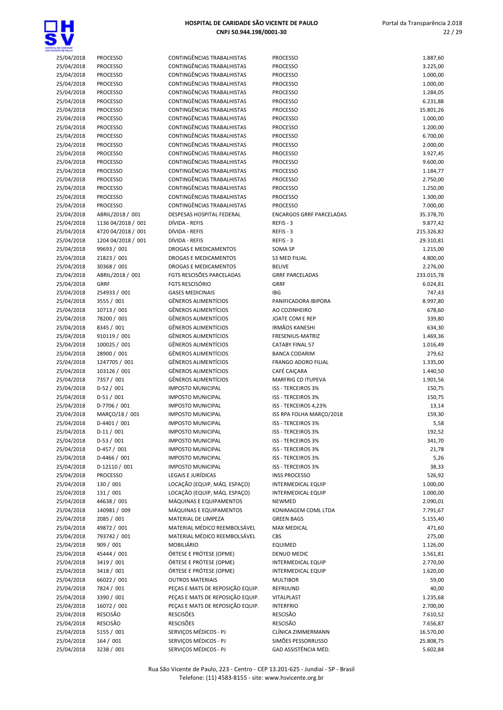

## 25/04/2018 PROCESSO CONTINGÊNCIAS TRABALHISTAS 25/04/2018 PROCESSO CONTINGÊNCIAS TRABALHISTAS 25/04/2018 PROCESSO CONTINGÊNCIAS TRABALHISTAS 25/04/2018 PROCESSO CONTINGÊNCIAS TRABALHISTAS PROCESSO 1.000,00 25/04/2018 PROCESSO CONTINGÊNCIAS TRABALHISTAS 25/04/2018 PROCESSO CONTINGÊNCIAS TRABALHISTAS 25/04/2018 PROCESSO CONTINGÊNCIAS TRABALHISTAS PROCESSO 15.801,26 25/04/2018 PROCESSO CONTINGÊNCIAS TRABALHISTAS 25/04/2018 PROCESSO CONTINGÊNCIAS TRABALHISTAS 25/04/2018 PROCESSO CONTINGÊNCIAS TRABALHISTAS 25/04/2018 PROCESSO CONTINGÊNCIAS TRABALHISTAS 25/04/2018 PROCESSO CONTINGÊNCIAS TRABALHISTAS 25/04/2018 PROCESSO CONTINGÊNCIAS TRABALHISTAS 25/04/2018 PROCESSO CONTINGÊNCIAS TRABALHISTAS 25/04/2018 PROCESSO CONTINGÊNCIAS TRABALHISTAS 25/04/2018 PROCESSO CONTINGÊNCIAS TRABALHISTAS 25/04/2018 PROCESSO CONTINGÊNCIAS TRABALHISTAS 25/04/2018 PROCESSO CONTINGÊNCIAS TRABALHISTAS 25/04/2018 ABRIL/2018 / 001 DESPESAS HOSPITAL FEDERAL ENCARGOS GRRF PARCELADAS 35.378,70 25/04/2018 4720 04/2018 / 001 DÍVIDA - REFIS 25/04/2018 1204 04/2018 / 001 DÍVIDA - REFIS 25/04/2018 99693 / 001 DROGAS E MEDICAMENTOS 25/04/2018 21823 / 001 DROGAS E MEDICAMENTOS 25/04/2018 30368 / 001 DROGAS E MEDICAMENTOS 25/04/2018 ABRIL/2018 / 001 FGTS RESCISÕES PARCELADAS 25/04/2018 3555 / 001 GÊNEROS ALIMENTÍCIOS 25/04/2018 10713 / 001 GÊNEROS ALIMENTÍCIOS AO COZINHEIRO 678,60 25/04/2018 78200 / 001 GÊNEROS ALIMENTÍCIOS 25/04/2018 8345 / 001 GÊNEROS ALIMENTÍCIOS 25/04/2018 910119 / 001 GÊNEROS ALIMENTÍCIOS 25/04/2018 100025 / 001 GÊNEROS ALIMENTÍCIOS  $25/04/2018$   $28900/001$  GÊNEROS ALIMENTÍCIOS 25/04/2018 1247705 / 001 GÊNEROS ALIMENTÍCIOS 25/04/2018 103126 / 001 GÊNEROS ALIMENTÍCIOS 25/04/2018 7357 / 001 GÊNEROS ALIMENTÍCIOS MARFRIG CD ITUPEVA 1.901,56 25/04/2018 D-52 / 001 IMPOSTO MUNICIPAL 25/04/2018 D-51 / 001 IMPOSTO MUNICIPAL 25/04/2018 MARCO/18 / 001 IMPOSTO MUNICIPAL 25/04/2018 D-4401 / 001 IMPOSTO MUNICIPAL 25/04/2018 D-53 / 001 IMPOSTO MUNICIPAL 25/04/2018 D-457 / 001 IMPOSTO MUNICIPAL 25/04/2018 D-12110 / 001 IMPOSTO MUNICIPAL 25/04/2018 PROCESSO LEGAIS E JURÍDICAS 25/04/2018 130 / 001 LOCAÇÃO (EQUIP, MÁQ. ESPAÇO) 25/04/2018 131 / 001 LOCAÇÃO (EQUIP, MÁQ. ESPAÇO) 25/04/2018 44638 / 001 MÁQUINAS E EQUIPAMENTOS 25/04/2018 140981 / 009 MÁQUINAS E EQUIPAMENTOS 25/04/2018 2085 / 001 MATERIAL DE LIMPEZA 25/04/2018 49872 / 001 MATERIAL MÉDICO REEMBOLSÁVEL 25/04/2018 793742 / 001 MATERIAL MÉDICO REEMBOLSÁVEL 25/04/2018 45444 / 001 ÓRTESE E PRÓTESE (OPME) 25/04/2018 3419 / 001 ÓRTESE E PRÓTESE (OPME) 25/04/2018 3418 / 001 ÓRTESE E PRÓTESE (OPME) 25/04/2018 66022 / 001 OUTROS MATERIAIS MULTIBOR 59,00 25/04/2018 7824 / 001 PEÇAS E MATS DE REPOSIÇÃO EQUIP.

CNPJ 50.944.198/0001-30

| OE CANDADE               |                                          |                                                          |                                                        |                         |
|--------------------------|------------------------------------------|----------------------------------------------------------|--------------------------------------------------------|-------------------------|
| 25/04/2018               | <b>PROCESSO</b>                          | CONTINGÊNCIAS TRABALHISTAS                               | <b>PROCESSO</b>                                        | 1.887,60                |
| 25/04/2018               | <b>PROCESSO</b>                          | CONTINGÊNCIAS TRABALHISTAS                               | <b>PROCESSO</b>                                        | 3.225,00                |
| 25/04/2018<br>25/04/2018 | <b>PROCESSO</b><br><b>PROCESSO</b>       | CONTINGÊNCIAS TRABALHISTAS<br>CONTINGÊNCIAS TRABALHISTAS | <b>PROCESSO</b><br><b>PROCESSO</b>                     | 1.000,00<br>1.000,00    |
| 25/04/2018               | <b>PROCESSO</b>                          | CONTINGÊNCIAS TRABALHISTAS                               | <b>PROCESSO</b>                                        | 1.284,05                |
| 25/04/2018               | <b>PROCESSO</b>                          | <b>CONTINGÊNCIAS TRABALHISTAS</b>                        | <b>PROCESSO</b>                                        | 6.231,88                |
| 25/04/2018               | <b>PROCESSO</b>                          | CONTINGÊNCIAS TRABALHISTAS                               | <b>PROCESSO</b>                                        | 15.801,26               |
| 25/04/2018               | <b>PROCESSO</b>                          | CONTINGÊNCIAS TRABALHISTAS                               | <b>PROCESSO</b>                                        | 1.000,00                |
| 25/04/2018               | <b>PROCESSO</b>                          | CONTINGÊNCIAS TRABALHISTAS                               | <b>PROCESSO</b>                                        | 1.200,00                |
| 25/04/2018               | <b>PROCESSO</b>                          | CONTINGÊNCIAS TRABALHISTAS                               | <b>PROCESSO</b>                                        | 6.700,00                |
| 25/04/2018               | <b>PROCESSO</b>                          | CONTINGÊNCIAS TRABALHISTAS                               | <b>PROCESSO</b>                                        | 2.000,00                |
| 25/04/2018               | <b>PROCESSO</b>                          | CONTINGÊNCIAS TRABALHISTAS                               | <b>PROCESSO</b>                                        | 3.927,45                |
| 25/04/2018               | <b>PROCESSO</b>                          | CONTINGÊNCIAS TRABALHISTAS                               | <b>PROCESSO</b>                                        | 9.600,00                |
| 25/04/2018               | <b>PROCESSO</b>                          | CONTINGÊNCIAS TRABALHISTAS                               | <b>PROCESSO</b>                                        | 1.184,77                |
| 25/04/2018               | <b>PROCESSO</b>                          | CONTINGÊNCIAS TRABALHISTAS                               | <b>PROCESSO</b>                                        | 2.750,00                |
| 25/04/2018               | <b>PROCESSO</b>                          | CONTINGÊNCIAS TRABALHISTAS                               | <b>PROCESSO</b>                                        | 1.250,00                |
| 25/04/2018               | <b>PROCESSO</b>                          | CONTINGÊNCIAS TRABALHISTAS                               | <b>PROCESSO</b>                                        | 1.300,00                |
| 25/04/2018               | <b>PROCESSO</b>                          | CONTINGÊNCIAS TRABALHISTAS                               | <b>PROCESSO</b>                                        | 7.000,00                |
| 25/04/2018               | ABRIL/2018 / 001                         | DESPESAS HOSPITAL FEDERAL                                | <b>ENCARGOS GRRF PARCELADAS</b>                        | 35.378,70               |
| 25/04/2018               | 1136 04/2018 / 001                       | DÍVIDA - REFIS                                           | REFIS - 3<br>REFIS - 3                                 | 9.877,42                |
| 25/04/2018<br>25/04/2018 | 4720 04/2018 / 001<br>1204 04/2018 / 001 | DÍVIDA - REFIS<br>DÍVIDA - REFIS                         | REFIS-3                                                | 215.326,82<br>29.310,81 |
| 25/04/2018               | 99693 / 001                              | <b>DROGAS E MEDICAMENTOS</b>                             | SOMA SP                                                | 1.215,00                |
| 25/04/2018               | 21823 / 001                              | <b>DROGAS E MEDICAMENTOS</b>                             | <b>S3 MED FILIAL</b>                                   | 4.800,00                |
| 25/04/2018               | 30368 / 001                              | <b>DROGAS E MEDICAMENTOS</b>                             | <b>BELIVE</b>                                          | 2.276,00                |
| 25/04/2018               | ABRIL/2018 / 001                         | FGTS RESCISÕES PARCELADAS                                | <b>GRRF PARCELADAS</b>                                 | 233.015,78              |
| 25/04/2018               | <b>GRRF</b>                              | <b>FGTS RESCISÓRIO</b>                                   | GRRF                                                   | 6.024,81                |
| 25/04/2018               | 254933 / 001                             | <b>GASES MEDICINAIS</b>                                  | IBG                                                    | 747,43                  |
| 25/04/2018               | 3555 / 001                               | <b>GÊNEROS ALIMENTÍCIOS</b>                              | PANIFICADORA IBIPORA                                   | 8.997,80                |
| 25/04/2018               | 10713 / 001                              | <b>GÊNEROS ALIMENTÍCIOS</b>                              | AO COZINHEIRO                                          | 678,60                  |
| 25/04/2018               | 78200 / 001                              | <b>GÊNEROS ALIMENTÍCIOS</b>                              | JOATE COM E REP                                        | 339,80                  |
| 25/04/2018               | 8345 / 001                               | <b>GÊNEROS ALIMENTÍCIOS</b>                              | <b>IRMÃOS KANESHI</b>                                  | 634,30                  |
| 25/04/2018               | 910119 / 001                             | <b>GÊNEROS ALIMENTÍCIOS</b>                              | FRESENIUS-MATRIZ                                       | 1.469,36                |
| 25/04/2018               | 100025 / 001                             | <b>GÊNEROS ALIMENTÍCIOS</b>                              | <b>CATABY FINAL 57</b>                                 | 1.016,49                |
| 25/04/2018               | 28900 / 001                              | <b>GÊNEROS ALIMENTÍCIOS</b>                              | <b>BANCA CODARIM</b>                                   | 279,62                  |
| 25/04/2018               | 1247705 / 001                            | <b>GÊNEROS ALIMENTÍCIOS</b>                              | FRANGO ADORO FILIAL                                    | 1.335,00                |
| 25/04/2018               | 103126 / 001                             | <b>GÊNEROS ALIMENTÍCIOS</b>                              | CAFÉ CAIÇARA                                           | 1.440,50                |
| 25/04/2018               | 7357 / 001                               | <b>GÊNEROS ALIMENTÍCIOS</b>                              | MARFRIG CD ITUPEVA                                     | 1.901,56                |
| 25/04/2018               | $D-52/001$                               | <b>IMPOSTO MUNICIPAL</b>                                 | <b>ISS - TERCEIROS 3%</b>                              | 150,75                  |
| 25/04/2018<br>25/04/2018 | $D-51/001$<br>D-7706 / 001               | <b>IMPOSTO MUNICIPAL</b><br><b>IMPOSTO MUNICIPAL</b>     | ISS - TERCEIROS 3%<br>ISS - TERCEIROS 4,23%            | 150,75                  |
| 25/04/2018               | MARÇO/18 / 001                           | <b>IMPOSTO MUNICIPAL</b>                                 | ISS RPA FOLHA MARÇO/2018                               | 13,14<br>159,30         |
| 25/04/2018               | D-4401 / 001                             | <b>IMPOSTO MUNICIPAL</b>                                 | ISS - TERCEIROS 3%                                     | 5,58                    |
| 25/04/2018               | $D-11/001$                               | <b>IMPOSTO MUNICIPAL</b>                                 | ISS - TERCEIROS 3%                                     | 192,52                  |
| 25/04/2018               | $D-53/001$                               | <b>IMPOSTO MUNICIPAL</b>                                 | <b>ISS - TERCEIROS 3%</b>                              | 341,70                  |
| 25/04/2018               | $D-457/001$                              | <b>IMPOSTO MUNICIPAL</b>                                 | ISS - TERCEIROS 3%                                     | 21,78                   |
| 25/04/2018               | D-4466 / 001                             | <b>IMPOSTO MUNICIPAL</b>                                 | ISS - TERCEIROS 3%                                     | 5,26                    |
| 25/04/2018               | D-12110 / 001                            | <b>IMPOSTO MUNICIPAL</b>                                 | <b>ISS - TERCEIROS 3%</b>                              | 38,33                   |
| 25/04/2018               | <b>PROCESSO</b>                          | LEGAIS E JURÍDICAS                                       | <b>INSS PROCESSO</b>                                   | 526,92                  |
| 25/04/2018               | 130 / 001                                | LOCAÇÃO (EQUIP, MÁQ. ESPAÇO)                             | INTERMEDICAL EQUIP                                     | 1.000,00                |
| 25/04/2018               | 131 / 001                                | LOCAÇÃO (EQUIP, MÁQ. ESPAÇO)                             | <b>INTERMEDICAL EQUIP</b>                              | 1.000,00                |
| 25/04/2018               | 44638 / 001                              | MÁQUINAS E EQUIPAMENTOS                                  | <b>NEWMED</b>                                          | 2.090,01                |
| 25/04/2018               | 140981 / 009                             | MÁQUINAS E EQUIPAMENTOS                                  | KONIMAGEM COML LTDA                                    | 7.791,67                |
| 25/04/2018               | 2085 / 001                               | MATERIAL DE LIMPEZA                                      | <b>GREEN BAGS</b>                                      | 5.155,40                |
| 25/04/2018               | 49872 / 001                              | MATERIAL MÉDICO REEMBOLSÁVEL                             | MAX MEDICAL                                            | 471,60                  |
| 25/04/2018               | 793742 / 001                             | MATERIAL MÉDICO REEMBOLSÁVEL                             | <b>CBS</b>                                             | 275,00                  |
| 25/04/2018               | 909 / 001                                | MOBILIÁRIO                                               | <b>EQUIMED</b>                                         | 1.126,00                |
| 25/04/2018               | 45444 / 001                              | ÓRTESE E PRÓTESE (OPME)                                  | DENUO MEDIC                                            | 1.561,81                |
| 25/04/2018<br>25/04/2018 | 3419 / 001<br>3418 / 001                 | ÓRTESE E PRÓTESE (OPME)<br>ÓRTESE E PRÓTESE (OPME)       | <b>INTERMEDICAL EQUIP</b><br><b>INTERMEDICAL EQUIP</b> | 2.770,00<br>1.620,00    |
| 25/04/2018               | 66022 / 001                              | <b>OUTROS MATERIAIS</b>                                  | <b>MULTIBOR</b>                                        | 59,00                   |
| 25/04/2018               | 7824 / 001                               | PEÇAS E MATS DE REPOSIÇÃO EQUIP.                         | REFRIJUND                                              | 40,00                   |
| 25/04/2018               | 3390 / 001                               | PEÇAS E MATS DE REPOSIÇÃO EQUIP.                         | VITALPLAST                                             | 1.235,68                |
| 25/04/2018               | 16072 / 001                              | PEÇAS E MATS DE REPOSIÇÃO EQUIP.                         | <b>INTERFRIO</b>                                       | 2.700,00                |
| 25/04/2018               | RESCISÃO                                 | <b>RESCISÕES</b>                                         | RESCISÃO                                               | 7.610,52                |
| 25/04/2018               | RESCISÃO                                 | <b>RESCISÕES</b>                                         | <b>RESCISÃO</b>                                        | 7.656,87                |
| 25/04/2018               | 5155 / 001                               | SERVIÇOS MÉDICOS - PJ                                    | CLÍNICA ZIMMERMANN                                     | 16.570,00               |
| 25/04/2018               | 164 / 001                                | SERVIÇOS MÉDICOS - PJ                                    | SIMÕES PESSORRUSSO                                     | 25.808,75               |
| 25/04/2018               | 3238 / 001                               | SERVIÇOS MÉDICOS - PJ                                    | GAD ASSISTÊNCIA MÉD.                                   | 5.602,84                |
|                          |                                          |                                                          |                                                        |                         |

22 / 29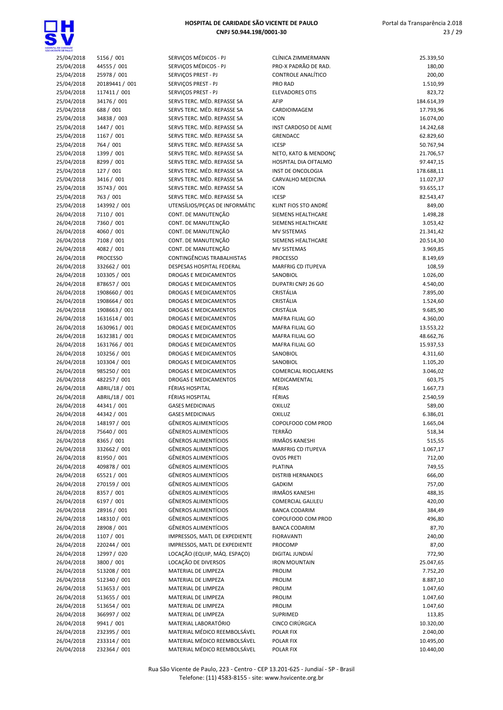

| ENTE CE PALLO |                 |                                |                             |            |
|---------------|-----------------|--------------------------------|-----------------------------|------------|
| 25/04/2018    | 5156 / 001      | SERVIÇOS MÉDICOS - PJ          | CLÍNICA ZIMMERMANN          | 25.339,50  |
| 25/04/2018    | 44555 / 001     | SERVIÇOS MÉDICOS - PJ          | PRO-X PADRÃO DE RAD.        | 180,00     |
| 25/04/2018    | 25978 / 001     | SERVIÇOS PREST - PJ            | CONTROLE ANALÍTICO          | 200,00     |
| 25/04/2018    | 20189441 / 001  | SERVIÇOS PREST - PJ            | PRO RAD                     | 1.510,99   |
| 25/04/2018    | 117411 / 001    | SERVIÇOS PREST - PJ            | <b>ELEVADORES OTIS</b>      | 823,72     |
| 25/04/2018    | 34176 / 001     | SERVS TERC. MÉD. REPASSE SA    | AFIP                        | 184.614,39 |
| 25/04/2018    | 688 / 001       | SERVS TERC. MÉD. REPASSE SA    | CARDIOIMAGEM                | 17.793,96  |
| 25/04/2018    | 34838 / 003     | SERVS TERC. MÉD. REPASSE SA    | <b>ICON</b>                 | 16.074,00  |
| 25/04/2018    | 1447 / 001      | SERVS TERC. MÉD. REPASSE SA    | INST CARDOSO DE ALME        | 14.242,68  |
| 25/04/2018    | 1167 / 001      | SERVS TERC. MÉD. REPASSE SA    | <b>GRENDACC</b>             | 62.829,60  |
| 25/04/2018    | 764 / 001       | SERVS TERC. MÉD. REPASSE SA    | <b>ICESP</b>                | 50.767,94  |
| 25/04/2018    | 1399 / 001      | SERVS TERC. MÉD. REPASSE SA    | NETO, KATO & MENDONÇ        | 21.706,57  |
| 25/04/2018    | 8299 / 001      | SERVS TERC. MÉD. REPASSE SA    | HOSPITAL DIA OFTALMO        | 97.447,15  |
| 25/04/2018    | 127/001         | SERVS TERC. MÉD. REPASSE SA    | INST DE ONCOLOGIA           | 178.688,11 |
| 25/04/2018    | 3416 / 001      | SERVS TERC. MÉD. REPASSE SA    | CARVALHO MEDICINA           | 11.027,37  |
| 25/04/2018    | 35743 / 001     | SERVS TERC. MÉD. REPASSE SA    | <b>ICON</b>                 | 93.655,17  |
| 25/04/2018    | 763 / 001       | SERVS TERC. MÉD. REPASSE SA    | <b>ICESP</b>                | 82.543,47  |
| 25/04/2018    | 143992 / 001    | UTENSÍLIOS/PEÇAS DE INFORMÁTIC | KLINT FIOS STO ANDRÉ        | 849,00     |
| 26/04/2018    | 7110 / 001      | CONT. DE MANUTENÇÃO            | SIEMENS HEALTHCARE          | 1.498,28   |
| 26/04/2018    | 7360 / 001      | CONT. DE MANUTENÇÃO            | SIEMENS HEALTHCARE          | 3.053,42   |
| 26/04/2018    | 4060 / 001      | CONT. DE MANUTENÇÃO            | <b>MV SISTEMAS</b>          | 21.341,42  |
| 26/04/2018    | 7108 / 001      | CONT. DE MANUTENÇÃO            | SIEMENS HEALTHCARE          | 20.514,30  |
| 26/04/2018    | 4082 / 001      | CONT. DE MANUTENÇÃO            | MV SISTEMAS                 | 3.969,85   |
| 26/04/2018    | <b>PROCESSO</b> | CONTINGÊNCIAS TRABALHISTAS     | <b>PROCESSO</b>             | 8.149,69   |
| 26/04/2018    | 332662 / 001    | DESPESAS HOSPITAL FEDERAL      | <b>MARFRIG CD ITUPEVA</b>   | 108,59     |
| 26/04/2018    | 103305 / 001    | DROGAS E MEDICAMENTOS          | SANOBIOL                    | 1.026,00   |
| 26/04/2018    | 878657 / 001    | DROGAS E MEDICAMENTOS          | DUPATRI CNPJ 26 GO          | 4.540,00   |
| 26/04/2018    | 1908660 / 001   | DROGAS E MEDICAMENTOS          | CRISTÁLIA                   | 7.895,00   |
| 26/04/2018    | 1908664 / 001   | <b>DROGAS E MEDICAMENTOS</b>   | CRISTÁLIA                   | 1.524,60   |
| 26/04/2018    | 1908663 / 001   | DROGAS E MEDICAMENTOS          | CRISTÁLIA                   | 9.685,90   |
| 26/04/2018    | 1631614 / 001   | DROGAS E MEDICAMENTOS          | MAFRA FILIAL GO             | 4.360,00   |
| 26/04/2018    | 1630961 / 001   | DROGAS E MEDICAMENTOS          | MAFRA FILIAL GO             | 13.553,22  |
| 26/04/2018    | 1632381 / 001   | DROGAS E MEDICAMENTOS          | <b>MAFRA FILIAL GO</b>      | 48.662,76  |
| 26/04/2018    | 1631766 / 001   | DROGAS E MEDICAMENTOS          | <b>MAFRA FILIAL GO</b>      | 15.937,53  |
| 26/04/2018    | 103256 / 001    | <b>DROGAS E MEDICAMENTOS</b>   | SANOBIOL                    | 4.311,60   |
| 26/04/2018    | 103304 / 001    | DROGAS E MEDICAMENTOS          | SANOBIOL                    | 1.105,20   |
| 26/04/2018    | 985250 / 001    | DROGAS E MEDICAMENTOS          | <b>COMERCIAL RIOCLARENS</b> | 3.046,02   |
| 26/04/2018    | 482257 / 001    | <b>DROGAS E MEDICAMENTOS</b>   | MEDICAMENTAL                | 603,75     |
| 26/04/2018    | ABRIL/18 / 001  | FÉRIAS HOSPITAL                | FÉRIAS                      | 1.667,73   |
| 26/04/2018    | ABRIL/18 / 001  | FÉRIAS HOSPITAL                | FÉRIAS                      | 2.540,59   |
| 26/04/2018    | 44341 / 001     | <b>GASES MEDICINAIS</b>        | <b>OXILUZ</b>               | 589,00     |
| 26/04/2018    | 44342 / 001     | <b>GASES MEDICINAIS</b>        | OXILUZ                      | 6.386,01   |
| 26/04/2018    | 148197 / 001    | <b>GÊNEROS ALIMENTÍCIOS</b>    | COPOLFOOD COM PROD          | 1.665,04   |
| 26/04/2018    | 75640 / 001     | <b>GÊNEROS ALIMENTÍCIOS</b>    | <b>TERRÃO</b>               | 518,34     |
| 26/04/2018    | 8365 / 001      | GÊNEROS ALIMENTÍCIOS           | <b>IRMÃOS KANESHI</b>       | 515,55     |
| 26/04/2018    | 332662 / 001    | <b>GÊNEROS ALIMENTÍCIOS</b>    | <b>MARFRIG CD ITUPEVA</b>   | 1.067,17   |
| 26/04/2018    | 81950 / 001     | <b>GÊNEROS ALIMENTÍCIOS</b>    | <b>OVOS PRETI</b>           | 712,00     |
| 26/04/2018    | 409878 / 001    | GÊNEROS ALIMENTÍCIOS           | <b>PLATINA</b>              | 749,55     |
| 26/04/2018    | 65521/001       | <b>GÊNEROS ALIMENTÍCIOS</b>    | <b>DISTRIB HERNANDES</b>    | 666,00     |
| 26/04/2018    | 270159 / 001    | <b>GÊNEROS ALIMENTÍCIOS</b>    | <b>GADKIM</b>               | 757,00     |
| 26/04/2018    | 8357 / 001      | <b>GÊNEROS ALIMENTÍCIOS</b>    | <b>IRMÃOS KANESHI</b>       | 488,35     |
| 26/04/2018    | 6197 / 001      | <b>GÊNEROS ALIMENTÍCIOS</b>    | <b>COMERCIAL GALILEU</b>    | 420,00     |
| 26/04/2018    | 28916 / 001     | <b>GÊNEROS ALIMENTÍCIOS</b>    | <b>BANCA CODARIM</b>        | 384,49     |
| 26/04/2018    | 148310 / 001    | <b>GÊNEROS ALIMENTÍCIOS</b>    | COPOLFOOD COM PROD          | 496,80     |
| 26/04/2018    | 28908 / 001     | <b>GÊNEROS ALIMENTÍCIOS</b>    | <b>BANCA CODARIM</b>        | 87,70      |
| 26/04/2018    | 1107 / 001      | IMPRESSOS, MATL DE EXPEDIENTE  | <b>FIORAVANTI</b>           | 240,00     |
| 26/04/2018    | 220244 / 001    | IMPRESSOS, MATL DE EXPEDIENTE  | PROCOMP                     | 87,00      |
| 26/04/2018    | 12997 / 020     | LOCAÇÃO (EQUIP, MÁQ. ESPAÇO)   | DIGITAL JUNDIAÍ             | 772,90     |
| 26/04/2018    | 3800 / 001      | LOCAÇÃO DE DIVERSOS            | <b>IRON MOUNTAIN</b>        | 25.047,65  |
| 26/04/2018    | 513208 / 001    | MATERIAL DE LIMPEZA            | <b>PROLIM</b>               | 7.752,20   |
| 26/04/2018    | 512340 / 001    | MATERIAL DE LIMPEZA            | <b>PROLIM</b>               | 8.887,10   |
| 26/04/2018    | 513653 / 001    | MATERIAL DE LIMPEZA            | <b>PROLIM</b>               | 1.047,60   |
| 26/04/2018    | 513655 / 001    | MATERIAL DE LIMPEZA            | <b>PROLIM</b>               | 1.047,60   |
| 26/04/2018    | 513654 / 001    | MATERIAL DE LIMPEZA            | <b>PROLIM</b>               | 1.047,60   |
| 26/04/2018    | 366997 / 002    | MATERIAL DE LIMPEZA            | SUPRIMED                    | 113,85     |
| 26/04/2018    | 9941 / 001      | MATERIAL LABORATÓRIO           | CINCO CIRÚRGICA             | 10.320,00  |
| 26/04/2018    | 232395 / 001    | MATERIAL MÉDICO REEMBOLSÁVEL   | POLAR FIX                   | 2.040,00   |
| 26/04/2018    | 233314 / 001    | MATERIAL MÉDICO REEMBOLSÁVEL   | POLAR FIX                   | 10.495,00  |
| 26/04/2018    | 232364 / 001    | MATERIAL MÉDICO REEMBOLSÁVEL   | POLAR FIX                   | 10.440,00  |

| CLÍNICA ZIMMERMANN<br>PRO-X PADRÃO DE RAD.   | 25.339,50<br>180,00    |
|----------------------------------------------|------------------------|
| <b>CONTROLE ANALÍTICO</b>                    | 200,00                 |
| <b>PRO RAD</b>                               | 1.510,99               |
| <b>ELEVADORES OTIS</b>                       | 823,72                 |
| AFIP                                         | 184.614,39             |
| CARDIOIMAGEM                                 | 17.793,96              |
| ICON                                         | 16.074,00              |
| INST CARDOSO DE ALME                         | 14.242,68              |
| <b>GRENDACC</b>                              | 62.829,60              |
| <b>ICESP</b>                                 | 50.767,94              |
| NETO, KATO & MENDONC<br>HOSPITAL DIA OFTALMO | 21.706,57<br>97.447,15 |
| <b>INST DE ONCOLOGIA</b>                     | 178.688,11             |
| CARVALHO MEDICINA                            | 11.027,37              |
| <b>ICON</b>                                  | 93.655,17              |
| ICESP                                        | 82.543,47              |
| KLINT FIOS STO ANDRÉ                         | 849,00                 |
| <b>SIEMENS HEALTHCARE</b>                    | 1.498,28               |
| SIEMENS HEALTHCARE                           | 3.053,42               |
| <b>MV SISTEMAS</b>                           | 21.341,42              |
| SIEMENS HEALTHCARE                           | 20.514,30              |
| <b>MV SISTEMAS</b>                           | 3.969,85               |
| <b>PROCESSO</b><br><b>MARFRIG CD ITUPEVA</b> | 8.149,69<br>108,59     |
| SANOBIOL                                     | 1.026,00               |
| DUPATRI CNPJ 26 GO                           | 4.540,00               |
| CRISTÁLIA                                    | 7.895,00               |
| CRISTÁLIA                                    | 1.524,60               |
| CRISTÁLIA                                    | 9.685,90               |
| MAFRA FILIAL GO                              | 4.360,00               |
| MAFRA FILIAL GO                              | 13.553,22              |
| <b>MAFRA FILIAL GO</b>                       | 48.662,76              |
| MAFRA FILIAL GO                              | 15.937,53              |
| SANOBIOL<br>SANOBIOL                         | 4.311,60<br>1.105,20   |
| <b>COMERCIAL RIOCLARENS</b>                  | 3.046,02               |
| MEDICAMENTAL                                 | 603,75                 |
| FÉRIAS                                       | 1.667,73               |
| FÉRIAS                                       | 2.540,59               |
| OXILUZ                                       | 589,00                 |
| OXILUZ                                       | 6.386,01               |
| COPOLFOOD COM PROD                           | 1.665,04               |
| TERRÃO                                       | 518,34                 |
| IRMÃOS KANESHI                               | 515,55                 |
| <b>MARFRIG CD ITUPEVA</b>                    | 1.067,17               |
| <b>OVOS PRETI</b><br>PLATINA                 | 712,00<br>749,55       |
| <b>DISTRIB HERNANDES</b>                     | 666,00                 |
| <b>GADKIM</b>                                | 757,00                 |
| <b>IRMÃOS KANESHI</b>                        | 488,35                 |
| <b>COMERCIAL GALILEU</b>                     | 420,00                 |
| <b>BANCA CODARIM</b>                         | 384,49                 |
| COPOLFOOD COM PROD                           | 496,80                 |
| <b>BANCA CODARIM</b>                         | 87,70                  |
| <b>FIORAVANTI</b>                            | 240,00                 |
| PROCOMP                                      | 87,00                  |
| DIGITAL JUNDIAÍ                              | 772,90                 |
| <b>IRON MOUNTAIN</b><br><b>PROLIM</b>        | 25.047,65<br>7.752,20  |
| <b>PROLIM</b>                                | 8.887,10               |
| <b>PROLIM</b>                                | 1.047,60               |
| <b>PROLIM</b>                                | 1.047,60               |
| <b>PROLIM</b>                                | 1.047,60               |
| SUPRIMED                                     | 113,85                 |
| CINCO CIRÚRGICA                              | 10.320,00              |
| <b>POLAR FIX</b>                             | 2.040,00               |
| POLAR FIX                                    | 10.495,00              |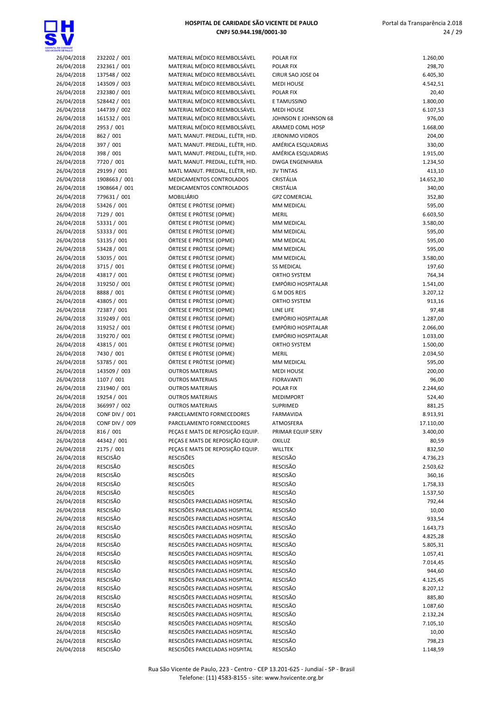

| 26/04/2018 | 232202 / 001          | MATERIAL MÉDICO REEMBOLSÁVEL     | <b>POLAR FIX</b>          | 1.260,00  |
|------------|-----------------------|----------------------------------|---------------------------|-----------|
| 26/04/2018 | 232361 / 001          | MATERIAL MÉDICO REEMBOLSÁVEL     | POLAR FIX                 | 298,70    |
| 26/04/2018 | 137548 / 002          | MATERIAL MÉDICO REEMBOLSÁVEL     | CIRUR SAO JOSE 04         | 6.405,30  |
|            |                       | MATERIAL MÉDICO REEMBOLSÁVEL     |                           |           |
| 26/04/2018 | 143509 / 003          |                                  | <b>MEDI HOUSE</b>         | 4.542,51  |
| 26/04/2018 | 232380 / 001          | MATERIAL MÉDICO REEMBOLSÁVEL     | <b>POLAR FIX</b>          | 20,40     |
| 26/04/2018 | 528442 / 001          | MATERIAL MÉDICO REEMBOLSÁVEL     | E TAMUSSINO               | 1.800,00  |
| 26/04/2018 | 144739 / 002          | MATERIAL MÉDICO REEMBOLSÁVEL     | <b>MEDI HOUSE</b>         | 6.107,53  |
| 26/04/2018 | 161532 / 001          | MATERIAL MÉDICO REEMBOLSÁVEL     | JOHNSON E JOHNSON 68      | 976,00    |
|            |                       |                                  |                           |           |
| 26/04/2018 | 2953 / 001            | MATERIAL MÉDICO REEMBOLSÁVEL     | ARAMED COML HOSP          | 1.668,00  |
| 26/04/2018 | 862 / 001             | MATL MANUT. PREDIAL, ELÉTR, HID. | <b>JERONIMO VIDROS</b>    | 204,00    |
| 26/04/2018 | 397 / 001             | MATL MANUT. PREDIAL, ELÉTR, HID. | AMÉRICA ESQUADRIAS        | 330,00    |
| 26/04/2018 | 398 / 001             | MATL MANUT. PREDIAL, ELÉTR, HID. | AMÉRICA ESQUADRIAS        | 1.915,00  |
|            |                       |                                  |                           |           |
| 26/04/2018 | 7720 / 001            | MATL MANUT. PREDIAL, ELÉTR, HID. | <b>DWGA ENGENHARIA</b>    | 1.234,50  |
| 26/04/2018 | 29199 / 001           | MATL MANUT. PREDIAL, ELÉTR, HID. | <b>3V TINTAS</b>          | 413,10    |
| 26/04/2018 | 1908663 / 001         | MEDICAMENTOS CONTROLADOS         | CRISTÁLIA                 | 14.652,30 |
| 26/04/2018 | 1908664 / 001         | MEDICAMENTOS CONTROLADOS         | CRISTÁLIA                 | 340,00    |
| 26/04/2018 | 779631 / 001          | MOBILIÁRIO                       | <b>GPZ COMERCIAL</b>      | 352,80    |
|            |                       |                                  |                           |           |
| 26/04/2018 | 53426 / 001           | ÓRTESE E PRÓTESE (OPME)          | MM MEDICAL                | 595,00    |
| 26/04/2018 | 7129 / 001            | ÓRTESE E PRÓTESE (OPME)          | <b>MERIL</b>              | 6.603,50  |
| 26/04/2018 | 53331 / 001           | ÓRTESE E PRÓTESE (OPME)          | MM MEDICAL                | 3.580,00  |
| 26/04/2018 | 53333 / 001           | ÓRTESE E PRÓTESE (OPME)          | MM MEDICAL                | 595,00    |
|            |                       |                                  |                           |           |
| 26/04/2018 | 53135 / 001           | ÓRTESE E PRÓTESE (OPME)          | MM MEDICAL                | 595,00    |
| 26/04/2018 | 53428 / 001           | ÓRTESE E PRÓTESE (OPME)          | MM MEDICAL                | 595,00    |
| 26/04/2018 | 53035 / 001           | ÓRTESE E PRÓTESE (OPME)          | MM MEDICAL                | 3.580,00  |
| 26/04/2018 | 3715 / 001            | ÓRTESE E PRÓTESE (OPME)          | <b>SS MEDICAL</b>         | 197,60    |
|            |                       |                                  |                           |           |
| 26/04/2018 | 43817 / 001           | ÓRTESE E PRÓTESE (OPME)          | ORTHO SYSTEM              | 764,34    |
| 26/04/2018 | 319250 / 001          | ÓRTESE E PRÓTESE (OPME)          | EMPÓRIO HOSPITALAR        | 1.541,00  |
| 26/04/2018 | 8888 / 001            | ÓRTESE E PRÓTESE (OPME)          | G M DOS REIS              | 3.207,12  |
| 26/04/2018 | 43805 / 001           | ÓRTESE E PRÓTESE (OPME)          | ORTHO SYSTEM              | 913,16    |
|            | 72387 / 001           | ÓRTESE E PRÓTESE (OPME)          | LINE LIFE                 |           |
| 26/04/2018 |                       |                                  |                           | 97,48     |
| 26/04/2018 | 319249 / 001          | ÓRTESE E PRÓTESE (OPME)          | <b>EMPÓRIO HOSPITALAR</b> | 1.287,00  |
| 26/04/2018 | 319252 / 001          | ÓRTESE E PRÓTESE (OPME)          | EMPÓRIO HOSPITALAR        | 2.066,00  |
| 26/04/2018 | 319270 / 001          | ÓRTESE E PRÓTESE (OPME)          | EMPÓRIO HOSPITALAR        | 1.033,00  |
| 26/04/2018 | 43815 / 001           | ÓRTESE E PRÓTESE (OPME)          | ORTHO SYSTEM              | 1.500,00  |
|            |                       |                                  |                           |           |
| 26/04/2018 | 7430 / 001            | ÓRTESE E PRÓTESE (OPME)          | <b>MERIL</b>              | 2.034,50  |
| 26/04/2018 | 53785 / 001           | ÓRTESE E PRÓTESE (OPME)          | MM MEDICAL                | 595,00    |
| 26/04/2018 | 143509 / 003          | <b>OUTROS MATERIAIS</b>          | <b>MEDI HOUSE</b>         | 200,00    |
| 26/04/2018 | 1107 / 001            | <b>OUTROS MATERIAIS</b>          | <b>FIORAVANTI</b>         | 96,00     |
|            |                       | <b>OUTROS MATERIAIS</b>          |                           |           |
| 26/04/2018 | 231940 / 001          |                                  | POLAR FIX                 | 2.244,60  |
| 26/04/2018 | 19254 / 001           | <b>OUTROS MATERIAIS</b>          | <b>MEDIMPORT</b>          | 524,40    |
| 26/04/2018 | 366997 / 002          | <b>OUTROS MATERIAIS</b>          | SUPRIMED                  | 881,25    |
| 26/04/2018 | <b>CONF DIV / 001</b> | PARCELAMENTO FORNECEDORES        | <b>FARMAVIDA</b>          | 8.913,91  |
| 26/04/2018 | CONF DIV / 009        | PARCELAMENTO FORNECEDORES        | ATMOSFERA                 | 17.110,00 |
|            |                       |                                  |                           |           |
| 26/04/2018 | 816 / 001             | PEÇAS E MATS DE REPOSIÇÃO EQUIP. | PRIMAR EQUIP SERV         | 3.400,00  |
| 26/04/2018 | 44342 / 001           | PEÇAS E MATS DE REPOSIÇÃO EQUIP. | <b>OXILUZ</b>             | 80,59     |
| 26/04/2018 | 2175 / 001            | PEÇAS E MATS DE REPOSIÇÃO EQUIP. | <b>WILLTEK</b>            | 832,50    |
| 26/04/2018 | RESCISÃO              | <b>RESCISÕES</b>                 | RESCISÃO                  | 4.736,23  |
|            |                       |                                  |                           |           |
| 26/04/2018 | RESCISÃO              | <b>RESCISÕES</b>                 | <b>RESCISÃO</b>           | 2.503,62  |
| 26/04/2018 | RESCISÃO              | <b>RESCISÕES</b>                 | RESCISÃO                  | 360,16    |
| 26/04/2018 | RESCISÃO              | <b>RESCISÕES</b>                 | <b>RESCISÃO</b>           | 1.758,33  |
| 26/04/2018 | RESCISÃO              | <b>RESCISÕES</b>                 | RESCISÃO                  | 1.537,50  |
|            | <b>RESCISÃO</b>       |                                  |                           |           |
| 26/04/2018 |                       | RESCISÕES PARCELADAS HOSPITAL    | RESCISÃO                  | 792,44    |
| 26/04/2018 | RESCISÃO              | RESCISÕES PARCELADAS HOSPITAL    | RESCISÃO                  | 10,00     |
| 26/04/2018 | RESCISÃO              | RESCISÕES PARCELADAS HOSPITAL    | RESCISÃO                  | 933,54    |
| 26/04/2018 | RESCISÃO              | RESCISÕES PARCELADAS HOSPITAL    | <b>RESCISÃO</b>           | 1.643,73  |
| 26/04/2018 | RESCISÃO              | RESCISÕES PARCELADAS HOSPITAL    | <b>RESCISÃO</b>           | 4.825,28  |
|            |                       |                                  |                           |           |
| 26/04/2018 | RESCISÃO              | RESCISÕES PARCELADAS HOSPITAL    | <b>RESCISÃO</b>           | 5.805,31  |
| 26/04/2018 | RESCISÃO              | RESCISÕES PARCELADAS HOSPITAL    | RESCISÃO                  | 1.057,41  |
| 26/04/2018 | RESCISÃO              | RESCISÕES PARCELADAS HOSPITAL    | <b>RESCISÃO</b>           | 7.014,45  |
| 26/04/2018 | RESCISÃO              | RESCISÕES PARCELADAS HOSPITAL    | RESCISÃO                  | 944,60    |
|            |                       |                                  |                           |           |
| 26/04/2018 | RESCISÃO              | RESCISÕES PARCELADAS HOSPITAL    | RESCISÃO                  | 4.125,45  |
| 26/04/2018 | RESCISÃO              | RESCISÕES PARCELADAS HOSPITAL    | RESCISÃO                  | 8.207,12  |
| 26/04/2018 | RESCISÃO              | RESCISÕES PARCELADAS HOSPITAL    | RESCISÃO                  | 885,80    |
| 26/04/2018 | RESCISÃO              | RESCISÕES PARCELADAS HOSPITAL    | RESCISÃO                  | 1.087,60  |
|            |                       |                                  |                           |           |
| 26/04/2018 | RESCISÃO              | RESCISÕES PARCELADAS HOSPITAL    | RESCISÃO                  | 2.132,24  |
| 26/04/2018 | RESCISÃO              | RESCISÕES PARCELADAS HOSPITAL    | RESCISÃO                  | 7.105,10  |
| 26/04/2018 | RESCISÃO              | RESCISÕES PARCELADAS HOSPITAL    | RESCISÃO                  | 10,00     |
| 26/04/2018 | RESCISÃO              | RESCISÕES PARCELADAS HOSPITAL    | RESCISÃO                  | 798,23    |
|            |                       | RESCISÕES PARCELADAS HOSPITAL    | <b>RESCISÃO</b>           |           |
| 26/04/2018 | RESCISÃO              |                                  |                           | 1.148,59  |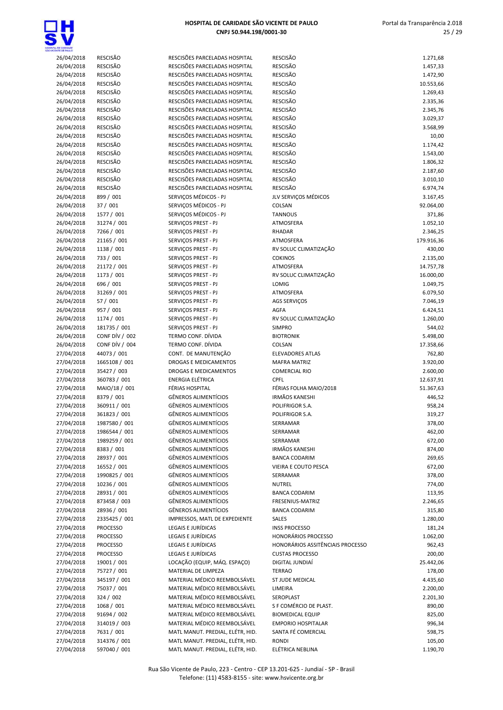

| 26/04/2018               | <b>RESCISÃO</b>                | RESCISÕES PARCELADAS HOSPITAL              | RESCISÃO                         | 1.271,68           |
|--------------------------|--------------------------------|--------------------------------------------|----------------------------------|--------------------|
| 26/04/2018               | <b>RESCISÃO</b>                | RESCISÕES PARCELADAS HOSPITAL              | <b>RESCISÃO</b>                  | 1.457,33           |
| 26/04/2018               | <b>RESCISÃO</b>                | RESCISÕES PARCELADAS HOSPITAL              | <b>RESCISÃO</b>                  | 1.472,90           |
| 26/04/2018               | RESCISÃO                       | RESCISÕES PARCELADAS HOSPITAL              | <b>RESCISÃO</b>                  | 10.553,66          |
| 26/04/2018               | <b>RESCISÃO</b>                | RESCISÕES PARCELADAS HOSPITAL              | <b>RESCISÃO</b>                  | 1.269,43           |
| 26/04/2018               | <b>RESCISÃO</b>                | RESCISÕES PARCELADAS HOSPITAL              | <b>RESCISÃO</b>                  | 2.335,36           |
| 26/04/2018               | <b>RESCISÃO</b>                | RESCISÕES PARCELADAS HOSPITAL              | <b>RESCISÃO</b>                  | 2.345,76           |
| 26/04/2018               | RESCISÃO                       | RESCISÕES PARCELADAS HOSPITAL              | <b>RESCISÃO</b>                  | 3.029,37           |
| 26/04/2018               | RESCISÃO                       | RESCISÕES PARCELADAS HOSPITAL              | <b>RESCISÃO</b>                  | 3.568,99           |
| 26/04/2018               | <b>RESCISÃO</b>                | RESCISÕES PARCELADAS HOSPITAL              | <b>RESCISÃO</b>                  | 10,00              |
| 26/04/2018               | <b>RESCISÃO</b>                | RESCISÕES PARCELADAS HOSPITAL              | <b>RESCISÃO</b>                  | 1.174,42           |
| 26/04/2018               | <b>RESCISÃO</b>                | RESCISÕES PARCELADAS HOSPITAL              | <b>RESCISÃO</b>                  | 1.543,00           |
| 26/04/2018               | RESCISÃO                       | RESCISÕES PARCELADAS HOSPITAL              | <b>RESCISÃO</b>                  | 1.806,32           |
| 26/04/2018               | <b>RESCISÃO</b>                | RESCISÕES PARCELADAS HOSPITAL              | <b>RESCISÃO</b>                  | 2.187,60           |
| 26/04/2018               | <b>RESCISÃO</b>                | RESCISÕES PARCELADAS HOSPITAL              | RESCISÃO                         | 3.010,10           |
| 26/04/2018               | RESCISÃO                       | RESCISÕES PARCELADAS HOSPITAL              | <b>RESCISÃO</b>                  | 6.974,74           |
| 26/04/2018               | 899 / 001                      | SERVIÇOS MÉDICOS - PJ                      | JLV SERVIÇOS MÉDICOS             | 3.167,45           |
| 26/04/2018               | 37 / 001                       | SERVIÇOS MÉDICOS - PJ                      | COLSAN                           | 92.064,00          |
| 26/04/2018               | 1577 / 001                     | SERVIÇOS MÉDICOS - PJ                      | <b>TANNOUS</b>                   | 371,86             |
| 26/04/2018               | 31274 / 001                    | SERVICOS PREST - PJ                        | ATMOSFERA                        | 1.052,10           |
| 26/04/2018               | 7266 / 001                     | SERVIÇOS PREST - PJ                        | <b>RHADAR</b>                    | 2.346,25           |
| 26/04/2018               | 21165 / 001                    | SERVIÇOS PREST - PJ                        | ATMOSFERA                        | 179.916,36         |
| 26/04/2018               | 1138 / 001                     | SERVIÇOS PREST - PJ                        | RV SOLUC CLIMATIZAÇÃO            | 430,00             |
| 26/04/2018               | 733 / 001                      | SERVIÇOS PREST - PJ                        | <b>COKINOS</b>                   | 2.135,00           |
| 26/04/2018               | 21172 / 001                    | SERVIÇOS PREST - PJ                        | ATMOSFERA                        | 14.757,78          |
| 26/04/2018               | 1173 / 001                     | SERVIÇOS PREST - PJ                        | RV SOLUC CLIMATIZAÇÃO            | 16.000,00          |
| 26/04/2018               | 696 / 001                      | SERVICOS PREST - PJ                        | LOMIG                            | 1.049,75           |
| 26/04/2018               | 31269 / 001                    | SERVIÇOS PREST - PJ                        | ATMOSFERA                        | 6.079,50           |
| 26/04/2018               | 57 / 001                       | SERVIÇOS PREST - PJ<br>SERVIÇOS PREST - PJ | AGS SERVIÇOS                     | 7.046,19           |
| 26/04/2018<br>26/04/2018 | 957 / 001<br>1174 / 001        | SERVIÇOS PREST - PJ                        | AGFA<br>RV SOLUC CLIMATIZAÇÃO    | 6.424,51           |
|                          |                                | SERVIÇOS PREST - PJ                        | <b>SIMPRO</b>                    | 1.260,00<br>544,02 |
| 26/04/2018               | 181735 / 001<br>CONF DÍV / 002 | TERMO CONF. DÍVIDA                         | <b>BIOTRONIK</b>                 | 5.498,00           |
| 26/04/2018<br>26/04/2018 | CONF DÍV / 004                 | TERMO CONF. DÍVIDA                         | COLSAN                           | 17.358,66          |
| 27/04/2018               | 44073 / 001                    | CONT. DE MANUTENÇÃO                        | <b>ELEVADORES ATLAS</b>          |                    |
| 27/04/2018               | 1665108 / 001                  | <b>DROGAS E MEDICAMENTOS</b>               | <b>MAFRA MATRIZ</b>              | 762,80<br>3.920,00 |
| 27/04/2018               | 35427 / 003                    | DROGAS E MEDICAMENTOS                      | <b>COMERCIAL RIO</b>             | 2.600,00           |
| 27/04/2018               | 360783 / 001                   | ENERGIA ELÉTRICA                           | <b>CPFL</b>                      | 12.637,91          |
| 27/04/2018               | MAIO/18 / 001                  | FÉRIAS HOSPITAL                            | FÉRIAS FOLHA MAIO/2018           | 51.367,63          |
| 27/04/2018               | 8379 / 001                     | <b>GÊNEROS ALIMENTÍCIOS</b>                | <b>IRMÃOS KANESHI</b>            | 446,52             |
| 27/04/2018               | 360911 / 001                   | <b>GÊNEROS ALIMENTÍCIOS</b>                | POLIFRIGOR S.A.                  | 958,24             |
| 27/04/2018               | 361823 / 001                   | <b>GÊNEROS ALIMENTÍCIOS</b>                | POLIFRIGOR S.A.                  | 319,27             |
| 27/04/2018               | 1987580 / 001                  | <b>GÊNEROS ALIMENTÍCIOS</b>                | SERRAMAR                         | 378,00             |
| 27/04/2018               | 1986544 / 001                  | <b>GENEROS ALIMENTICIOS</b>                | SERRAMAR                         | 462,00             |
| 27/04/2018               | 1989259 / 001                  | <b>GÊNEROS ALIMENTÍCIOS</b>                | SERRAMAR                         | 672,00             |
| 27/04/2018               | 8383 / 001                     | <b>GÊNEROS ALIMENTÍCIOS</b>                | <b>IRMÃOS KANESHI</b>            | 874,00             |
| 27/04/2018               | 28937 / 001                    | <b>GÊNEROS ALIMENTÍCIOS</b>                | <b>BANCA CODARIM</b>             | 269,65             |
| 27/04/2018               | 16552 / 001                    | <b>GÊNEROS ALIMENTÍCIOS</b>                | VIEIRA E COUTO PESCA             | 672,00             |
| 27/04/2018               | 1990825 / 001                  | <b>GÊNEROS ALIMENTÍCIOS</b>                | SERRAMAR                         | 378,00             |
| 27/04/2018               | 10236 / 001                    | <b>GÊNEROS ALIMENTÍCIOS</b>                | <b>NUTREL</b>                    | 774,00             |
| 27/04/2018               | 28931 / 001                    | <b>GÊNEROS ALIMENTÍCIOS</b>                | <b>BANCA CODARIM</b>             | 113,95             |
| 27/04/2018               | 873458 / 003                   | <b>GÊNEROS ALIMENTÍCIOS</b>                | FRESENIUS-MATRIZ                 | 2.246,65           |
| 27/04/2018               | 28936 / 001                    | <b>GÊNEROS ALIMENTÍCIOS</b>                | <b>BANCA CODARIM</b>             | 315,80             |
| 27/04/2018               | 2335425 / 001                  | IMPRESSOS, MATL DE EXPEDIENTE              | <b>SALES</b>                     | 1.280,00           |
| 27/04/2018               | <b>PROCESSO</b>                | LEGAIS E JURÍDICAS                         | <b>INSS PROCESSO</b>             | 181,24             |
| 27/04/2018               | <b>PROCESSO</b>                | <b>LEGAIS E JURÍDICAS</b>                  | <b>HONORÁRIOS PROCESSO</b>       | 1.062,00           |
| 27/04/2018               | <b>PROCESSO</b>                | LEGAIS E JURÍDICAS                         | HONORÁRIOS ASSITÊNCIAIS PROCESSO | 962,43             |
| 27/04/2018               | PROCESSO                       | LEGAIS E JURÍDICAS                         | <b>CUSTAS PROCESSO</b>           | 200,00             |
| 27/04/2018               | 19001 / 001                    | LOCAÇÃO (EQUIP, MÁQ. ESPAÇO)               | DIGITAL JUNDIAÍ                  | 25.442,06          |
| 27/04/2018               | 75727 / 001                    | MATERIAL DE LIMPEZA                        | <b>TERRAO</b>                    | 178,00             |
| 27/04/2018               | 345197 / 001                   | MATERIAL MÉDICO REEMBOLSÁVEL               | ST JUDE MEDICAL                  | 4.435,60           |
| 27/04/2018               | 75037 / 001                    | MATERIAL MÉDICO REEMBOLSÁVEL               | LIMEIRA                          | 2.200,00           |
| 27/04/2018               | 324 / 002                      | MATERIAL MÉDICO REEMBOLSÁVEL               | SEROPLAST                        | 2.201,30           |
| 27/04/2018               | 1068 / 001                     | MATERIAL MÉDICO REEMBOLSÁVEL               | S F COMÉRCIO DE PLAST.           | 890,00             |
| 27/04/2018               | 91694 / 002                    | MATERIAL MÉDICO REEMBOLSÁVEL               | <b>BIOMEDICAL EQUIP</b>          | 825,00             |
| 27/04/2018               | 314019 / 003                   | MATERIAL MÉDICO REEMBOLSÁVEL               | <b>EMPORIO HOSPITALAR</b>        | 996,34             |
| 27/04/2018               | 7631 / 001                     | MATL MANUT. PREDIAL, ELÉTR, HID.           | SANTA FÉ COMERCIAL               | 598,75             |
| 27/04/2018               | 314376 / 001                   | MATL MANUT. PREDIAL, ELÉTR, HID.           | <b>RONDI</b>                     | 105,00             |
| 27/04/2018               | 597040 / 001                   | MATL MANUT. PREDIAL, ELÉTR, HID.           | ELÉTRICA NEBLINA                 | 1.190,70           |
|                          |                                |                                            |                                  |                    |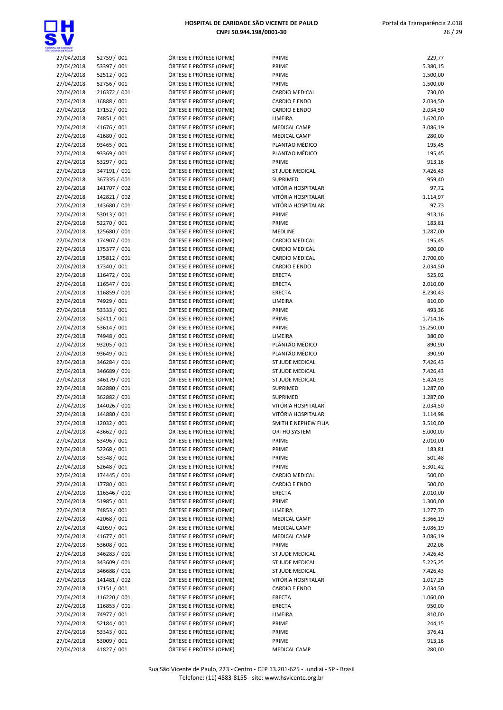

# 27/04/2018 93465 / 001 27/04/2018 93369 / 001

| ÓRTESE E PRÓTESE (OPME |  |  |  |
|------------------------|--|--|--|
| ÓRTESE E PRÓTESE (OPME |  |  |  |
| ÓRTESE E PRÓTESE (OPME |  |  |  |
| ÓRTESE E PRÓTESE (OPME |  |  |  |
| ÓRTESE E PRÓTESE (OPME |  |  |  |
| ÓRTESE E PRÓTESE (OPME |  |  |  |
| ÓRTESE E PRÓTESE (OPME |  |  |  |
| ÓRTESE E PRÓTESE (OPME |  |  |  |
| ÓRTESE E PRÓTESE (OPME |  |  |  |
| ÓRTESE E PRÓTESE (OPME |  |  |  |
| ÓRTESE E PRÓTESE (OPME |  |  |  |
| ÓRTESE E PRÓTESE (OPME |  |  |  |
| ÓRTESE E PRÓTESE (OPME |  |  |  |
| ÓRTESE E PRÓTESE (OPME |  |  |  |
| ÓRTESE E PRÓTESE (OPME |  |  |  |
| ÓRTESE E PRÓTESE (OPME |  |  |  |
| ÓRTESE E PRÓTESE (OPME |  |  |  |
|                        |  |  |  |
| ÓRTESE E PRÓTESE (OPME |  |  |  |
| ÓRTESE E PRÓTESE (OPME |  |  |  |
| ÓRTESE E PRÓTESE (OPME |  |  |  |
| ÓRTESE E PRÓTESE (OPME |  |  |  |
| ÓRTESE E PRÓTESE (OPME |  |  |  |
| ÓRTESE E PRÓTESE (OPME |  |  |  |
| ÓRTESE E PRÓTESE (OPME |  |  |  |
| ÓRTESE E PRÓTESE (OPME |  |  |  |
| ÓRTESE E PRÓTESE (OPME |  |  |  |
| ÓRTESE E PRÓTESE (OPME |  |  |  |
| ÓRTESE E PRÓTESE (OPME |  |  |  |
| ÓRTESE E PRÓTESE (OPME |  |  |  |
| ÓRTESE E PRÓTESE (OPME |  |  |  |
| ÓRTESE E PRÓTESE (OPME |  |  |  |
| ÓRTESE E PRÓTESE (OPME |  |  |  |
| ÓRTESE E PRÓTESE (OPME |  |  |  |
| ÓRTESE E PRÓTESE (OPME |  |  |  |
| ÓRTESE E PRÓTESE (OPME |  |  |  |
| ÓRTESE E PRÓTESE (OPME |  |  |  |
| ÓRTESE E PRÓTESE (OPME |  |  |  |
| ÓRTESE E PRÓTESE (OPME |  |  |  |
| ÓRTESE E PRÓTESE (OPME |  |  |  |
| ÓRTESE E PRÓTESE (OPME |  |  |  |
| ÓRTESE E PRÓTESE (OPME |  |  |  |
| ÓRTESE E PRÓTESE (OPME |  |  |  |
| ÓRTESE E PRÓTESE (OPME |  |  |  |
| ÓRTESE E PRÓTESE (OPME |  |  |  |
| ÓRTESE E PRÓTESE (OPME |  |  |  |
| ÓRTESE E PRÓTESE (OPME |  |  |  |
| ÓRTESE E PRÓTESE (OPME |  |  |  |
| ÓRTESE E PRÓTESE (OPME |  |  |  |
| ÓRTESE E PRÓTESE (OPME |  |  |  |
| ÓRTESE E PRÓTESE (OPME |  |  |  |
| ÓRTESE E PRÓTESE (OPME |  |  |  |
| ÓRTESE E PRÓTESE (OPME |  |  |  |
| ÓRTESE E PRÓTESE (OPME |  |  |  |
| ÓRTESE E PRÓTESE (OPME |  |  |  |
| ÓRTESE E PRÓTESE (OPME |  |  |  |
| ÓRTESE E PRÓTESE (OPME |  |  |  |
| ÓRTESE E PRÓTESE (OPME |  |  |  |
| ÓRTESE E PRÓTESE (OPME |  |  |  |
| ÓRTESE E PRÓTESE (OPME |  |  |  |
| ÓRTESE E PRÓTESE (OPME |  |  |  |
| ÓRTESE E PRÓTESE (OPME |  |  |  |
| ÓRTESE E PRÓTESE (OPME |  |  |  |
| ÓRTESE E PRÓTESE (OPME |  |  |  |
| ÓRTESE E PRÓTESE (OPME |  |  |  |
| ÓRTESE E PRÓTESE (OPME |  |  |  |
| ÓRTESE E PRÓTESE (OPME |  |  |  |
| ÓRTESE E PRÓTESE (OPME |  |  |  |
| ÓRTESE E PRÓTESE (OPME |  |  |  |
| ÓRTESE E PRÓTESE (OPME |  |  |  |
|                        |  |  |  |

| DE CARDADE               |                             |                                                    |                                              |                      |
|--------------------------|-----------------------------|----------------------------------------------------|----------------------------------------------|----------------------|
| 27/04/2018               | 52759 / 001                 | ÓRTESE E PRÓTESE (OPME)                            | PRIME                                        | 229,77               |
| 27/04/2018               | 53397 / 001                 | ÓRTESE E PRÓTESE (OPME)                            | PRIME                                        | 5.380,15             |
| 27/04/2018               | 52512 / 001                 | ÓRTESE E PRÓTESE (OPME)                            | PRIME                                        | 1.500,00             |
| 27/04/2018               | 52756 / 001                 | ÓRTESE E PRÓTESE (OPME)                            | PRIME                                        | 1.500,00             |
| 27/04/2018               | 216372 / 001                | ÓRTESE E PRÓTESE (OPME)                            | CARDIO MEDICAL                               | 730,00               |
| 27/04/2018<br>27/04/2018 | 16888 / 001                 | ÓRTESE E PRÓTESE (OPME)<br>ÓRTESE E PRÓTESE (OPME) | <b>CARDIO E ENDO</b><br><b>CARDIO E ENDO</b> | 2.034,50             |
| 27/04/2018               | 17152 / 001<br>74851 / 001  | ÓRTESE E PRÓTESE (OPME)                            | LIMEIRA                                      | 2.034,50<br>1.620,00 |
| 27/04/2018               | 41676 / 001                 | ÓRTESE E PRÓTESE (OPME)                            | <b>MEDICAL CAMP</b>                          | 3.086,19             |
| 27/04/2018               | 41680 / 001                 | ÓRTESE E PRÓTESE (OPME)                            | MEDICAL CAMP                                 | 280,00               |
| 27/04/2018               | 93465 / 001                 | ÓRTESE E PRÓTESE (OPME)                            | PLANTAO MÉDICO                               | 195,45               |
| 27/04/2018               | 93369 / 001                 | ÓRTESE E PRÓTESE (OPME)                            | PLANTAO MÉDICO                               | 195,45               |
| 27/04/2018               | 53297 / 001                 | ÓRTESE E PRÓTESE (OPME)                            | PRIME                                        | 913,16               |
| 27/04/2018               | 347191 / 001                | ÓRTESE E PRÓTESE (OPME)                            | ST JUDE MEDICAL                              | 7.426,43             |
| 27/04/2018               | 367335 / 001                | ÓRTESE E PRÓTESE (OPME)                            | SUPRIMED                                     | 959,40               |
| 27/04/2018               | 141707 / 002                | ÓRTESE E PRÓTESE (OPME)                            | VITÓRIA HOSPITALAR                           | 97,72                |
| 27/04/2018               | 142821 / 002                | ÓRTESE E PRÓTESE (OPME)                            | VITÓRIA HOSPITALAR                           | 1.114,97             |
| 27/04/2018               | 143680 / 001                | ÓRTESE E PRÓTESE (OPME)                            | VITÓRIA HOSPITALAR                           | 97,73                |
| 27/04/2018               | 53013 / 001                 | ÓRTESE E PRÓTESE (OPME)                            | PRIME                                        | 913,16               |
| 27/04/2018               | 52270 / 001                 | ÓRTESE E PRÓTESE (OPME)                            | PRIME                                        | 183,81               |
| 27/04/2018               | 125680 / 001                | ÓRTESE E PRÓTESE (OPME)                            | <b>MEDLINE</b>                               | 1.287,00             |
| 27/04/2018               | 174907 / 001                | ÓRTESE E PRÓTESE (OPME)                            | CARDIO MEDICAL                               | 195,45               |
| 27/04/2018               | 175377 / 001                | ÓRTESE E PRÓTESE (OPME)                            | <b>CARDIO MEDICAL</b>                        | 500,00               |
| 27/04/2018               | 175812 / 001                | ÓRTESE E PRÓTESE (OPME)                            | CARDIO MEDICAL                               | 2.700,00             |
| 27/04/2018               | 17340 / 001                 | ÓRTESE E PRÓTESE (OPME)                            | <b>CARDIO E ENDO</b>                         | 2.034,50             |
| 27/04/2018               | 116472 / 001                | ÓRTESE E PRÓTESE (OPME)                            | <b>ERECTA</b>                                | 525,02               |
| 27/04/2018               | 116547 / 001                | ÓRTESE E PRÓTESE (OPME)                            | ERECTA                                       | 2.010,00             |
| 27/04/2018               | 116859 / 001                | ÓRTESE E PRÓTESE (OPME)                            | ERECTA                                       | 8.230,43             |
| 27/04/2018<br>27/04/2018 | 74929 / 001<br>53333 / 001  | ÓRTESE E PRÓTESE (OPME)<br>ÓRTESE E PRÓTESE (OPME) | LIMEIRA<br>PRIME                             | 810,00<br>493,36     |
| 27/04/2018               | 52411 / 001                 | ÓRTESE E PRÓTESE (OPME)                            | PRIME                                        | 1.714,16             |
| 27/04/2018               | 53614 / 001                 | ÓRTESE E PRÓTESE (OPME)                            | PRIME                                        | 15.250,00            |
| 27/04/2018               | 74948 / 001                 | ÓRTESE E PRÓTESE (OPME)                            | LIMEIRA                                      | 380,00               |
| 27/04/2018               | 93205 / 001                 | ÓRTESE E PRÓTESE (OPME)                            | PLANTÃO MÉDICO                               | 890,90               |
| 27/04/2018               | 93649 / 001                 | ÓRTESE E PRÓTESE (OPME)                            | PLANTÃO MÉDICO                               | 390,90               |
| 27/04/2018               | 346284 / 001                | ÓRTESE E PRÓTESE (OPME)                            | ST JUDE MEDICAL                              | 7.426,43             |
| 27/04/2018               | 346689 / 001                | ÓRTESE E PRÓTESE (OPME)                            | ST JUDE MEDICAL                              | 7.426,43             |
| 27/04/2018               | 346179 / 001                | ÓRTESE E PRÓTESE (OPME)                            | ST JUDE MEDICAL                              | 5.424,93             |
| 27/04/2018               | 362880 / 001                | ÓRTESE E PRÓTESE (OPME)                            | SUPRIMED                                     | 1.287,00             |
| 27/04/2018               | 362882 / 001                | ÓRTESE E PRÓTESE (OPME)                            | <b>SUPRIMED</b>                              | 1.287,00             |
| 27/04/2018               | 144026 / 001                | ÓRTESE E PRÓTESE (OPME)                            | VITÓRIA HOSPITALAR                           | 2.034,50             |
| 27/04/2018               | 144880 / 001                | ÓRTESE E PRÓTESE (OPME)                            | VITÓRIA HOSPITALAR                           | 1.114,98             |
| 27/04/2018               | 12032 / 001                 | ÓRTESE E PRÓTESE (OPME)                            | SMITH E NEPHEW FILIA                         | 3.510,00             |
| 27/04/2018               | 43662 / 001                 | ÓRTESE E PRÓTESE (OPME)                            | ORTHO SYSTEM                                 | 5.000,00             |
| 27/04/2018               | 53496 / 001                 | ÓRTESE E PRÓTESE (OPME)                            | PRIME                                        | 2.010,00             |
| 27/04/2018               | 52268 / 001                 | ÓRTESE E PRÓTESE (OPME)                            | PRIME                                        | 183,81               |
| 27/04/2018               | 53348 / 001                 | ÓRTESE E PRÓTESE (OPME)                            | PRIME                                        | 501,48               |
| 27/04/2018<br>27/04/2018 | 52648 / 001                 | ÓRTESE E PRÓTESE (OPME)<br>ÓRTESE E PRÓTESE (OPME) | PRIME<br><b>CARDIO MEDICAL</b>               | 5.301,42             |
| 27/04/2018               | 174445 / 001<br>17780 / 001 | ÓRTESE E PRÓTESE (OPME)                            | <b>CARDIO E ENDO</b>                         | 500,00<br>500,00     |
| 27/04/2018               | 116546 / 001                | ÓRTESE E PRÓTESE (OPME)                            | ERECTA                                       | 2.010,00             |
| 27/04/2018               | 51985 / 001                 | ÓRTESE E PRÓTESE (OPME)                            | PRIME                                        | 1.300,00             |
| 27/04/2018               | 74853 / 001                 | ÓRTESE E PRÓTESE (OPME)                            | LIMEIRA                                      | 1.277,70             |
| 27/04/2018               | 42068 / 001                 | ÓRTESE E PRÓTESE (OPME)                            | MEDICAL CAMP                                 | 3.366,19             |
| 27/04/2018               | 42059 / 001                 | ÓRTESE E PRÓTESE (OPME)                            | <b>MEDICAL CAMP</b>                          | 3.086,19             |
| 27/04/2018               | 41677 / 001                 | ÓRTESE E PRÓTESE (OPME)                            | <b>MEDICAL CAMP</b>                          | 3.086,19             |
| 27/04/2018               | 53608 / 001                 | ÓRTESE E PRÓTESE (OPME)                            | PRIME                                        | 202,06               |
| 27/04/2018               | 346283 / 001                | ÓRTESE E PRÓTESE (OPME)                            | ST JUDE MEDICAL                              | 7.426,43             |
| 27/04/2018               | 343609 / 001                | ÓRTESE E PRÓTESE (OPME)                            | ST JUDE MEDICAL                              | 5.225,25             |
| 27/04/2018               | 346688 / 001                | ÓRTESE E PRÓTESE (OPME)                            | ST JUDE MEDICAL                              | 7.426,43             |
| 27/04/2018               | 141481 / 002                | ÓRTESE E PRÓTESE (OPME)                            | VITÓRIA HOSPITALAR                           | 1.017,25             |
| 27/04/2018               | 17151 / 001                 | ÓRTESE E PRÓTESE (OPME)                            | <b>CARDIO E ENDO</b>                         | 2.034,50             |
| 27/04/2018               | 116220 / 001                | ÓRTESE E PRÓTESE (OPME)                            | ERECTA                                       | 1.060,00             |
| 27/04/2018               | 116853 / 001                | ÓRTESE E PRÓTESE (OPME)                            | ERECTA                                       | 950,00               |
| 27/04/2018               | 74977 / 001                 | ÓRTESE E PRÓTESE (OPME)                            | LIMEIRA                                      | 810,00               |
| 27/04/2018               | 52184 / 001                 | ÓRTESE E PRÓTESE (OPME)                            | PRIME                                        | 244,15               |
| 27/04/2018               | 53343 / 001                 | ÓRTESE E PRÓTESE (OPME)                            | PRIME                                        | 376,41               |
| 27/04/2018               | 53009 / 001                 | ÓRTESE E PRÓTESE (OPME)                            | PRIME                                        | 913,16               |
| 27/04/2018               | 41827 / 001                 | ÓRTESE E PRÓTESE (OPME)                            | MEDICAL CAMP                                 | 280,00               |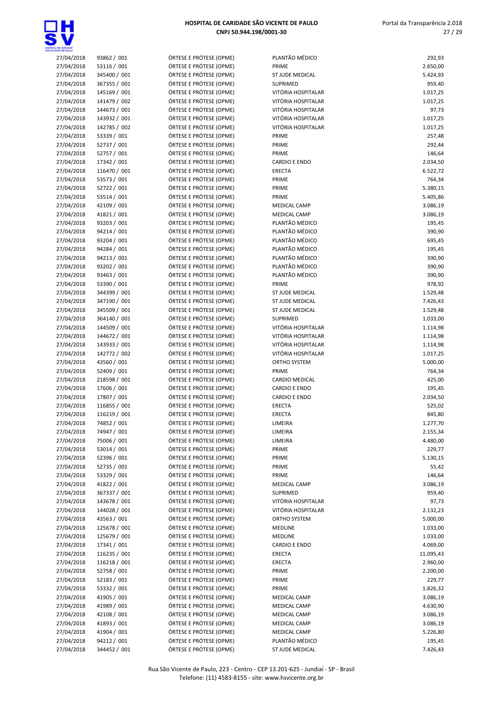

| ENTE CE PALL O           |                             |                                                    |                                  |                  |
|--------------------------|-----------------------------|----------------------------------------------------|----------------------------------|------------------|
| 27/04/2018               | 93862 / 001                 | ÓRTESE E PRÓTESE (OPME)                            | PLANTÃO MÉDICO                   | 292,93           |
| 27/04/2018               | 53116 / 001                 | ÓRTESE E PRÓTESE (OPME)                            | PRIME                            | 2.650,00         |
| 27/04/2018               | 345400 / 001                | ÓRTESE E PRÓTESE (OPME)                            | ST JUDE MEDICAL                  | 5.424,93         |
| 27/04/2018               | 367355 / 001                | ÓRTESE E PRÓTESE (OPME)                            | <b>SUPRIMED</b>                  | 959,40           |
| 27/04/2018               | 145169 / 001                | ÓRTESE E PRÓTESE (OPME)                            | VITÓRIA HOSPITALAR               | 1.017,25         |
| 27/04/2018               | 141479 / 002                | ÓRTESE E PRÓTESE (OPME)                            | VITÓRIA HOSPITALAR               | 1.017,25         |
| 27/04/2018               | 144673 / 001                | ÓRTESE E PRÓTESE (OPME)                            | VITÓRIA HOSPITALAR               | 97,73            |
| 27/04/2018               | 143932 / 001                | ÓRTESE E PRÓTESE (OPME)                            | VITÓRIA HOSPITALAR               | 1.017,25         |
| 27/04/2018               | 142785 / 002                | ÓRTESE E PRÓTESE (OPME)                            | VITÓRIA HOSPITALAR               | 1.017,25         |
| 27/04/2018               | 53339 / 001                 | ÓRTESE E PRÓTESE (OPME)                            | PRIME                            | 257,48           |
| 27/04/2018               | 52737 / 001                 | ÓRTESE E PRÓTESE (OPME)                            | PRIME                            | 292,44           |
| 27/04/2018               | 52757 / 001                 | ÓRTESE E PRÓTESE (OPME)                            | PRIME                            | 146,64           |
| 27/04/2018               | 17342 / 001                 | ÓRTESE E PRÓTESE (OPME)                            | <b>CARDIO E ENDO</b>             | 2.034,50         |
| 27/04/2018               | 116470 / 001                | ÓRTESE E PRÓTESE (OPME)                            | <b>ERECTA</b>                    | 6.522,72         |
| 27/04/2018               | 53573 / 001                 | ÓRTESE E PRÓTESE (OPME)                            | PRIME                            | 764,34           |
| 27/04/2018               | 52722 / 001                 | ÓRTESE E PRÓTESE (OPME)                            | PRIME                            | 5.380,15         |
| 27/04/2018               | 53514 / 001                 | ÓRTESE E PRÓTESE (OPME)                            | PRIME                            | 5.405,86         |
| 27/04/2018               | 42109 / 001                 | ÓRTESE E PRÓTESE (OPME)                            | <b>MEDICAL CAMP</b>              | 3.086,19         |
| 27/04/2018               | 41821 / 001                 | ÓRTESE E PRÓTESE (OPME)                            | <b>MEDICAL CAMP</b>              | 3.086,19         |
| 27/04/2018               | 93203 / 001                 | ÓRTESE E PRÓTESE (OPME)                            | PLANTÃO MÉDICO                   | 195,45           |
| 27/04/2018               | 94214 / 001                 | ÓRTESE E PRÓTESE (OPME)                            | PLANTÃO MÉDICO                   | 390,90           |
| 27/04/2018               | 93204 / 001                 | ÓRTESE E PRÓTESE (OPME)                            | PLANTÃO MÉDICO                   | 695,45           |
| 27/04/2018               | 94284 / 001                 | ÓRTESE E PRÓTESE (OPME)                            | PLANTÃO MÉDICO                   | 195,45           |
| 27/04/2018               | 94213 / 001                 | ÓRTESE E PRÓTESE (OPME)                            | PLANTÃO MÉDICO                   | 390,90           |
| 27/04/2018               | 93202 / 001<br>93463 / 001  | ÓRTESE E PRÓTESE (OPME)                            | PLANTÃO MÉDICO<br>PLANTÃO MÉDICO | 390,90           |
| 27/04/2018               |                             | ÓRTESE E PRÓTESE (OPME)                            | PRIME                            | 390,90<br>978,92 |
| 27/04/2018<br>27/04/2018 | 53390 / 001<br>344399 / 001 | ÓRTESE E PRÓTESE (OPME)<br>ÓRTESE E PRÓTESE (OPME) | ST JUDE MEDICAL                  | 1.529,48         |
| 27/04/2018               | 347190 / 001                | ÓRTESE E PRÓTESE (OPME)                            | ST JUDE MEDICAL                  | 7.426,43         |
| 27/04/2018               | 345509 / 001                | ÓRTESE E PRÓTESE (OPME)                            | ST JUDE MEDICAL                  | 1.529,48         |
| 27/04/2018               | 364140 / 001                | ÓRTESE E PRÓTESE (OPME)                            | SUPRIMED                         | 1.033,00         |
| 27/04/2018               | 144509 / 001                | ÓRTESE E PRÓTESE (OPME)                            | VITÓRIA HOSPITALAR               | 1.114,98         |
| 27/04/2018               | 144672 / 001                | ÓRTESE E PRÓTESE (OPME)                            | VITÓRIA HOSPITALAR               | 1.114,98         |
| 27/04/2018               | 143933 / 001                | ÓRTESE E PRÓTESE (OPME)                            | VITÓRIA HOSPITALAR               | 1.114,98         |
| 27/04/2018               | 142772 / 002                | ÓRTESE E PRÓTESE (OPME)                            | VITÓRIA HOSPITALAR               | 1.017,25         |
| 27/04/2018               | 43560 / 001                 | ÓRTESE E PRÓTESE (OPME)                            | ORTHO SYSTEM                     | 5.000,00         |
| 27/04/2018               | 52409 / 001                 | ÓRTESE E PRÓTESE (OPME)                            | PRIME                            | 764,34           |
| 27/04/2018               | 218598 / 001                | ÓRTESE E PRÓTESE (OPME)                            | CARDIO MEDICAL                   | 425,00           |
| 27/04/2018               | 17606 / 001                 | ÓRTESE E PRÓTESE (OPME)                            | <b>CARDIO E ENDO</b>             | 195,45           |
| 27/04/2018               | 17807 / 001                 | ÓRTESE E PRÓTESE (OPME)                            | <b>CARDIO E ENDO</b>             | 2.034,50         |
| 27/04/2018               | 116855 / 001                | ÓRTESE E PRÓTESE (OPME)                            | <b>ERECTA</b>                    | 525,02           |
| 27/04/2018               | 116219 / 001                | ÓRTESE E PRÓTESE (OPME)                            | <b>ERECTA</b>                    | 845,80           |
| 27/04/2018               | 74852 / 001                 | ÓRTESE E PRÓTESE (OPME)                            | LIMEIRA                          | 1.277,70         |
| 27/04/2018               | 74947 / 001                 | ÓRTESE E PRÓTESE (OPME)                            | LIMEIRA                          | 2.155,34         |
| 27/04/2018               | 75006 / 001                 | ÓRTESE E PRÓTESE (OPME)                            | LIMEIRA                          | 4.480,00         |
| 27/04/2018               | 53014 / 001                 | ÓRTESE E PRÓTESE (OPME)                            | PRIME                            | 229,77           |
| 27/04/2018               | 52396 / 001                 | ÓRTESE E PRÓTESE (OPME)                            | PRIME                            | 5.130,15         |
| 27/04/2018               | 52735 / 001                 | ÓRTESE E PRÓTESE (OPME)                            | PRIME                            | 55,42            |
| 27/04/2018               | 53329 / 001                 | ÓRTESE E PRÓTESE (OPME)                            | PRIME                            | 146,64           |
| 27/04/2018               | 41822 / 001                 | ÓRTESE E PRÓTESE (OPME)                            | <b>MEDICAL CAMP</b>              | 3.086,19         |
| 27/04/2018               | 367337 / 001                | ÓRTESE E PRÓTESE (OPME)                            | <b>SUPRIMED</b>                  | 959,40           |
| 27/04/2018               | 143678 / 001                | ÓRTESE E PRÓTESE (OPME)                            | VITÓRIA HOSPITALAR               | 97,73            |
| 27/04/2018               | 144028 / 001                | ÓRTESE E PRÓTESE (OPME)                            | VITÓRIA HOSPITALAR               | 2.132,23         |
| 27/04/2018               | 43563 / 001                 | ÓRTESE E PRÓTESE (OPME)                            | ORTHO SYSTEM                     | 5.000,00         |
| 27/04/2018               | 125678 / 001                | ÓRTESE E PRÓTESE (OPME)                            | MEDLINE                          | 1.033,00         |
| 27/04/2018               | 125679 / 001                | ÓRTESE E PRÓTESE (OPME)                            | MEDLINE                          | 1.033,00         |
| 27/04/2018               | 17341 / 001                 | ÓRTESE E PRÓTESE (OPME)                            | <b>CARDIO E ENDO</b>             | 4.069,00         |
| 27/04/2018               | 116235 / 001                | ÓRTESE E PRÓTESE (OPME)                            | <b>ERECTA</b>                    | 11.095,43        |
| 27/04/2018               | 116218 / 001                | ÓRTESE E PRÓTESE (OPME)                            | <b>ERECTA</b>                    | 2.960,00         |
| 27/04/2018               | 52758 / 001                 | ÓRTESE E PRÓTESE (OPME)                            | PRIME                            | 2.200,00         |
| 27/04/2018               | 52183 / 001                 | ÓRTESE E PRÓTESE (OPME)                            | PRIME                            | 229,77           |
| 27/04/2018               | 53332 / 001                 | ÓRTESE E PRÓTESE (OPME)                            | PRIME                            | 1.826,32         |
| 27/04/2018               | 41905 / 001                 | ÓRTESE E PRÓTESE (OPME)                            | <b>MEDICAL CAMP</b>              | 3.086,19         |
| 27/04/2018               | 41989 / 001                 | ÓRTESE E PRÓTESE (OPME)                            | MEDICAL CAMP                     | 4.630,90         |
| 27/04/2018               | 42108 / 001                 | ÓRTESE E PRÓTESE (OPME)                            | <b>MEDICAL CAMP</b>              | 3.086,19         |
| 27/04/2018               | 41893 / 001                 | ÓRTESE E PRÓTESE (OPME)                            | <b>MEDICAL CAMP</b>              | 3.086,19         |
| 27/04/2018               | 41904 / 001                 | ÓRTESE E PRÓTESE (OPME)                            | <b>MEDICAL CAMP</b>              | 5.226,80         |
| 27/04/2018               | 94212 / 001                 | ÓRTESE E PRÓTESE (OPME)                            | PLANTÃO MÉDICO                   | 195,45           |
| 27/04/2018               | 344452 / 001                | ÓRTESE E PRÓTESE (OPME)                            | ST JUDE MEDICAL                  | 7.426,43         |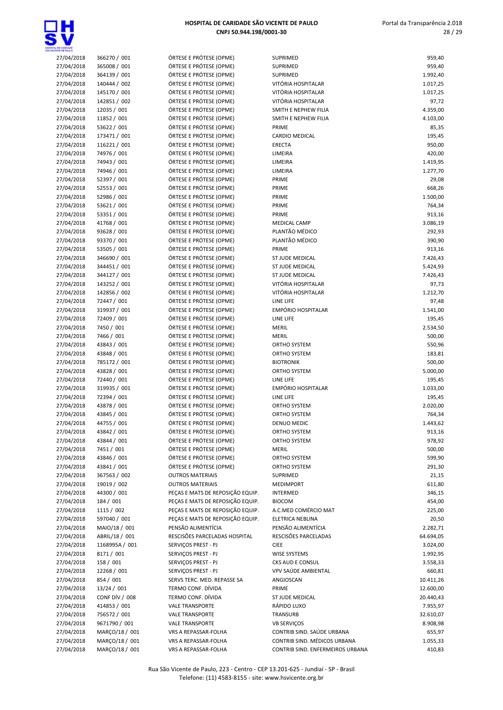

| A, DE GANDADE<br>IENTE DE PAIX D |                              |                                                    |                                  |                  |
|----------------------------------|------------------------------|----------------------------------------------------|----------------------------------|------------------|
| 27/04/2018                       | 366270 / 001                 | ÓRTESE E PRÓTESE (OPME)                            | SUPRIMED                         | 959,40           |
| 27/04/2018                       | 365008 / 001                 | ÓRTESE E PRÓTESE (OPME)                            | SUPRIMED                         | 959,40           |
| 27/04/2018                       | 364139 / 001                 | ÓRTESE E PRÓTESE (OPME)                            | <b>SUPRIMED</b>                  | 1.992,40         |
| 27/04/2018                       | 140444 / 002                 | ÓRTESE E PRÓTESE (OPME)                            | VITÓRIA HOSPITALAR               | 1.017,25         |
| 27/04/2018                       | 145170 / 001                 | ÓRTESE E PRÓTESE (OPME)                            | VITÓRIA HOSPITALAR               | 1.017,25         |
| 27/04/2018                       | 142851 / 002                 | ÓRTESE E PRÓTESE (OPME)                            | VITÓRIA HOSPITALAR               | 97,72            |
| 27/04/2018                       | 12035 / 001                  | ÓRTESE E PRÓTESE (OPME)                            | SMITH E NEPHEW FILIA             | 4.359,00         |
| 27/04/2018                       | 11852 / 001                  | ÓRTESE E PRÓTESE (OPME)                            | SMITH E NEPHEW FILIA             | 4.103,00         |
| 27/04/2018                       | 53622 / 001                  | ÓRTESE E PRÓTESE (OPME)                            | PRIME                            | 85,35            |
| 27/04/2018                       | 173471 / 001<br>116221 / 001 | ÓRTESE E PRÓTESE (OPME)                            | <b>CARDIO MEDICAL</b>            | 195,45           |
| 27/04/2018                       | 74976 / 001                  | ÓRTESE E PRÓTESE (OPME)<br>ÓRTESE E PRÓTESE (OPME) | ERECTA                           | 950,00<br>420,00 |
| 27/04/2018<br>27/04/2018         | 74943 / 001                  | ÓRTESE E PRÓTESE (OPME)                            | LIMEIRA<br>LIMEIRA               | 1.419,95         |
| 27/04/2018                       | 74946 / 001                  | ÓRTESE E PRÓTESE (OPME)                            | LIMEIRA                          | 1.277,70         |
| 27/04/2018                       | 52397 / 001                  | ÓRTESE E PRÓTESE (OPME)                            | PRIME                            | 29,08            |
| 27/04/2018                       | 52553 / 001                  | ÓRTESE E PRÓTESE (OPME)                            | PRIME                            | 668,26           |
| 27/04/2018                       | 52986 / 001                  | ÓRTESE E PRÓTESE (OPME)                            | PRIME                            | 1.500,00         |
| 27/04/2018                       | 53621 / 001                  | ÓRTESE E PRÓTESE (OPME)                            | PRIME                            | 764,34           |
| 27/04/2018                       | 53351 / 001                  | ÓRTESE E PRÓTESE (OPME)                            | PRIME                            | 913,16           |
| 27/04/2018                       | 41768 / 001                  | ÓRTESE E PRÓTESE (OPME)                            | <b>MEDICAL CAMP</b>              | 3.086,19         |
| 27/04/2018                       | 93628 / 001                  | ÓRTESE E PRÓTESE (OPME)                            | PLANTÃO MÉDICO                   | 292,93           |
| 27/04/2018                       | 93370 / 001                  | ÓRTESE E PRÓTESE (OPME)                            | PLANTÃO MÉDICO                   | 390,90           |
| 27/04/2018                       | 53505 / 001                  | ÓRTESE E PRÓTESE (OPME)                            | PRIME                            | 913,16           |
| 27/04/2018                       | 346690 / 001                 | ÓRTESE E PRÓTESE (OPME)                            | <b>ST JUDE MEDICAL</b>           | 7.426,43         |
| 27/04/2018                       | 344451 / 001                 | ÓRTESE E PRÓTESE (OPME)                            | ST JUDE MEDICAL                  | 5.424,93         |
| 27/04/2018                       | 344127 / 001                 | ÓRTESE E PRÓTESE (OPME)                            | ST JUDE MEDICAL                  | 7.426,43         |
| 27/04/2018                       | 143252 / 001                 | ÓRTESE E PRÓTESE (OPME)                            | VITÓRIA HOSPITALAR               | 97,73            |
| 27/04/2018                       | 142856 / 002                 | ÓRTESE E PRÓTESE (OPME)                            | VITÓRIA HOSPITALAR               | 1.212,70         |
| 27/04/2018                       | 72447 / 001                  | ÓRTESE E PRÓTESE (OPME)                            | LINE LIFE                        | 97,48            |
| 27/04/2018                       | 319937 / 001                 | ÓRTESE E PRÓTESE (OPME)                            | <b>EMPÓRIO HOSPITALAR</b>        | 1.541,00         |
| 27/04/2018                       | 72409 / 001                  | ÓRTESE E PRÓTESE (OPME)                            | LINE LIFE                        | 195,45           |
| 27/04/2018                       | 7450 / 001                   | ÓRTESE E PRÓTESE (OPME)                            | <b>MERIL</b>                     | 2.534,50         |
| 27/04/2018                       | 7466 / 001                   | ÓRTESE E PRÓTESE (OPME)                            | <b>MERIL</b>                     | 500,00           |
| 27/04/2018                       | 43843 / 001                  | ÓRTESE E PRÓTESE (OPME)                            | ORTHO SYSTEM                     | 550,96           |
| 27/04/2018                       | 43848 / 001                  | ÓRTESE E PRÓTESE (OPME)                            | ORTHO SYSTEM                     | 183,81           |
| 27/04/2018                       | 785172 / 001                 | ÓRTESE E PRÓTESE (OPME)                            | <b>BIOTRONIK</b>                 | 500,00           |
| 27/04/2018                       | 43828 / 001                  | ÓRTESE E PRÓTESE (OPME)                            | ORTHO SYSTEM                     | 5.000,00         |
| 27/04/2018                       | 72440 / 001                  | ÓRTESE E PRÓTESE (OPME)                            | LINE LIFE                        | 195,45           |
| 27/04/2018                       | 319935 / 001                 | ÓRTESE E PRÓTESE (OPME)                            | <b>EMPÓRIO HOSPITALAR</b>        | 1.033,00         |
| 27/04/2018                       | 72394 / 001                  | ÓRTESE E PRÓTESE (OPME)                            | LINE LIFE                        | 195,45           |
| 27/04/2018                       | 43878 / 001                  | ÓRTESE E PRÓTESE (OPME)                            | ORTHO SYSTEM                     | 2.020,00         |
| 27/04/2018                       | 43845 / 001                  | ÓRTESE E PRÓTESE (OPME)                            | ORTHO SYSTEM                     | 764,34           |
| 27/04/2018                       | 44755 / 001                  | ÓRTESE E PRÓTESE (OPME)                            | <b>DENUO MEDIC</b>               | 1.443,62         |
| 27/04/2018                       | 43842 / 001                  | ÓRTESE E PRÓTESE (OPME)                            | ORTHO SYSTEM                     | 913,16           |
| 27/04/2018                       | 43844 / 001                  | ÓRTESE E PRÓTESE (OPME)                            | ORTHO SYSTEM                     | 978,92           |
| 27/04/2018                       | 7451 / 001                   | ÓRTESE E PRÓTESE (OPME)                            | <b>MERIL</b>                     | 500,00           |
| 27/04/2018                       | 43846 / 001                  | ÓRTESE E PRÓTESE (OPME)                            | ORTHO SYSTEM                     | 599,90           |
| 27/04/2018                       | 43841 / 001                  | ÓRTESE E PRÓTESE (OPME)                            | ORTHO SYSTEM                     | 291,30           |
| 27/04/2018                       | 367563 / 002                 | <b>OUTROS MATERIAIS</b>                            | SUPRIMED                         | 21,15            |
| 27/04/2018                       | 19019 / 002                  | <b>OUTROS MATERIAIS</b>                            | <b>MEDIMPORT</b>                 | 611,80           |
| 27/04/2018                       | 44300 / 001                  | PEÇAS E MATS DE REPOSIÇÃO EQUIP.                   | INTERMED                         | 346,15           |
| 27/04/2018                       | 184 / 001                    | PEÇAS E MATS DE REPOSIÇÃO EQUIP.                   | <b>BIOCOM</b>                    | 454,00           |
| 27/04/2018                       | 1115 / 002                   | PEÇAS E MATS DE REPOSIÇÃO EQUIP.                   | A.C.MED COMÉRCIO MAT             | 225,00           |
| 27/04/2018                       | 597040 / 001                 | PEÇAS E MATS DE REPOSIÇÃO EQUIP.                   | ELETRICA NEBLINA                 | 20,50            |
| 27/04/2018                       | MAIO/18 / 001                | PENSÃO ALIMENTÍCIA                                 | PENSÃO ALIMENTÍCIA               | 2.282,71         |
| 27/04/2018                       | ABRIL/18 / 001               | RESCISÕES PARCELADAS HOSPITAL                      | RESCISÕES PARCELADAS             | 64.694,05        |
| 27/04/2018                       | 1168995A / 001               | SERVIÇOS PREST - PJ                                | <b>CIEE</b>                      | 3.024,00         |
| 27/04/2018                       | 8171 / 001                   | SERVIÇOS PREST - PJ                                | WISE SYSTEMS                     | 1.992,95         |
| 27/04/2018                       | 158 / 001                    | SERVIÇOS PREST - PJ                                | CKS AUD E CONSUL                 | 3.558,33         |
| 27/04/2018                       | 12268 / 001                  | SERVIÇOS PREST - PJ                                | VPV SAÚDE AMBIENTAL              | 660,81           |
| 27/04/2018                       | 854 / 001                    | SERVS TERC. MED. REPASSE SA                        | ANGIOSCAN                        | 10.411,26        |
| 27/04/2018                       | 13/24 / 001                  | TERMO CONF. DÍVIDA                                 | PRIME                            | 12.600,00        |
| 27/04/2018                       | CONF DÍV / 008               | TERMO CONF. DÍVIDA                                 | ST JUDE MEDICAL                  | 20.440,43        |
| 27/04/2018                       | 414853 / 001                 | <b>VALE TRANSPORTE</b>                             | RÁPIDO LUXO                      | 7.955,97         |
| 27/04/2018                       | 756572 / 001                 | <b>VALE TRANSPORTE</b>                             | TRANSURB                         | 32.610,07        |
| 27/04/2018                       | 9671790 / 001                | <b>VALE TRANSPORTE</b>                             | <b>VB SERVIÇOS</b>               | 8.908,98         |
| 27/04/2018                       | MARÇO/18 / 001               | VRS A REPASSAR-FOLHA                               | CONTRIB SIND. SAÚDE URBANA       | 655,97           |
| 27/04/2018                       | MARÇO/18 / 001               | VRS A REPASSAR-FOLHA                               | CONTRIB SIND. MÉDICOS URBANA     | 1.055,33         |
| 27/04/2018                       | MARÇO/18 / 001               | VRS A REPASSAR-FOLHA                               | CONTRIB SIND. ENFERMEIROS URBANA | 410,83           |
|                                  |                              |                                                    |                                  |                  |